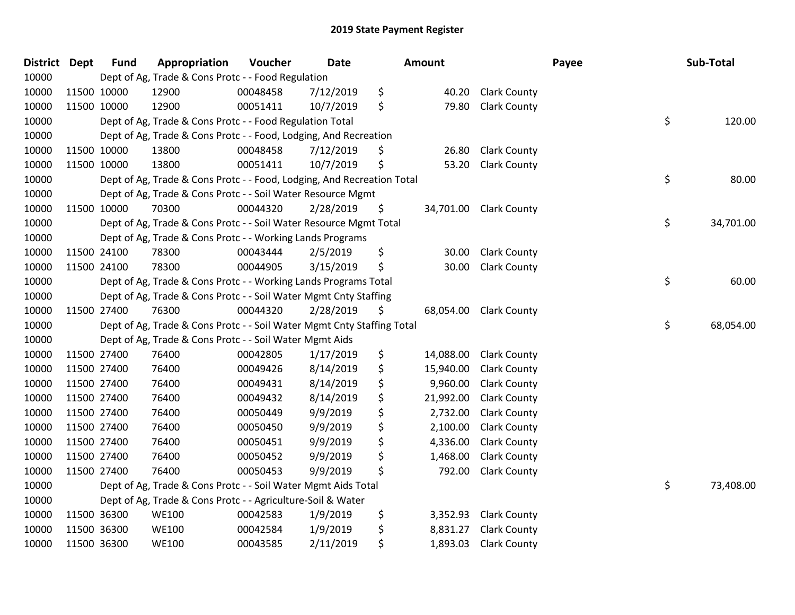| District Dept |             | <b>Fund</b> | Appropriation                                                          | Voucher  | Date      | Amount          |                     | Payee | Sub-Total       |
|---------------|-------------|-------------|------------------------------------------------------------------------|----------|-----------|-----------------|---------------------|-------|-----------------|
| 10000         |             |             | Dept of Ag, Trade & Cons Protc - - Food Regulation                     |          |           |                 |                     |       |                 |
| 10000         |             | 11500 10000 | 12900                                                                  | 00048458 | 7/12/2019 | \$<br>40.20     | <b>Clark County</b> |       |                 |
| 10000         | 11500 10000 |             | 12900                                                                  | 00051411 | 10/7/2019 | \$<br>79.80     | <b>Clark County</b> |       |                 |
| 10000         |             |             | Dept of Ag, Trade & Cons Protc - - Food Regulation Total               |          |           |                 |                     |       | \$<br>120.00    |
| 10000         |             |             | Dept of Ag, Trade & Cons Protc - - Food, Lodging, And Recreation       |          |           |                 |                     |       |                 |
| 10000         |             | 11500 10000 | 13800                                                                  | 00048458 | 7/12/2019 | \$<br>26.80     | <b>Clark County</b> |       |                 |
| 10000         | 11500 10000 |             | 13800                                                                  | 00051411 | 10/7/2019 | \$<br>53.20     | <b>Clark County</b> |       |                 |
| 10000         |             |             | Dept of Ag, Trade & Cons Protc - - Food, Lodging, And Recreation Total |          |           |                 |                     |       | \$<br>80.00     |
| 10000         |             |             | Dept of Ag, Trade & Cons Protc - - Soil Water Resource Mgmt            |          |           |                 |                     |       |                 |
| 10000         |             | 11500 10000 | 70300                                                                  | 00044320 | 2/28/2019 | \$<br>34,701.00 | <b>Clark County</b> |       |                 |
| 10000         |             |             | Dept of Ag, Trade & Cons Protc - - Soil Water Resource Mgmt Total      |          |           |                 |                     |       | \$<br>34,701.00 |
| 10000         |             |             | Dept of Ag, Trade & Cons Protc - - Working Lands Programs              |          |           |                 |                     |       |                 |
| 10000         | 11500 24100 |             | 78300                                                                  | 00043444 | 2/5/2019  | \$<br>30.00     | <b>Clark County</b> |       |                 |
| 10000         |             | 11500 24100 | 78300                                                                  | 00044905 | 3/15/2019 | \$<br>30.00     | <b>Clark County</b> |       |                 |
| 10000         |             |             | Dept of Ag, Trade & Cons Protc - - Working Lands Programs Total        |          |           |                 |                     |       | \$<br>60.00     |
| 10000         |             |             | Dept of Ag, Trade & Cons Protc - - Soil Water Mgmt Cnty Staffing       |          |           |                 |                     |       |                 |
| 10000         |             | 11500 27400 | 76300                                                                  | 00044320 | 2/28/2019 | \$<br>68,054.00 | <b>Clark County</b> |       |                 |
| 10000         |             |             | Dept of Ag, Trade & Cons Protc - - Soil Water Mgmt Cnty Staffing Total |          |           |                 |                     |       | \$<br>68,054.00 |
| 10000         |             |             | Dept of Ag, Trade & Cons Protc - - Soil Water Mgmt Aids                |          |           |                 |                     |       |                 |
| 10000         |             | 11500 27400 | 76400                                                                  | 00042805 | 1/17/2019 | \$<br>14,088.00 | <b>Clark County</b> |       |                 |
| 10000         |             | 11500 27400 | 76400                                                                  | 00049426 | 8/14/2019 | \$<br>15,940.00 | <b>Clark County</b> |       |                 |
| 10000         | 11500 27400 |             | 76400                                                                  | 00049431 | 8/14/2019 | \$<br>9,960.00  | <b>Clark County</b> |       |                 |
| 10000         | 11500 27400 |             | 76400                                                                  | 00049432 | 8/14/2019 | \$<br>21,992.00 | <b>Clark County</b> |       |                 |
| 10000         | 11500 27400 |             | 76400                                                                  | 00050449 | 9/9/2019  | \$<br>2,732.00  | <b>Clark County</b> |       |                 |
| 10000         | 11500 27400 |             | 76400                                                                  | 00050450 | 9/9/2019  | \$<br>2,100.00  | <b>Clark County</b> |       |                 |
| 10000         | 11500 27400 |             | 76400                                                                  | 00050451 | 9/9/2019  | \$<br>4,336.00  | <b>Clark County</b> |       |                 |
| 10000         |             | 11500 27400 | 76400                                                                  | 00050452 | 9/9/2019  | \$<br>1,468.00  | <b>Clark County</b> |       |                 |
| 10000         | 11500 27400 |             | 76400                                                                  | 00050453 | 9/9/2019  | \$<br>792.00    | <b>Clark County</b> |       |                 |
| 10000         |             |             | Dept of Ag, Trade & Cons Protc - - Soil Water Mgmt Aids Total          |          |           |                 |                     |       | \$<br>73,408.00 |
| 10000         |             |             | Dept of Ag, Trade & Cons Protc - - Agriculture-Soil & Water            |          |           |                 |                     |       |                 |
| 10000         |             | 11500 36300 | <b>WE100</b>                                                           | 00042583 | 1/9/2019  | \$<br>3,352.93  | <b>Clark County</b> |       |                 |
| 10000         |             | 11500 36300 | <b>WE100</b>                                                           | 00042584 | 1/9/2019  | \$<br>8,831.27  | <b>Clark County</b> |       |                 |
| 10000         | 11500 36300 |             | <b>WE100</b>                                                           | 00043585 | 2/11/2019 | \$<br>1,893.03  | <b>Clark County</b> |       |                 |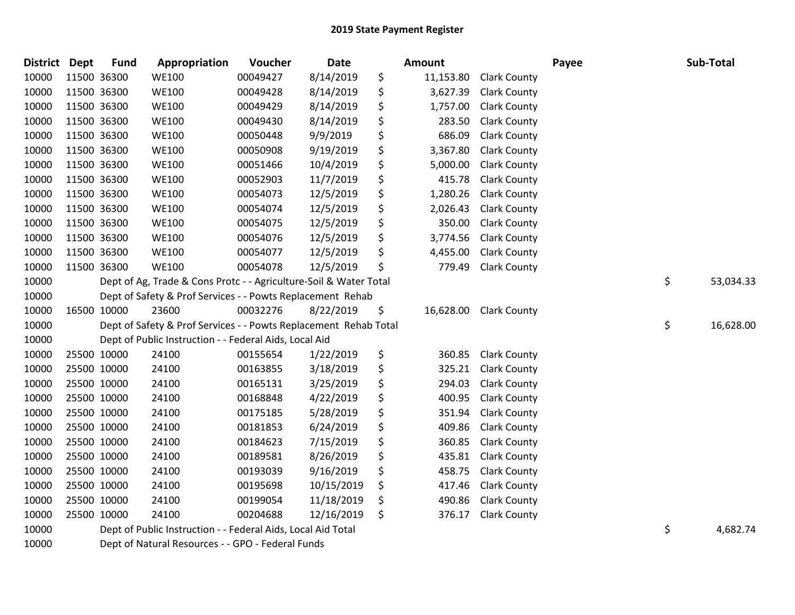| District Dept |             | <b>Fund</b> | Appropriation                                                     | Voucher  | Date       | Amount          |                     | Payee | Sub-Total       |
|---------------|-------------|-------------|-------------------------------------------------------------------|----------|------------|-----------------|---------------------|-------|-----------------|
| 10000         |             | 11500 36300 | <b>WE100</b>                                                      | 00049427 | 8/14/2019  | \$<br>11,153.80 | <b>Clark County</b> |       |                 |
| 10000         | 11500 36300 |             | <b>WE100</b>                                                      | 00049428 | 8/14/2019  | \$<br>3,627.39  | <b>Clark County</b> |       |                 |
| 10000         | 11500 36300 |             | <b>WE100</b>                                                      | 00049429 | 8/14/2019  | \$<br>1,757.00  | <b>Clark County</b> |       |                 |
| 10000         |             | 11500 36300 | <b>WE100</b>                                                      | 00049430 | 8/14/2019  | \$<br>283.50    | <b>Clark County</b> |       |                 |
| 10000         |             | 11500 36300 | <b>WE100</b>                                                      | 00050448 | 9/9/2019   | \$<br>686.09    | <b>Clark County</b> |       |                 |
| 10000         |             | 11500 36300 | <b>WE100</b>                                                      | 00050908 | 9/19/2019  | \$<br>3,367.80  | <b>Clark County</b> |       |                 |
| 10000         | 11500 36300 |             | <b>WE100</b>                                                      | 00051466 | 10/4/2019  | \$<br>5,000.00  | <b>Clark County</b> |       |                 |
| 10000         | 11500 36300 |             | <b>WE100</b>                                                      | 00052903 | 11/7/2019  | \$<br>415.78    | <b>Clark County</b> |       |                 |
| 10000         |             | 11500 36300 | <b>WE100</b>                                                      | 00054073 | 12/5/2019  | \$<br>1,280.26  | <b>Clark County</b> |       |                 |
| 10000         |             | 11500 36300 | <b>WE100</b>                                                      | 00054074 | 12/5/2019  | \$<br>2,026.43  | <b>Clark County</b> |       |                 |
| 10000         |             | 11500 36300 | <b>WE100</b>                                                      | 00054075 | 12/5/2019  | \$<br>350.00    | <b>Clark County</b> |       |                 |
| 10000         | 11500 36300 |             | <b>WE100</b>                                                      | 00054076 | 12/5/2019  | \$<br>3,774.56  | <b>Clark County</b> |       |                 |
| 10000         |             | 11500 36300 | <b>WE100</b>                                                      | 00054077 | 12/5/2019  | \$<br>4,455.00  | <b>Clark County</b> |       |                 |
| 10000         |             | 11500 36300 | <b>WE100</b>                                                      | 00054078 | 12/5/2019  | \$<br>779.49    | <b>Clark County</b> |       |                 |
| 10000         |             |             | Dept of Ag, Trade & Cons Protc - - Agriculture-Soil & Water Total |          |            |                 |                     |       | \$<br>53,034.33 |
| 10000         |             |             | Dept of Safety & Prof Services - - Powts Replacement Rehab        |          |            |                 |                     |       |                 |
| 10000         |             | 16500 10000 | 23600                                                             | 00032276 | 8/22/2019  | \$<br>16,628.00 | <b>Clark County</b> |       |                 |
| 10000         |             |             | Dept of Safety & Prof Services - - Powts Replacement Rehab Total  |          |            |                 |                     |       | \$<br>16,628.00 |
| 10000         |             |             | Dept of Public Instruction - - Federal Aids, Local Aid            |          |            |                 |                     |       |                 |
| 10000         |             | 25500 10000 | 24100                                                             | 00155654 | 1/22/2019  | \$<br>360.85    | <b>Clark County</b> |       |                 |
| 10000         |             | 25500 10000 | 24100                                                             | 00163855 | 3/18/2019  | \$<br>325.21    | <b>Clark County</b> |       |                 |
| 10000         |             | 25500 10000 | 24100                                                             | 00165131 | 3/25/2019  | \$<br>294.03    | <b>Clark County</b> |       |                 |
| 10000         |             | 25500 10000 | 24100                                                             | 00168848 | 4/22/2019  | \$<br>400.95    | <b>Clark County</b> |       |                 |
| 10000         |             | 25500 10000 | 24100                                                             | 00175185 | 5/28/2019  | \$<br>351.94    | Clark County        |       |                 |
| 10000         |             | 25500 10000 | 24100                                                             | 00181853 | 6/24/2019  | \$<br>409.86    | <b>Clark County</b> |       |                 |
| 10000         |             | 25500 10000 | 24100                                                             | 00184623 | 7/15/2019  | \$<br>360.85    | <b>Clark County</b> |       |                 |
| 10000         |             | 25500 10000 | 24100                                                             | 00189581 | 8/26/2019  | \$<br>435.81    | <b>Clark County</b> |       |                 |
| 10000         |             | 25500 10000 | 24100                                                             | 00193039 | 9/16/2019  | \$<br>458.75    | Clark County        |       |                 |
| 10000         |             | 25500 10000 | 24100                                                             | 00195698 | 10/15/2019 | \$<br>417.46    | Clark County        |       |                 |
| 10000         |             | 25500 10000 | 24100                                                             | 00199054 | 11/18/2019 | \$<br>490.86    | <b>Clark County</b> |       |                 |
| 10000         |             | 25500 10000 | 24100                                                             | 00204688 | 12/16/2019 | \$<br>376.17    | <b>Clark County</b> |       |                 |
| 10000         |             |             | Dept of Public Instruction - - Federal Aids, Local Aid Total      |          |            |                 |                     |       | \$<br>4,682.74  |
| 10000         |             |             | Dept of Natural Resources - - GPO - Federal Funds                 |          |            |                 |                     |       |                 |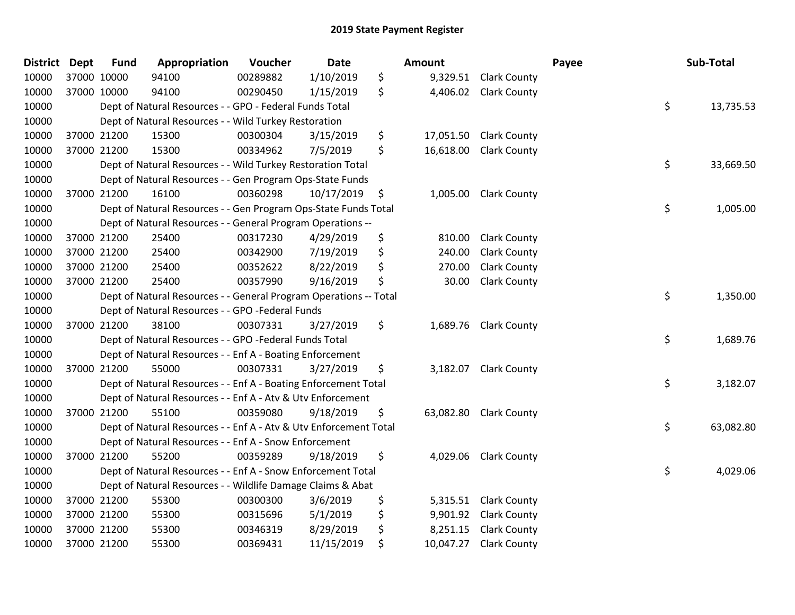| District Dept |             | <b>Fund</b> | Appropriation                                                     | Voucher  | Date       | Amount          |                       | Payee | Sub-Total |
|---------------|-------------|-------------|-------------------------------------------------------------------|----------|------------|-----------------|-----------------------|-------|-----------|
| 10000         | 37000 10000 |             | 94100                                                             | 00289882 | 1/10/2019  | \$<br>9,329.51  | <b>Clark County</b>   |       |           |
| 10000         | 37000 10000 |             | 94100                                                             | 00290450 | 1/15/2019  | \$<br>4,406.02  | <b>Clark County</b>   |       |           |
| 10000         |             |             | Dept of Natural Resources - - GPO - Federal Funds Total           |          |            |                 |                       | \$    | 13,735.53 |
| 10000         |             |             | Dept of Natural Resources - - Wild Turkey Restoration             |          |            |                 |                       |       |           |
| 10000         |             | 37000 21200 | 15300                                                             | 00300304 | 3/15/2019  | \$<br>17,051.50 | <b>Clark County</b>   |       |           |
| 10000         |             | 37000 21200 | 15300                                                             | 00334962 | 7/5/2019   | \$<br>16,618.00 | <b>Clark County</b>   |       |           |
| 10000         |             |             | Dept of Natural Resources - - Wild Turkey Restoration Total       |          |            |                 |                       | \$    | 33,669.50 |
| 10000         |             |             | Dept of Natural Resources - - Gen Program Ops-State Funds         |          |            |                 |                       |       |           |
| 10000         |             | 37000 21200 | 16100                                                             | 00360298 | 10/17/2019 | \$<br>1,005.00  | <b>Clark County</b>   |       |           |
| 10000         |             |             | Dept of Natural Resources - - Gen Program Ops-State Funds Total   |          |            |                 |                       | \$    | 1,005.00  |
| 10000         |             |             | Dept of Natural Resources - - General Program Operations --       |          |            |                 |                       |       |           |
| 10000         |             | 37000 21200 | 25400                                                             | 00317230 | 4/29/2019  | \$<br>810.00    | <b>Clark County</b>   |       |           |
| 10000         | 37000 21200 |             | 25400                                                             | 00342900 | 7/19/2019  | \$<br>240.00    | <b>Clark County</b>   |       |           |
| 10000         |             | 37000 21200 | 25400                                                             | 00352622 | 8/22/2019  | \$<br>270.00    | <b>Clark County</b>   |       |           |
| 10000         | 37000 21200 |             | 25400                                                             | 00357990 | 9/16/2019  | \$<br>30.00     | <b>Clark County</b>   |       |           |
| 10000         |             |             | Dept of Natural Resources - - General Program Operations -- Total |          |            |                 |                       | \$    | 1,350.00  |
| 10000         |             |             | Dept of Natural Resources - - GPO -Federal Funds                  |          |            |                 |                       |       |           |
| 10000         |             | 37000 21200 | 38100                                                             | 00307331 | 3/27/2019  | \$<br>1,689.76  | <b>Clark County</b>   |       |           |
| 10000         |             |             | Dept of Natural Resources - - GPO -Federal Funds Total            |          |            |                 |                       | \$    | 1,689.76  |
| 10000         |             |             | Dept of Natural Resources - - Enf A - Boating Enforcement         |          |            |                 |                       |       |           |
| 10000         |             | 37000 21200 | 55000                                                             | 00307331 | 3/27/2019  | \$              | 3,182.07 Clark County |       |           |
| 10000         |             |             | Dept of Natural Resources - - Enf A - Boating Enforcement Total   |          |            |                 |                       | \$    | 3,182.07  |
| 10000         |             |             | Dept of Natural Resources - - Enf A - Atv & Utv Enforcement       |          |            |                 |                       |       |           |
| 10000         |             | 37000 21200 | 55100                                                             | 00359080 | 9/18/2019  | \$<br>63,082.80 | <b>Clark County</b>   |       |           |
| 10000         |             |             | Dept of Natural Resources - - Enf A - Atv & Utv Enforcement Total |          |            |                 |                       | \$    | 63,082.80 |
| 10000         |             |             | Dept of Natural Resources - - Enf A - Snow Enforcement            |          |            |                 |                       |       |           |
| 10000         |             | 37000 21200 | 55200                                                             | 00359289 | 9/18/2019  | \$<br>4,029.06  | <b>Clark County</b>   |       |           |
| 10000         |             |             | Dept of Natural Resources - - Enf A - Snow Enforcement Total      |          |            |                 |                       | \$    | 4,029.06  |
| 10000         |             |             | Dept of Natural Resources - - Wildlife Damage Claims & Abat       |          |            |                 |                       |       |           |
| 10000         |             | 37000 21200 | 55300                                                             | 00300300 | 3/6/2019   | \$<br>5,315.51  | <b>Clark County</b>   |       |           |
| 10000         | 37000 21200 |             | 55300                                                             | 00315696 | 5/1/2019   | \$<br>9,901.92  | <b>Clark County</b>   |       |           |
| 10000         |             | 37000 21200 | 55300                                                             | 00346319 | 8/29/2019  | \$<br>8,251.15  | <b>Clark County</b>   |       |           |
| 10000         | 37000 21200 |             | 55300                                                             | 00369431 | 11/15/2019 | \$<br>10,047.27 | <b>Clark County</b>   |       |           |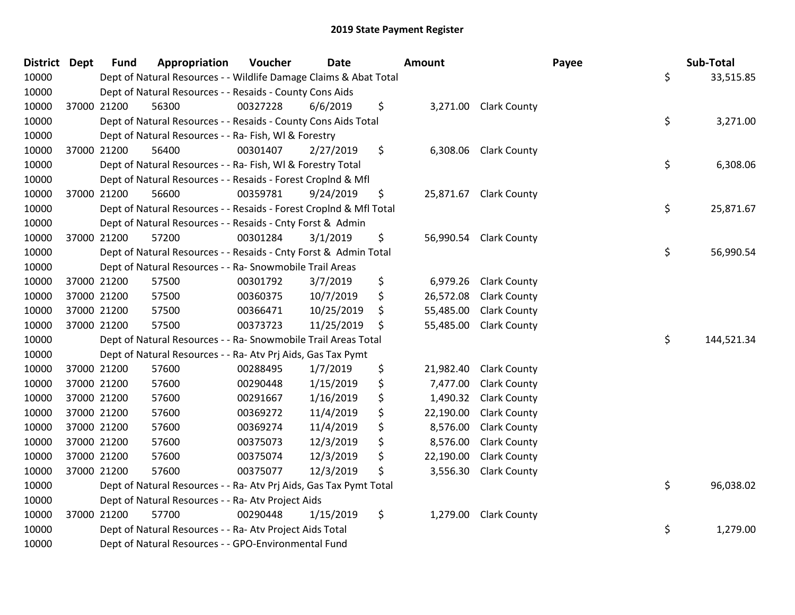| District Dept | <b>Fund</b> | Appropriation                                                      | Voucher  | <b>Date</b> | <b>Amount</b>   |                       | Payee | Sub-Total  |
|---------------|-------------|--------------------------------------------------------------------|----------|-------------|-----------------|-----------------------|-------|------------|
| 10000         |             | Dept of Natural Resources - - Wildlife Damage Claims & Abat Total  |          |             |                 |                       | \$    | 33,515.85  |
| 10000         |             | Dept of Natural Resources - - Resaids - County Cons Aids           |          |             |                 |                       |       |            |
| 10000         | 37000 21200 | 56300                                                              | 00327228 | 6/6/2019    | \$              | 3,271.00 Clark County |       |            |
| 10000         |             | Dept of Natural Resources - - Resaids - County Cons Aids Total     |          |             |                 |                       | \$    | 3,271.00   |
| 10000         |             | Dept of Natural Resources - - Ra- Fish, WI & Forestry              |          |             |                 |                       |       |            |
| 10000         | 37000 21200 | 56400                                                              | 00301407 | 2/27/2019   | \$<br>6,308.06  | <b>Clark County</b>   |       |            |
| 10000         |             | Dept of Natural Resources - - Ra- Fish, WI & Forestry Total        |          |             |                 |                       | \$    | 6,308.06   |
| 10000         |             | Dept of Natural Resources - - Resaids - Forest CropInd & Mfl       |          |             |                 |                       |       |            |
| 10000         | 37000 21200 | 56600                                                              | 00359781 | 9/24/2019   | \$<br>25,871.67 | <b>Clark County</b>   |       |            |
| 10000         |             | Dept of Natural Resources - - Resaids - Forest Croplnd & Mfl Total |          |             |                 |                       | \$    | 25,871.67  |
| 10000         |             | Dept of Natural Resources - - Resaids - Cnty Forst & Admin         |          |             |                 |                       |       |            |
| 10000         | 37000 21200 | 57200                                                              | 00301284 | 3/1/2019    | \$<br>56,990.54 | <b>Clark County</b>   |       |            |
| 10000         |             | Dept of Natural Resources - - Resaids - Cnty Forst & Admin Total   |          |             |                 |                       | \$    | 56,990.54  |
| 10000         |             | Dept of Natural Resources - - Ra- Snowmobile Trail Areas           |          |             |                 |                       |       |            |
| 10000         | 37000 21200 | 57500                                                              | 00301792 | 3/7/2019    | \$<br>6,979.26  | <b>Clark County</b>   |       |            |
| 10000         | 37000 21200 | 57500                                                              | 00360375 | 10/7/2019   | \$<br>26,572.08 | <b>Clark County</b>   |       |            |
| 10000         | 37000 21200 | 57500                                                              | 00366471 | 10/25/2019  | \$<br>55,485.00 | <b>Clark County</b>   |       |            |
| 10000         | 37000 21200 | 57500                                                              | 00373723 | 11/25/2019  | \$<br>55,485.00 | <b>Clark County</b>   |       |            |
| 10000         |             | Dept of Natural Resources - - Ra- Snowmobile Trail Areas Total     |          |             |                 |                       | \$    | 144,521.34 |
| 10000         |             | Dept of Natural Resources - - Ra- Atv Prj Aids, Gas Tax Pymt       |          |             |                 |                       |       |            |
| 10000         | 37000 21200 | 57600                                                              | 00288495 | 1/7/2019    | \$<br>21,982.40 | <b>Clark County</b>   |       |            |
| 10000         | 37000 21200 | 57600                                                              | 00290448 | 1/15/2019   | \$<br>7,477.00  | <b>Clark County</b>   |       |            |
| 10000         | 37000 21200 | 57600                                                              | 00291667 | 1/16/2019   | \$<br>1,490.32  | <b>Clark County</b>   |       |            |
| 10000         | 37000 21200 | 57600                                                              | 00369272 | 11/4/2019   | \$<br>22,190.00 | <b>Clark County</b>   |       |            |
| 10000         | 37000 21200 | 57600                                                              | 00369274 | 11/4/2019   | \$<br>8,576.00  | <b>Clark County</b>   |       |            |
| 10000         | 37000 21200 | 57600                                                              | 00375073 | 12/3/2019   | \$<br>8,576.00  | <b>Clark County</b>   |       |            |
| 10000         | 37000 21200 | 57600                                                              | 00375074 | 12/3/2019   | \$<br>22,190.00 | <b>Clark County</b>   |       |            |
| 10000         | 37000 21200 | 57600                                                              | 00375077 | 12/3/2019   | \$<br>3,556.30  | <b>Clark County</b>   |       |            |
| 10000         |             | Dept of Natural Resources - - Ra- Atv Prj Aids, Gas Tax Pymt Total |          |             |                 |                       | \$    | 96,038.02  |
| 10000         |             | Dept of Natural Resources - - Ra- Atv Project Aids                 |          |             |                 |                       |       |            |
| 10000         | 37000 21200 | 57700                                                              | 00290448 | 1/15/2019   | \$<br>1,279.00  | <b>Clark County</b>   |       |            |
| 10000         |             | Dept of Natural Resources - - Ra- Atv Project Aids Total           |          |             |                 |                       | \$    | 1,279.00   |
| 10000         |             | Dept of Natural Resources - - GPO-Environmental Fund               |          |             |                 |                       |       |            |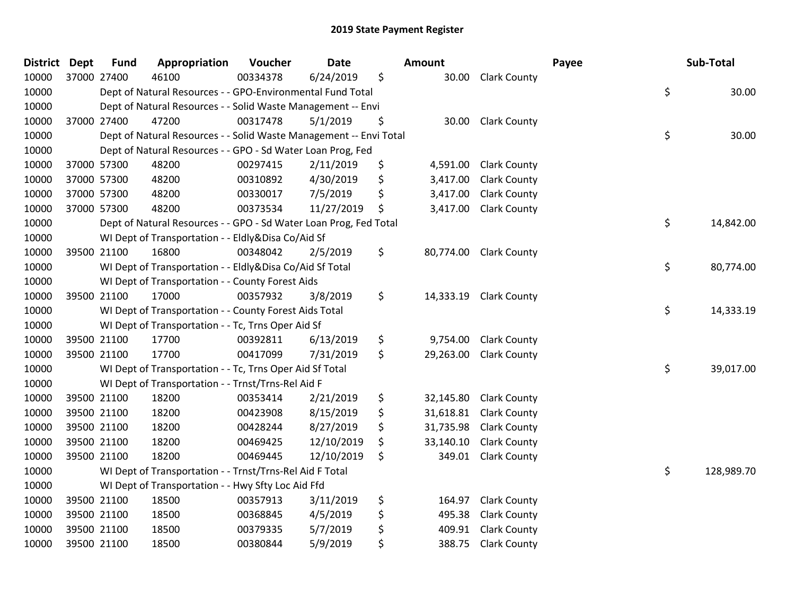| <b>District</b> | <b>Dept</b> | <b>Fund</b> | Appropriation                                                      | Voucher  | <b>Date</b> | <b>Amount</b>   |                        | Payee | Sub-Total        |
|-----------------|-------------|-------------|--------------------------------------------------------------------|----------|-------------|-----------------|------------------------|-------|------------------|
| 10000           | 37000 27400 |             | 46100                                                              | 00334378 | 6/24/2019   | \$              | 30.00 Clark County     |       |                  |
| 10000           |             |             | Dept of Natural Resources - - GPO-Environmental Fund Total         |          |             |                 |                        |       | \$<br>30.00      |
| 10000           |             |             | Dept of Natural Resources - - Solid Waste Management -- Envi       |          |             |                 |                        |       |                  |
| 10000           |             | 37000 27400 | 47200                                                              | 00317478 | 5/1/2019    | \$              | 30.00 Clark County     |       |                  |
| 10000           |             |             | Dept of Natural Resources - - Solid Waste Management -- Envi Total |          |             |                 |                        |       | \$<br>30.00      |
| 10000           |             |             | Dept of Natural Resources - - GPO - Sd Water Loan Prog, Fed        |          |             |                 |                        |       |                  |
| 10000           |             | 37000 57300 | 48200                                                              | 00297415 | 2/11/2019   | \$<br>4,591.00  | <b>Clark County</b>    |       |                  |
| 10000           | 37000 57300 |             | 48200                                                              | 00310892 | 4/30/2019   | \$<br>3,417.00  | <b>Clark County</b>    |       |                  |
| 10000           | 37000 57300 |             | 48200                                                              | 00330017 | 7/5/2019    | \$<br>3,417.00  | <b>Clark County</b>    |       |                  |
| 10000           | 37000 57300 |             | 48200                                                              | 00373534 | 11/27/2019  | \$<br>3,417.00  | <b>Clark County</b>    |       |                  |
| 10000           |             |             | Dept of Natural Resources - - GPO - Sd Water Loan Prog, Fed Total  |          |             |                 |                        |       | \$<br>14,842.00  |
| 10000           |             |             | WI Dept of Transportation - - Eldly&Disa Co/Aid Sf                 |          |             |                 |                        |       |                  |
| 10000           |             | 39500 21100 | 16800                                                              | 00348042 | 2/5/2019    | \$              | 80,774.00 Clark County |       |                  |
| 10000           |             |             | WI Dept of Transportation - - Eldly&Disa Co/Aid Sf Total           |          |             |                 |                        |       | \$<br>80,774.00  |
| 10000           |             |             | WI Dept of Transportation - - County Forest Aids                   |          |             |                 |                        |       |                  |
| 10000           |             | 39500 21100 | 17000                                                              | 00357932 | 3/8/2019    | \$<br>14,333.19 | <b>Clark County</b>    |       |                  |
| 10000           |             |             | WI Dept of Transportation - - County Forest Aids Total             |          |             |                 |                        |       | \$<br>14,333.19  |
| 10000           |             |             | WI Dept of Transportation - - Tc, Trns Oper Aid Sf                 |          |             |                 |                        |       |                  |
| 10000           |             | 39500 21100 | 17700                                                              | 00392811 | 6/13/2019   | \$<br>9,754.00  | <b>Clark County</b>    |       |                  |
| 10000           | 39500 21100 |             | 17700                                                              | 00417099 | 7/31/2019   | \$<br>29,263.00 | <b>Clark County</b>    |       |                  |
| 10000           |             |             | WI Dept of Transportation - - Tc, Trns Oper Aid Sf Total           |          |             |                 |                        |       | \$<br>39,017.00  |
| 10000           |             |             | WI Dept of Transportation - - Trnst/Trns-Rel Aid F                 |          |             |                 |                        |       |                  |
| 10000           |             | 39500 21100 | 18200                                                              | 00353414 | 2/21/2019   | \$<br>32,145.80 | <b>Clark County</b>    |       |                  |
| 10000           | 39500 21100 |             | 18200                                                              | 00423908 | 8/15/2019   | \$<br>31,618.81 | <b>Clark County</b>    |       |                  |
| 10000           | 39500 21100 |             | 18200                                                              | 00428244 | 8/27/2019   | \$<br>31,735.98 | <b>Clark County</b>    |       |                  |
| 10000           |             | 39500 21100 | 18200                                                              | 00469425 | 12/10/2019  | \$<br>33,140.10 | <b>Clark County</b>    |       |                  |
| 10000           |             | 39500 21100 | 18200                                                              | 00469445 | 12/10/2019  | \$<br>349.01    | <b>Clark County</b>    |       |                  |
| 10000           |             |             | WI Dept of Transportation - - Trnst/Trns-Rel Aid F Total           |          |             |                 |                        |       | \$<br>128,989.70 |
| 10000           |             |             | WI Dept of Transportation - - Hwy Sfty Loc Aid Ffd                 |          |             |                 |                        |       |                  |
| 10000           |             | 39500 21100 | 18500                                                              | 00357913 | 3/11/2019   | \$<br>164.97    | <b>Clark County</b>    |       |                  |
| 10000           |             | 39500 21100 | 18500                                                              | 00368845 | 4/5/2019    | \$<br>495.38    | <b>Clark County</b>    |       |                  |
| 10000           |             | 39500 21100 | 18500                                                              | 00379335 | 5/7/2019    | \$<br>409.91    | <b>Clark County</b>    |       |                  |
| 10000           | 39500 21100 |             | 18500                                                              | 00380844 | 5/9/2019    | \$<br>388.75    | <b>Clark County</b>    |       |                  |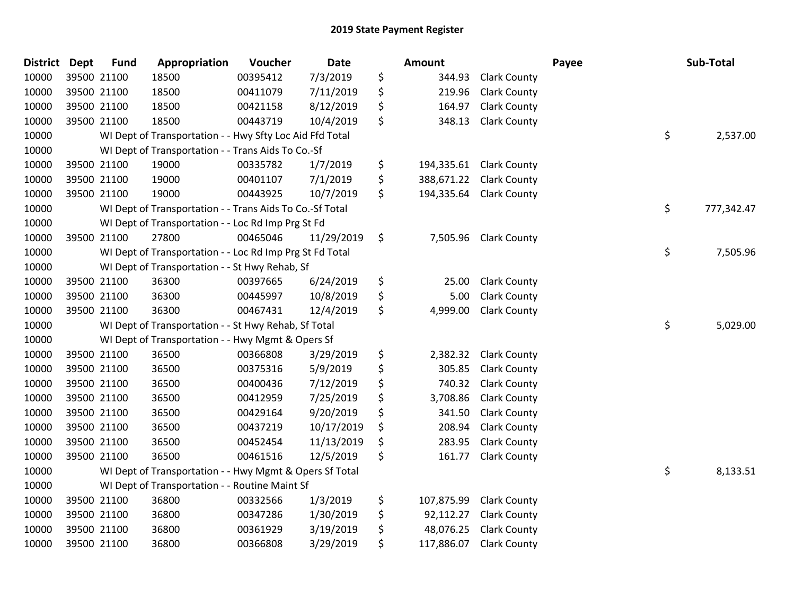| <b>District</b> | <b>Dept</b> | <b>Fund</b> | Appropriation                                            | Voucher  | Date       | <b>Amount</b>    |                       | Payee | Sub-Total  |
|-----------------|-------------|-------------|----------------------------------------------------------|----------|------------|------------------|-----------------------|-------|------------|
| 10000           | 39500 21100 |             | 18500                                                    | 00395412 | 7/3/2019   | \$<br>344.93     | <b>Clark County</b>   |       |            |
| 10000           | 39500 21100 |             | 18500                                                    | 00411079 | 7/11/2019  | \$<br>219.96     | <b>Clark County</b>   |       |            |
| 10000           | 39500 21100 |             | 18500                                                    | 00421158 | 8/12/2019  | \$<br>164.97     | <b>Clark County</b>   |       |            |
| 10000           | 39500 21100 |             | 18500                                                    | 00443719 | 10/4/2019  | \$<br>348.13     | <b>Clark County</b>   |       |            |
| 10000           |             |             | WI Dept of Transportation - - Hwy Sfty Loc Aid Ffd Total |          |            |                  |                       | \$    | 2,537.00   |
| 10000           |             |             | WI Dept of Transportation - - Trans Aids To Co.-Sf       |          |            |                  |                       |       |            |
| 10000           |             | 39500 21100 | 19000                                                    | 00335782 | 1/7/2019   | \$<br>194,335.61 | <b>Clark County</b>   |       |            |
| 10000           | 39500 21100 |             | 19000                                                    | 00401107 | 7/1/2019   | \$<br>388,671.22 | <b>Clark County</b>   |       |            |
| 10000           | 39500 21100 |             | 19000                                                    | 00443925 | 10/7/2019  | \$<br>194,335.64 | <b>Clark County</b>   |       |            |
| 10000           |             |             | WI Dept of Transportation - - Trans Aids To Co.-Sf Total |          |            |                  |                       | \$    | 777,342.47 |
| 10000           |             |             | WI Dept of Transportation - - Loc Rd Imp Prg St Fd       |          |            |                  |                       |       |            |
| 10000           | 39500 21100 |             | 27800                                                    | 00465046 | 11/29/2019 | \$               | 7,505.96 Clark County |       |            |
| 10000           |             |             | WI Dept of Transportation - - Loc Rd Imp Prg St Fd Total |          |            |                  |                       | \$    | 7,505.96   |
| 10000           |             |             | WI Dept of Transportation - - St Hwy Rehab, Sf           |          |            |                  |                       |       |            |
| 10000           | 39500 21100 |             | 36300                                                    | 00397665 | 6/24/2019  | \$<br>25.00      | <b>Clark County</b>   |       |            |
| 10000           |             | 39500 21100 | 36300                                                    | 00445997 | 10/8/2019  | \$<br>5.00       | <b>Clark County</b>   |       |            |
| 10000           | 39500 21100 |             | 36300                                                    | 00467431 | 12/4/2019  | \$<br>4,999.00   | <b>Clark County</b>   |       |            |
| 10000           |             |             | WI Dept of Transportation - - St Hwy Rehab, Sf Total     |          |            |                  |                       | \$    | 5,029.00   |
| 10000           |             |             | WI Dept of Transportation - - Hwy Mgmt & Opers Sf        |          |            |                  |                       |       |            |
| 10000           | 39500 21100 |             | 36500                                                    | 00366808 | 3/29/2019  | \$<br>2,382.32   | <b>Clark County</b>   |       |            |
| 10000           |             | 39500 21100 | 36500                                                    | 00375316 | 5/9/2019   | \$<br>305.85     | <b>Clark County</b>   |       |            |
| 10000           |             | 39500 21100 | 36500                                                    | 00400436 | 7/12/2019  | \$<br>740.32     | <b>Clark County</b>   |       |            |
| 10000           | 39500 21100 |             | 36500                                                    | 00412959 | 7/25/2019  | \$<br>3,708.86   | <b>Clark County</b>   |       |            |
| 10000           | 39500 21100 |             | 36500                                                    | 00429164 | 9/20/2019  | \$<br>341.50     | <b>Clark County</b>   |       |            |
| 10000           | 39500 21100 |             | 36500                                                    | 00437219 | 10/17/2019 | \$<br>208.94     | <b>Clark County</b>   |       |            |
| 10000           | 39500 21100 |             | 36500                                                    | 00452454 | 11/13/2019 | \$<br>283.95     | <b>Clark County</b>   |       |            |
| 10000           | 39500 21100 |             | 36500                                                    | 00461516 | 12/5/2019  | \$<br>161.77     | <b>Clark County</b>   |       |            |
| 10000           |             |             | WI Dept of Transportation - - Hwy Mgmt & Opers Sf Total  |          |            |                  |                       | \$    | 8,133.51   |
| 10000           |             |             | WI Dept of Transportation - - Routine Maint Sf           |          |            |                  |                       |       |            |
| 10000           | 39500 21100 |             | 36800                                                    | 00332566 | 1/3/2019   | \$<br>107,875.99 | <b>Clark County</b>   |       |            |
| 10000           | 39500 21100 |             | 36800                                                    | 00347286 | 1/30/2019  | \$<br>92,112.27  | <b>Clark County</b>   |       |            |
| 10000           | 39500 21100 |             | 36800                                                    | 00361929 | 3/19/2019  | \$<br>48,076.25  | <b>Clark County</b>   |       |            |
| 10000           | 39500 21100 |             | 36800                                                    | 00366808 | 3/29/2019  | \$<br>117,886.07 | <b>Clark County</b>   |       |            |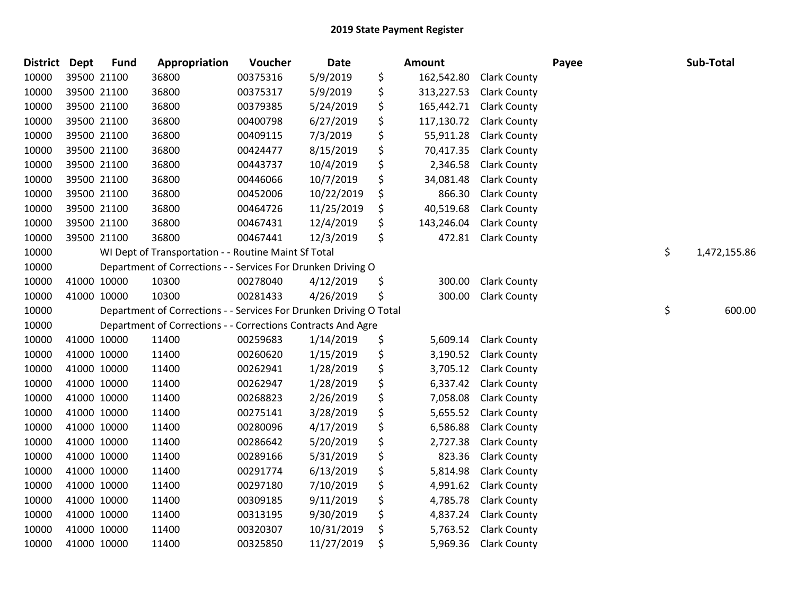| <b>District</b> | <b>Dept</b> | <b>Fund</b> | Appropriation                                                      | Voucher  | <b>Date</b> | Amount           |                     | Payee | Sub-Total          |
|-----------------|-------------|-------------|--------------------------------------------------------------------|----------|-------------|------------------|---------------------|-------|--------------------|
| 10000           |             | 39500 21100 | 36800                                                              | 00375316 | 5/9/2019    | \$<br>162,542.80 | <b>Clark County</b> |       |                    |
| 10000           |             | 39500 21100 | 36800                                                              | 00375317 | 5/9/2019    | \$<br>313,227.53 | <b>Clark County</b> |       |                    |
| 10000           |             | 39500 21100 | 36800                                                              | 00379385 | 5/24/2019   | \$<br>165,442.71 | <b>Clark County</b> |       |                    |
| 10000           |             | 39500 21100 | 36800                                                              | 00400798 | 6/27/2019   | \$<br>117,130.72 | <b>Clark County</b> |       |                    |
| 10000           |             | 39500 21100 | 36800                                                              | 00409115 | 7/3/2019    | \$<br>55,911.28  | <b>Clark County</b> |       |                    |
| 10000           |             | 39500 21100 | 36800                                                              | 00424477 | 8/15/2019   | \$<br>70,417.35  | <b>Clark County</b> |       |                    |
| 10000           |             | 39500 21100 | 36800                                                              | 00443737 | 10/4/2019   | \$<br>2,346.58   | <b>Clark County</b> |       |                    |
| 10000           |             | 39500 21100 | 36800                                                              | 00446066 | 10/7/2019   | \$<br>34,081.48  | <b>Clark County</b> |       |                    |
| 10000           |             | 39500 21100 | 36800                                                              | 00452006 | 10/22/2019  | \$<br>866.30     | <b>Clark County</b> |       |                    |
| 10000           |             | 39500 21100 | 36800                                                              | 00464726 | 11/25/2019  | \$<br>40,519.68  | <b>Clark County</b> |       |                    |
| 10000           |             | 39500 21100 | 36800                                                              | 00467431 | 12/4/2019   | \$<br>143,246.04 | <b>Clark County</b> |       |                    |
| 10000           |             | 39500 21100 | 36800                                                              | 00467441 | 12/3/2019   | \$<br>472.81     | <b>Clark County</b> |       |                    |
| 10000           |             |             | WI Dept of Transportation - - Routine Maint Sf Total               |          |             |                  |                     |       | \$<br>1,472,155.86 |
| 10000           |             |             | Department of Corrections - - Services For Drunken Driving O       |          |             |                  |                     |       |                    |
| 10000           |             | 41000 10000 | 10300                                                              | 00278040 | 4/12/2019   | \$<br>300.00     | <b>Clark County</b> |       |                    |
| 10000           |             | 41000 10000 | 10300                                                              | 00281433 | 4/26/2019   | \$<br>300.00     | <b>Clark County</b> |       |                    |
| 10000           |             |             | Department of Corrections - - Services For Drunken Driving O Total |          |             |                  |                     |       | \$<br>600.00       |
| 10000           |             |             | Department of Corrections - - Corrections Contracts And Agre       |          |             |                  |                     |       |                    |
| 10000           |             | 41000 10000 | 11400                                                              | 00259683 | 1/14/2019   | \$<br>5,609.14   | <b>Clark County</b> |       |                    |
| 10000           |             | 41000 10000 | 11400                                                              | 00260620 | 1/15/2019   | \$<br>3,190.52   | <b>Clark County</b> |       |                    |
| 10000           |             | 41000 10000 | 11400                                                              | 00262941 | 1/28/2019   | \$<br>3,705.12   | <b>Clark County</b> |       |                    |
| 10000           |             | 41000 10000 | 11400                                                              | 00262947 | 1/28/2019   | \$<br>6,337.42   | <b>Clark County</b> |       |                    |
| 10000           |             | 41000 10000 | 11400                                                              | 00268823 | 2/26/2019   | \$<br>7,058.08   | <b>Clark County</b> |       |                    |
| 10000           | 41000 10000 |             | 11400                                                              | 00275141 | 3/28/2019   | \$<br>5,655.52   | <b>Clark County</b> |       |                    |
| 10000           | 41000 10000 |             | 11400                                                              | 00280096 | 4/17/2019   | \$<br>6,586.88   | <b>Clark County</b> |       |                    |
| 10000           |             | 41000 10000 | 11400                                                              | 00286642 | 5/20/2019   | \$<br>2,727.38   | <b>Clark County</b> |       |                    |
| 10000           | 41000 10000 |             | 11400                                                              | 00289166 | 5/31/2019   | \$<br>823.36     | <b>Clark County</b> |       |                    |
| 10000           |             | 41000 10000 | 11400                                                              | 00291774 | 6/13/2019   | \$<br>5,814.98   | <b>Clark County</b> |       |                    |
| 10000           |             | 41000 10000 | 11400                                                              | 00297180 | 7/10/2019   | \$<br>4,991.62   | <b>Clark County</b> |       |                    |
| 10000           | 41000 10000 |             | 11400                                                              | 00309185 | 9/11/2019   | \$<br>4,785.78   | <b>Clark County</b> |       |                    |
| 10000           |             | 41000 10000 | 11400                                                              | 00313195 | 9/30/2019   | \$<br>4,837.24   | <b>Clark County</b> |       |                    |
| 10000           |             | 41000 10000 | 11400                                                              | 00320307 | 10/31/2019  | \$<br>5,763.52   | <b>Clark County</b> |       |                    |
| 10000           | 41000 10000 |             | 11400                                                              | 00325850 | 11/27/2019  | \$<br>5,969.36   | <b>Clark County</b> |       |                    |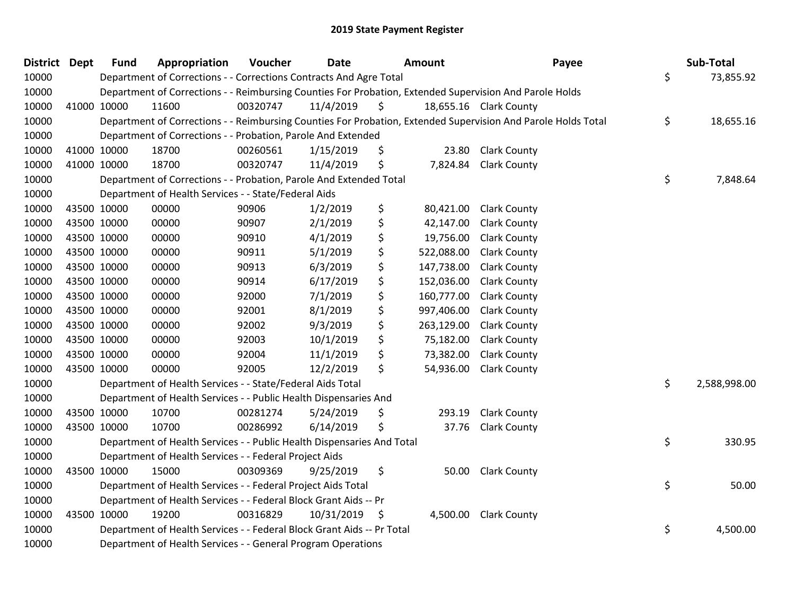| <b>District Dept</b> |             | <b>Fund</b> | Appropriation                                                          | Voucher  | <b>Date</b> |     | Amount     | Payee                                                                                                         | Sub-Total          |
|----------------------|-------------|-------------|------------------------------------------------------------------------|----------|-------------|-----|------------|---------------------------------------------------------------------------------------------------------------|--------------------|
| 10000                |             |             | Department of Corrections - - Corrections Contracts And Agre Total     |          |             |     |            |                                                                                                               | \$<br>73,855.92    |
| 10000                |             |             |                                                                        |          |             |     |            | Department of Corrections - - Reimbursing Counties For Probation, Extended Supervision And Parole Holds       |                    |
| 10000                |             | 41000 10000 | 11600                                                                  | 00320747 | 11/4/2019   | \$  |            | 18,655.16 Clark County                                                                                        |                    |
| 10000                |             |             |                                                                        |          |             |     |            | Department of Corrections - - Reimbursing Counties For Probation, Extended Supervision And Parole Holds Total | \$<br>18,655.16    |
| 10000                |             |             | Department of Corrections - - Probation, Parole And Extended           |          |             |     |            |                                                                                                               |                    |
| 10000                |             | 41000 10000 | 18700                                                                  | 00260561 | 1/15/2019   | \$  | 23.80      | <b>Clark County</b>                                                                                           |                    |
| 10000                |             | 41000 10000 | 18700                                                                  | 00320747 | 11/4/2019   | \$  | 7,824.84   | <b>Clark County</b>                                                                                           |                    |
| 10000                |             |             | Department of Corrections - - Probation, Parole And Extended Total     |          |             |     |            |                                                                                                               | \$<br>7,848.64     |
| 10000                |             |             | Department of Health Services - - State/Federal Aids                   |          |             |     |            |                                                                                                               |                    |
| 10000                |             | 43500 10000 | 00000                                                                  | 90906    | 1/2/2019    | \$  | 80,421.00  | <b>Clark County</b>                                                                                           |                    |
| 10000                |             | 43500 10000 | 00000                                                                  | 90907    | 2/1/2019    | \$  | 42,147.00  | <b>Clark County</b>                                                                                           |                    |
| 10000                |             | 43500 10000 | 00000                                                                  | 90910    | 4/1/2019    | \$  | 19,756.00  | <b>Clark County</b>                                                                                           |                    |
| 10000                |             | 43500 10000 | 00000                                                                  | 90911    | 5/1/2019    | \$  | 522,088.00 | <b>Clark County</b>                                                                                           |                    |
| 10000                | 43500 10000 |             | 00000                                                                  | 90913    | 6/3/2019    | \$  | 147,738.00 | <b>Clark County</b>                                                                                           |                    |
| 10000                |             | 43500 10000 | 00000                                                                  | 90914    | 6/17/2019   | \$  | 152,036.00 | <b>Clark County</b>                                                                                           |                    |
| 10000                |             | 43500 10000 | 00000                                                                  | 92000    | 7/1/2019    | \$  | 160,777.00 | <b>Clark County</b>                                                                                           |                    |
| 10000                |             | 43500 10000 | 00000                                                                  | 92001    | 8/1/2019    | \$  | 997,406.00 | <b>Clark County</b>                                                                                           |                    |
| 10000                |             | 43500 10000 | 00000                                                                  | 92002    | 9/3/2019    | \$  | 263,129.00 | <b>Clark County</b>                                                                                           |                    |
| 10000                | 43500 10000 |             | 00000                                                                  | 92003    | 10/1/2019   | \$  | 75,182.00  | <b>Clark County</b>                                                                                           |                    |
| 10000                |             | 43500 10000 | 00000                                                                  | 92004    | 11/1/2019   | \$  | 73,382.00  | <b>Clark County</b>                                                                                           |                    |
| 10000                |             | 43500 10000 | 00000                                                                  | 92005    | 12/2/2019   | \$  | 54,936.00  | <b>Clark County</b>                                                                                           |                    |
| 10000                |             |             | Department of Health Services - - State/Federal Aids Total             |          |             |     |            |                                                                                                               | \$<br>2,588,998.00 |
| 10000                |             |             | Department of Health Services - - Public Health Dispensaries And       |          |             |     |            |                                                                                                               |                    |
| 10000                |             | 43500 10000 | 10700                                                                  | 00281274 | 5/24/2019   | \$  | 293.19     | <b>Clark County</b>                                                                                           |                    |
| 10000                |             | 43500 10000 | 10700                                                                  | 00286992 | 6/14/2019   | \$  | 37.76      | <b>Clark County</b>                                                                                           |                    |
| 10000                |             |             | Department of Health Services - - Public Health Dispensaries And Total |          |             |     |            |                                                                                                               | \$<br>330.95       |
| 10000                |             |             | Department of Health Services - - Federal Project Aids                 |          |             |     |            |                                                                                                               |                    |
| 10000                |             | 43500 10000 | 15000                                                                  | 00309369 | 9/25/2019   | \$  | 50.00      | <b>Clark County</b>                                                                                           |                    |
| 10000                |             |             | Department of Health Services - - Federal Project Aids Total           |          |             |     |            |                                                                                                               | \$<br>50.00        |
| 10000                |             |             | Department of Health Services - - Federal Block Grant Aids -- Pr       |          |             |     |            |                                                                                                               |                    |
| 10000                |             | 43500 10000 | 19200                                                                  | 00316829 | 10/31/2019  | -\$ | 4,500.00   | <b>Clark County</b>                                                                                           |                    |
| 10000                |             |             | Department of Health Services - - Federal Block Grant Aids -- Pr Total |          |             |     |            |                                                                                                               | \$<br>4,500.00     |
| 10000                |             |             | Department of Health Services - - General Program Operations           |          |             |     |            |                                                                                                               |                    |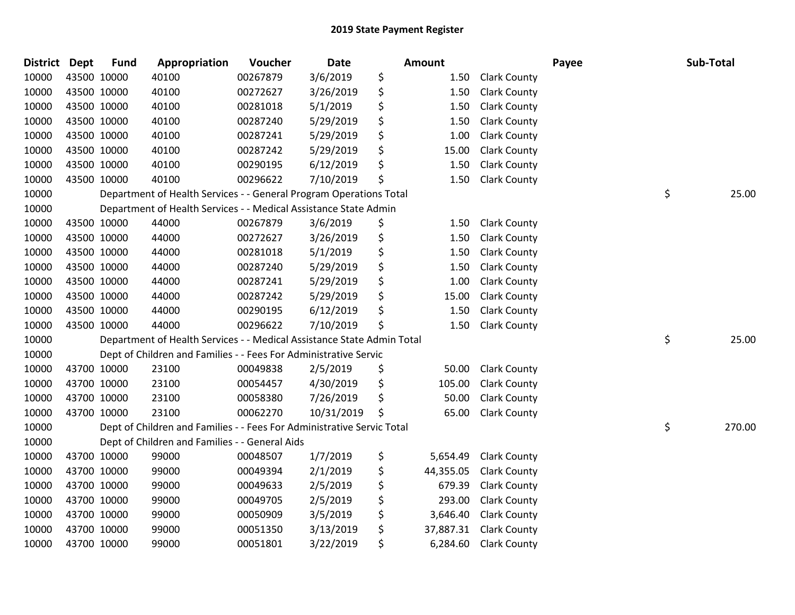| <b>District</b> | <b>Dept</b> | <b>Fund</b> | Appropriation                                                          | Voucher  | <b>Date</b> | Amount          |                     | Payee | Sub-Total    |
|-----------------|-------------|-------------|------------------------------------------------------------------------|----------|-------------|-----------------|---------------------|-------|--------------|
| 10000           |             | 43500 10000 | 40100                                                                  | 00267879 | 3/6/2019    | \$<br>1.50      | <b>Clark County</b> |       |              |
| 10000           |             | 43500 10000 | 40100                                                                  | 00272627 | 3/26/2019   | \$<br>1.50      | <b>Clark County</b> |       |              |
| 10000           |             | 43500 10000 | 40100                                                                  | 00281018 | 5/1/2019    | \$<br>1.50      | <b>Clark County</b> |       |              |
| 10000           |             | 43500 10000 | 40100                                                                  | 00287240 | 5/29/2019   | \$<br>1.50      | <b>Clark County</b> |       |              |
| 10000           |             | 43500 10000 | 40100                                                                  | 00287241 | 5/29/2019   | \$<br>1.00      | <b>Clark County</b> |       |              |
| 10000           |             | 43500 10000 | 40100                                                                  | 00287242 | 5/29/2019   | \$<br>15.00     | <b>Clark County</b> |       |              |
| 10000           |             | 43500 10000 | 40100                                                                  | 00290195 | 6/12/2019   | \$<br>1.50      | <b>Clark County</b> |       |              |
| 10000           |             | 43500 10000 | 40100                                                                  | 00296622 | 7/10/2019   | \$<br>1.50      | <b>Clark County</b> |       |              |
| 10000           |             |             | Department of Health Services - - General Program Operations Total     |          |             |                 |                     |       | \$<br>25.00  |
| 10000           |             |             | Department of Health Services - - Medical Assistance State Admin       |          |             |                 |                     |       |              |
| 10000           |             | 43500 10000 | 44000                                                                  | 00267879 | 3/6/2019    | \$<br>1.50      | <b>Clark County</b> |       |              |
| 10000           |             | 43500 10000 | 44000                                                                  | 00272627 | 3/26/2019   | \$<br>1.50      | <b>Clark County</b> |       |              |
| 10000           |             | 43500 10000 | 44000                                                                  | 00281018 | 5/1/2019    | \$<br>1.50      | <b>Clark County</b> |       |              |
| 10000           |             | 43500 10000 | 44000                                                                  | 00287240 | 5/29/2019   | \$<br>1.50      | <b>Clark County</b> |       |              |
| 10000           |             | 43500 10000 | 44000                                                                  | 00287241 | 5/29/2019   | \$<br>1.00      | <b>Clark County</b> |       |              |
| 10000           |             | 43500 10000 | 44000                                                                  | 00287242 | 5/29/2019   | \$<br>15.00     | <b>Clark County</b> |       |              |
| 10000           |             | 43500 10000 | 44000                                                                  | 00290195 | 6/12/2019   | \$<br>1.50      | <b>Clark County</b> |       |              |
| 10000           |             | 43500 10000 | 44000                                                                  | 00296622 | 7/10/2019   | \$<br>1.50      | <b>Clark County</b> |       |              |
| 10000           |             |             | Department of Health Services - - Medical Assistance State Admin Total |          |             |                 |                     |       | \$<br>25.00  |
| 10000           |             |             | Dept of Children and Families - - Fees For Administrative Servic       |          |             |                 |                     |       |              |
| 10000           |             | 43700 10000 | 23100                                                                  | 00049838 | 2/5/2019    | \$<br>50.00     | <b>Clark County</b> |       |              |
| 10000           |             | 43700 10000 | 23100                                                                  | 00054457 | 4/30/2019   | \$<br>105.00    | <b>Clark County</b> |       |              |
| 10000           |             | 43700 10000 | 23100                                                                  | 00058380 | 7/26/2019   | \$<br>50.00     | <b>Clark County</b> |       |              |
| 10000           |             | 43700 10000 | 23100                                                                  | 00062270 | 10/31/2019  | \$<br>65.00     | <b>Clark County</b> |       |              |
| 10000           |             |             | Dept of Children and Families - - Fees For Administrative Servic Total |          |             |                 |                     |       | \$<br>270.00 |
| 10000           |             |             | Dept of Children and Families - - General Aids                         |          |             |                 |                     |       |              |
| 10000           |             | 43700 10000 | 99000                                                                  | 00048507 | 1/7/2019    | \$<br>5,654.49  | <b>Clark County</b> |       |              |
| 10000           |             | 43700 10000 | 99000                                                                  | 00049394 | 2/1/2019    | \$<br>44,355.05 | <b>Clark County</b> |       |              |
| 10000           |             | 43700 10000 | 99000                                                                  | 00049633 | 2/5/2019    | \$<br>679.39    | <b>Clark County</b> |       |              |
| 10000           |             | 43700 10000 | 99000                                                                  | 00049705 | 2/5/2019    | \$<br>293.00    | <b>Clark County</b> |       |              |
| 10000           |             | 43700 10000 | 99000                                                                  | 00050909 | 3/5/2019    | \$<br>3,646.40  | <b>Clark County</b> |       |              |
| 10000           |             | 43700 10000 | 99000                                                                  | 00051350 | 3/13/2019   | \$<br>37,887.31 | <b>Clark County</b> |       |              |
| 10000           |             | 43700 10000 | 99000                                                                  | 00051801 | 3/22/2019   | \$<br>6,284.60  | <b>Clark County</b> |       |              |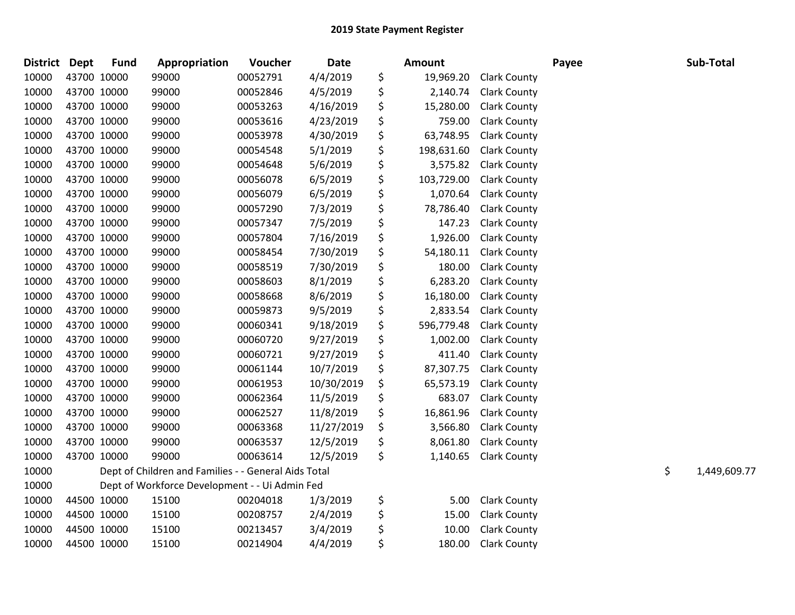| <b>District</b> | <b>Dept</b> | <b>Fund</b> | Appropriation                                        | Voucher  | <b>Date</b> | Amount           |                     | Payee | Sub-Total          |
|-----------------|-------------|-------------|------------------------------------------------------|----------|-------------|------------------|---------------------|-------|--------------------|
| 10000           |             | 43700 10000 | 99000                                                | 00052791 | 4/4/2019    | \$<br>19,969.20  | <b>Clark County</b> |       |                    |
| 10000           |             | 43700 10000 | 99000                                                | 00052846 | 4/5/2019    | \$<br>2,140.74   | <b>Clark County</b> |       |                    |
| 10000           |             | 43700 10000 | 99000                                                | 00053263 | 4/16/2019   | \$<br>15,280.00  | <b>Clark County</b> |       |                    |
| 10000           |             | 43700 10000 | 99000                                                | 00053616 | 4/23/2019   | \$<br>759.00     | <b>Clark County</b> |       |                    |
| 10000           |             | 43700 10000 | 99000                                                | 00053978 | 4/30/2019   | \$<br>63,748.95  | <b>Clark County</b> |       |                    |
| 10000           |             | 43700 10000 | 99000                                                | 00054548 | 5/1/2019    | \$<br>198,631.60 | <b>Clark County</b> |       |                    |
| 10000           |             | 43700 10000 | 99000                                                | 00054648 | 5/6/2019    | \$<br>3,575.82   | <b>Clark County</b> |       |                    |
| 10000           |             | 43700 10000 | 99000                                                | 00056078 | 6/5/2019    | \$<br>103,729.00 | <b>Clark County</b> |       |                    |
| 10000           |             | 43700 10000 | 99000                                                | 00056079 | 6/5/2019    | \$<br>1,070.64   | <b>Clark County</b> |       |                    |
| 10000           |             | 43700 10000 | 99000                                                | 00057290 | 7/3/2019    | \$<br>78,786.40  | <b>Clark County</b> |       |                    |
| 10000           |             | 43700 10000 | 99000                                                | 00057347 | 7/5/2019    | \$<br>147.23     | <b>Clark County</b> |       |                    |
| 10000           |             | 43700 10000 | 99000                                                | 00057804 | 7/16/2019   | \$<br>1,926.00   | <b>Clark County</b> |       |                    |
| 10000           |             | 43700 10000 | 99000                                                | 00058454 | 7/30/2019   | \$<br>54,180.11  | <b>Clark County</b> |       |                    |
| 10000           |             | 43700 10000 | 99000                                                | 00058519 | 7/30/2019   | \$<br>180.00     | <b>Clark County</b> |       |                    |
| 10000           |             | 43700 10000 | 99000                                                | 00058603 | 8/1/2019    | \$<br>6,283.20   | Clark County        |       |                    |
| 10000           |             | 43700 10000 | 99000                                                | 00058668 | 8/6/2019    | \$<br>16,180.00  | <b>Clark County</b> |       |                    |
| 10000           |             | 43700 10000 | 99000                                                | 00059873 | 9/5/2019    | \$<br>2,833.54   | <b>Clark County</b> |       |                    |
| 10000           |             | 43700 10000 | 99000                                                | 00060341 | 9/18/2019   | \$<br>596,779.48 | <b>Clark County</b> |       |                    |
| 10000           |             | 43700 10000 | 99000                                                | 00060720 | 9/27/2019   | \$<br>1,002.00   | <b>Clark County</b> |       |                    |
| 10000           |             | 43700 10000 | 99000                                                | 00060721 | 9/27/2019   | \$<br>411.40     | <b>Clark County</b> |       |                    |
| 10000           |             | 43700 10000 | 99000                                                | 00061144 | 10/7/2019   | \$<br>87,307.75  | <b>Clark County</b> |       |                    |
| 10000           |             | 43700 10000 | 99000                                                | 00061953 | 10/30/2019  | \$<br>65,573.19  | <b>Clark County</b> |       |                    |
| 10000           |             | 43700 10000 | 99000                                                | 00062364 | 11/5/2019   | \$<br>683.07     | <b>Clark County</b> |       |                    |
| 10000           |             | 43700 10000 | 99000                                                | 00062527 | 11/8/2019   | \$<br>16,861.96  | <b>Clark County</b> |       |                    |
| 10000           |             | 43700 10000 | 99000                                                | 00063368 | 11/27/2019  | \$<br>3,566.80   | <b>Clark County</b> |       |                    |
| 10000           |             | 43700 10000 | 99000                                                | 00063537 | 12/5/2019   | \$<br>8,061.80   | <b>Clark County</b> |       |                    |
| 10000           |             | 43700 10000 | 99000                                                | 00063614 | 12/5/2019   | \$<br>1,140.65   | <b>Clark County</b> |       |                    |
| 10000           |             |             | Dept of Children and Families - - General Aids Total |          |             |                  |                     |       | \$<br>1,449,609.77 |
| 10000           |             |             | Dept of Workforce Development - - Ui Admin Fed       |          |             |                  |                     |       |                    |
| 10000           |             | 44500 10000 | 15100                                                | 00204018 | 1/3/2019    | \$<br>5.00       | <b>Clark County</b> |       |                    |
| 10000           |             | 44500 10000 | 15100                                                | 00208757 | 2/4/2019    | \$<br>15.00      | <b>Clark County</b> |       |                    |
| 10000           |             | 44500 10000 | 15100                                                | 00213457 | 3/4/2019    | \$<br>10.00      | <b>Clark County</b> |       |                    |
| 10000           |             | 44500 10000 | 15100                                                | 00214904 | 4/4/2019    | \$<br>180.00     | <b>Clark County</b> |       |                    |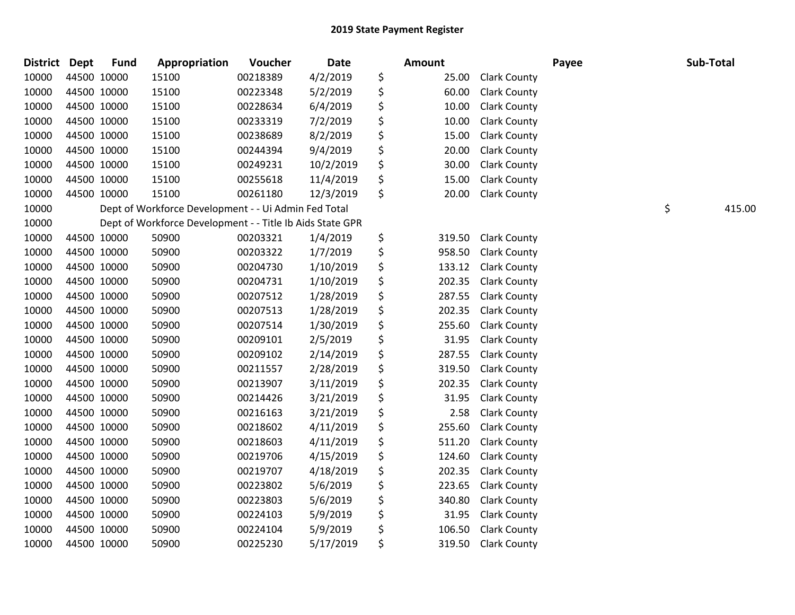| District Dept |             | <b>Fund</b> | Appropriation                                             | Voucher  | <b>Date</b> | Amount       |                     | Payee | Sub-Total    |
|---------------|-------------|-------------|-----------------------------------------------------------|----------|-------------|--------------|---------------------|-------|--------------|
| 10000         | 44500 10000 |             | 15100                                                     | 00218389 | 4/2/2019    | \$<br>25.00  | <b>Clark County</b> |       |              |
| 10000         | 44500 10000 |             | 15100                                                     | 00223348 | 5/2/2019    | \$<br>60.00  | <b>Clark County</b> |       |              |
| 10000         | 44500 10000 |             | 15100                                                     | 00228634 | 6/4/2019    | \$<br>10.00  | <b>Clark County</b> |       |              |
| 10000         | 44500 10000 |             | 15100                                                     | 00233319 | 7/2/2019    | \$<br>10.00  | <b>Clark County</b> |       |              |
| 10000         | 44500 10000 |             | 15100                                                     | 00238689 | 8/2/2019    | \$<br>15.00  | <b>Clark County</b> |       |              |
| 10000         | 44500 10000 |             | 15100                                                     | 00244394 | 9/4/2019    | \$<br>20.00  | <b>Clark County</b> |       |              |
| 10000         | 44500 10000 |             | 15100                                                     | 00249231 | 10/2/2019   | \$<br>30.00  | <b>Clark County</b> |       |              |
| 10000         | 44500 10000 |             | 15100                                                     | 00255618 | 11/4/2019   | \$<br>15.00  | <b>Clark County</b> |       |              |
| 10000         | 44500 10000 |             | 15100                                                     | 00261180 | 12/3/2019   | \$<br>20.00  | <b>Clark County</b> |       |              |
| 10000         |             |             | Dept of Workforce Development - - Ui Admin Fed Total      |          |             |              |                     |       | \$<br>415.00 |
| 10000         |             |             | Dept of Workforce Development - - Title Ib Aids State GPR |          |             |              |                     |       |              |
| 10000         | 44500 10000 |             | 50900                                                     | 00203321 | 1/4/2019    | \$<br>319.50 | <b>Clark County</b> |       |              |
| 10000         | 44500 10000 |             | 50900                                                     | 00203322 | 1/7/2019    | \$<br>958.50 | <b>Clark County</b> |       |              |
| 10000         | 44500 10000 |             | 50900                                                     | 00204730 | 1/10/2019   | \$<br>133.12 | <b>Clark County</b> |       |              |
| 10000         | 44500 10000 |             | 50900                                                     | 00204731 | 1/10/2019   | \$<br>202.35 | <b>Clark County</b> |       |              |
| 10000         | 44500 10000 |             | 50900                                                     | 00207512 | 1/28/2019   | \$<br>287.55 | <b>Clark County</b> |       |              |
| 10000         | 44500 10000 |             | 50900                                                     | 00207513 | 1/28/2019   | \$<br>202.35 | <b>Clark County</b> |       |              |
| 10000         | 44500 10000 |             | 50900                                                     | 00207514 | 1/30/2019   | \$<br>255.60 | <b>Clark County</b> |       |              |
| 10000         | 44500 10000 |             | 50900                                                     | 00209101 | 2/5/2019    | \$<br>31.95  | <b>Clark County</b> |       |              |
| 10000         | 44500 10000 |             | 50900                                                     | 00209102 | 2/14/2019   | \$<br>287.55 | <b>Clark County</b> |       |              |
| 10000         | 44500 10000 |             | 50900                                                     | 00211557 | 2/28/2019   | \$<br>319.50 | <b>Clark County</b> |       |              |
| 10000         | 44500 10000 |             | 50900                                                     | 00213907 | 3/11/2019   | \$<br>202.35 | <b>Clark County</b> |       |              |
| 10000         | 44500 10000 |             | 50900                                                     | 00214426 | 3/21/2019   | \$<br>31.95  | <b>Clark County</b> |       |              |
| 10000         | 44500 10000 |             | 50900                                                     | 00216163 | 3/21/2019   | \$<br>2.58   | <b>Clark County</b> |       |              |
| 10000         | 44500 10000 |             | 50900                                                     | 00218602 | 4/11/2019   | \$<br>255.60 | Clark County        |       |              |
| 10000         | 44500 10000 |             | 50900                                                     | 00218603 | 4/11/2019   | \$<br>511.20 | <b>Clark County</b> |       |              |
| 10000         | 44500 10000 |             | 50900                                                     | 00219706 | 4/15/2019   | \$<br>124.60 | <b>Clark County</b> |       |              |
| 10000         | 44500 10000 |             | 50900                                                     | 00219707 | 4/18/2019   | \$<br>202.35 | <b>Clark County</b> |       |              |
| 10000         | 44500 10000 |             | 50900                                                     | 00223802 | 5/6/2019    | \$<br>223.65 | <b>Clark County</b> |       |              |
| 10000         | 44500 10000 |             | 50900                                                     | 00223803 | 5/6/2019    | \$<br>340.80 | <b>Clark County</b> |       |              |
| 10000         | 44500 10000 |             | 50900                                                     | 00224103 | 5/9/2019    | \$<br>31.95  | <b>Clark County</b> |       |              |
| 10000         | 44500 10000 |             | 50900                                                     | 00224104 | 5/9/2019    | \$<br>106.50 | <b>Clark County</b> |       |              |
| 10000         | 44500 10000 |             | 50900                                                     | 00225230 | 5/17/2019   | \$<br>319.50 | <b>Clark County</b> |       |              |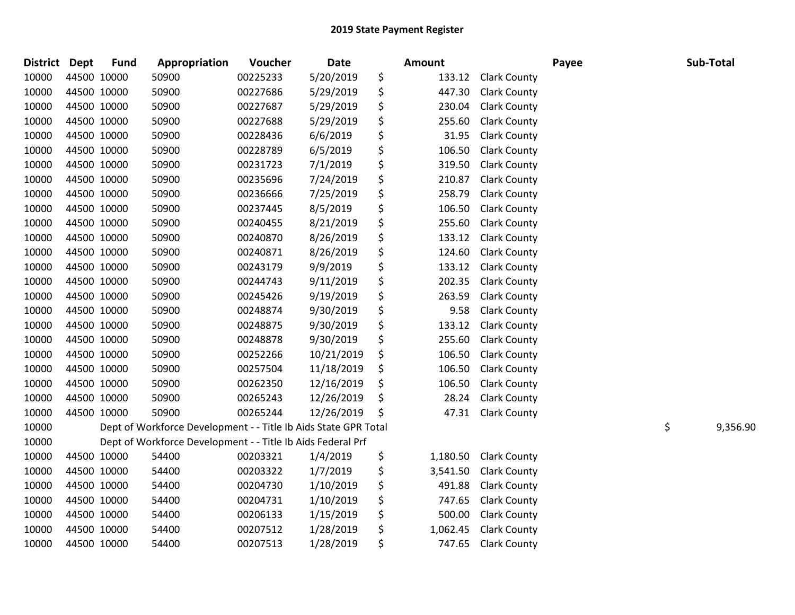| <b>District</b> | <b>Dept</b> | <b>Fund</b> | Appropriation                                                   | Voucher  | Date       | <b>Amount</b>  |                     | Payee | Sub-Total      |
|-----------------|-------------|-------------|-----------------------------------------------------------------|----------|------------|----------------|---------------------|-------|----------------|
| 10000           | 44500 10000 |             | 50900                                                           | 00225233 | 5/20/2019  | \$<br>133.12   | <b>Clark County</b> |       |                |
| 10000           | 44500 10000 |             | 50900                                                           | 00227686 | 5/29/2019  | \$<br>447.30   | <b>Clark County</b> |       |                |
| 10000           | 44500 10000 |             | 50900                                                           | 00227687 | 5/29/2019  | \$<br>230.04   | <b>Clark County</b> |       |                |
| 10000           | 44500 10000 |             | 50900                                                           | 00227688 | 5/29/2019  | \$<br>255.60   | <b>Clark County</b> |       |                |
| 10000           | 44500 10000 |             | 50900                                                           | 00228436 | 6/6/2019   | \$<br>31.95    | <b>Clark County</b> |       |                |
| 10000           | 44500 10000 |             | 50900                                                           | 00228789 | 6/5/2019   | \$<br>106.50   | <b>Clark County</b> |       |                |
| 10000           | 44500 10000 |             | 50900                                                           | 00231723 | 7/1/2019   | \$<br>319.50   | <b>Clark County</b> |       |                |
| 10000           | 44500 10000 |             | 50900                                                           | 00235696 | 7/24/2019  | \$<br>210.87   | Clark County        |       |                |
| 10000           | 44500 10000 |             | 50900                                                           | 00236666 | 7/25/2019  | \$<br>258.79   | <b>Clark County</b> |       |                |
| 10000           | 44500 10000 |             | 50900                                                           | 00237445 | 8/5/2019   | \$<br>106.50   | <b>Clark County</b> |       |                |
| 10000           | 44500 10000 |             | 50900                                                           | 00240455 | 8/21/2019  | \$<br>255.60   | <b>Clark County</b> |       |                |
| 10000           | 44500 10000 |             | 50900                                                           | 00240870 | 8/26/2019  | \$<br>133.12   | <b>Clark County</b> |       |                |
| 10000           | 44500 10000 |             | 50900                                                           | 00240871 | 8/26/2019  | \$<br>124.60   | <b>Clark County</b> |       |                |
| 10000           | 44500 10000 |             | 50900                                                           | 00243179 | 9/9/2019   | \$<br>133.12   | <b>Clark County</b> |       |                |
| 10000           | 44500 10000 |             | 50900                                                           | 00244743 | 9/11/2019  | \$<br>202.35   | <b>Clark County</b> |       |                |
| 10000           | 44500 10000 |             | 50900                                                           | 00245426 | 9/19/2019  | \$<br>263.59   | <b>Clark County</b> |       |                |
| 10000           | 44500 10000 |             | 50900                                                           | 00248874 | 9/30/2019  | \$<br>9.58     | <b>Clark County</b> |       |                |
| 10000           | 44500 10000 |             | 50900                                                           | 00248875 | 9/30/2019  | \$<br>133.12   | <b>Clark County</b> |       |                |
| 10000           | 44500 10000 |             | 50900                                                           | 00248878 | 9/30/2019  | \$<br>255.60   | <b>Clark County</b> |       |                |
| 10000           | 44500 10000 |             | 50900                                                           | 00252266 | 10/21/2019 | \$<br>106.50   | <b>Clark County</b> |       |                |
| 10000           | 44500 10000 |             | 50900                                                           | 00257504 | 11/18/2019 | \$<br>106.50   | <b>Clark County</b> |       |                |
| 10000           | 44500 10000 |             | 50900                                                           | 00262350 | 12/16/2019 | \$<br>106.50   | <b>Clark County</b> |       |                |
| 10000           | 44500 10000 |             | 50900                                                           | 00265243 | 12/26/2019 | \$<br>28.24    | <b>Clark County</b> |       |                |
| 10000           | 44500 10000 |             | 50900                                                           | 00265244 | 12/26/2019 | \$<br>47.31    | <b>Clark County</b> |       |                |
| 10000           |             |             | Dept of Workforce Development - - Title Ib Aids State GPR Total |          |            |                |                     |       | \$<br>9,356.90 |
| 10000           |             |             | Dept of Workforce Development - - Title Ib Aids Federal Prf     |          |            |                |                     |       |                |
| 10000           |             | 44500 10000 | 54400                                                           | 00203321 | 1/4/2019   | \$<br>1,180.50 | <b>Clark County</b> |       |                |
| 10000           | 44500 10000 |             | 54400                                                           | 00203322 | 1/7/2019   | \$<br>3,541.50 | <b>Clark County</b> |       |                |
| 10000           | 44500 10000 |             | 54400                                                           | 00204730 | 1/10/2019  | \$<br>491.88   | <b>Clark County</b> |       |                |
| 10000           | 44500 10000 |             | 54400                                                           | 00204731 | 1/10/2019  | \$<br>747.65   | Clark County        |       |                |
| 10000           | 44500 10000 |             | 54400                                                           | 00206133 | 1/15/2019  | \$<br>500.00   | <b>Clark County</b> |       |                |
| 10000           | 44500 10000 |             | 54400                                                           | 00207512 | 1/28/2019  | \$<br>1,062.45 | <b>Clark County</b> |       |                |
| 10000           | 44500 10000 |             | 54400                                                           | 00207513 | 1/28/2019  | \$<br>747.65   | <b>Clark County</b> |       |                |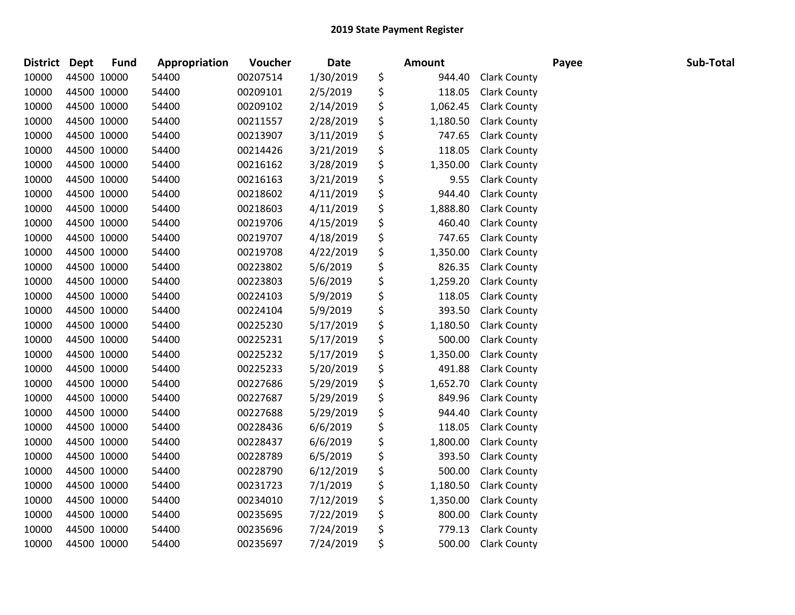| <b>District</b> | <b>Dept</b> | <b>Fund</b> | Appropriation | Voucher  | <b>Date</b> | <b>Amount</b>  |                     | Payee | Sub-Total |
|-----------------|-------------|-------------|---------------|----------|-------------|----------------|---------------------|-------|-----------|
| 10000           |             | 44500 10000 | 54400         | 00207514 | 1/30/2019   | \$<br>944.40   | <b>Clark County</b> |       |           |
| 10000           |             | 44500 10000 | 54400         | 00209101 | 2/5/2019    | \$<br>118.05   | <b>Clark County</b> |       |           |
| 10000           |             | 44500 10000 | 54400         | 00209102 | 2/14/2019   | \$<br>1,062.45 | <b>Clark County</b> |       |           |
| 10000           |             | 44500 10000 | 54400         | 00211557 | 2/28/2019   | \$<br>1,180.50 | <b>Clark County</b> |       |           |
| 10000           |             | 44500 10000 | 54400         | 00213907 | 3/11/2019   | \$<br>747.65   | <b>Clark County</b> |       |           |
| 10000           |             | 44500 10000 | 54400         | 00214426 | 3/21/2019   | \$<br>118.05   | <b>Clark County</b> |       |           |
| 10000           |             | 44500 10000 | 54400         | 00216162 | 3/28/2019   | \$<br>1,350.00 | <b>Clark County</b> |       |           |
| 10000           |             | 44500 10000 | 54400         | 00216163 | 3/21/2019   | \$<br>9.55     | <b>Clark County</b> |       |           |
| 10000           |             | 44500 10000 | 54400         | 00218602 | 4/11/2019   | \$<br>944.40   | <b>Clark County</b> |       |           |
| 10000           |             | 44500 10000 | 54400         | 00218603 | 4/11/2019   | \$<br>1,888.80 | <b>Clark County</b> |       |           |
| 10000           |             | 44500 10000 | 54400         | 00219706 | 4/15/2019   | \$<br>460.40   | <b>Clark County</b> |       |           |
| 10000           |             | 44500 10000 | 54400         | 00219707 | 4/18/2019   | \$<br>747.65   | <b>Clark County</b> |       |           |
| 10000           | 44500 10000 |             | 54400         | 00219708 | 4/22/2019   | \$<br>1,350.00 | <b>Clark County</b> |       |           |
| 10000           | 44500 10000 |             | 54400         | 00223802 | 5/6/2019    | \$<br>826.35   | <b>Clark County</b> |       |           |
| 10000           |             | 44500 10000 | 54400         | 00223803 | 5/6/2019    | \$<br>1,259.20 | <b>Clark County</b> |       |           |
| 10000           |             | 44500 10000 | 54400         | 00224103 | 5/9/2019    | \$<br>118.05   | <b>Clark County</b> |       |           |
| 10000           |             | 44500 10000 | 54400         | 00224104 | 5/9/2019    | \$<br>393.50   | <b>Clark County</b> |       |           |
| 10000           |             | 44500 10000 | 54400         | 00225230 | 5/17/2019   | \$<br>1,180.50 | <b>Clark County</b> |       |           |
| 10000           |             | 44500 10000 | 54400         | 00225231 | 5/17/2019   | \$<br>500.00   | <b>Clark County</b> |       |           |
| 10000           |             | 44500 10000 | 54400         | 00225232 | 5/17/2019   | \$<br>1,350.00 | <b>Clark County</b> |       |           |
| 10000           |             | 44500 10000 | 54400         | 00225233 | 5/20/2019   | \$<br>491.88   | <b>Clark County</b> |       |           |
| 10000           |             | 44500 10000 | 54400         | 00227686 | 5/29/2019   | \$<br>1,652.70 | <b>Clark County</b> |       |           |
| 10000           |             | 44500 10000 | 54400         | 00227687 | 5/29/2019   | \$<br>849.96   | <b>Clark County</b> |       |           |
| 10000           |             | 44500 10000 | 54400         | 00227688 | 5/29/2019   | \$<br>944.40   | <b>Clark County</b> |       |           |
| 10000           |             | 44500 10000 | 54400         | 00228436 | 6/6/2019    | \$<br>118.05   | <b>Clark County</b> |       |           |
| 10000           |             | 44500 10000 | 54400         | 00228437 | 6/6/2019    | \$<br>1,800.00 | <b>Clark County</b> |       |           |
| 10000           |             | 44500 10000 | 54400         | 00228789 | 6/5/2019    | \$<br>393.50   | <b>Clark County</b> |       |           |
| 10000           |             | 44500 10000 | 54400         | 00228790 | 6/12/2019   | \$<br>500.00   | <b>Clark County</b> |       |           |
| 10000           |             | 44500 10000 | 54400         | 00231723 | 7/1/2019    | \$<br>1,180.50 | <b>Clark County</b> |       |           |
| 10000           |             | 44500 10000 | 54400         | 00234010 | 7/12/2019   | \$<br>1,350.00 | <b>Clark County</b> |       |           |
| 10000           |             | 44500 10000 | 54400         | 00235695 | 7/22/2019   | \$<br>800.00   | <b>Clark County</b> |       |           |
| 10000           |             | 44500 10000 | 54400         | 00235696 | 7/24/2019   | \$<br>779.13   | <b>Clark County</b> |       |           |
| 10000           |             | 44500 10000 | 54400         | 00235697 | 7/24/2019   | \$<br>500.00   | <b>Clark County</b> |       |           |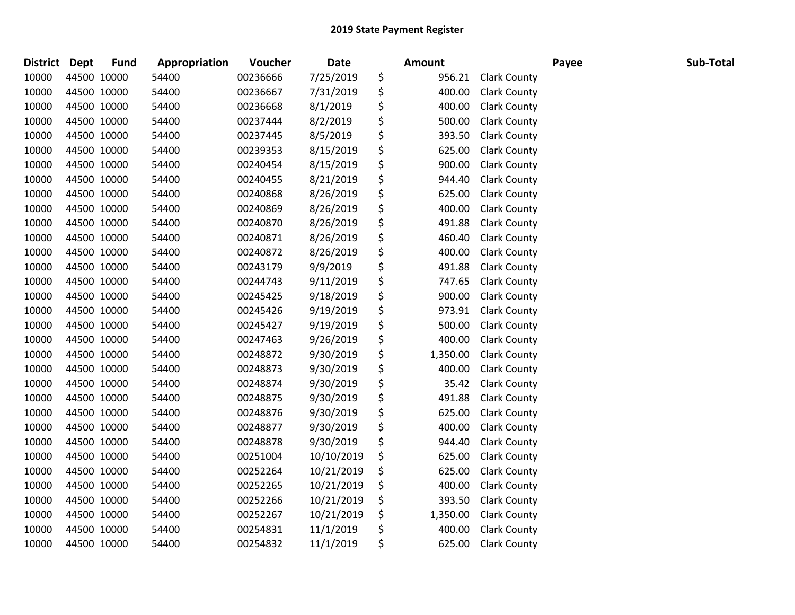| <b>District Dept</b> |             | <b>Fund</b> | Appropriation | Voucher  | <b>Date</b> | <b>Amount</b>  |                     | Payee | Sub-Total |
|----------------------|-------------|-------------|---------------|----------|-------------|----------------|---------------------|-------|-----------|
| 10000                | 44500 10000 |             | 54400         | 00236666 | 7/25/2019   | \$<br>956.21   | <b>Clark County</b> |       |           |
| 10000                | 44500 10000 |             | 54400         | 00236667 | 7/31/2019   | \$<br>400.00   | <b>Clark County</b> |       |           |
| 10000                | 44500 10000 |             | 54400         | 00236668 | 8/1/2019    | \$<br>400.00   | <b>Clark County</b> |       |           |
| 10000                | 44500 10000 |             | 54400         | 00237444 | 8/2/2019    | \$<br>500.00   | <b>Clark County</b> |       |           |
| 10000                | 44500 10000 |             | 54400         | 00237445 | 8/5/2019    | \$<br>393.50   | <b>Clark County</b> |       |           |
| 10000                | 44500 10000 |             | 54400         | 00239353 | 8/15/2019   | \$<br>625.00   | <b>Clark County</b> |       |           |
| 10000                | 44500 10000 |             | 54400         | 00240454 | 8/15/2019   | \$<br>900.00   | <b>Clark County</b> |       |           |
| 10000                | 44500 10000 |             | 54400         | 00240455 | 8/21/2019   | \$<br>944.40   | <b>Clark County</b> |       |           |
| 10000                | 44500 10000 |             | 54400         | 00240868 | 8/26/2019   | \$<br>625.00   | <b>Clark County</b> |       |           |
| 10000                | 44500 10000 |             | 54400         | 00240869 | 8/26/2019   | \$<br>400.00   | <b>Clark County</b> |       |           |
| 10000                | 44500 10000 |             | 54400         | 00240870 | 8/26/2019   | \$<br>491.88   | <b>Clark County</b> |       |           |
| 10000                | 44500 10000 |             | 54400         | 00240871 | 8/26/2019   | \$<br>460.40   | <b>Clark County</b> |       |           |
| 10000                | 44500 10000 |             | 54400         | 00240872 | 8/26/2019   | \$<br>400.00   | <b>Clark County</b> |       |           |
| 10000                | 44500 10000 |             | 54400         | 00243179 | 9/9/2019    | \$<br>491.88   | <b>Clark County</b> |       |           |
| 10000                | 44500 10000 |             | 54400         | 00244743 | 9/11/2019   | \$<br>747.65   | <b>Clark County</b> |       |           |
| 10000                | 44500 10000 |             | 54400         | 00245425 | 9/18/2019   | \$<br>900.00   | <b>Clark County</b> |       |           |
| 10000                | 44500 10000 |             | 54400         | 00245426 | 9/19/2019   | \$<br>973.91   | <b>Clark County</b> |       |           |
| 10000                | 44500 10000 |             | 54400         | 00245427 | 9/19/2019   | \$<br>500.00   | <b>Clark County</b> |       |           |
| 10000                | 44500 10000 |             | 54400         | 00247463 | 9/26/2019   | \$<br>400.00   | <b>Clark County</b> |       |           |
| 10000                | 44500 10000 |             | 54400         | 00248872 | 9/30/2019   | \$<br>1,350.00 | <b>Clark County</b> |       |           |
| 10000                | 44500 10000 |             | 54400         | 00248873 | 9/30/2019   | \$<br>400.00   | <b>Clark County</b> |       |           |
| 10000                | 44500 10000 |             | 54400         | 00248874 | 9/30/2019   | \$<br>35.42    | <b>Clark County</b> |       |           |
| 10000                | 44500 10000 |             | 54400         | 00248875 | 9/30/2019   | \$<br>491.88   | <b>Clark County</b> |       |           |
| 10000                | 44500 10000 |             | 54400         | 00248876 | 9/30/2019   | \$<br>625.00   | <b>Clark County</b> |       |           |
| 10000                | 44500 10000 |             | 54400         | 00248877 | 9/30/2019   | \$<br>400.00   | <b>Clark County</b> |       |           |
| 10000                | 44500 10000 |             | 54400         | 00248878 | 9/30/2019   | \$<br>944.40   | <b>Clark County</b> |       |           |
| 10000                | 44500 10000 |             | 54400         | 00251004 | 10/10/2019  | \$<br>625.00   | <b>Clark County</b> |       |           |
| 10000                | 44500 10000 |             | 54400         | 00252264 | 10/21/2019  | \$<br>625.00   | <b>Clark County</b> |       |           |
| 10000                | 44500 10000 |             | 54400         | 00252265 | 10/21/2019  | \$<br>400.00   | <b>Clark County</b> |       |           |
| 10000                | 44500 10000 |             | 54400         | 00252266 | 10/21/2019  | \$<br>393.50   | <b>Clark County</b> |       |           |
| 10000                | 44500 10000 |             | 54400         | 00252267 | 10/21/2019  | \$<br>1,350.00 | <b>Clark County</b> |       |           |
| 10000                | 44500 10000 |             | 54400         | 00254831 | 11/1/2019   | \$<br>400.00   | <b>Clark County</b> |       |           |
| 10000                | 44500 10000 |             | 54400         | 00254832 | 11/1/2019   | \$<br>625.00   | <b>Clark County</b> |       |           |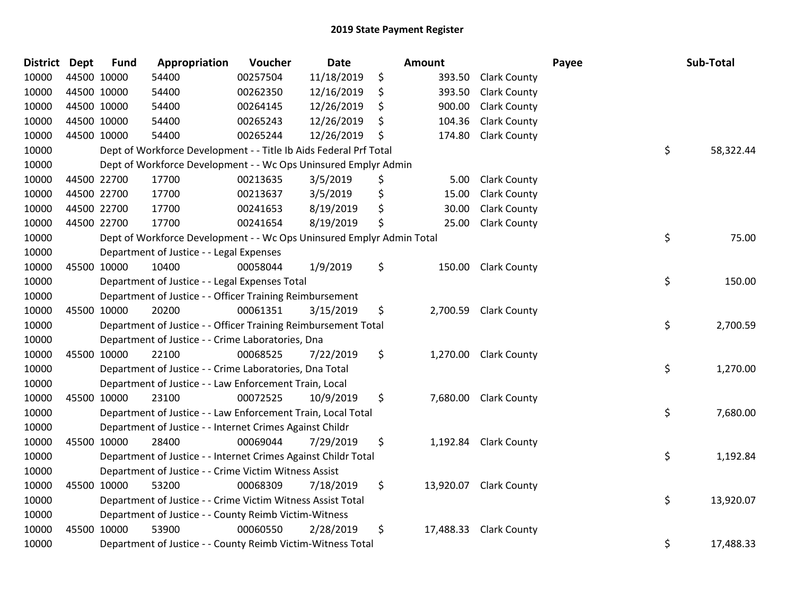| <b>District</b> | <b>Dept</b> | <b>Fund</b> | Appropriation                                                         | Voucher  | <b>Date</b> | Amount          |                        | Payee | Sub-Total |
|-----------------|-------------|-------------|-----------------------------------------------------------------------|----------|-------------|-----------------|------------------------|-------|-----------|
| 10000           | 44500 10000 |             | 54400                                                                 | 00257504 | 11/18/2019  | \$<br>393.50    | <b>Clark County</b>    |       |           |
| 10000           |             | 44500 10000 | 54400                                                                 | 00262350 | 12/16/2019  | \$<br>393.50    | <b>Clark County</b>    |       |           |
| 10000           |             | 44500 10000 | 54400                                                                 | 00264145 | 12/26/2019  | \$<br>900.00    | <b>Clark County</b>    |       |           |
| 10000           |             | 44500 10000 | 54400                                                                 | 00265243 | 12/26/2019  | \$<br>104.36    | <b>Clark County</b>    |       |           |
| 10000           | 44500 10000 |             | 54400                                                                 | 00265244 | 12/26/2019  | \$<br>174.80    | <b>Clark County</b>    |       |           |
| 10000           |             |             | Dept of Workforce Development - - Title Ib Aids Federal Prf Total     |          |             |                 |                        | \$    | 58,322.44 |
| 10000           |             |             | Dept of Workforce Development - - Wc Ops Uninsured Emplyr Admin       |          |             |                 |                        |       |           |
| 10000           |             | 44500 22700 | 17700                                                                 | 00213635 | 3/5/2019    | \$<br>5.00      | <b>Clark County</b>    |       |           |
| 10000           |             | 44500 22700 | 17700                                                                 | 00213637 | 3/5/2019    | \$<br>15.00     | <b>Clark County</b>    |       |           |
| 10000           |             | 44500 22700 | 17700                                                                 | 00241653 | 8/19/2019   | \$<br>30.00     | <b>Clark County</b>    |       |           |
| 10000           |             | 44500 22700 | 17700                                                                 | 00241654 | 8/19/2019   | \$<br>25.00     | <b>Clark County</b>    |       |           |
| 10000           |             |             | Dept of Workforce Development - - Wc Ops Uninsured Emplyr Admin Total |          |             |                 |                        | \$    | 75.00     |
| 10000           |             |             | Department of Justice - - Legal Expenses                              |          |             |                 |                        |       |           |
| 10000           |             | 45500 10000 | 10400                                                                 | 00058044 | 1/9/2019    | \$              | 150.00 Clark County    |       |           |
| 10000           |             |             | Department of Justice - - Legal Expenses Total                        |          |             |                 |                        | \$    | 150.00    |
| 10000           |             |             | Department of Justice - - Officer Training Reimbursement              |          |             |                 |                        |       |           |
| 10000           |             | 45500 10000 | 20200                                                                 | 00061351 | 3/15/2019   | \$<br>2,700.59  | <b>Clark County</b>    |       |           |
| 10000           |             |             | Department of Justice - - Officer Training Reimbursement Total        |          |             |                 |                        | \$    | 2,700.59  |
| 10000           |             |             | Department of Justice - - Crime Laboratories, Dna                     |          |             |                 |                        |       |           |
| 10000           |             | 45500 10000 | 22100                                                                 | 00068525 | 7/22/2019   | \$<br>1,270.00  | <b>Clark County</b>    |       |           |
| 10000           |             |             | Department of Justice - - Crime Laboratories, Dna Total               |          |             |                 |                        | \$    | 1,270.00  |
| 10000           |             |             | Department of Justice - - Law Enforcement Train, Local                |          |             |                 |                        |       |           |
| 10000           |             | 45500 10000 | 23100                                                                 | 00072525 | 10/9/2019   | \$              | 7,680.00 Clark County  |       |           |
| 10000           |             |             | Department of Justice - - Law Enforcement Train, Local Total          |          |             |                 |                        | \$    | 7,680.00  |
| 10000           |             |             | Department of Justice - - Internet Crimes Against Childr              |          |             |                 |                        |       |           |
| 10000           |             | 45500 10000 | 28400                                                                 | 00069044 | 7/29/2019   | \$<br>1,192.84  | <b>Clark County</b>    |       |           |
| 10000           |             |             | Department of Justice - - Internet Crimes Against Childr Total        |          |             |                 |                        | \$    | 1,192.84  |
| 10000           |             |             | Department of Justice - - Crime Victim Witness Assist                 |          |             |                 |                        |       |           |
| 10000           |             | 45500 10000 | 53200                                                                 | 00068309 | 7/18/2019   | \$              | 13,920.07 Clark County |       |           |
| 10000           |             |             | Department of Justice - - Crime Victim Witness Assist Total           |          |             |                 |                        | \$    | 13,920.07 |
| 10000           |             |             | Department of Justice - - County Reimb Victim-Witness                 |          |             |                 |                        |       |           |
| 10000           |             | 45500 10000 | 53900                                                                 | 00060550 | 2/28/2019   | \$<br>17,488.33 | <b>Clark County</b>    |       |           |
| 10000           |             |             | Department of Justice - - County Reimb Victim-Witness Total           |          |             |                 |                        | \$    | 17,488.33 |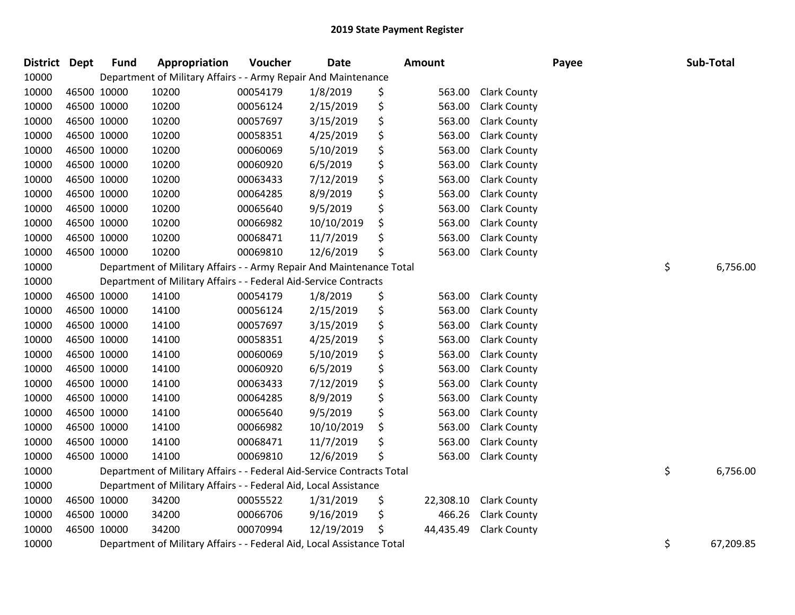| <b>District Dept</b> |             | <b>Fund</b> | Appropriation                                                          | Voucher  | Date       | Amount          |                     | Payee | Sub-Total       |
|----------------------|-------------|-------------|------------------------------------------------------------------------|----------|------------|-----------------|---------------------|-------|-----------------|
| 10000                |             |             | Department of Military Affairs - - Army Repair And Maintenance         |          |            |                 |                     |       |                 |
| 10000                |             | 46500 10000 | 10200                                                                  | 00054179 | 1/8/2019   | \$<br>563.00    | <b>Clark County</b> |       |                 |
| 10000                |             | 46500 10000 | 10200                                                                  | 00056124 | 2/15/2019  | \$<br>563.00    | <b>Clark County</b> |       |                 |
| 10000                |             | 46500 10000 | 10200                                                                  | 00057697 | 3/15/2019  | \$<br>563.00    | <b>Clark County</b> |       |                 |
| 10000                |             | 46500 10000 | 10200                                                                  | 00058351 | 4/25/2019  | \$<br>563.00    | <b>Clark County</b> |       |                 |
| 10000                |             | 46500 10000 | 10200                                                                  | 00060069 | 5/10/2019  | \$<br>563.00    | <b>Clark County</b> |       |                 |
| 10000                |             | 46500 10000 | 10200                                                                  | 00060920 | 6/5/2019   | \$<br>563.00    | <b>Clark County</b> |       |                 |
| 10000                |             | 46500 10000 | 10200                                                                  | 00063433 | 7/12/2019  | \$<br>563.00    | <b>Clark County</b> |       |                 |
| 10000                |             | 46500 10000 | 10200                                                                  | 00064285 | 8/9/2019   | \$<br>563.00    | <b>Clark County</b> |       |                 |
| 10000                |             | 46500 10000 | 10200                                                                  | 00065640 | 9/5/2019   | \$<br>563.00    | <b>Clark County</b> |       |                 |
| 10000                |             | 46500 10000 | 10200                                                                  | 00066982 | 10/10/2019 | \$<br>563.00    | <b>Clark County</b> |       |                 |
| 10000                | 46500 10000 |             | 10200                                                                  | 00068471 | 11/7/2019  | \$<br>563.00    | <b>Clark County</b> |       |                 |
| 10000                |             | 46500 10000 | 10200                                                                  | 00069810 | 12/6/2019  | \$<br>563.00    | <b>Clark County</b> |       |                 |
| 10000                |             |             | Department of Military Affairs - - Army Repair And Maintenance Total   |          |            |                 |                     |       | \$<br>6,756.00  |
| 10000                |             |             | Department of Military Affairs - - Federal Aid-Service Contracts       |          |            |                 |                     |       |                 |
| 10000                |             | 46500 10000 | 14100                                                                  | 00054179 | 1/8/2019   | \$<br>563.00    | <b>Clark County</b> |       |                 |
| 10000                |             | 46500 10000 | 14100                                                                  | 00056124 | 2/15/2019  | \$<br>563.00    | <b>Clark County</b> |       |                 |
| 10000                |             | 46500 10000 | 14100                                                                  | 00057697 | 3/15/2019  | \$<br>563.00    | <b>Clark County</b> |       |                 |
| 10000                |             | 46500 10000 | 14100                                                                  | 00058351 | 4/25/2019  | \$<br>563.00    | <b>Clark County</b> |       |                 |
| 10000                |             | 46500 10000 | 14100                                                                  | 00060069 | 5/10/2019  | \$<br>563.00    | <b>Clark County</b> |       |                 |
| 10000                |             | 46500 10000 | 14100                                                                  | 00060920 | 6/5/2019   | \$<br>563.00    | <b>Clark County</b> |       |                 |
| 10000                |             | 46500 10000 | 14100                                                                  | 00063433 | 7/12/2019  | \$<br>563.00    | <b>Clark County</b> |       |                 |
| 10000                |             | 46500 10000 | 14100                                                                  | 00064285 | 8/9/2019   | \$<br>563.00    | Clark County        |       |                 |
| 10000                |             | 46500 10000 | 14100                                                                  | 00065640 | 9/5/2019   | \$<br>563.00    | Clark County        |       |                 |
| 10000                |             | 46500 10000 | 14100                                                                  | 00066982 | 10/10/2019 | \$<br>563.00    | <b>Clark County</b> |       |                 |
| 10000                |             | 46500 10000 | 14100                                                                  | 00068471 | 11/7/2019  | \$<br>563.00    | <b>Clark County</b> |       |                 |
| 10000                |             | 46500 10000 | 14100                                                                  | 00069810 | 12/6/2019  | \$<br>563.00    | <b>Clark County</b> |       |                 |
| 10000                |             |             | Department of Military Affairs - - Federal Aid-Service Contracts Total |          |            |                 |                     |       | \$<br>6,756.00  |
| 10000                |             |             | Department of Military Affairs - - Federal Aid, Local Assistance       |          |            |                 |                     |       |                 |
| 10000                |             | 46500 10000 | 34200                                                                  | 00055522 | 1/31/2019  | \$<br>22,308.10 | <b>Clark County</b> |       |                 |
| 10000                |             | 46500 10000 | 34200                                                                  | 00066706 | 9/16/2019  | \$<br>466.26    | <b>Clark County</b> |       |                 |
| 10000                |             | 46500 10000 | 34200                                                                  | 00070994 | 12/19/2019 | \$<br>44,435.49 | <b>Clark County</b> |       |                 |
| 10000                |             |             | Department of Military Affairs - - Federal Aid, Local Assistance Total |          |            |                 |                     |       | \$<br>67,209.85 |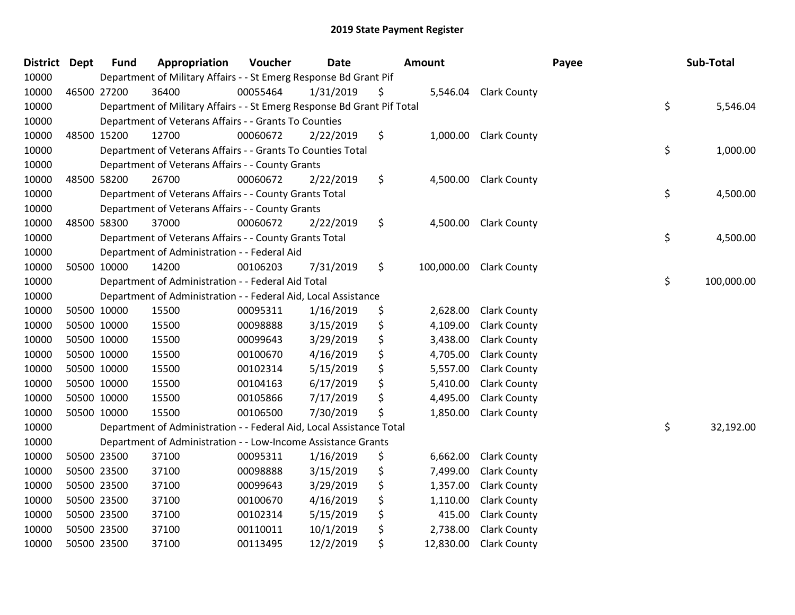| District Dept | <b>Fund</b> | Appropriation                                                           | Voucher  | <b>Date</b> | <b>Amount</b>    |                       | Payee | Sub-Total        |
|---------------|-------------|-------------------------------------------------------------------------|----------|-------------|------------------|-----------------------|-------|------------------|
| 10000         |             | Department of Military Affairs - - St Emerg Response Bd Grant Pif       |          |             |                  |                       |       |                  |
| 10000         | 46500 27200 | 36400                                                                   | 00055464 | 1/31/2019   | \$               | 5,546.04 Clark County |       |                  |
| 10000         |             | Department of Military Affairs - - St Emerg Response Bd Grant Pif Total |          |             |                  |                       |       | \$<br>5,546.04   |
| 10000         |             | Department of Veterans Affairs - - Grants To Counties                   |          |             |                  |                       |       |                  |
| 10000         | 48500 15200 | 12700                                                                   | 00060672 | 2/22/2019   | \$<br>1,000.00   | <b>Clark County</b>   |       |                  |
| 10000         |             | Department of Veterans Affairs - - Grants To Counties Total             |          |             |                  |                       |       | \$<br>1,000.00   |
| 10000         |             | Department of Veterans Affairs - - County Grants                        |          |             |                  |                       |       |                  |
| 10000         | 48500 58200 | 26700                                                                   | 00060672 | 2/22/2019   | \$<br>4,500.00   | <b>Clark County</b>   |       |                  |
| 10000         |             | Department of Veterans Affairs - - County Grants Total                  |          |             |                  |                       |       | \$<br>4,500.00   |
| 10000         |             | Department of Veterans Affairs - - County Grants                        |          |             |                  |                       |       |                  |
| 10000         | 48500 58300 | 37000                                                                   | 00060672 | 2/22/2019   | \$<br>4,500.00   | <b>Clark County</b>   |       |                  |
| 10000         |             | Department of Veterans Affairs - - County Grants Total                  |          |             |                  |                       |       | \$<br>4,500.00   |
| 10000         |             | Department of Administration - - Federal Aid                            |          |             |                  |                       |       |                  |
| 10000         | 50500 10000 | 14200                                                                   | 00106203 | 7/31/2019   | \$<br>100,000.00 | <b>Clark County</b>   |       |                  |
| 10000         |             | Department of Administration - - Federal Aid Total                      |          |             |                  |                       |       | \$<br>100,000.00 |
| 10000         |             | Department of Administration - - Federal Aid, Local Assistance          |          |             |                  |                       |       |                  |
| 10000         | 50500 10000 | 15500                                                                   | 00095311 | 1/16/2019   | \$<br>2,628.00   | <b>Clark County</b>   |       |                  |
| 10000         | 50500 10000 | 15500                                                                   | 00098888 | 3/15/2019   | \$<br>4,109.00   | <b>Clark County</b>   |       |                  |
| 10000         | 50500 10000 | 15500                                                                   | 00099643 | 3/29/2019   | \$<br>3,438.00   | <b>Clark County</b>   |       |                  |
| 10000         | 50500 10000 | 15500                                                                   | 00100670 | 4/16/2019   | \$<br>4,705.00   | <b>Clark County</b>   |       |                  |
| 10000         | 50500 10000 | 15500                                                                   | 00102314 | 5/15/2019   | \$<br>5,557.00   | <b>Clark County</b>   |       |                  |
| 10000         | 50500 10000 | 15500                                                                   | 00104163 | 6/17/2019   | \$<br>5,410.00   | <b>Clark County</b>   |       |                  |
| 10000         | 50500 10000 | 15500                                                                   | 00105866 | 7/17/2019   | \$<br>4,495.00   | <b>Clark County</b>   |       |                  |
| 10000         | 50500 10000 | 15500                                                                   | 00106500 | 7/30/2019   | \$<br>1,850.00   | <b>Clark County</b>   |       |                  |
| 10000         |             | Department of Administration - - Federal Aid, Local Assistance Total    |          |             |                  |                       |       | \$<br>32,192.00  |
| 10000         |             | Department of Administration - - Low-Income Assistance Grants           |          |             |                  |                       |       |                  |
| 10000         | 50500 23500 | 37100                                                                   | 00095311 | 1/16/2019   | \$<br>6,662.00   | <b>Clark County</b>   |       |                  |
| 10000         | 50500 23500 | 37100                                                                   | 00098888 | 3/15/2019   | \$<br>7,499.00   | <b>Clark County</b>   |       |                  |
| 10000         | 50500 23500 | 37100                                                                   | 00099643 | 3/29/2019   | \$<br>1,357.00   | <b>Clark County</b>   |       |                  |
| 10000         | 50500 23500 | 37100                                                                   | 00100670 | 4/16/2019   | \$<br>1,110.00   | <b>Clark County</b>   |       |                  |
| 10000         | 50500 23500 | 37100                                                                   | 00102314 | 5/15/2019   | \$<br>415.00     | <b>Clark County</b>   |       |                  |
| 10000         | 50500 23500 | 37100                                                                   | 00110011 | 10/1/2019   | \$<br>2,738.00   | <b>Clark County</b>   |       |                  |
| 10000         | 50500 23500 | 37100                                                                   | 00113495 | 12/2/2019   | \$<br>12,830.00  | <b>Clark County</b>   |       |                  |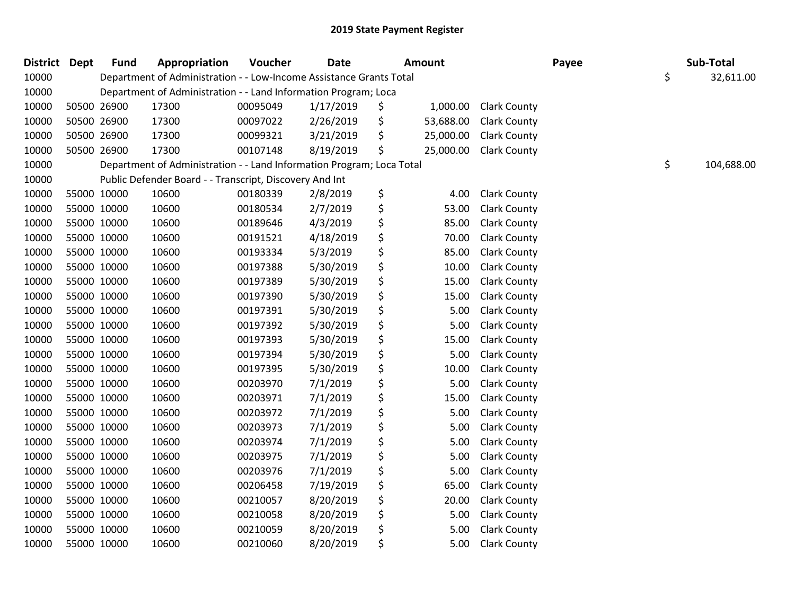| District Dept |             | <b>Fund</b> | Appropriation                                                         | Voucher  | <b>Date</b> | <b>Amount</b>   |                     | Payee | Sub-Total        |
|---------------|-------------|-------------|-----------------------------------------------------------------------|----------|-------------|-----------------|---------------------|-------|------------------|
| 10000         |             |             | Department of Administration - - Low-Income Assistance Grants Total   |          |             |                 |                     |       | \$<br>32,611.00  |
| 10000         |             |             | Department of Administration - - Land Information Program; Loca       |          |             |                 |                     |       |                  |
| 10000         |             | 50500 26900 | 17300                                                                 | 00095049 | 1/17/2019   | \$<br>1,000.00  | <b>Clark County</b> |       |                  |
| 10000         |             | 50500 26900 | 17300                                                                 | 00097022 | 2/26/2019   | \$<br>53,688.00 | <b>Clark County</b> |       |                  |
| 10000         |             | 50500 26900 | 17300                                                                 | 00099321 | 3/21/2019   | \$<br>25,000.00 | <b>Clark County</b> |       |                  |
| 10000         |             | 50500 26900 | 17300                                                                 | 00107148 | 8/19/2019   | \$<br>25,000.00 | <b>Clark County</b> |       |                  |
| 10000         |             |             | Department of Administration - - Land Information Program; Loca Total |          |             |                 |                     |       | \$<br>104,688.00 |
| 10000         |             |             | Public Defender Board - - Transcript, Discovery And Int               |          |             |                 |                     |       |                  |
| 10000         |             | 55000 10000 | 10600                                                                 | 00180339 | 2/8/2019    | \$<br>4.00      | <b>Clark County</b> |       |                  |
| 10000         |             | 55000 10000 | 10600                                                                 | 00180534 | 2/7/2019    | \$<br>53.00     | <b>Clark County</b> |       |                  |
| 10000         |             | 55000 10000 | 10600                                                                 | 00189646 | 4/3/2019    | \$<br>85.00     | <b>Clark County</b> |       |                  |
| 10000         |             | 55000 10000 | 10600                                                                 | 00191521 | 4/18/2019   | \$<br>70.00     | <b>Clark County</b> |       |                  |
| 10000         | 55000 10000 |             | 10600                                                                 | 00193334 | 5/3/2019    | \$<br>85.00     | <b>Clark County</b> |       |                  |
| 10000         |             | 55000 10000 | 10600                                                                 | 00197388 | 5/30/2019   | \$<br>10.00     | <b>Clark County</b> |       |                  |
| 10000         |             | 55000 10000 | 10600                                                                 | 00197389 | 5/30/2019   | \$<br>15.00     | <b>Clark County</b> |       |                  |
| 10000         |             | 55000 10000 | 10600                                                                 | 00197390 | 5/30/2019   | \$<br>15.00     | <b>Clark County</b> |       |                  |
| 10000         |             | 55000 10000 | 10600                                                                 | 00197391 | 5/30/2019   | \$<br>5.00      | <b>Clark County</b> |       |                  |
| 10000         | 55000 10000 |             | 10600                                                                 | 00197392 | 5/30/2019   | \$<br>5.00      | <b>Clark County</b> |       |                  |
| 10000         |             | 55000 10000 | 10600                                                                 | 00197393 | 5/30/2019   | \$<br>15.00     | <b>Clark County</b> |       |                  |
| 10000         |             | 55000 10000 | 10600                                                                 | 00197394 | 5/30/2019   | \$<br>5.00      | <b>Clark County</b> |       |                  |
| 10000         |             | 55000 10000 | 10600                                                                 | 00197395 | 5/30/2019   | \$<br>10.00     | <b>Clark County</b> |       |                  |
| 10000         |             | 55000 10000 | 10600                                                                 | 00203970 | 7/1/2019    | \$<br>5.00      | <b>Clark County</b> |       |                  |
| 10000         | 55000 10000 |             | 10600                                                                 | 00203971 | 7/1/2019    | \$<br>15.00     | <b>Clark County</b> |       |                  |
| 10000         | 55000 10000 |             | 10600                                                                 | 00203972 | 7/1/2019    | \$<br>5.00      | <b>Clark County</b> |       |                  |
| 10000         |             | 55000 10000 | 10600                                                                 | 00203973 | 7/1/2019    | \$<br>5.00      | <b>Clark County</b> |       |                  |
| 10000         |             | 55000 10000 | 10600                                                                 | 00203974 | 7/1/2019    | \$<br>5.00      | <b>Clark County</b> |       |                  |
| 10000         |             | 55000 10000 | 10600                                                                 | 00203975 | 7/1/2019    | \$<br>5.00      | <b>Clark County</b> |       |                  |
| 10000         | 55000 10000 |             | 10600                                                                 | 00203976 | 7/1/2019    | \$<br>5.00      | <b>Clark County</b> |       |                  |
| 10000         |             | 55000 10000 | 10600                                                                 | 00206458 | 7/19/2019   | \$<br>65.00     | <b>Clark County</b> |       |                  |
| 10000         |             | 55000 10000 | 10600                                                                 | 00210057 | 8/20/2019   | \$<br>20.00     | <b>Clark County</b> |       |                  |
| 10000         |             | 55000 10000 | 10600                                                                 | 00210058 | 8/20/2019   | \$<br>5.00      | <b>Clark County</b> |       |                  |
| 10000         |             | 55000 10000 | 10600                                                                 | 00210059 | 8/20/2019   | \$<br>5.00      | <b>Clark County</b> |       |                  |
| 10000         |             | 55000 10000 | 10600                                                                 | 00210060 | 8/20/2019   | \$<br>5.00      | <b>Clark County</b> |       |                  |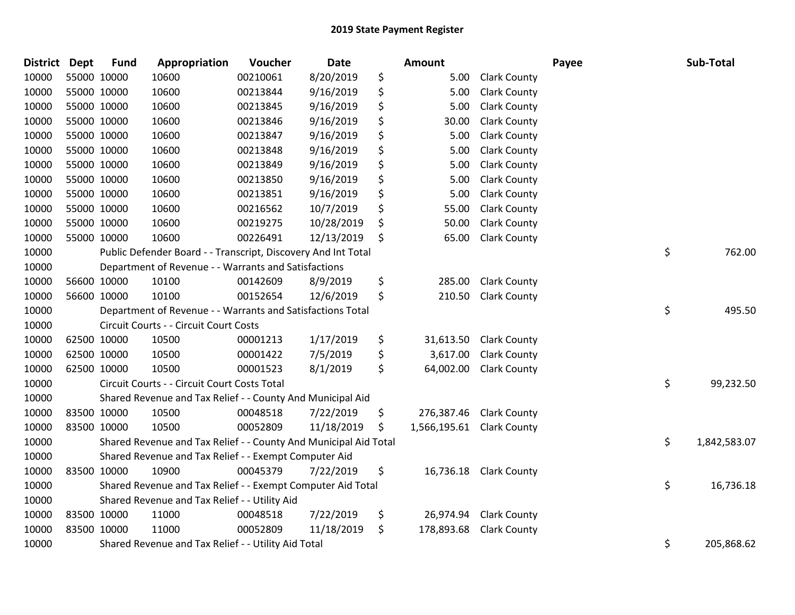| <b>District</b> | <b>Dept</b> | <b>Fund</b> | Appropriation                                                    | Voucher  | Date       |     | Amount       |                        | Payee | Sub-Total          |
|-----------------|-------------|-------------|------------------------------------------------------------------|----------|------------|-----|--------------|------------------------|-------|--------------------|
| 10000           | 55000 10000 |             | 10600                                                            | 00210061 | 8/20/2019  | \$  | 5.00         | <b>Clark County</b>    |       |                    |
| 10000           | 55000 10000 |             | 10600                                                            | 00213844 | 9/16/2019  | \$  | 5.00         | <b>Clark County</b>    |       |                    |
| 10000           | 55000 10000 |             | 10600                                                            | 00213845 | 9/16/2019  | \$  | 5.00         | <b>Clark County</b>    |       |                    |
| 10000           | 55000 10000 |             | 10600                                                            | 00213846 | 9/16/2019  | \$  | 30.00        | <b>Clark County</b>    |       |                    |
| 10000           | 55000 10000 |             | 10600                                                            | 00213847 | 9/16/2019  | \$  | 5.00         | <b>Clark County</b>    |       |                    |
| 10000           | 55000 10000 |             | 10600                                                            | 00213848 | 9/16/2019  | \$  | 5.00         | Clark County           |       |                    |
| 10000           | 55000 10000 |             | 10600                                                            | 00213849 | 9/16/2019  | \$  | 5.00         | <b>Clark County</b>    |       |                    |
| 10000           | 55000 10000 |             | 10600                                                            | 00213850 | 9/16/2019  | \$  | 5.00         | <b>Clark County</b>    |       |                    |
| 10000           | 55000 10000 |             | 10600                                                            | 00213851 | 9/16/2019  | \$  | 5.00         | <b>Clark County</b>    |       |                    |
| 10000           | 55000 10000 |             | 10600                                                            | 00216562 | 10/7/2019  | \$  | 55.00        | <b>Clark County</b>    |       |                    |
| 10000           | 55000 10000 |             | 10600                                                            | 00219275 | 10/28/2019 | \$  | 50.00        | <b>Clark County</b>    |       |                    |
| 10000           | 55000 10000 |             | 10600                                                            | 00226491 | 12/13/2019 | \$  | 65.00        | <b>Clark County</b>    |       |                    |
| 10000           |             |             | Public Defender Board - - Transcript, Discovery And Int Total    |          |            |     |              |                        |       | \$<br>762.00       |
| 10000           |             |             | Department of Revenue - - Warrants and Satisfactions             |          |            |     |              |                        |       |                    |
| 10000           | 56600 10000 |             | 10100                                                            | 00142609 | 8/9/2019   | \$  | 285.00       | <b>Clark County</b>    |       |                    |
| 10000           | 56600 10000 |             | 10100                                                            | 00152654 | 12/6/2019  | \$  | 210.50       | <b>Clark County</b>    |       |                    |
| 10000           |             |             | Department of Revenue - - Warrants and Satisfactions Total       |          |            |     |              |                        |       | \$<br>495.50       |
| 10000           |             |             | Circuit Courts - - Circuit Court Costs                           |          |            |     |              |                        |       |                    |
| 10000           | 62500 10000 |             | 10500                                                            | 00001213 | 1/17/2019  | \$  | 31,613.50    | <b>Clark County</b>    |       |                    |
| 10000           | 62500 10000 |             | 10500                                                            | 00001422 | 7/5/2019   | \$  | 3,617.00     | <b>Clark County</b>    |       |                    |
| 10000           | 62500 10000 |             | 10500                                                            | 00001523 | 8/1/2019   | \$  | 64,002.00    | <b>Clark County</b>    |       |                    |
| 10000           |             |             | Circuit Courts - - Circuit Court Costs Total                     |          |            |     |              |                        |       | \$<br>99,232.50    |
| 10000           |             |             | Shared Revenue and Tax Relief - - County And Municipal Aid       |          |            |     |              |                        |       |                    |
| 10000           | 83500 10000 |             | 10500                                                            | 00048518 | 7/22/2019  | \$  | 276,387.46   | <b>Clark County</b>    |       |                    |
| 10000           | 83500 10000 |             | 10500                                                            | 00052809 | 11/18/2019 | \$. | 1,566,195.61 | <b>Clark County</b>    |       |                    |
| 10000           |             |             | Shared Revenue and Tax Relief - - County And Municipal Aid Total |          |            |     |              |                        |       | \$<br>1,842,583.07 |
| 10000           |             |             | Shared Revenue and Tax Relief - - Exempt Computer Aid            |          |            |     |              |                        |       |                    |
| 10000           | 83500 10000 |             | 10900                                                            | 00045379 | 7/22/2019  | \$  |              | 16,736.18 Clark County |       |                    |
| 10000           |             |             | Shared Revenue and Tax Relief - - Exempt Computer Aid Total      |          |            |     |              |                        |       | \$<br>16,736.18    |
| 10000           |             |             | Shared Revenue and Tax Relief - - Utility Aid                    |          |            |     |              |                        |       |                    |
| 10000           | 83500 10000 |             | 11000                                                            | 00048518 | 7/22/2019  | \$  | 26,974.94    | <b>Clark County</b>    |       |                    |
| 10000           | 83500 10000 |             | 11000                                                            | 00052809 | 11/18/2019 | \$  | 178,893.68   | <b>Clark County</b>    |       |                    |
| 10000           |             |             | Shared Revenue and Tax Relief - - Utility Aid Total              |          |            |     |              |                        |       | \$<br>205,868.62   |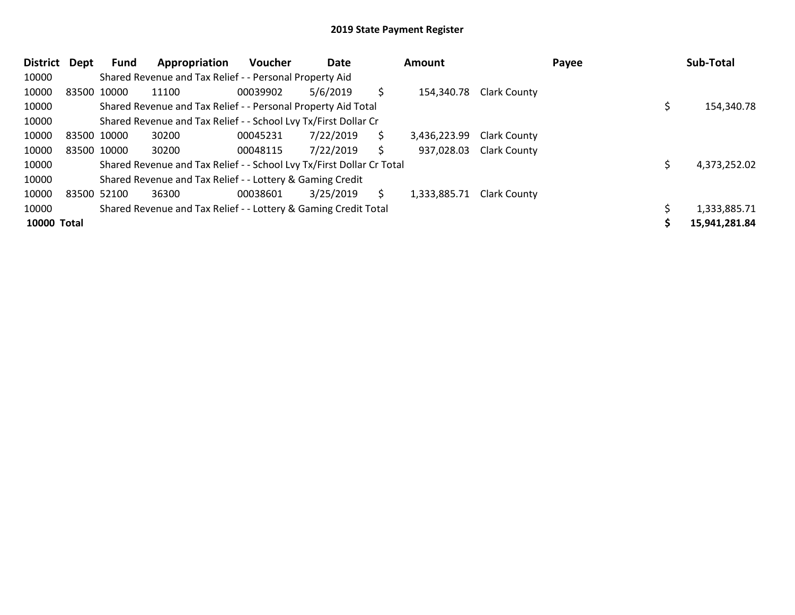| <b>District</b>    | Dept        | Fund        | Appropriation                                                         | <b>Voucher</b> | Date      |    | <b>Amount</b> |                     | Payee | Sub-Total     |
|--------------------|-------------|-------------|-----------------------------------------------------------------------|----------------|-----------|----|---------------|---------------------|-------|---------------|
| 10000              |             |             | Shared Revenue and Tax Relief - - Personal Property Aid               |                |           |    |               |                     |       |               |
| 10000              |             | 83500 10000 | 11100                                                                 | 00039902       | 5/6/2019  | \$ | 154,340.78    | <b>Clark County</b> |       |               |
| 10000              |             |             | Shared Revenue and Tax Relief - - Personal Property Aid Total         |                |           |    |               |                     |       | 154,340.78    |
| 10000              |             |             | Shared Revenue and Tax Relief - - School Lvy Tx/First Dollar Cr       |                |           |    |               |                     |       |               |
| 10000              | 83500 10000 |             | 30200                                                                 | 00045231       | 7/22/2019 | \$ | 3,436,223.99  | <b>Clark County</b> |       |               |
| 10000              |             | 83500 10000 | 30200                                                                 | 00048115       | 7/22/2019 | \$ | 937,028.03    | <b>Clark County</b> |       |               |
| 10000              |             |             | Shared Revenue and Tax Relief - - School Lvy Tx/First Dollar Cr Total |                |           |    |               |                     |       | 4,373,252.02  |
| 10000              |             |             | Shared Revenue and Tax Relief - - Lottery & Gaming Credit             |                |           |    |               |                     |       |               |
| 10000              |             | 83500 52100 | 36300                                                                 | 00038601       | 3/25/2019 | S. | 1,333,885.71  | <b>Clark County</b> |       |               |
| 10000              |             |             | Shared Revenue and Tax Relief - - Lottery & Gaming Credit Total       |                |           |    |               |                     |       | 1,333,885.71  |
| <b>10000 Total</b> |             |             |                                                                       |                |           |    |               |                     |       | 15,941,281.84 |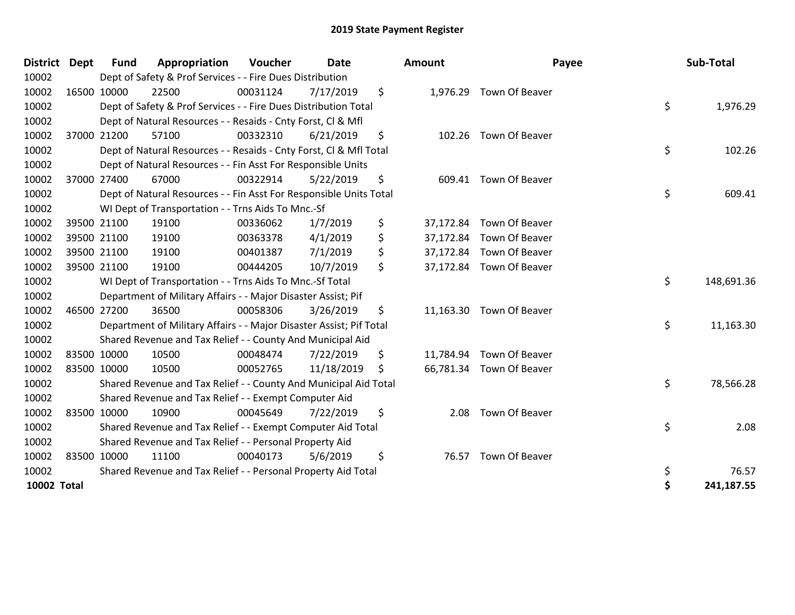| <b>District</b>    | <b>Dept</b> | <b>Fund</b> | Appropriation                                                       | Voucher  | <b>Date</b> | Amount          | Payee                    | Sub-Total        |
|--------------------|-------------|-------------|---------------------------------------------------------------------|----------|-------------|-----------------|--------------------------|------------------|
| 10002              |             |             | Dept of Safety & Prof Services - - Fire Dues Distribution           |          |             |                 |                          |                  |
| 10002              | 16500 10000 |             | 22500                                                               | 00031124 | 7/17/2019   | \$              | 1,976.29 Town Of Beaver  |                  |
| 10002              |             |             | Dept of Safety & Prof Services - - Fire Dues Distribution Total     |          |             |                 |                          | \$<br>1,976.29   |
| 10002              |             |             | Dept of Natural Resources - - Resaids - Cnty Forst, CI & Mfl        |          |             |                 |                          |                  |
| 10002              |             | 37000 21200 | 57100                                                               | 00332310 | 6/21/2019   | \$              | 102.26 Town Of Beaver    |                  |
| 10002              |             |             | Dept of Natural Resources - - Resaids - Cnty Forst, Cl & Mfl Total  |          |             |                 |                          | \$<br>102.26     |
| 10002              |             |             | Dept of Natural Resources - - Fin Asst For Responsible Units        |          |             |                 |                          |                  |
| 10002              | 37000 27400 |             | 67000                                                               | 00322914 | 5/22/2019   | \$              | 609.41 Town Of Beaver    |                  |
| 10002              |             |             | Dept of Natural Resources - - Fin Asst For Responsible Units Total  |          |             |                 |                          | \$<br>609.41     |
| 10002              |             |             | WI Dept of Transportation - - Trns Aids To Mnc.-Sf                  |          |             |                 |                          |                  |
| 10002              |             | 39500 21100 | 19100                                                               | 00336062 | 1/7/2019    | \$<br>37,172.84 | Town Of Beaver           |                  |
| 10002              | 39500 21100 |             | 19100                                                               | 00363378 | 4/1/2019    | \$<br>37,172.84 | Town Of Beaver           |                  |
| 10002              | 39500 21100 |             | 19100                                                               | 00401387 | 7/1/2019    | \$              | 37,172.84 Town Of Beaver |                  |
| 10002              | 39500 21100 |             | 19100                                                               | 00444205 | 10/7/2019   | \$              | 37,172.84 Town Of Beaver |                  |
| 10002              |             |             | WI Dept of Transportation - - Trns Aids To Mnc.-Sf Total            |          |             |                 |                          | \$<br>148,691.36 |
| 10002              |             |             | Department of Military Affairs - - Major Disaster Assist; Pif       |          |             |                 |                          |                  |
| 10002              |             | 46500 27200 | 36500                                                               | 00058306 | 3/26/2019   | \$              | 11,163.30 Town Of Beaver |                  |
| 10002              |             |             | Department of Military Affairs - - Major Disaster Assist; Pif Total |          |             |                 |                          | \$<br>11,163.30  |
| 10002              |             |             | Shared Revenue and Tax Relief - - County And Municipal Aid          |          |             |                 |                          |                  |
| 10002              |             | 83500 10000 | 10500                                                               | 00048474 | 7/22/2019   | \$              | 11,784.94 Town Of Beaver |                  |
| 10002              | 83500 10000 |             | 10500                                                               | 00052765 | 11/18/2019  | \$              | 66,781.34 Town Of Beaver |                  |
| 10002              |             |             | Shared Revenue and Tax Relief - - County And Municipal Aid Total    |          |             |                 |                          | \$<br>78,566.28  |
| 10002              |             |             | Shared Revenue and Tax Relief - - Exempt Computer Aid               |          |             |                 |                          |                  |
| 10002              | 83500 10000 |             | 10900                                                               | 00045649 | 7/22/2019   | \$<br>2.08      | Town Of Beaver           |                  |
| 10002              |             |             | Shared Revenue and Tax Relief - - Exempt Computer Aid Total         |          |             |                 |                          | \$<br>2.08       |
| 10002              |             |             | Shared Revenue and Tax Relief - - Personal Property Aid             |          |             |                 |                          |                  |
| 10002              | 83500 10000 |             | 11100                                                               | 00040173 | 5/6/2019    | \$<br>76.57     | Town Of Beaver           |                  |
| 10002              |             |             | Shared Revenue and Tax Relief - - Personal Property Aid Total       |          |             |                 |                          | \$<br>76.57      |
| <b>10002 Total</b> |             |             |                                                                     |          |             |                 |                          | \$<br>241,187.55 |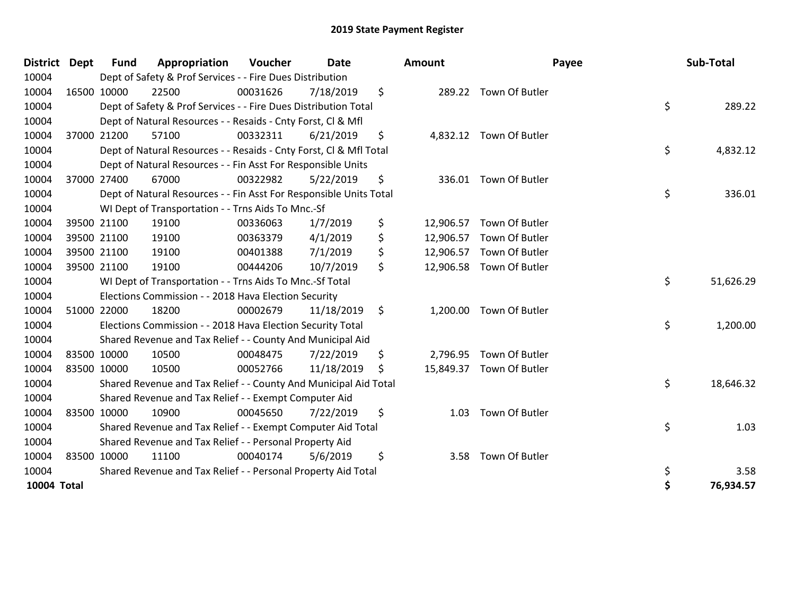| <b>District</b>    | Dept | <b>Fund</b> | Appropriation                                                      | Voucher  | <b>Date</b> |     | Amount    |                          | Payee | Sub-Total |
|--------------------|------|-------------|--------------------------------------------------------------------|----------|-------------|-----|-----------|--------------------------|-------|-----------|
| 10004              |      |             | Dept of Safety & Prof Services - - Fire Dues Distribution          |          |             |     |           |                          |       |           |
| 10004              |      | 16500 10000 | 22500                                                              | 00031626 | 7/18/2019   | \$  |           | 289.22 Town Of Butler    |       |           |
| 10004              |      |             | Dept of Safety & Prof Services - - Fire Dues Distribution Total    |          |             |     |           |                          | \$    | 289.22    |
| 10004              |      |             | Dept of Natural Resources - - Resaids - Cnty Forst, Cl & Mfl       |          |             |     |           |                          |       |           |
| 10004              |      | 37000 21200 | 57100                                                              | 00332311 | 6/21/2019   | \$  |           | 4,832.12 Town Of Butler  |       |           |
| 10004              |      |             | Dept of Natural Resources - - Resaids - Cnty Forst, Cl & Mfl Total |          |             |     |           |                          | \$    | 4,832.12  |
| 10004              |      |             | Dept of Natural Resources - - Fin Asst For Responsible Units       |          |             |     |           |                          |       |           |
| 10004              |      | 37000 27400 | 67000                                                              | 00322982 | 5/22/2019   | \$  |           | 336.01 Town Of Butler    |       |           |
| 10004              |      |             | Dept of Natural Resources - - Fin Asst For Responsible Units Total |          |             |     |           |                          | \$    | 336.01    |
| 10004              |      |             | WI Dept of Transportation - - Trns Aids To Mnc.-Sf                 |          |             |     |           |                          |       |           |
| 10004              |      | 39500 21100 | 19100                                                              | 00336063 | 1/7/2019    | \$  | 12,906.57 | Town Of Butler           |       |           |
| 10004              |      | 39500 21100 | 19100                                                              | 00363379 | 4/1/2019    | \$  | 12,906.57 | Town Of Butler           |       |           |
| 10004              |      | 39500 21100 | 19100                                                              | 00401388 | 7/1/2019    | \$  |           | 12,906.57 Town Of Butler |       |           |
| 10004              |      | 39500 21100 | 19100                                                              | 00444206 | 10/7/2019   | \$  | 12,906.58 | Town Of Butler           |       |           |
| 10004              |      |             | WI Dept of Transportation - - Trns Aids To Mnc.-Sf Total           |          |             |     |           |                          | \$    | 51,626.29 |
| 10004              |      |             | Elections Commission - - 2018 Hava Election Security               |          |             |     |           |                          |       |           |
| 10004              |      | 51000 22000 | 18200                                                              | 00002679 | 11/18/2019  | \$  | 1,200.00  | Town Of Butler           |       |           |
| 10004              |      |             | Elections Commission - - 2018 Hava Election Security Total         |          |             |     |           |                          | \$    | 1,200.00  |
| 10004              |      |             | Shared Revenue and Tax Relief - - County And Municipal Aid         |          |             |     |           |                          |       |           |
| 10004              |      | 83500 10000 | 10500                                                              | 00048475 | 7/22/2019   | \$  | 2,796.95  | Town Of Butler           |       |           |
| 10004              |      | 83500 10000 | 10500                                                              | 00052766 | 11/18/2019  | \$. |           | 15,849.37 Town Of Butler |       |           |
| 10004              |      |             | Shared Revenue and Tax Relief - - County And Municipal Aid Total   |          |             |     |           |                          | \$    | 18,646.32 |
| 10004              |      |             | Shared Revenue and Tax Relief - - Exempt Computer Aid              |          |             |     |           |                          |       |           |
| 10004              |      | 83500 10000 | 10900                                                              | 00045650 | 7/22/2019   | \$  | 1.03      | Town Of Butler           |       |           |
| 10004              |      |             | Shared Revenue and Tax Relief - - Exempt Computer Aid Total        |          |             |     |           |                          | \$    | 1.03      |
| 10004              |      |             | Shared Revenue and Tax Relief - - Personal Property Aid            |          |             |     |           |                          |       |           |
| 10004              |      | 83500 10000 | 11100                                                              | 00040174 | 5/6/2019    | \$  | 3.58      | Town Of Butler           |       |           |
| 10004              |      |             | Shared Revenue and Tax Relief - - Personal Property Aid Total      |          |             |     |           |                          | \$    | 3.58      |
| <b>10004 Total</b> |      |             |                                                                    |          |             |     |           |                          | \$    | 76,934.57 |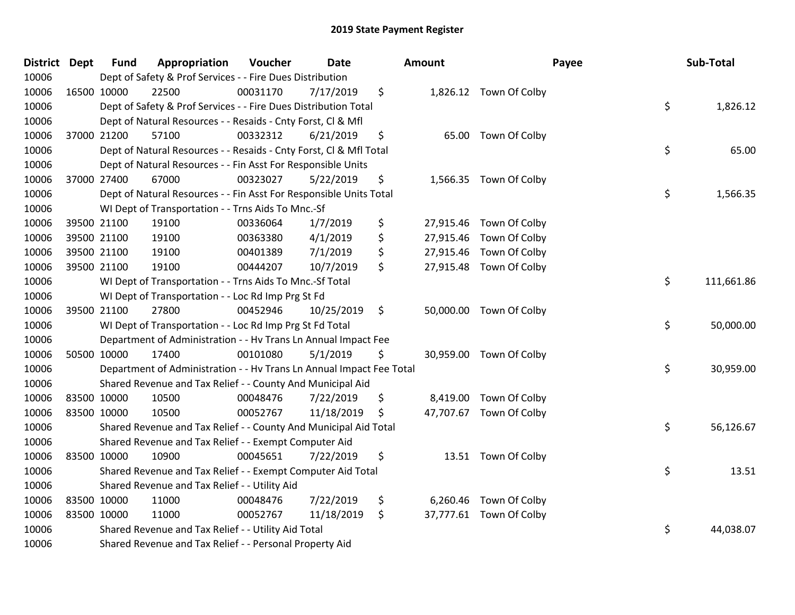| District Dept | <b>Fund</b> | Appropriation                                                        | Voucher  | <b>Date</b> |               | Amount    |                         | Payee | Sub-Total  |
|---------------|-------------|----------------------------------------------------------------------|----------|-------------|---------------|-----------|-------------------------|-------|------------|
| 10006         |             | Dept of Safety & Prof Services - - Fire Dues Distribution            |          |             |               |           |                         |       |            |
| 10006         | 16500 10000 | 22500                                                                | 00031170 | 7/17/2019   | \$            |           | 1,826.12 Town Of Colby  |       |            |
| 10006         |             | Dept of Safety & Prof Services - - Fire Dues Distribution Total      |          |             |               |           |                         | \$    | 1,826.12   |
| 10006         |             | Dept of Natural Resources - - Resaids - Cnty Forst, Cl & Mfl         |          |             |               |           |                         |       |            |
| 10006         | 37000 21200 | 57100                                                                | 00332312 | 6/21/2019   | \$            | 65.00     | Town Of Colby           |       |            |
| 10006         |             | Dept of Natural Resources - - Resaids - Cnty Forst, Cl & Mfl Total   |          |             |               |           |                         | \$    | 65.00      |
| 10006         |             | Dept of Natural Resources - - Fin Asst For Responsible Units         |          |             |               |           |                         |       |            |
| 10006         | 37000 27400 | 67000                                                                | 00323027 | 5/22/2019   | \$            |           | 1,566.35 Town Of Colby  |       |            |
| 10006         |             | Dept of Natural Resources - - Fin Asst For Responsible Units Total   |          |             |               |           |                         | \$    | 1,566.35   |
| 10006         |             | WI Dept of Transportation - - Trns Aids To Mnc.-Sf                   |          |             |               |           |                         |       |            |
| 10006         | 39500 21100 | 19100                                                                | 00336064 | 1/7/2019    | \$            | 27,915.46 | Town Of Colby           |       |            |
| 10006         | 39500 21100 | 19100                                                                | 00363380 | 4/1/2019    | \$            | 27,915.46 | Town Of Colby           |       |            |
| 10006         | 39500 21100 | 19100                                                                | 00401389 | 7/1/2019    | \$            |           | 27,915.46 Town Of Colby |       |            |
| 10006         | 39500 21100 | 19100                                                                | 00444207 | 10/7/2019   | \$            | 27,915.48 | Town Of Colby           |       |            |
| 10006         |             | WI Dept of Transportation - - Trns Aids To Mnc.-Sf Total             |          |             |               |           |                         | \$    | 111,661.86 |
| 10006         |             | WI Dept of Transportation - - Loc Rd Imp Prg St Fd                   |          |             |               |           |                         |       |            |
| 10006         | 39500 21100 | 27800                                                                | 00452946 | 10/25/2019  | $\ddot{\phi}$ |           | 50,000.00 Town Of Colby |       |            |
| 10006         |             | WI Dept of Transportation - - Loc Rd Imp Prg St Fd Total             |          |             |               |           |                         | \$    | 50,000.00  |
| 10006         |             | Department of Administration - - Hv Trans Ln Annual Impact Fee       |          |             |               |           |                         |       |            |
| 10006         | 50500 10000 | 17400                                                                | 00101080 | 5/1/2019    | \$            |           | 30,959.00 Town Of Colby |       |            |
| 10006         |             | Department of Administration - - Hv Trans Ln Annual Impact Fee Total |          |             |               |           |                         | \$    | 30,959.00  |
| 10006         |             | Shared Revenue and Tax Relief - - County And Municipal Aid           |          |             |               |           |                         |       |            |
| 10006         | 83500 10000 | 10500                                                                | 00048476 | 7/22/2019   | \$            |           | 8,419.00 Town Of Colby  |       |            |
| 10006         | 83500 10000 | 10500                                                                | 00052767 | 11/18/2019  | \$            |           | 47,707.67 Town Of Colby |       |            |
| 10006         |             | Shared Revenue and Tax Relief - - County And Municipal Aid Total     |          |             |               |           |                         | \$    | 56,126.67  |
| 10006         |             | Shared Revenue and Tax Relief - - Exempt Computer Aid                |          |             |               |           |                         |       |            |
| 10006         | 83500 10000 | 10900                                                                | 00045651 | 7/22/2019   | \$            |           | 13.51 Town Of Colby     |       |            |
| 10006         |             | Shared Revenue and Tax Relief - - Exempt Computer Aid Total          |          |             |               |           |                         | \$    | 13.51      |
| 10006         |             | Shared Revenue and Tax Relief - - Utility Aid                        |          |             |               |           |                         |       |            |
| 10006         | 83500 10000 | 11000                                                                | 00048476 | 7/22/2019   | \$            | 6,260.46  | Town Of Colby           |       |            |
| 10006         | 83500 10000 | 11000                                                                | 00052767 | 11/18/2019  | \$            |           | 37,777.61 Town Of Colby |       |            |
| 10006         |             | Shared Revenue and Tax Relief - - Utility Aid Total                  |          |             |               |           |                         | \$    | 44,038.07  |
| 10006         |             | Shared Revenue and Tax Relief - - Personal Property Aid              |          |             |               |           |                         |       |            |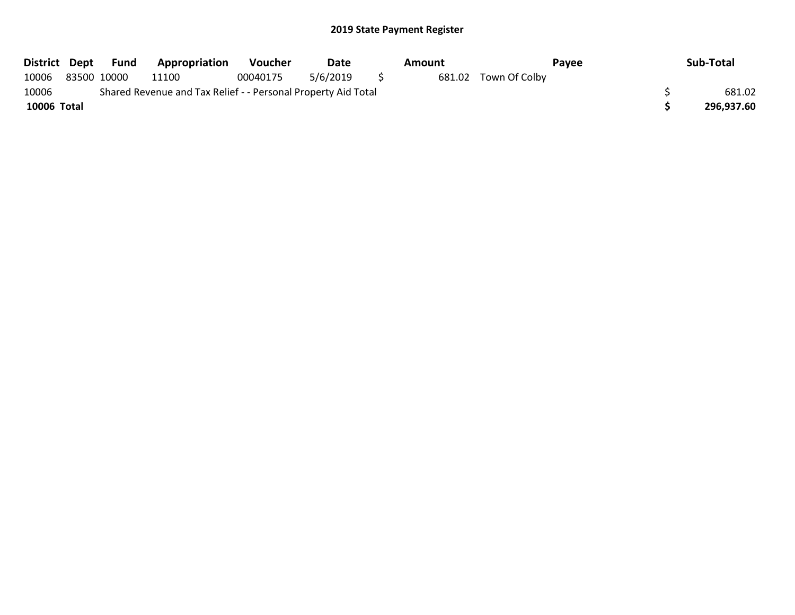| District Dept | Fund        | Appropriation                                                 | Voucher  | Date     |     | Amount |                      | Pavee | Sub-Total  |
|---------------|-------------|---------------------------------------------------------------|----------|----------|-----|--------|----------------------|-------|------------|
| 10006         | 83500 10000 | 11100                                                         | 00040175 | 5/6/2019 | - 5 |        | 681.02 Town Of Colby |       |            |
| 10006         |             | Shared Revenue and Tax Relief - - Personal Property Aid Total |          |          |     |        |                      |       | 681.02     |
| 10006 Total   |             |                                                               |          |          |     |        |                      |       | 296.937.60 |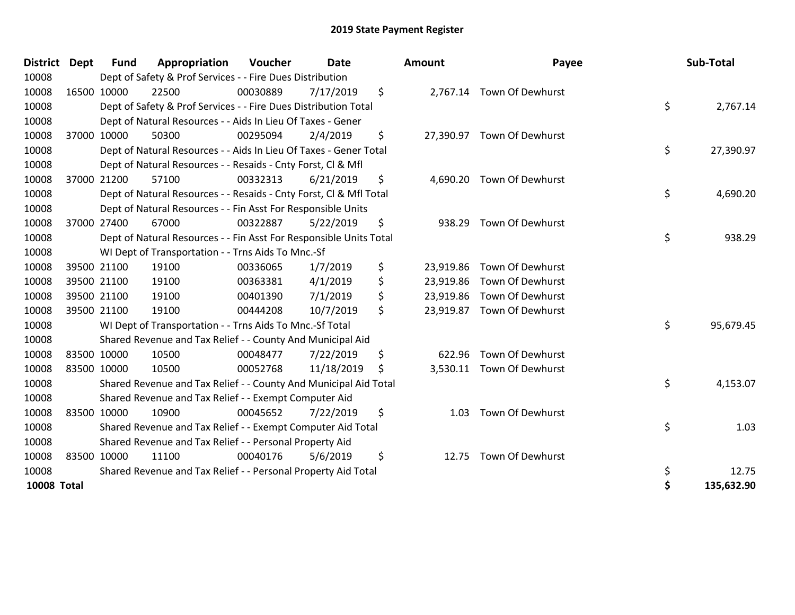| <b>District</b>    | <b>Dept</b> | <b>Fund</b> | Appropriation                                                      | Voucher  | <b>Date</b> | Amount       | Payee                      | Sub-Total       |
|--------------------|-------------|-------------|--------------------------------------------------------------------|----------|-------------|--------------|----------------------------|-----------------|
| 10008              |             |             | Dept of Safety & Prof Services - - Fire Dues Distribution          |          |             |              |                            |                 |
| 10008              |             | 16500 10000 | 22500                                                              | 00030889 | 7/17/2019   | \$           | 2,767.14 Town Of Dewhurst  |                 |
| 10008              |             |             | Dept of Safety & Prof Services - - Fire Dues Distribution Total    |          |             |              |                            | \$<br>2,767.14  |
| 10008              |             |             | Dept of Natural Resources - - Aids In Lieu Of Taxes - Gener        |          |             |              |                            |                 |
| 10008              |             | 37000 10000 | 50300                                                              | 00295094 | 2/4/2019    | \$           | 27,390.97 Town Of Dewhurst |                 |
| 10008              |             |             | Dept of Natural Resources - - Aids In Lieu Of Taxes - Gener Total  |          |             |              |                            | \$<br>27,390.97 |
| 10008              |             |             | Dept of Natural Resources - - Resaids - Cnty Forst, Cl & Mfl       |          |             |              |                            |                 |
| 10008              |             | 37000 21200 | 57100                                                              | 00332313 | 6/21/2019   | \$           | 4,690.20 Town Of Dewhurst  |                 |
| 10008              |             |             | Dept of Natural Resources - - Resaids - Cnty Forst, CI & Mfl Total |          |             |              |                            | \$<br>4,690.20  |
| 10008              |             |             | Dept of Natural Resources - - Fin Asst For Responsible Units       |          |             |              |                            |                 |
| 10008              |             | 37000 27400 | 67000                                                              | 00322887 | 5/22/2019   | \$<br>938.29 | Town Of Dewhurst           |                 |
| 10008              |             |             | Dept of Natural Resources - - Fin Asst For Responsible Units Total |          |             |              |                            | \$<br>938.29    |
| 10008              |             |             | WI Dept of Transportation - - Trns Aids To Mnc.-Sf                 |          |             |              |                            |                 |
| 10008              |             | 39500 21100 | 19100                                                              | 00336065 | 1/7/2019    | \$           | 23,919.86 Town Of Dewhurst |                 |
| 10008              |             | 39500 21100 | 19100                                                              | 00363381 | 4/1/2019    | \$           | 23,919.86 Town Of Dewhurst |                 |
| 10008              |             | 39500 21100 | 19100                                                              | 00401390 | 7/1/2019    | \$           | 23,919.86 Town Of Dewhurst |                 |
| 10008              |             | 39500 21100 | 19100                                                              | 00444208 | 10/7/2019   | \$           | 23,919.87 Town Of Dewhurst |                 |
| 10008              |             |             | WI Dept of Transportation - - Trns Aids To Mnc.-Sf Total           |          |             |              |                            | \$<br>95,679.45 |
| 10008              |             |             | Shared Revenue and Tax Relief - - County And Municipal Aid         |          |             |              |                            |                 |
| 10008              |             | 83500 10000 | 10500                                                              | 00048477 | 7/22/2019   | \$<br>622.96 | Town Of Dewhurst           |                 |
| 10008              |             | 83500 10000 | 10500                                                              | 00052768 | 11/18/2019  | \$           | 3,530.11 Town Of Dewhurst  |                 |
| 10008              |             |             | Shared Revenue and Tax Relief - - County And Municipal Aid Total   |          |             |              |                            | \$<br>4,153.07  |
| 10008              |             |             | Shared Revenue and Tax Relief - - Exempt Computer Aid              |          |             |              |                            |                 |
| 10008              |             | 83500 10000 | 10900                                                              | 00045652 | 7/22/2019   | \$<br>1.03   | Town Of Dewhurst           |                 |
| 10008              |             |             | Shared Revenue and Tax Relief - - Exempt Computer Aid Total        |          |             |              |                            | \$<br>1.03      |
| 10008              |             |             | Shared Revenue and Tax Relief - - Personal Property Aid            |          |             |              |                            |                 |
| 10008              |             | 83500 10000 | 11100                                                              | 00040176 | 5/6/2019    | \$           | 12.75 Town Of Dewhurst     |                 |
| 10008              |             |             | Shared Revenue and Tax Relief - - Personal Property Aid Total      |          |             |              |                            | \$<br>12.75     |
| <b>10008 Total</b> |             |             |                                                                    |          |             |              |                            | 135,632.90      |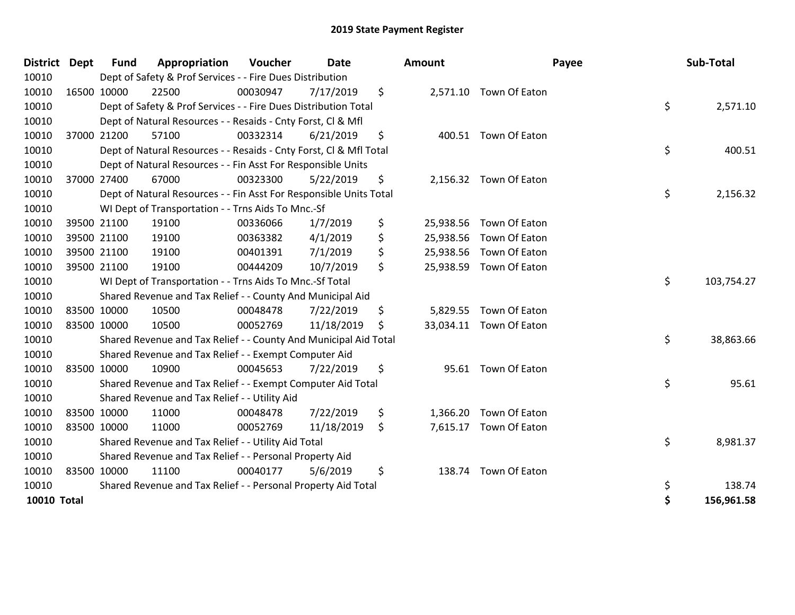| <b>District</b>    | Dept        | <b>Fund</b> | Appropriation                                                      | <b>Voucher</b> | Date       | <b>Amount</b>   |                         | Payee | Sub-Total  |
|--------------------|-------------|-------------|--------------------------------------------------------------------|----------------|------------|-----------------|-------------------------|-------|------------|
| 10010              |             |             | Dept of Safety & Prof Services - - Fire Dues Distribution          |                |            |                 |                         |       |            |
| 10010              |             | 16500 10000 | 22500                                                              | 00030947       | 7/17/2019  | \$              | 2,571.10 Town Of Eaton  |       |            |
| 10010              |             |             | Dept of Safety & Prof Services - - Fire Dues Distribution Total    |                |            |                 |                         | \$    | 2,571.10   |
| 10010              |             |             | Dept of Natural Resources - - Resaids - Cnty Forst, Cl & Mfl       |                |            |                 |                         |       |            |
| 10010              |             | 37000 21200 | 57100                                                              | 00332314       | 6/21/2019  | \$              | 400.51 Town Of Eaton    |       |            |
| 10010              |             |             | Dept of Natural Resources - - Resaids - Cnty Forst, Cl & Mfl Total |                |            |                 |                         | \$    | 400.51     |
| 10010              |             |             | Dept of Natural Resources - - Fin Asst For Responsible Units       |                |            |                 |                         |       |            |
| 10010              |             | 37000 27400 | 67000                                                              | 00323300       | 5/22/2019  | \$              | 2,156.32 Town Of Eaton  |       |            |
| 10010              |             |             | Dept of Natural Resources - - Fin Asst For Responsible Units Total |                |            |                 |                         | \$    | 2,156.32   |
| 10010              |             |             | WI Dept of Transportation - - Trns Aids To Mnc.-Sf                 |                |            |                 |                         |       |            |
| 10010              |             | 39500 21100 | 19100                                                              | 00336066       | 1/7/2019   | \$<br>25,938.56 | Town Of Eaton           |       |            |
| 10010              |             | 39500 21100 | 19100                                                              | 00363382       | 4/1/2019   | \$<br>25,938.56 | Town Of Eaton           |       |            |
| 10010              |             | 39500 21100 | 19100                                                              | 00401391       | 7/1/2019   | \$<br>25,938.56 | Town Of Eaton           |       |            |
| 10010              | 39500 21100 |             | 19100                                                              | 00444209       | 10/7/2019  | \$              | 25,938.59 Town Of Eaton |       |            |
| 10010              |             |             | WI Dept of Transportation - - Trns Aids To Mnc.-Sf Total           |                |            |                 |                         | \$    | 103,754.27 |
| 10010              |             |             | Shared Revenue and Tax Relief - - County And Municipal Aid         |                |            |                 |                         |       |            |
| 10010              |             | 83500 10000 | 10500                                                              | 00048478       | 7/22/2019  | \$              | 5,829.55 Town Of Eaton  |       |            |
| 10010              |             | 83500 10000 | 10500                                                              | 00052769       | 11/18/2019 | \$              | 33,034.11 Town Of Eaton |       |            |
| 10010              |             |             | Shared Revenue and Tax Relief - - County And Municipal Aid Total   |                |            |                 |                         | \$    | 38,863.66  |
| 10010              |             |             | Shared Revenue and Tax Relief - - Exempt Computer Aid              |                |            |                 |                         |       |            |
| 10010              |             | 83500 10000 | 10900                                                              | 00045653       | 7/22/2019  | \$              | 95.61 Town Of Eaton     |       |            |
| 10010              |             |             | Shared Revenue and Tax Relief - - Exempt Computer Aid Total        |                |            |                 |                         | \$    | 95.61      |
| 10010              |             |             | Shared Revenue and Tax Relief - - Utility Aid                      |                |            |                 |                         |       |            |
| 10010              |             | 83500 10000 | 11000                                                              | 00048478       | 7/22/2019  | \$<br>1,366.20  | Town Of Eaton           |       |            |
| 10010              | 83500 10000 |             | 11000                                                              | 00052769       | 11/18/2019 | \$              | 7,615.17 Town Of Eaton  |       |            |
| 10010              |             |             | Shared Revenue and Tax Relief - - Utility Aid Total                |                |            |                 |                         | \$    | 8,981.37   |
| 10010              |             |             | Shared Revenue and Tax Relief - - Personal Property Aid            |                |            |                 |                         |       |            |
| 10010              |             | 83500 10000 | 11100                                                              | 00040177       | 5/6/2019   | \$<br>138.74    | Town Of Eaton           |       |            |
| 10010              |             |             | Shared Revenue and Tax Relief - - Personal Property Aid Total      |                |            |                 |                         | \$    | 138.74     |
| <b>10010 Total</b> |             |             |                                                                    |                |            |                 |                         | \$    | 156,961.58 |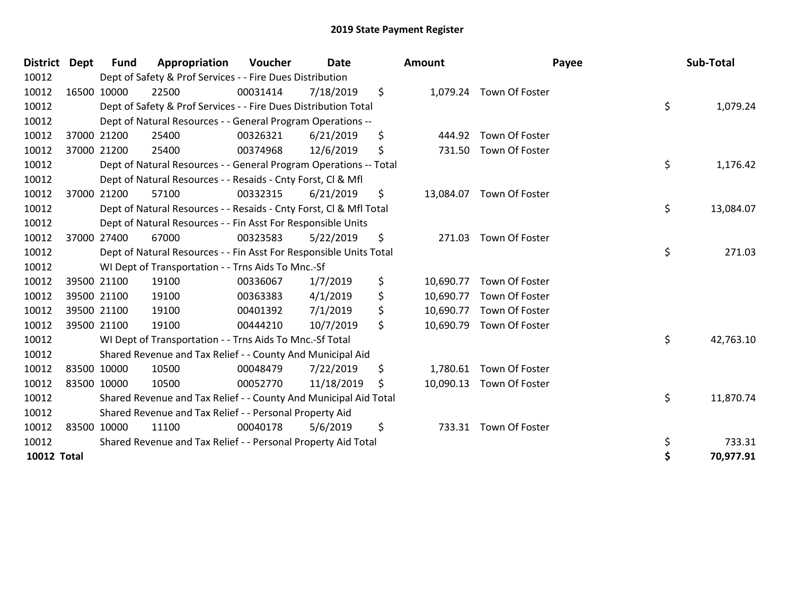| District Dept      |             | Fund        | Appropriation                                                      | Voucher  | <b>Date</b> | <b>Amount</b>   | Payee                    | Sub-Total       |
|--------------------|-------------|-------------|--------------------------------------------------------------------|----------|-------------|-----------------|--------------------------|-----------------|
| 10012              |             |             | Dept of Safety & Prof Services - - Fire Dues Distribution          |          |             |                 |                          |                 |
| 10012              | 16500 10000 |             | 22500                                                              | 00031414 | 7/18/2019   | \$              | 1,079.24 Town Of Foster  |                 |
| 10012              |             |             | Dept of Safety & Prof Services - - Fire Dues Distribution Total    |          |             |                 |                          | \$<br>1,079.24  |
| 10012              |             |             | Dept of Natural Resources - - General Program Operations --        |          |             |                 |                          |                 |
| 10012              |             | 37000 21200 | 25400                                                              | 00326321 | 6/21/2019   | \$<br>444.92    | Town Of Foster           |                 |
| 10012              |             | 37000 21200 | 25400                                                              | 00374968 | 12/6/2019   | \$<br>731.50    | Town Of Foster           |                 |
| 10012              |             |             | Dept of Natural Resources - - General Program Operations -- Total  |          |             |                 |                          | \$<br>1,176.42  |
| 10012              |             |             | Dept of Natural Resources - - Resaids - Cnty Forst, CI & Mfl       |          |             |                 |                          |                 |
| 10012              |             | 37000 21200 | 57100                                                              | 00332315 | 6/21/2019   | \$<br>13,084.07 | Town Of Foster           |                 |
| 10012              |             |             | Dept of Natural Resources - - Resaids - Cnty Forst, Cl & Mfl Total |          |             |                 |                          | \$<br>13,084.07 |
| 10012              |             |             | Dept of Natural Resources - - Fin Asst For Responsible Units       |          |             |                 |                          |                 |
| 10012              |             | 37000 27400 | 67000                                                              | 00323583 | 5/22/2019   | \$<br>271.03    | Town Of Foster           |                 |
| 10012              |             |             | Dept of Natural Resources - - Fin Asst For Responsible Units Total |          |             |                 |                          | \$<br>271.03    |
| 10012              |             |             | WI Dept of Transportation - - Trns Aids To Mnc.-Sf                 |          |             |                 |                          |                 |
| 10012              |             | 39500 21100 | 19100                                                              | 00336067 | 1/7/2019    | \$<br>10,690.77 | Town Of Foster           |                 |
| 10012              |             | 39500 21100 | 19100                                                              | 00363383 | 4/1/2019    | \$<br>10,690.77 | Town Of Foster           |                 |
| 10012              |             | 39500 21100 | 19100                                                              | 00401392 | 7/1/2019    | \$<br>10,690.77 | Town Of Foster           |                 |
| 10012              | 39500 21100 |             | 19100                                                              | 00444210 | 10/7/2019   | \$<br>10,690.79 | Town Of Foster           |                 |
| 10012              |             |             | WI Dept of Transportation - - Trns Aids To Mnc.-Sf Total           |          |             |                 |                          | \$<br>42,763.10 |
| 10012              |             |             | Shared Revenue and Tax Relief - - County And Municipal Aid         |          |             |                 |                          |                 |
| 10012              | 83500 10000 |             | 10500                                                              | 00048479 | 7/22/2019   | \$<br>1,780.61  | Town Of Foster           |                 |
| 10012              | 83500 10000 |             | 10500                                                              | 00052770 | 11/18/2019  | \$              | 10,090.13 Town Of Foster |                 |
| 10012              |             |             | Shared Revenue and Tax Relief - - County And Municipal Aid Total   |          |             |                 |                          | \$<br>11,870.74 |
| 10012              |             |             | Shared Revenue and Tax Relief - - Personal Property Aid            |          |             |                 |                          |                 |
| 10012              | 83500 10000 |             | 11100                                                              | 00040178 | 5/6/2019    | \$<br>733.31    | Town Of Foster           |                 |
| 10012              |             |             | Shared Revenue and Tax Relief - - Personal Property Aid Total      |          |             |                 |                          | \$<br>733.31    |
| <b>10012 Total</b> |             |             |                                                                    |          |             |                 |                          | \$<br>70,977.91 |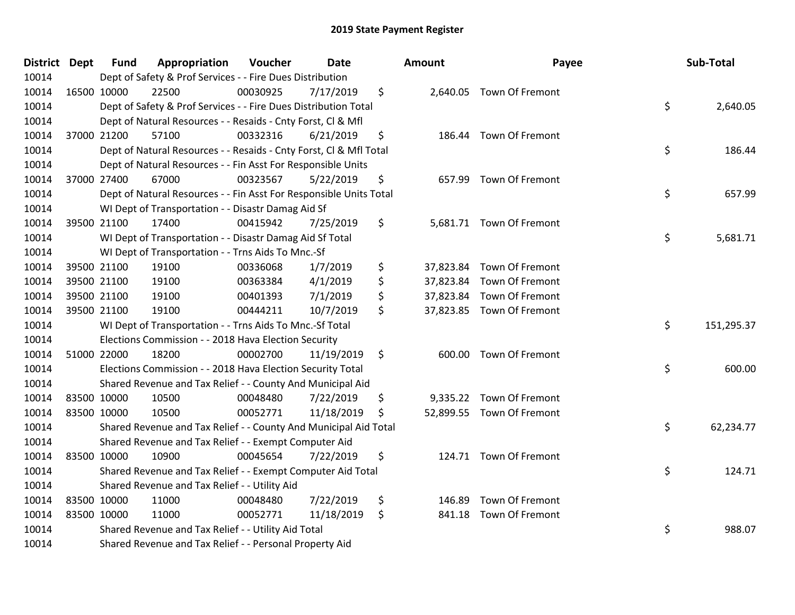| District Dept | <b>Fund</b> | Appropriation                                                      | Voucher  | Date       | Amount       | Payee                     | Sub-Total        |
|---------------|-------------|--------------------------------------------------------------------|----------|------------|--------------|---------------------------|------------------|
| 10014         |             | Dept of Safety & Prof Services - - Fire Dues Distribution          |          |            |              |                           |                  |
| 10014         | 16500 10000 | 22500                                                              | 00030925 | 7/17/2019  | \$           | 2,640.05 Town Of Fremont  |                  |
| 10014         |             | Dept of Safety & Prof Services - - Fire Dues Distribution Total    |          |            |              |                           | \$<br>2,640.05   |
| 10014         |             | Dept of Natural Resources - - Resaids - Cnty Forst, Cl & Mfl       |          |            |              |                           |                  |
| 10014         | 37000 21200 | 57100                                                              | 00332316 | 6/21/2019  | \$           | 186.44 Town Of Fremont    |                  |
| 10014         |             | Dept of Natural Resources - - Resaids - Cnty Forst, Cl & Mfl Total |          |            |              |                           | \$<br>186.44     |
| 10014         |             | Dept of Natural Resources - - Fin Asst For Responsible Units       |          |            |              |                           |                  |
| 10014         | 37000 27400 | 67000                                                              | 00323567 | 5/22/2019  | \$           | 657.99 Town Of Fremont    |                  |
| 10014         |             | Dept of Natural Resources - - Fin Asst For Responsible Units Total |          |            |              |                           | \$<br>657.99     |
| 10014         |             | WI Dept of Transportation - - Disastr Damag Aid Sf                 |          |            |              |                           |                  |
| 10014         | 39500 21100 | 17400                                                              | 00415942 | 7/25/2019  | \$           | 5,681.71 Town Of Fremont  |                  |
| 10014         |             | WI Dept of Transportation - - Disastr Damag Aid Sf Total           |          |            |              |                           | \$<br>5,681.71   |
| 10014         |             | WI Dept of Transportation - - Trns Aids To Mnc.-Sf                 |          |            |              |                           |                  |
| 10014         | 39500 21100 | 19100                                                              | 00336068 | 1/7/2019   | \$           | 37,823.84 Town Of Fremont |                  |
| 10014         | 39500 21100 | 19100                                                              | 00363384 | 4/1/2019   | \$           | 37,823.84 Town Of Fremont |                  |
| 10014         | 39500 21100 | 19100                                                              | 00401393 | 7/1/2019   | \$           | 37,823.84 Town Of Fremont |                  |
| 10014         | 39500 21100 | 19100                                                              | 00444211 | 10/7/2019  | \$           | 37,823.85 Town Of Fremont |                  |
| 10014         |             | WI Dept of Transportation - - Trns Aids To Mnc.-Sf Total           |          |            |              |                           | \$<br>151,295.37 |
| 10014         |             | Elections Commission - - 2018 Hava Election Security               |          |            |              |                           |                  |
| 10014         | 51000 22000 | 18200                                                              | 00002700 | 11/19/2019 | \$           | 600.00 Town Of Fremont    |                  |
| 10014         |             | Elections Commission - - 2018 Hava Election Security Total         |          |            |              |                           | \$<br>600.00     |
| 10014         |             | Shared Revenue and Tax Relief - - County And Municipal Aid         |          |            |              |                           |                  |
| 10014         | 83500 10000 | 10500                                                              | 00048480 | 7/22/2019  | \$           | 9,335.22 Town Of Fremont  |                  |
| 10014         | 83500 10000 | 10500                                                              | 00052771 | 11/18/2019 | \$           | 52,899.55 Town Of Fremont |                  |
| 10014         |             | Shared Revenue and Tax Relief - - County And Municipal Aid Total   |          |            |              |                           | \$<br>62,234.77  |
| 10014         |             | Shared Revenue and Tax Relief - - Exempt Computer Aid              |          |            |              |                           |                  |
| 10014         | 83500 10000 | 10900                                                              | 00045654 | 7/22/2019  | \$           | 124.71 Town Of Fremont    |                  |
| 10014         |             | Shared Revenue and Tax Relief - - Exempt Computer Aid Total        |          |            |              |                           | \$<br>124.71     |
| 10014         |             | Shared Revenue and Tax Relief - - Utility Aid                      |          |            |              |                           |                  |
| 10014         | 83500 10000 | 11000                                                              | 00048480 | 7/22/2019  | \$<br>146.89 | Town Of Fremont           |                  |
| 10014         | 83500 10000 | 11000                                                              | 00052771 | 11/18/2019 | \$<br>841.18 | Town Of Fremont           |                  |
| 10014         |             | Shared Revenue and Tax Relief - - Utility Aid Total                |          |            |              |                           | \$<br>988.07     |
| 10014         |             | Shared Revenue and Tax Relief - - Personal Property Aid            |          |            |              |                           |                  |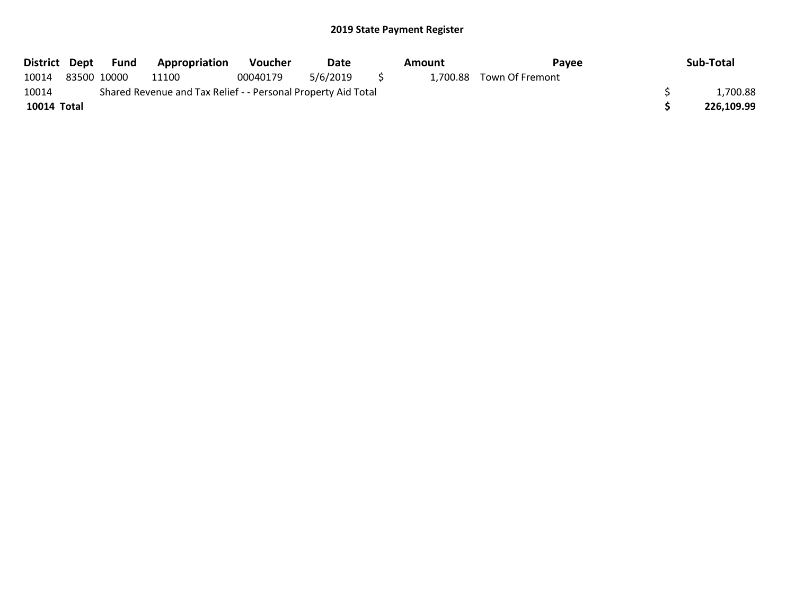|             | District Dept Fund | <b>Appropriation</b>                                          | Voucher  | Date        | Amount | Pavee                    | Sub-Total  |
|-------------|--------------------|---------------------------------------------------------------|----------|-------------|--------|--------------------------|------------|
| 10014       | 83500 10000        | 11100                                                         | 00040179 | 5/6/2019 \$ |        | 1,700.88 Town Of Fremont |            |
| 10014       |                    | Shared Revenue and Tax Relief - - Personal Property Aid Total |          |             |        |                          | 1,700.88   |
| 10014 Total |                    |                                                               |          |             |        |                          | 226.109.99 |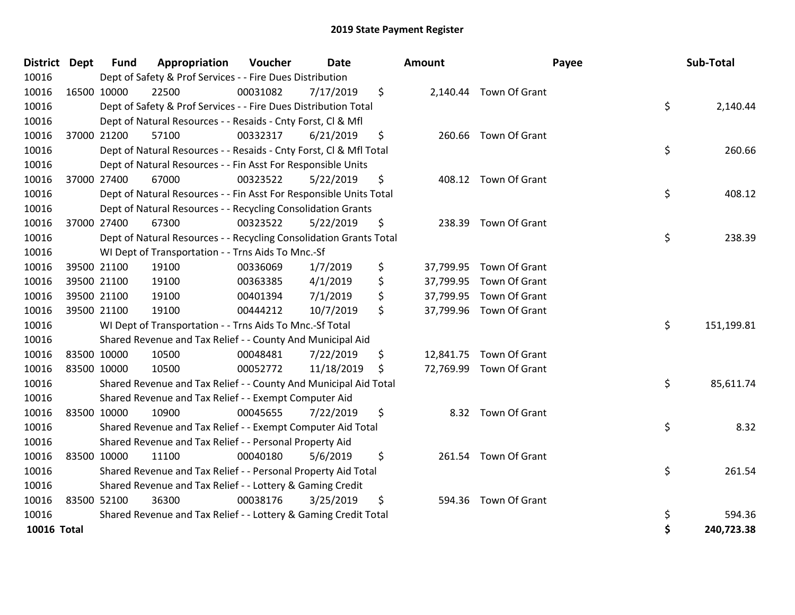| <b>District</b>    | <b>Dept</b> | <b>Fund</b> | Appropriation                                                      | Voucher  | <b>Date</b> | <b>Amount</b>   |                         | Payee | Sub-Total  |
|--------------------|-------------|-------------|--------------------------------------------------------------------|----------|-------------|-----------------|-------------------------|-------|------------|
| 10016              |             |             | Dept of Safety & Prof Services - - Fire Dues Distribution          |          |             |                 |                         |       |            |
| 10016              |             | 16500 10000 | 22500                                                              | 00031082 | 7/17/2019   | \$              | 2,140.44 Town Of Grant  |       |            |
| 10016              |             |             | Dept of Safety & Prof Services - - Fire Dues Distribution Total    |          |             |                 |                         | \$    | 2,140.44   |
| 10016              |             |             | Dept of Natural Resources - - Resaids - Cnty Forst, CI & Mfl       |          |             |                 |                         |       |            |
| 10016              |             | 37000 21200 | 57100                                                              | 00332317 | 6/21/2019   | \$              | 260.66 Town Of Grant    |       |            |
| 10016              |             |             | Dept of Natural Resources - - Resaids - Cnty Forst, Cl & Mfl Total |          |             |                 |                         | \$    | 260.66     |
| 10016              |             |             | Dept of Natural Resources - - Fin Asst For Responsible Units       |          |             |                 |                         |       |            |
| 10016              |             | 37000 27400 | 67000                                                              | 00323522 | 5/22/2019   | \$              | 408.12 Town Of Grant    |       |            |
| 10016              |             |             | Dept of Natural Resources - - Fin Asst For Responsible Units Total |          |             |                 |                         | \$    | 408.12     |
| 10016              |             |             | Dept of Natural Resources - - Recycling Consolidation Grants       |          |             |                 |                         |       |            |
| 10016              |             | 37000 27400 | 67300                                                              | 00323522 | 5/22/2019   | \$<br>238.39    | Town Of Grant           |       |            |
| 10016              |             |             | Dept of Natural Resources - - Recycling Consolidation Grants Total |          |             |                 |                         | \$    | 238.39     |
| 10016              |             |             | WI Dept of Transportation - - Trns Aids To Mnc.-Sf                 |          |             |                 |                         |       |            |
| 10016              |             | 39500 21100 | 19100                                                              | 00336069 | 1/7/2019    | \$<br>37,799.95 | Town Of Grant           |       |            |
| 10016              |             | 39500 21100 | 19100                                                              | 00363385 | 4/1/2019    | \$<br>37,799.95 | Town Of Grant           |       |            |
| 10016              |             | 39500 21100 | 19100                                                              | 00401394 | 7/1/2019    | \$              | 37,799.95 Town Of Grant |       |            |
| 10016              |             | 39500 21100 | 19100                                                              | 00444212 | 10/7/2019   | \$              | 37,799.96 Town Of Grant |       |            |
| 10016              |             |             | WI Dept of Transportation - - Trns Aids To Mnc.-Sf Total           |          |             |                 |                         | \$    | 151,199.81 |
| 10016              |             |             | Shared Revenue and Tax Relief - - County And Municipal Aid         |          |             |                 |                         |       |            |
| 10016              |             | 83500 10000 | 10500                                                              | 00048481 | 7/22/2019   | \$              | 12,841.75 Town Of Grant |       |            |
| 10016              |             | 83500 10000 | 10500                                                              | 00052772 | 11/18/2019  | \$              | 72,769.99 Town Of Grant |       |            |
| 10016              |             |             | Shared Revenue and Tax Relief - - County And Municipal Aid Total   |          |             |                 |                         | \$    | 85,611.74  |
| 10016              |             |             | Shared Revenue and Tax Relief - - Exempt Computer Aid              |          |             |                 |                         |       |            |
| 10016              |             | 83500 10000 | 10900                                                              | 00045655 | 7/22/2019   | \$              | 8.32 Town Of Grant      |       |            |
| 10016              |             |             | Shared Revenue and Tax Relief - - Exempt Computer Aid Total        |          |             |                 |                         | \$    | 8.32       |
| 10016              |             |             | Shared Revenue and Tax Relief - - Personal Property Aid            |          |             |                 |                         |       |            |
| 10016              |             | 83500 10000 | 11100                                                              | 00040180 | 5/6/2019    | \$              | 261.54 Town Of Grant    |       |            |
| 10016              |             |             | Shared Revenue and Tax Relief - - Personal Property Aid Total      |          |             |                 |                         | \$    | 261.54     |
| 10016              |             |             | Shared Revenue and Tax Relief - - Lottery & Gaming Credit          |          |             |                 |                         |       |            |
| 10016              |             | 83500 52100 | 36300                                                              | 00038176 | 3/25/2019   | \$<br>594.36    | Town Of Grant           |       |            |
| 10016              |             |             | Shared Revenue and Tax Relief - - Lottery & Gaming Credit Total    |          |             |                 |                         | \$    | 594.36     |
| <b>10016 Total</b> |             |             |                                                                    |          |             |                 |                         | Ś     | 240,723.38 |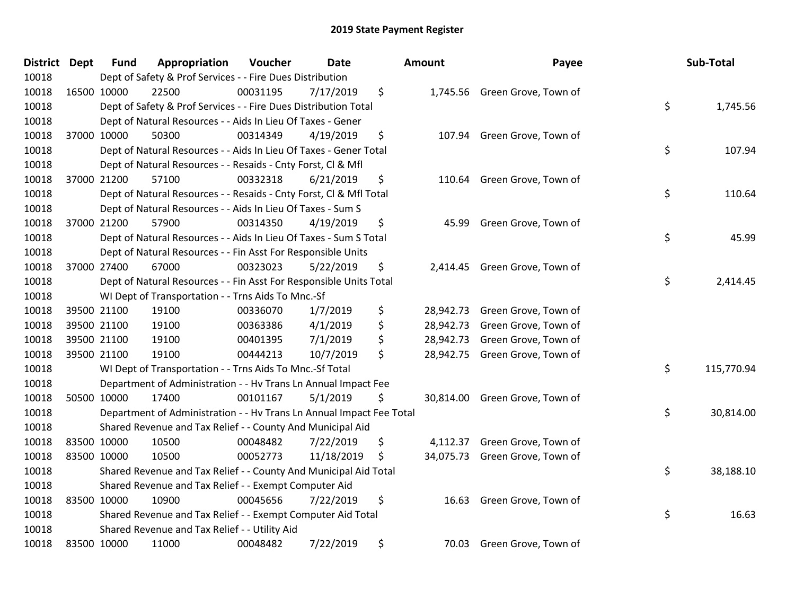| District Dept |             | <b>Fund</b> | Appropriation                                                        | Voucher  | <b>Date</b> | Amount          | Payee                          | Sub-Total        |
|---------------|-------------|-------------|----------------------------------------------------------------------|----------|-------------|-----------------|--------------------------------|------------------|
| 10018         |             |             | Dept of Safety & Prof Services - - Fire Dues Distribution            |          |             |                 |                                |                  |
| 10018         | 16500 10000 |             | 22500                                                                | 00031195 | 7/17/2019   | \$              | 1,745.56 Green Grove, Town of  |                  |
| 10018         |             |             | Dept of Safety & Prof Services - - Fire Dues Distribution Total      |          |             |                 |                                | \$<br>1,745.56   |
| 10018         |             |             | Dept of Natural Resources - - Aids In Lieu Of Taxes - Gener          |          |             |                 |                                |                  |
| 10018         | 37000 10000 |             | 50300                                                                | 00314349 | 4/19/2019   | \$<br>107.94    | Green Grove, Town of           |                  |
| 10018         |             |             | Dept of Natural Resources - - Aids In Lieu Of Taxes - Gener Total    |          |             |                 |                                | \$<br>107.94     |
| 10018         |             |             | Dept of Natural Resources - - Resaids - Cnty Forst, Cl & Mfl         |          |             |                 |                                |                  |
| 10018         | 37000 21200 |             | 57100                                                                | 00332318 | 6/21/2019   | \$<br>110.64    | Green Grove, Town of           |                  |
| 10018         |             |             | Dept of Natural Resources - - Resaids - Cnty Forst, Cl & Mfl Total   |          |             |                 |                                | \$<br>110.64     |
| 10018         |             |             | Dept of Natural Resources - - Aids In Lieu Of Taxes - Sum S          |          |             |                 |                                |                  |
| 10018         | 37000 21200 |             | 57900                                                                | 00314350 | 4/19/2019   | \$<br>45.99     | Green Grove, Town of           |                  |
| 10018         |             |             | Dept of Natural Resources - - Aids In Lieu Of Taxes - Sum S Total    |          |             |                 |                                | \$<br>45.99      |
| 10018         |             |             | Dept of Natural Resources - - Fin Asst For Responsible Units         |          |             |                 |                                |                  |
| 10018         | 37000 27400 |             | 67000                                                                | 00323023 | 5/22/2019   | \$<br>2,414.45  | Green Grove, Town of           |                  |
| 10018         |             |             | Dept of Natural Resources - - Fin Asst For Responsible Units Total   |          |             |                 |                                | \$<br>2,414.45   |
| 10018         |             |             | WI Dept of Transportation - - Trns Aids To Mnc.-Sf                   |          |             |                 |                                |                  |
| 10018         |             | 39500 21100 | 19100                                                                | 00336070 | 1/7/2019    | \$              | 28,942.73 Green Grove, Town of |                  |
| 10018         |             | 39500 21100 | 19100                                                                | 00363386 | 4/1/2019    | \$              | 28,942.73 Green Grove, Town of |                  |
| 10018         | 39500 21100 |             | 19100                                                                | 00401395 | 7/1/2019    | \$<br>28,942.73 | Green Grove, Town of           |                  |
| 10018         | 39500 21100 |             | 19100                                                                | 00444213 | 10/7/2019   | \$              | 28,942.75 Green Grove, Town of |                  |
| 10018         |             |             | WI Dept of Transportation - - Trns Aids To Mnc.-Sf Total             |          |             |                 |                                | \$<br>115,770.94 |
| 10018         |             |             | Department of Administration - - Hv Trans Ln Annual Impact Fee       |          |             |                 |                                |                  |
| 10018         |             | 50500 10000 | 17400                                                                | 00101167 | 5/1/2019    | \$              | 30,814.00 Green Grove, Town of |                  |
| 10018         |             |             | Department of Administration - - Hv Trans Ln Annual Impact Fee Total |          |             |                 |                                | \$<br>30,814.00  |
| 10018         |             |             | Shared Revenue and Tax Relief - - County And Municipal Aid           |          |             |                 |                                |                  |
| 10018         |             | 83500 10000 | 10500                                                                | 00048482 | 7/22/2019   | \$<br>4,112.37  | Green Grove, Town of           |                  |
| 10018         | 83500 10000 |             | 10500                                                                | 00052773 | 11/18/2019  | \$              | 34,075.73 Green Grove, Town of |                  |
| 10018         |             |             | Shared Revenue and Tax Relief - - County And Municipal Aid Total     |          |             |                 |                                | \$<br>38,188.10  |
| 10018         |             |             | Shared Revenue and Tax Relief - - Exempt Computer Aid                |          |             |                 |                                |                  |
| 10018         | 83500 10000 |             | 10900                                                                | 00045656 | 7/22/2019   | \$              | 16.63 Green Grove, Town of     |                  |
| 10018         |             |             | Shared Revenue and Tax Relief - - Exempt Computer Aid Total          |          |             |                 |                                | \$<br>16.63      |
| 10018         |             |             | Shared Revenue and Tax Relief - - Utility Aid                        |          |             |                 |                                |                  |
| 10018         | 83500 10000 |             | 11000                                                                | 00048482 | 7/22/2019   | \$              | 70.03 Green Grove, Town of     |                  |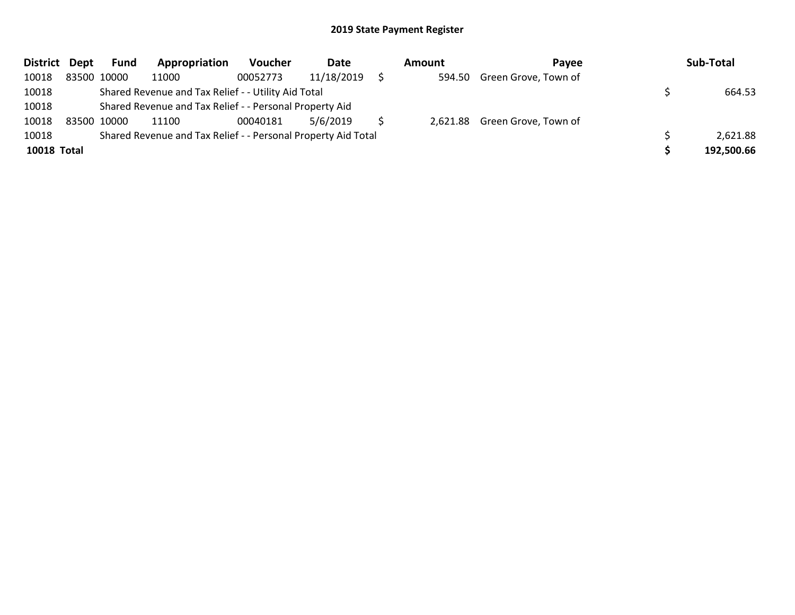| District Dept      |             | <b>Fund</b> | Appropriation                                                 | <b>Voucher</b> | Date       | Amount | <b>Pavee</b>                  | Sub-Total  |
|--------------------|-------------|-------------|---------------------------------------------------------------|----------------|------------|--------|-------------------------------|------------|
| 10018              |             | 83500 10000 | 11000                                                         | 00052773       | 11/18/2019 |        | 594.50 Green Grove, Town of   |            |
| 10018              |             |             | Shared Revenue and Tax Relief - - Utility Aid Total           |                |            |        |                               | 664.53     |
| 10018              |             |             | Shared Revenue and Tax Relief - - Personal Property Aid       |                |            |        |                               |            |
| 10018              | 83500 10000 |             | 11100                                                         | 00040181       | 5/6/2019   |        | 2,621.88 Green Grove, Town of |            |
| 10018              |             |             | Shared Revenue and Tax Relief - - Personal Property Aid Total |                |            |        |                               | 2,621.88   |
| <b>10018 Total</b> |             |             |                                                               |                |            |        |                               | 192,500.66 |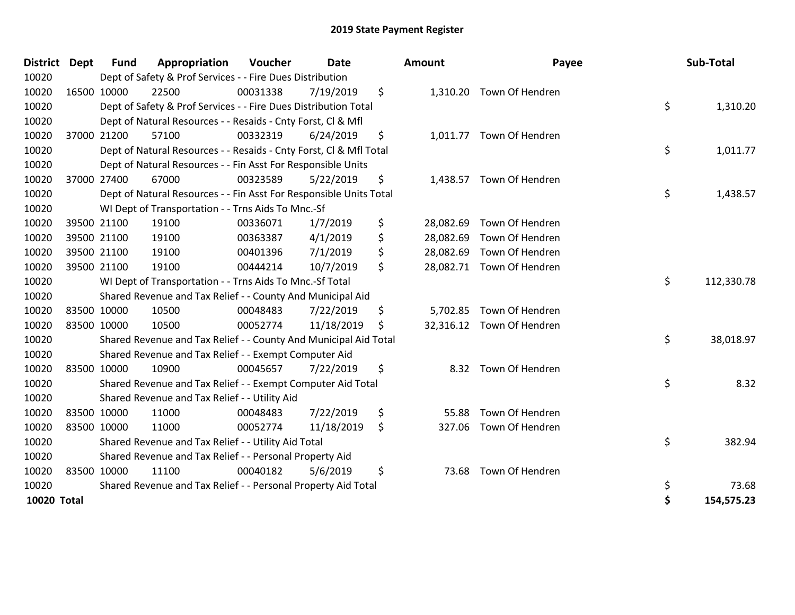| <b>District Dept</b> | <b>Fund</b> | Appropriation                                                      | Voucher  | <b>Date</b> | <b>Amount</b>   | Payee                     | Sub-Total        |
|----------------------|-------------|--------------------------------------------------------------------|----------|-------------|-----------------|---------------------------|------------------|
| 10020                |             | Dept of Safety & Prof Services - - Fire Dues Distribution          |          |             |                 |                           |                  |
| 10020                | 16500 10000 | 22500                                                              | 00031338 | 7/19/2019   | \$              | 1,310.20 Town Of Hendren  |                  |
| 10020                |             | Dept of Safety & Prof Services - - Fire Dues Distribution Total    |          |             |                 |                           | \$<br>1,310.20   |
| 10020                |             | Dept of Natural Resources - - Resaids - Cnty Forst, CI & Mfl       |          |             |                 |                           |                  |
| 10020                | 37000 21200 | 57100                                                              | 00332319 | 6/24/2019   | \$              | 1,011.77 Town Of Hendren  |                  |
| 10020                |             | Dept of Natural Resources - - Resaids - Cnty Forst, Cl & Mfl Total |          |             |                 |                           | \$<br>1,011.77   |
| 10020                |             | Dept of Natural Resources - - Fin Asst For Responsible Units       |          |             |                 |                           |                  |
| 10020                | 37000 27400 | 67000                                                              | 00323589 | 5/22/2019   | \$              | 1,438.57 Town Of Hendren  |                  |
| 10020                |             | Dept of Natural Resources - - Fin Asst For Responsible Units Total |          |             |                 |                           | \$<br>1,438.57   |
| 10020                |             | WI Dept of Transportation - - Trns Aids To Mnc.-Sf                 |          |             |                 |                           |                  |
| 10020                | 39500 21100 | 19100                                                              | 00336071 | 1/7/2019    | \$<br>28,082.69 | Town Of Hendren           |                  |
| 10020                | 39500 21100 | 19100                                                              | 00363387 | 4/1/2019    | \$<br>28,082.69 | Town Of Hendren           |                  |
| 10020                | 39500 21100 | 19100                                                              | 00401396 | 7/1/2019    | \$<br>28,082.69 | Town Of Hendren           |                  |
| 10020                | 39500 21100 | 19100                                                              | 00444214 | 10/7/2019   | \$              | 28,082.71 Town Of Hendren |                  |
| 10020                |             | WI Dept of Transportation - - Trns Aids To Mnc.-Sf Total           |          |             |                 |                           | \$<br>112,330.78 |
| 10020                |             | Shared Revenue and Tax Relief - - County And Municipal Aid         |          |             |                 |                           |                  |
| 10020                | 83500 10000 | 10500                                                              | 00048483 | 7/22/2019   | \$              | 5,702.85 Town Of Hendren  |                  |
| 10020                | 83500 10000 | 10500                                                              | 00052774 | 11/18/2019  | \$              | 32,316.12 Town Of Hendren |                  |
| 10020                |             | Shared Revenue and Tax Relief - - County And Municipal Aid Total   |          |             |                 |                           | \$<br>38,018.97  |
| 10020                |             | Shared Revenue and Tax Relief - - Exempt Computer Aid              |          |             |                 |                           |                  |
| 10020                | 83500 10000 | 10900                                                              | 00045657 | 7/22/2019   | \$              | 8.32 Town Of Hendren      |                  |
| 10020                |             | Shared Revenue and Tax Relief - - Exempt Computer Aid Total        |          |             |                 |                           | \$<br>8.32       |
| 10020                |             | Shared Revenue and Tax Relief - - Utility Aid                      |          |             |                 |                           |                  |
| 10020                | 83500 10000 | 11000                                                              | 00048483 | 7/22/2019   | \$<br>55.88     | Town Of Hendren           |                  |
| 10020                | 83500 10000 | 11000                                                              | 00052774 | 11/18/2019  | \$<br>327.06    | Town Of Hendren           |                  |
| 10020                |             | Shared Revenue and Tax Relief - - Utility Aid Total                |          |             |                 |                           | \$<br>382.94     |
| 10020                |             | Shared Revenue and Tax Relief - - Personal Property Aid            |          |             |                 |                           |                  |
| 10020                | 83500 10000 | 11100                                                              | 00040182 | 5/6/2019    | \$<br>73.68     | Town Of Hendren           |                  |
| 10020                |             | Shared Revenue and Tax Relief - - Personal Property Aid Total      |          |             |                 |                           | \$<br>73.68      |
| <b>10020 Total</b>   |             |                                                                    |          |             |                 |                           | \$<br>154,575.23 |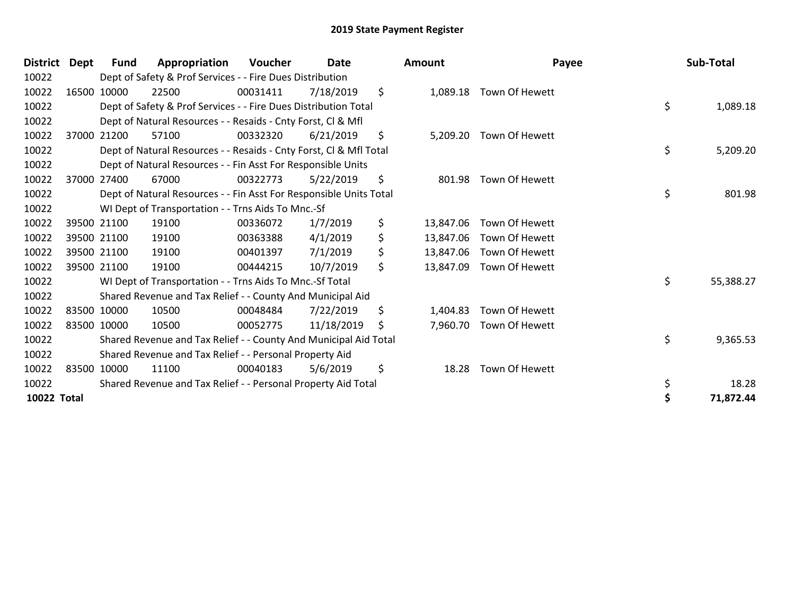| <b>District</b>    | Dept | <b>Fund</b> | Appropriation                                                      | Voucher  | Date       | <b>Amount</b>   | Payee                   | Sub-Total       |
|--------------------|------|-------------|--------------------------------------------------------------------|----------|------------|-----------------|-------------------------|-----------------|
| 10022              |      |             | Dept of Safety & Prof Services - - Fire Dues Distribution          |          |            |                 |                         |                 |
| 10022              |      | 16500 10000 | 22500                                                              | 00031411 | 7/18/2019  | \$              | 1,089.18 Town Of Hewett |                 |
| 10022              |      |             | Dept of Safety & Prof Services - - Fire Dues Distribution Total    |          |            |                 |                         | \$<br>1,089.18  |
| 10022              |      |             | Dept of Natural Resources - - Resaids - Cnty Forst, Cl & Mfl       |          |            |                 |                         |                 |
| 10022              |      | 37000 21200 | 57100                                                              | 00332320 | 6/21/2019  | \$<br>5,209.20  | Town Of Hewett          |                 |
| 10022              |      |             | Dept of Natural Resources - - Resaids - Cnty Forst, Cl & Mfl Total |          |            |                 |                         | \$<br>5,209.20  |
| 10022              |      |             | Dept of Natural Resources - - Fin Asst For Responsible Units       |          |            |                 |                         |                 |
| 10022              |      | 37000 27400 | 67000                                                              | 00322773 | 5/22/2019  | \$<br>801.98    | Town Of Hewett          |                 |
| 10022              |      |             | Dept of Natural Resources - - Fin Asst For Responsible Units Total |          |            |                 |                         | \$<br>801.98    |
| 10022              |      |             | WI Dept of Transportation - - Trns Aids To Mnc.-Sf                 |          |            |                 |                         |                 |
| 10022              |      | 39500 21100 | 19100                                                              | 00336072 | 1/7/2019   | \$<br>13,847.06 | Town Of Hewett          |                 |
| 10022              |      | 39500 21100 | 19100                                                              | 00363388 | 4/1/2019   | \$<br>13,847.06 | Town Of Hewett          |                 |
| 10022              |      | 39500 21100 | 19100                                                              | 00401397 | 7/1/2019   | \$<br>13,847.06 | Town Of Hewett          |                 |
| 10022              |      | 39500 21100 | 19100                                                              | 00444215 | 10/7/2019  | \$<br>13,847.09 | Town Of Hewett          |                 |
| 10022              |      |             | WI Dept of Transportation - - Trns Aids To Mnc.-Sf Total           |          |            |                 |                         | \$<br>55,388.27 |
| 10022              |      |             | Shared Revenue and Tax Relief - - County And Municipal Aid         |          |            |                 |                         |                 |
| 10022              |      | 83500 10000 | 10500                                                              | 00048484 | 7/22/2019  | \$<br>1,404.83  | Town Of Hewett          |                 |
| 10022              |      | 83500 10000 | 10500                                                              | 00052775 | 11/18/2019 | \$              | 7,960.70 Town Of Hewett |                 |
| 10022              |      |             | Shared Revenue and Tax Relief - - County And Municipal Aid Total   |          |            |                 |                         | \$<br>9,365.53  |
| 10022              |      |             | Shared Revenue and Tax Relief - - Personal Property Aid            |          |            |                 |                         |                 |
| 10022              |      | 83500 10000 | 11100                                                              | 00040183 | 5/6/2019   | \$<br>18.28     | Town Of Hewett          |                 |
| 10022              |      |             | Shared Revenue and Tax Relief - - Personal Property Aid Total      |          |            |                 |                         | \$<br>18.28     |
| <b>10022 Total</b> |      |             |                                                                    |          |            |                 |                         | 71,872.44       |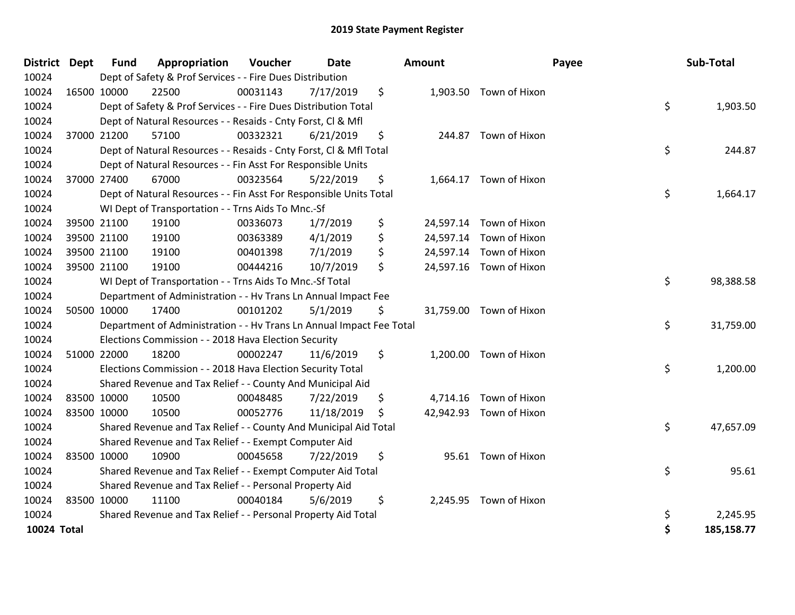| District Dept | <b>Fund</b> | Appropriation                                                        | <b>Voucher</b> | <b>Date</b> |    | <b>Amount</b> |                         | Payee | Sub-Total  |
|---------------|-------------|----------------------------------------------------------------------|----------------|-------------|----|---------------|-------------------------|-------|------------|
| 10024         |             | Dept of Safety & Prof Services - - Fire Dues Distribution            |                |             |    |               |                         |       |            |
| 10024         | 16500 10000 | 22500                                                                | 00031143       | 7/17/2019   | \$ |               | 1,903.50 Town of Hixon  |       |            |
| 10024         |             | Dept of Safety & Prof Services - - Fire Dues Distribution Total      |                |             |    |               |                         | \$    | 1,903.50   |
| 10024         |             | Dept of Natural Resources - - Resaids - Cnty Forst, Cl & Mfl         |                |             |    |               |                         |       |            |
| 10024         | 37000 21200 | 57100                                                                | 00332321       | 6/21/2019   | \$ | 244.87        | Town of Hixon           |       |            |
| 10024         |             | Dept of Natural Resources - - Resaids - Cnty Forst, Cl & Mfl Total   |                |             |    |               |                         | \$    | 244.87     |
| 10024         |             | Dept of Natural Resources - - Fin Asst For Responsible Units         |                |             |    |               |                         |       |            |
| 10024         | 37000 27400 | 67000                                                                | 00323564       | 5/22/2019   | \$ |               | 1,664.17 Town of Hixon  |       |            |
| 10024         |             | Dept of Natural Resources - - Fin Asst For Responsible Units Total   |                |             |    |               |                         | \$    | 1,664.17   |
| 10024         |             | WI Dept of Transportation - - Trns Aids To Mnc.-Sf                   |                |             |    |               |                         |       |            |
| 10024         | 39500 21100 | 19100                                                                | 00336073       | 1/7/2019    | \$ | 24,597.14     | Town of Hixon           |       |            |
| 10024         | 39500 21100 | 19100                                                                | 00363389       | 4/1/2019    | \$ |               | 24,597.14 Town of Hixon |       |            |
| 10024         | 39500 21100 | 19100                                                                | 00401398       | 7/1/2019    | \$ |               | 24,597.14 Town of Hixon |       |            |
| 10024         | 39500 21100 | 19100                                                                | 00444216       | 10/7/2019   | \$ |               | 24,597.16 Town of Hixon |       |            |
| 10024         |             | WI Dept of Transportation - - Trns Aids To Mnc.-Sf Total             |                |             |    |               |                         | \$    | 98,388.58  |
| 10024         |             | Department of Administration - - Hv Trans Ln Annual Impact Fee       |                |             |    |               |                         |       |            |
| 10024         | 50500 10000 | 17400                                                                | 00101202       | 5/1/2019    | \$ |               | 31,759.00 Town of Hixon |       |            |
| 10024         |             | Department of Administration - - Hv Trans Ln Annual Impact Fee Total |                |             |    |               |                         | \$    | 31,759.00  |
| 10024         |             | Elections Commission - - 2018 Hava Election Security                 |                |             |    |               |                         |       |            |
| 10024         | 51000 22000 | 18200                                                                | 00002247       | 11/6/2019   | \$ | 1,200.00      | Town of Hixon           |       |            |
| 10024         |             | Elections Commission - - 2018 Hava Election Security Total           |                |             |    |               |                         | \$    | 1,200.00   |
| 10024         |             | Shared Revenue and Tax Relief - - County And Municipal Aid           |                |             |    |               |                         |       |            |
| 10024         | 83500 10000 | 10500                                                                | 00048485       | 7/22/2019   | \$ | 4,714.16      | Town of Hixon           |       |            |
| 10024         | 83500 10000 | 10500                                                                | 00052776       | 11/18/2019  | S  |               | 42,942.93 Town of Hixon |       |            |
| 10024         |             | Shared Revenue and Tax Relief - - County And Municipal Aid Total     |                |             |    |               |                         | \$    | 47,657.09  |
| 10024         |             | Shared Revenue and Tax Relief - - Exempt Computer Aid                |                |             |    |               |                         |       |            |
| 10024         | 83500 10000 | 10900                                                                | 00045658       | 7/22/2019   | \$ | 95.61         | Town of Hixon           |       |            |
| 10024         |             | Shared Revenue and Tax Relief - - Exempt Computer Aid Total          |                |             |    |               |                         | \$    | 95.61      |
| 10024         |             | Shared Revenue and Tax Relief - - Personal Property Aid              |                |             |    |               |                         |       |            |
| 10024         | 83500 10000 | 11100                                                                | 00040184       | 5/6/2019    | \$ |               | 2,245.95 Town of Hixon  |       |            |
| 10024         |             | Shared Revenue and Tax Relief - - Personal Property Aid Total        |                |             |    |               |                         | \$    | 2,245.95   |
| 10024 Total   |             |                                                                      |                |             |    |               |                         | \$    | 185,158.77 |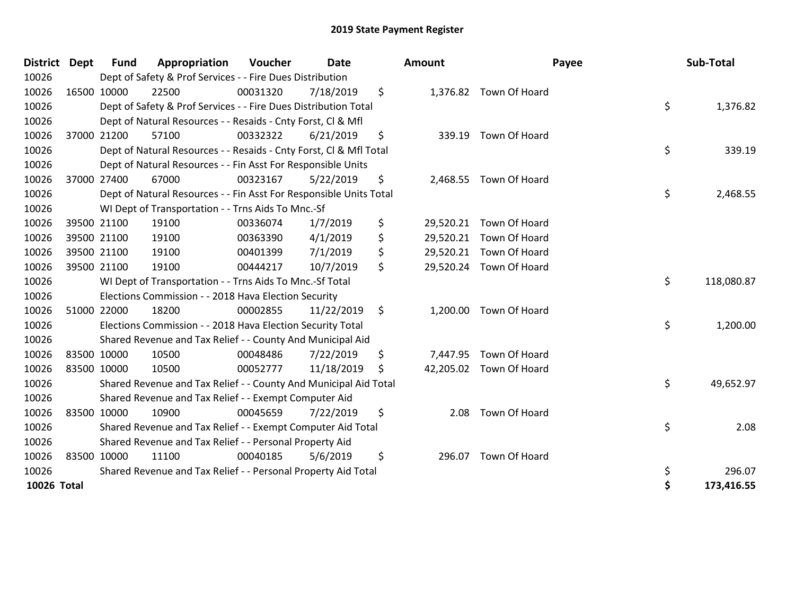| <b>District</b> | <b>Dept</b> | <b>Fund</b> | Appropriation                                                      | Voucher  | <b>Date</b> | Amount         |                         | Payee | Sub-Total  |
|-----------------|-------------|-------------|--------------------------------------------------------------------|----------|-------------|----------------|-------------------------|-------|------------|
| 10026           |             |             | Dept of Safety & Prof Services - - Fire Dues Distribution          |          |             |                |                         |       |            |
| 10026           |             | 16500 10000 | 22500                                                              | 00031320 | 7/18/2019   | \$             | 1,376.82 Town Of Hoard  |       |            |
| 10026           |             |             | Dept of Safety & Prof Services - - Fire Dues Distribution Total    |          |             |                |                         | \$    | 1,376.82   |
| 10026           |             |             | Dept of Natural Resources - - Resaids - Cnty Forst, Cl & Mfl       |          |             |                |                         |       |            |
| 10026           |             | 37000 21200 | 57100                                                              | 00332322 | 6/21/2019   | \$<br>339.19   | Town Of Hoard           |       |            |
| 10026           |             |             | Dept of Natural Resources - - Resaids - Cnty Forst, Cl & Mfl Total |          |             |                |                         | \$    | 339.19     |
| 10026           |             |             | Dept of Natural Resources - - Fin Asst For Responsible Units       |          |             |                |                         |       |            |
| 10026           |             | 37000 27400 | 67000                                                              | 00323167 | 5/22/2019   | \$             | 2,468.55 Town Of Hoard  |       |            |
| 10026           |             |             | Dept of Natural Resources - - Fin Asst For Responsible Units Total |          |             |                |                         | \$    | 2,468.55   |
| 10026           |             |             | WI Dept of Transportation - - Trns Aids To Mnc.-Sf                 |          |             |                |                         |       |            |
| 10026           |             | 39500 21100 | 19100                                                              | 00336074 | 1/7/2019    | \$             | 29,520.21 Town Of Hoard |       |            |
| 10026           |             | 39500 21100 | 19100                                                              | 00363390 | 4/1/2019    | \$             | 29,520.21 Town Of Hoard |       |            |
| 10026           |             | 39500 21100 | 19100                                                              | 00401399 | 7/1/2019    | \$             | 29,520.21 Town Of Hoard |       |            |
| 10026           |             | 39500 21100 | 19100                                                              | 00444217 | 10/7/2019   | \$             | 29,520.24 Town Of Hoard |       |            |
| 10026           |             |             | WI Dept of Transportation - - Trns Aids To Mnc.-Sf Total           |          |             |                |                         | \$    | 118,080.87 |
| 10026           |             |             | Elections Commission - - 2018 Hava Election Security               |          |             |                |                         |       |            |
| 10026           |             | 51000 22000 | 18200                                                              | 00002855 | 11/22/2019  | \$<br>1,200.00 | Town Of Hoard           |       |            |
| 10026           |             |             | Elections Commission - - 2018 Hava Election Security Total         |          |             |                |                         | \$    | 1,200.00   |
| 10026           |             |             | Shared Revenue and Tax Relief - - County And Municipal Aid         |          |             |                |                         |       |            |
| 10026           |             | 83500 10000 | 10500                                                              | 00048486 | 7/22/2019   | \$<br>7,447.95 | Town Of Hoard           |       |            |
| 10026           |             | 83500 10000 | 10500                                                              | 00052777 | 11/18/2019  | \$             | 42,205.02 Town Of Hoard |       |            |
| 10026           |             |             | Shared Revenue and Tax Relief - - County And Municipal Aid Total   |          |             |                |                         | \$    | 49,652.97  |
| 10026           |             |             | Shared Revenue and Tax Relief - - Exempt Computer Aid              |          |             |                |                         |       |            |
| 10026           |             | 83500 10000 | 10900                                                              | 00045659 | 7/22/2019   | \$<br>2.08     | Town Of Hoard           |       |            |
| 10026           |             |             | Shared Revenue and Tax Relief - - Exempt Computer Aid Total        |          |             |                |                         | \$    | 2.08       |
| 10026           |             |             | Shared Revenue and Tax Relief - - Personal Property Aid            |          |             |                |                         |       |            |
| 10026           |             | 83500 10000 | 11100                                                              | 00040185 | 5/6/2019    | \$<br>296.07   | Town Of Hoard           |       |            |
| 10026           |             |             | Shared Revenue and Tax Relief - - Personal Property Aid Total      |          |             |                |                         | \$    | 296.07     |
| 10026 Total     |             |             |                                                                    |          |             |                |                         | \$    | 173,416.55 |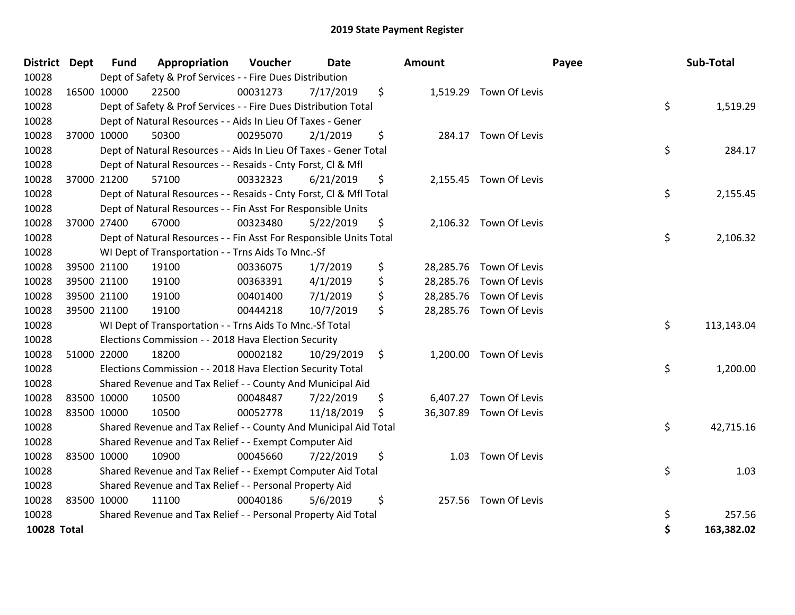| <b>District</b>    | <b>Dept</b> | <b>Fund</b> | Appropriation                                                      | Voucher  | <b>Date</b> | <b>Amount</b>   |                         | Payee | Sub-Total  |
|--------------------|-------------|-------------|--------------------------------------------------------------------|----------|-------------|-----------------|-------------------------|-------|------------|
| 10028              |             |             | Dept of Safety & Prof Services - - Fire Dues Distribution          |          |             |                 |                         |       |            |
| 10028              |             | 16500 10000 | 22500                                                              | 00031273 | 7/17/2019   | \$              | 1,519.29 Town Of Levis  |       |            |
| 10028              |             |             | Dept of Safety & Prof Services - - Fire Dues Distribution Total    |          |             |                 |                         | \$    | 1,519.29   |
| 10028              |             |             | Dept of Natural Resources - - Aids In Lieu Of Taxes - Gener        |          |             |                 |                         |       |            |
| 10028              |             | 37000 10000 | 50300                                                              | 00295070 | 2/1/2019    | \$<br>284.17    | Town Of Levis           |       |            |
| 10028              |             |             | Dept of Natural Resources - - Aids In Lieu Of Taxes - Gener Total  |          |             |                 |                         | \$    | 284.17     |
| 10028              |             |             | Dept of Natural Resources - - Resaids - Cnty Forst, Cl & Mfl       |          |             |                 |                         |       |            |
| 10028              |             | 37000 21200 | 57100                                                              | 00332323 | 6/21/2019   | \$              | 2,155.45 Town Of Levis  |       |            |
| 10028              |             |             | Dept of Natural Resources - - Resaids - Cnty Forst, CI & Mfl Total |          |             |                 |                         | \$    | 2,155.45   |
| 10028              |             |             | Dept of Natural Resources - - Fin Asst For Responsible Units       |          |             |                 |                         |       |            |
| 10028              |             | 37000 27400 | 67000                                                              | 00323480 | 5/22/2019   | \$              | 2,106.32 Town Of Levis  |       |            |
| 10028              |             |             | Dept of Natural Resources - - Fin Asst For Responsible Units Total |          |             |                 |                         | \$    | 2,106.32   |
| 10028              |             |             | WI Dept of Transportation - - Trns Aids To Mnc.-Sf                 |          |             |                 |                         |       |            |
| 10028              |             | 39500 21100 | 19100                                                              | 00336075 | 1/7/2019    | \$<br>28,285.76 | Town Of Levis           |       |            |
| 10028              |             | 39500 21100 | 19100                                                              | 00363391 | 4/1/2019    | \$<br>28,285.76 | Town Of Levis           |       |            |
| 10028              |             | 39500 21100 | 19100                                                              | 00401400 | 7/1/2019    | \$              | 28,285.76 Town Of Levis |       |            |
| 10028              |             | 39500 21100 | 19100                                                              | 00444218 | 10/7/2019   | \$              | 28,285.76 Town Of Levis |       |            |
| 10028              |             |             | WI Dept of Transportation - - Trns Aids To Mnc.-Sf Total           |          |             |                 |                         | \$    | 113,143.04 |
| 10028              |             |             | Elections Commission - - 2018 Hava Election Security               |          |             |                 |                         |       |            |
| 10028              |             | 51000 22000 | 18200                                                              | 00002182 | 10/29/2019  | \$              | 1,200.00 Town Of Levis  |       |            |
| 10028              |             |             | Elections Commission - - 2018 Hava Election Security Total         |          |             |                 |                         | \$    | 1,200.00   |
| 10028              |             |             | Shared Revenue and Tax Relief - - County And Municipal Aid         |          |             |                 |                         |       |            |
| 10028              |             | 83500 10000 | 10500                                                              | 00048487 | 7/22/2019   | \$              | 6,407.27 Town Of Levis  |       |            |
| 10028              |             | 83500 10000 | 10500                                                              | 00052778 | 11/18/2019  | \$              | 36,307.89 Town Of Levis |       |            |
| 10028              |             |             | Shared Revenue and Tax Relief - - County And Municipal Aid Total   |          |             |                 |                         | \$    | 42,715.16  |
| 10028              |             |             | Shared Revenue and Tax Relief - - Exempt Computer Aid              |          |             |                 |                         |       |            |
| 10028              |             | 83500 10000 | 10900                                                              | 00045660 | 7/22/2019   | \$<br>1.03      | Town Of Levis           |       |            |
| 10028              |             |             | Shared Revenue and Tax Relief - - Exempt Computer Aid Total        |          |             |                 |                         | \$    | 1.03       |
| 10028              |             |             | Shared Revenue and Tax Relief - - Personal Property Aid            |          |             |                 |                         |       |            |
| 10028              |             | 83500 10000 | 11100                                                              | 00040186 | 5/6/2019    | \$              | 257.56 Town Of Levis    |       |            |
| 10028              |             |             | Shared Revenue and Tax Relief - - Personal Property Aid Total      |          |             |                 |                         | \$    | 257.56     |
| <b>10028 Total</b> |             |             |                                                                    |          |             |                 |                         | \$    | 163,382.02 |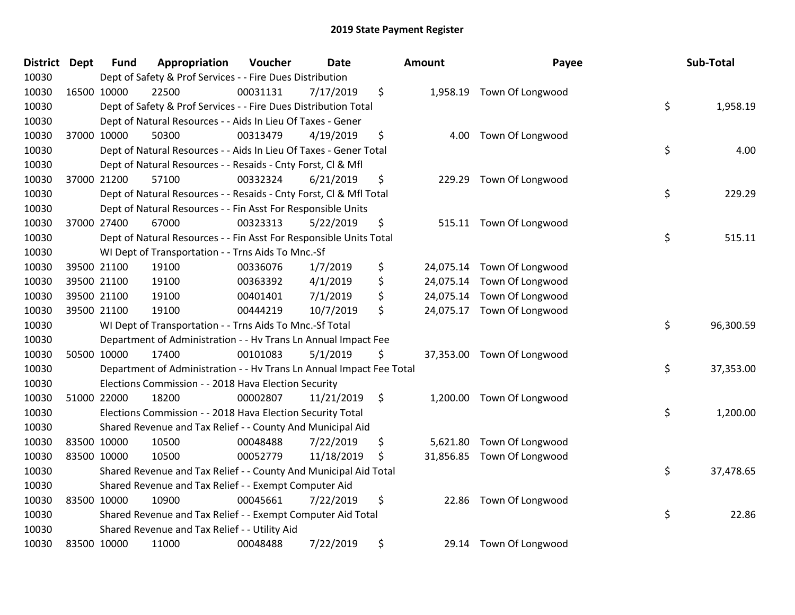| <b>District Dept</b> | <b>Fund</b> | Appropriation                                                        | Voucher  | <b>Date</b> |               | Amount   | Payee                      | Sub-Total       |
|----------------------|-------------|----------------------------------------------------------------------|----------|-------------|---------------|----------|----------------------------|-----------------|
| 10030                |             | Dept of Safety & Prof Services - - Fire Dues Distribution            |          |             |               |          |                            |                 |
| 10030                | 16500 10000 | 22500                                                                | 00031131 | 7/17/2019   | \$            |          | 1,958.19 Town Of Longwood  |                 |
| 10030                |             | Dept of Safety & Prof Services - - Fire Dues Distribution Total      |          |             |               |          |                            | \$<br>1,958.19  |
| 10030                |             | Dept of Natural Resources - - Aids In Lieu Of Taxes - Gener          |          |             |               |          |                            |                 |
| 10030                | 37000 10000 | 50300                                                                | 00313479 | 4/19/2019   | \$            | 4.00     | Town Of Longwood           |                 |
| 10030                |             | Dept of Natural Resources - - Aids In Lieu Of Taxes - Gener Total    |          |             |               |          |                            | \$<br>4.00      |
| 10030                |             | Dept of Natural Resources - - Resaids - Cnty Forst, Cl & Mfl         |          |             |               |          |                            |                 |
| 10030                | 37000 21200 | 57100                                                                | 00332324 | 6/21/2019   | \$            |          | 229.29 Town Of Longwood    |                 |
| 10030                |             | Dept of Natural Resources - - Resaids - Cnty Forst, CI & Mfl Total   |          |             |               |          |                            | \$<br>229.29    |
| 10030                |             | Dept of Natural Resources - - Fin Asst For Responsible Units         |          |             |               |          |                            |                 |
| 10030                | 37000 27400 | 67000                                                                | 00323313 | 5/22/2019   | \$            |          | 515.11 Town Of Longwood    |                 |
| 10030                |             | Dept of Natural Resources - - Fin Asst For Responsible Units Total   |          |             |               |          |                            | \$<br>515.11    |
| 10030                |             | WI Dept of Transportation - - Trns Aids To Mnc.-Sf                   |          |             |               |          |                            |                 |
| 10030                | 39500 21100 | 19100                                                                | 00336076 | 1/7/2019    | \$            |          | 24,075.14 Town Of Longwood |                 |
| 10030                | 39500 21100 | 19100                                                                | 00363392 | 4/1/2019    | \$            |          | 24,075.14 Town Of Longwood |                 |
| 10030                | 39500 21100 | 19100                                                                | 00401401 | 7/1/2019    | \$            |          | 24,075.14 Town Of Longwood |                 |
| 10030                | 39500 21100 | 19100                                                                | 00444219 | 10/7/2019   | \$            |          | 24,075.17 Town Of Longwood |                 |
| 10030                |             | WI Dept of Transportation - - Trns Aids To Mnc.-Sf Total             |          |             |               |          |                            | \$<br>96,300.59 |
| 10030                |             | Department of Administration - - Hv Trans Ln Annual Impact Fee       |          |             |               |          |                            |                 |
| 10030                | 50500 10000 | 17400                                                                | 00101083 | 5/1/2019    | \$            |          | 37,353.00 Town Of Longwood |                 |
| 10030                |             | Department of Administration - - Hv Trans Ln Annual Impact Fee Total |          |             |               |          |                            | \$<br>37,353.00 |
| 10030                |             | Elections Commission - - 2018 Hava Election Security                 |          |             |               |          |                            |                 |
| 10030                | 51000 22000 | 18200                                                                | 00002807 | 11/21/2019  | $\ddot{\phi}$ |          | 1,200.00 Town Of Longwood  |                 |
| 10030                |             | Elections Commission - - 2018 Hava Election Security Total           |          |             |               |          |                            | \$<br>1,200.00  |
| 10030                |             | Shared Revenue and Tax Relief - - County And Municipal Aid           |          |             |               |          |                            |                 |
| 10030                | 83500 10000 | 10500                                                                | 00048488 | 7/22/2019   | \$            | 5,621.80 | Town Of Longwood           |                 |
| 10030                | 83500 10000 | 10500                                                                | 00052779 | 11/18/2019  | \$            |          | 31,856.85 Town Of Longwood |                 |
| 10030                |             | Shared Revenue and Tax Relief - - County And Municipal Aid Total     |          |             |               |          |                            | \$<br>37,478.65 |
| 10030                |             | Shared Revenue and Tax Relief - - Exempt Computer Aid                |          |             |               |          |                            |                 |
| 10030                | 83500 10000 | 10900                                                                | 00045661 | 7/22/2019   | \$            |          | 22.86 Town Of Longwood     |                 |
| 10030                |             | Shared Revenue and Tax Relief - - Exempt Computer Aid Total          |          |             |               |          |                            | \$<br>22.86     |
| 10030                |             | Shared Revenue and Tax Relief - - Utility Aid                        |          |             |               |          |                            |                 |
| 10030                | 83500 10000 | 11000                                                                | 00048488 | 7/22/2019   | \$            |          | 29.14 Town Of Longwood     |                 |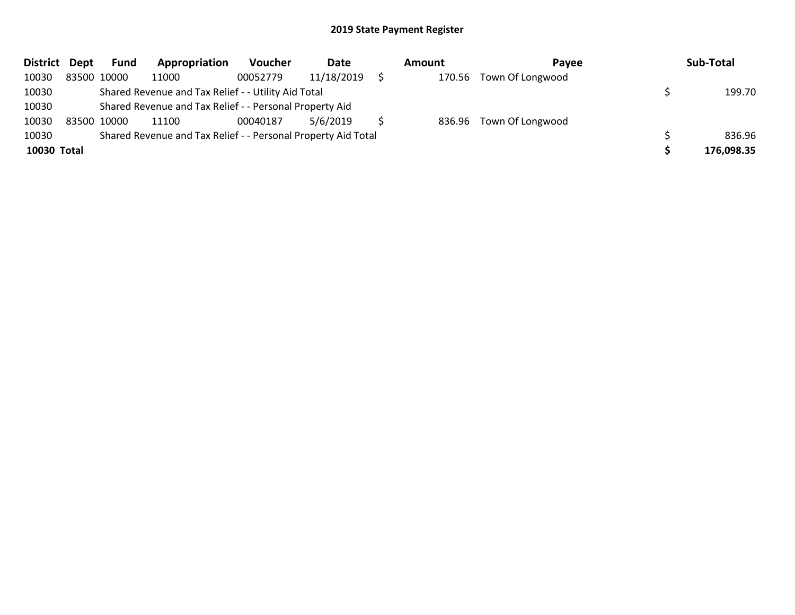| District Dept |             | <b>Fund</b> | Appropriation                                                 | <b>Voucher</b> | Date       | <b>Amount</b> | Pavee                   | Sub-Total  |
|---------------|-------------|-------------|---------------------------------------------------------------|----------------|------------|---------------|-------------------------|------------|
| 10030         |             | 83500 10000 | 11000                                                         | 00052779       | 11/18/2019 |               | 170.56 Town Of Longwood |            |
| 10030         |             |             | Shared Revenue and Tax Relief - - Utility Aid Total           |                |            |               |                         | 199.70     |
| 10030         |             |             | Shared Revenue and Tax Relief - - Personal Property Aid       |                |            |               |                         |            |
| 10030         | 83500 10000 |             | 11100                                                         | 00040187       | 5/6/2019   |               | 836.96 Town Of Longwood |            |
| 10030         |             |             | Shared Revenue and Tax Relief - - Personal Property Aid Total |                |            |               |                         | 836.96     |
| 10030 Total   |             |             |                                                               |                |            |               |                         | 176,098.35 |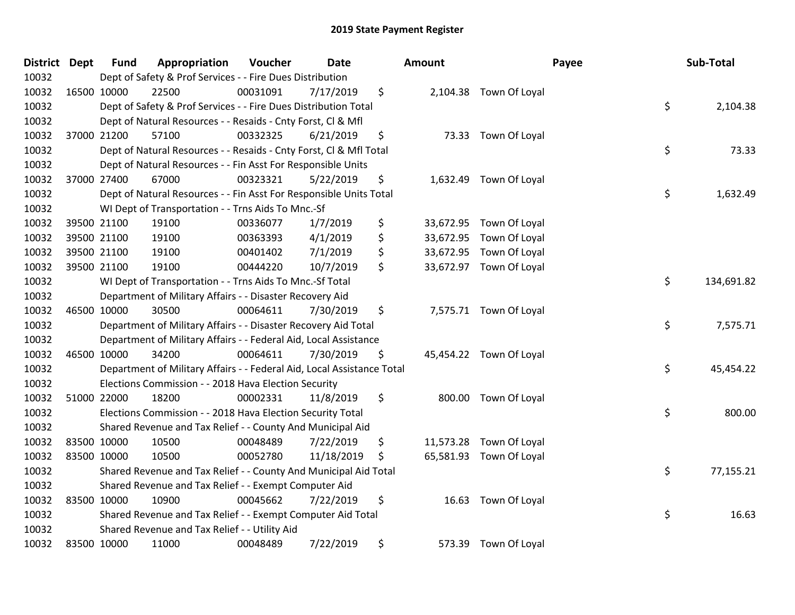| District Dept |             | <b>Fund</b> | Appropriation                                                          | Voucher  | <b>Date</b> | Amount          |                         | Payee | Sub-Total  |
|---------------|-------------|-------------|------------------------------------------------------------------------|----------|-------------|-----------------|-------------------------|-------|------------|
| 10032         |             |             | Dept of Safety & Prof Services - - Fire Dues Distribution              |          |             |                 |                         |       |            |
| 10032         | 16500 10000 |             | 22500                                                                  | 00031091 | 7/17/2019   | \$              | 2,104.38 Town Of Loyal  |       |            |
| 10032         |             |             | Dept of Safety & Prof Services - - Fire Dues Distribution Total        |          |             |                 |                         | \$    | 2,104.38   |
| 10032         |             |             | Dept of Natural Resources - - Resaids - Cnty Forst, Cl & Mfl           |          |             |                 |                         |       |            |
| 10032         |             | 37000 21200 | 57100                                                                  | 00332325 | 6/21/2019   | \$              | 73.33 Town Of Loyal     |       |            |
| 10032         |             |             | Dept of Natural Resources - - Resaids - Cnty Forst, Cl & Mfl Total     |          |             |                 |                         | \$    | 73.33      |
| 10032         |             |             | Dept of Natural Resources - - Fin Asst For Responsible Units           |          |             |                 |                         |       |            |
| 10032         |             | 37000 27400 | 67000                                                                  | 00323321 | 5/22/2019   | \$              | 1,632.49 Town Of Loyal  |       |            |
| 10032         |             |             | Dept of Natural Resources - - Fin Asst For Responsible Units Total     |          |             |                 |                         | \$    | 1,632.49   |
| 10032         |             |             | WI Dept of Transportation - - Trns Aids To Mnc.-Sf                     |          |             |                 |                         |       |            |
| 10032         |             | 39500 21100 | 19100                                                                  | 00336077 | 1/7/2019    | \$<br>33,672.95 | Town Of Loyal           |       |            |
| 10032         |             | 39500 21100 | 19100                                                                  | 00363393 | 4/1/2019    | \$<br>33,672.95 | Town Of Loyal           |       |            |
| 10032         |             | 39500 21100 | 19100                                                                  | 00401402 | 7/1/2019    | \$              | 33,672.95 Town Of Loyal |       |            |
| 10032         | 39500 21100 |             | 19100                                                                  | 00444220 | 10/7/2019   | \$              | 33,672.97 Town Of Loyal |       |            |
| 10032         |             |             | WI Dept of Transportation - - Trns Aids To Mnc.-Sf Total               |          |             |                 |                         | \$    | 134,691.82 |
| 10032         |             |             | Department of Military Affairs - - Disaster Recovery Aid               |          |             |                 |                         |       |            |
| 10032         |             | 46500 10000 | 30500                                                                  | 00064611 | 7/30/2019   | \$              | 7,575.71 Town Of Loyal  |       |            |
| 10032         |             |             | Department of Military Affairs - - Disaster Recovery Aid Total         |          |             |                 |                         | \$    | 7,575.71   |
| 10032         |             |             | Department of Military Affairs - - Federal Aid, Local Assistance       |          |             |                 |                         |       |            |
| 10032         | 46500 10000 |             | 34200                                                                  | 00064611 | 7/30/2019   | \$              | 45,454.22 Town Of Loyal |       |            |
| 10032         |             |             | Department of Military Affairs - - Federal Aid, Local Assistance Total |          |             |                 |                         | \$    | 45,454.22  |
| 10032         |             |             | Elections Commission - - 2018 Hava Election Security                   |          |             |                 |                         |       |            |
| 10032         |             | 51000 22000 | 18200                                                                  | 00002331 | 11/8/2019   | \$              | 800.00 Town Of Loyal    |       |            |
| 10032         |             |             | Elections Commission - - 2018 Hava Election Security Total             |          |             |                 |                         | \$    | 800.00     |
| 10032         |             |             | Shared Revenue and Tax Relief - - County And Municipal Aid             |          |             |                 |                         |       |            |
| 10032         |             | 83500 10000 | 10500                                                                  | 00048489 | 7/22/2019   | \$<br>11,573.28 | Town Of Loyal           |       |            |
| 10032         |             | 83500 10000 | 10500                                                                  | 00052780 | 11/18/2019  | \$              | 65,581.93 Town Of Loyal |       |            |
| 10032         |             |             | Shared Revenue and Tax Relief - - County And Municipal Aid Total       |          |             |                 |                         | \$    | 77,155.21  |
| 10032         |             |             | Shared Revenue and Tax Relief - - Exempt Computer Aid                  |          |             |                 |                         |       |            |
| 10032         | 83500 10000 |             | 10900                                                                  | 00045662 | 7/22/2019   | \$<br>16.63     | Town Of Loyal           |       |            |
| 10032         |             |             | Shared Revenue and Tax Relief - - Exempt Computer Aid Total            |          |             |                 |                         | \$    | 16.63      |
| 10032         |             |             | Shared Revenue and Tax Relief - - Utility Aid                          |          |             |                 |                         |       |            |
| 10032         | 83500 10000 |             | 11000                                                                  | 00048489 | 7/22/2019   | \$<br>573.39    | Town Of Loyal           |       |            |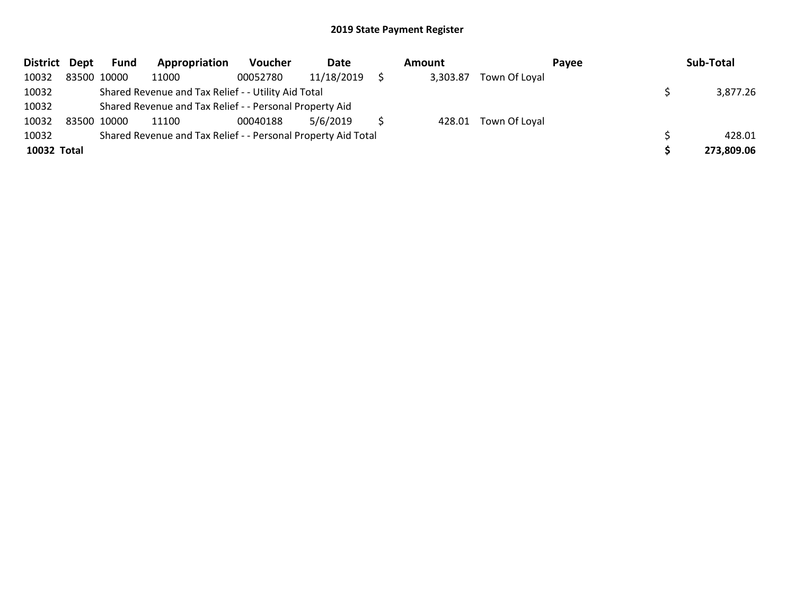| District Dept |             | <b>Fund</b> | Appropriation                                                 | <b>Voucher</b> | Date       | Amount   |                      | <b>Pavee</b> | Sub-Total  |
|---------------|-------------|-------------|---------------------------------------------------------------|----------------|------------|----------|----------------------|--------------|------------|
| 10032         | 83500 10000 |             | 11000                                                         | 00052780       | 11/18/2019 | 3,303.87 | Town Of Loyal        |              |            |
| 10032         |             |             | Shared Revenue and Tax Relief - - Utility Aid Total           |                |            |          |                      |              | 3,877.26   |
| 10032         |             |             | Shared Revenue and Tax Relief - - Personal Property Aid       |                |            |          |                      |              |            |
| 10032         | 83500 10000 |             | 11100                                                         | 00040188       | 5/6/2019   |          | 428.01 Town Of Loyal |              |            |
| 10032         |             |             | Shared Revenue and Tax Relief - - Personal Property Aid Total |                |            |          |                      |              | 428.01     |
| 10032 Total   |             |             |                                                               |                |            |          |                      |              | 273,809.06 |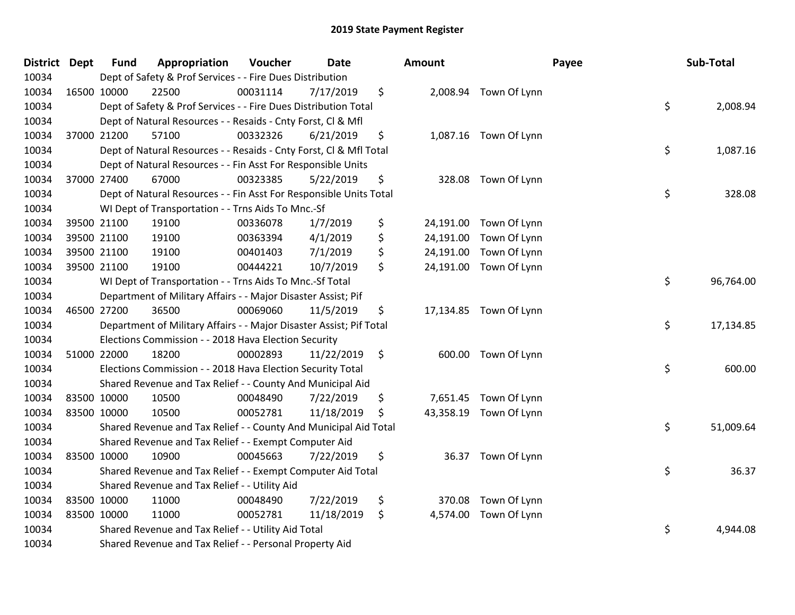| District Dept |             | <b>Fund</b> | Appropriation                                                       | Voucher  | <b>Date</b> | Amount          |                        | Payee | Sub-Total |
|---------------|-------------|-------------|---------------------------------------------------------------------|----------|-------------|-----------------|------------------------|-------|-----------|
| 10034         |             |             | Dept of Safety & Prof Services - - Fire Dues Distribution           |          |             |                 |                        |       |           |
| 10034         | 16500 10000 |             | 22500                                                               | 00031114 | 7/17/2019   | \$              | 2,008.94 Town Of Lynn  |       |           |
| 10034         |             |             | Dept of Safety & Prof Services - - Fire Dues Distribution Total     |          |             |                 |                        | \$    | 2,008.94  |
| 10034         |             |             | Dept of Natural Resources - - Resaids - Cnty Forst, Cl & Mfl        |          |             |                 |                        |       |           |
| 10034         |             | 37000 21200 | 57100                                                               | 00332326 | 6/21/2019   | \$              | 1,087.16 Town Of Lynn  |       |           |
| 10034         |             |             | Dept of Natural Resources - - Resaids - Cnty Forst, Cl & Mfl Total  |          |             |                 |                        | \$    | 1,087.16  |
| 10034         |             |             | Dept of Natural Resources - - Fin Asst For Responsible Units        |          |             |                 |                        |       |           |
| 10034         |             | 37000 27400 | 67000                                                               | 00323385 | 5/22/2019   | \$              | 328.08 Town Of Lynn    |       |           |
| 10034         |             |             | Dept of Natural Resources - - Fin Asst For Responsible Units Total  |          |             |                 |                        | \$    | 328.08    |
| 10034         |             |             | WI Dept of Transportation - - Trns Aids To Mnc.-Sf                  |          |             |                 |                        |       |           |
| 10034         |             | 39500 21100 | 19100                                                               | 00336078 | 1/7/2019    | \$              | 24,191.00 Town Of Lynn |       |           |
| 10034         |             | 39500 21100 | 19100                                                               | 00363394 | 4/1/2019    | \$<br>24,191.00 | Town Of Lynn           |       |           |
| 10034         |             | 39500 21100 | 19100                                                               | 00401403 | 7/1/2019    | \$              | 24,191.00 Town Of Lynn |       |           |
| 10034         |             | 39500 21100 | 19100                                                               | 00444221 | 10/7/2019   | \$              | 24,191.00 Town Of Lynn |       |           |
| 10034         |             |             | WI Dept of Transportation - - Trns Aids To Mnc.-Sf Total            |          |             |                 |                        | \$    | 96,764.00 |
| 10034         |             |             | Department of Military Affairs - - Major Disaster Assist; Pif       |          |             |                 |                        |       |           |
| 10034         |             | 46500 27200 | 36500                                                               | 00069060 | 11/5/2019   | \$              | 17,134.85 Town Of Lynn |       |           |
| 10034         |             |             | Department of Military Affairs - - Major Disaster Assist; Pif Total |          |             |                 |                        | \$    | 17,134.85 |
| 10034         |             |             | Elections Commission - - 2018 Hava Election Security                |          |             |                 |                        |       |           |
| 10034         | 51000 22000 |             | 18200                                                               | 00002893 | 11/22/2019  | \$              | 600.00 Town Of Lynn    |       |           |
| 10034         |             |             | Elections Commission - - 2018 Hava Election Security Total          |          |             |                 |                        | \$    | 600.00    |
| 10034         |             |             | Shared Revenue and Tax Relief - - County And Municipal Aid          |          |             |                 |                        |       |           |
| 10034         |             | 83500 10000 | 10500                                                               | 00048490 | 7/22/2019   | \$              | 7,651.45 Town Of Lynn  |       |           |
| 10034         |             | 83500 10000 | 10500                                                               | 00052781 | 11/18/2019  | \$              | 43,358.19 Town Of Lynn |       |           |
| 10034         |             |             | Shared Revenue and Tax Relief - - County And Municipal Aid Total    |          |             |                 |                        | \$    | 51,009.64 |
| 10034         |             |             | Shared Revenue and Tax Relief - - Exempt Computer Aid               |          |             |                 |                        |       |           |
| 10034         |             | 83500 10000 | 10900                                                               | 00045663 | 7/22/2019   | \$              | 36.37 Town Of Lynn     |       |           |
| 10034         |             |             | Shared Revenue and Tax Relief - - Exempt Computer Aid Total         |          |             |                 |                        | \$    | 36.37     |
| 10034         |             |             | Shared Revenue and Tax Relief - - Utility Aid                       |          |             |                 |                        |       |           |
| 10034         |             | 83500 10000 | 11000                                                               | 00048490 | 7/22/2019   | \$<br>370.08    | Town Of Lynn           |       |           |
| 10034         |             | 83500 10000 | 11000                                                               | 00052781 | 11/18/2019  | \$<br>4,574.00  | Town Of Lynn           |       |           |
| 10034         |             |             | Shared Revenue and Tax Relief - - Utility Aid Total                 |          |             |                 |                        | \$    | 4,944.08  |
| 10034         |             |             | Shared Revenue and Tax Relief - - Personal Property Aid             |          |             |                 |                        |       |           |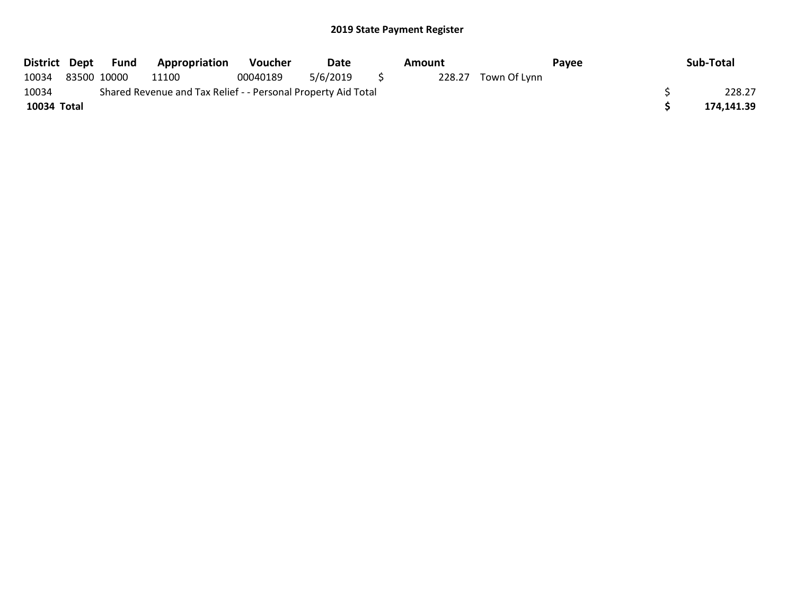|             | District Dept Fund | <b>Appropriation</b>                                          | Voucher  | Date     | Amount |              | Pavee | Sub-Total  |
|-------------|--------------------|---------------------------------------------------------------|----------|----------|--------|--------------|-------|------------|
| 10034       | 83500 10000        | 11100                                                         | 00040189 | 5/6/2019 | 228.27 | Town Of Lynn |       |            |
| 10034       |                    | Shared Revenue and Tax Relief - - Personal Property Aid Total |          |          |        |              |       | 228.27     |
| 10034 Total |                    |                                                               |          |          |        |              |       | 174,141.39 |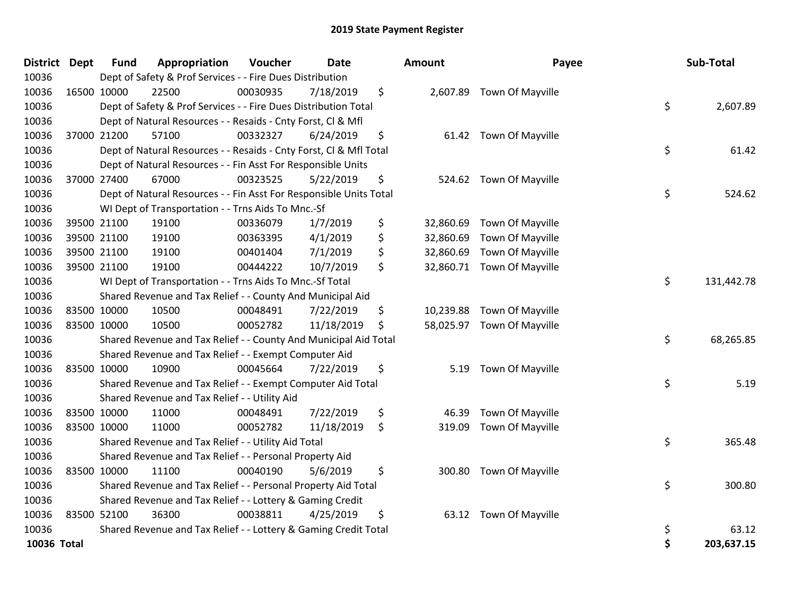| District Dept | <b>Fund</b> | Appropriation                                                      | Voucher  | <b>Date</b> | Amount          | Payee                      | Sub-Total        |
|---------------|-------------|--------------------------------------------------------------------|----------|-------------|-----------------|----------------------------|------------------|
| 10036         |             | Dept of Safety & Prof Services - - Fire Dues Distribution          |          |             |                 |                            |                  |
| 10036         | 16500 10000 | 22500                                                              | 00030935 | 7/18/2019   | \$              | 2,607.89 Town Of Mayville  |                  |
| 10036         |             | Dept of Safety & Prof Services - - Fire Dues Distribution Total    |          |             |                 |                            | \$<br>2,607.89   |
| 10036         |             | Dept of Natural Resources - - Resaids - Cnty Forst, CI & Mfl       |          |             |                 |                            |                  |
| 10036         | 37000 21200 | 57100                                                              | 00332327 | 6/24/2019   | \$              | 61.42 Town Of Mayville     |                  |
| 10036         |             | Dept of Natural Resources - - Resaids - Cnty Forst, CI & Mfl Total |          |             |                 |                            | \$<br>61.42      |
| 10036         |             | Dept of Natural Resources - - Fin Asst For Responsible Units       |          |             |                 |                            |                  |
| 10036         | 37000 27400 | 67000                                                              | 00323525 | 5/22/2019   | \$              | 524.62 Town Of Mayville    |                  |
| 10036         |             | Dept of Natural Resources - - Fin Asst For Responsible Units Total |          |             |                 |                            | \$<br>524.62     |
| 10036         |             | WI Dept of Transportation - - Trns Aids To Mnc.-Sf                 |          |             |                 |                            |                  |
| 10036         | 39500 21100 | 19100                                                              | 00336079 | 1/7/2019    | \$<br>32,860.69 | Town Of Mayville           |                  |
| 10036         | 39500 21100 | 19100                                                              | 00363395 | 4/1/2019    | \$<br>32,860.69 | Town Of Mayville           |                  |
| 10036         | 39500 21100 | 19100                                                              | 00401404 | 7/1/2019    | \$<br>32,860.69 | Town Of Mayville           |                  |
| 10036         | 39500 21100 | 19100                                                              | 00444222 | 10/7/2019   | \$<br>32,860.71 | Town Of Mayville           |                  |
| 10036         |             | WI Dept of Transportation - - Trns Aids To Mnc.-Sf Total           |          |             |                 |                            | \$<br>131,442.78 |
| 10036         |             | Shared Revenue and Tax Relief - - County And Municipal Aid         |          |             |                 |                            |                  |
| 10036         | 83500 10000 | 10500                                                              | 00048491 | 7/22/2019   | \$<br>10,239.88 | Town Of Mayville           |                  |
| 10036         | 83500 10000 | 10500                                                              | 00052782 | 11/18/2019  | \$              | 58,025.97 Town Of Mayville |                  |
| 10036         |             | Shared Revenue and Tax Relief - - County And Municipal Aid Total   |          |             |                 |                            | \$<br>68,265.85  |
| 10036         |             | Shared Revenue and Tax Relief - - Exempt Computer Aid              |          |             |                 |                            |                  |
| 10036         | 83500 10000 | 10900                                                              | 00045664 | 7/22/2019   | \$<br>5.19      | Town Of Mayville           |                  |
| 10036         |             | Shared Revenue and Tax Relief - - Exempt Computer Aid Total        |          |             |                 |                            | \$<br>5.19       |
| 10036         |             | Shared Revenue and Tax Relief - - Utility Aid                      |          |             |                 |                            |                  |
| 10036         | 83500 10000 | 11000                                                              | 00048491 | 7/22/2019   | \$<br>46.39     | Town Of Mayville           |                  |
| 10036         | 83500 10000 | 11000                                                              | 00052782 | 11/18/2019  | \$<br>319.09    | Town Of Mayville           |                  |
| 10036         |             | Shared Revenue and Tax Relief - - Utility Aid Total                |          |             |                 |                            | \$<br>365.48     |
| 10036         |             | Shared Revenue and Tax Relief - - Personal Property Aid            |          |             |                 |                            |                  |
| 10036         | 83500 10000 | 11100                                                              | 00040190 | 5/6/2019    | \$              | 300.80 Town Of Mayville    |                  |
| 10036         |             | Shared Revenue and Tax Relief - - Personal Property Aid Total      |          |             |                 |                            | \$<br>300.80     |
| 10036         |             | Shared Revenue and Tax Relief - - Lottery & Gaming Credit          |          |             |                 |                            |                  |
| 10036         | 83500 52100 | 36300                                                              | 00038811 | 4/25/2019   | \$<br>63.12     | Town Of Mayville           |                  |
| 10036         |             | Shared Revenue and Tax Relief - - Lottery & Gaming Credit Total    |          |             |                 |                            | \$<br>63.12      |
| 10036 Total   |             |                                                                    |          |             |                 |                            | \$<br>203,637.15 |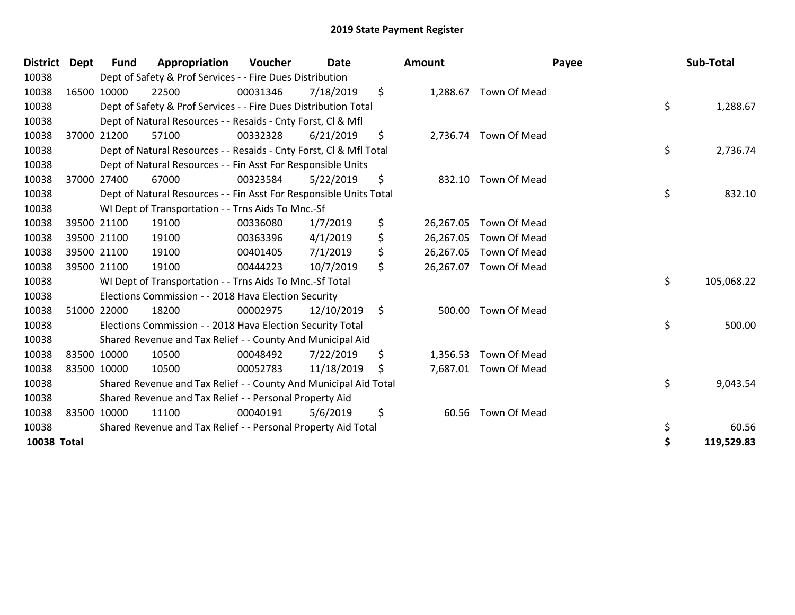| District Dept |             | Fund        | Appropriation                                                      | Voucher  | <b>Date</b> | Amount          | Payee                 | Sub-Total        |
|---------------|-------------|-------------|--------------------------------------------------------------------|----------|-------------|-----------------|-----------------------|------------------|
| 10038         |             |             | Dept of Safety & Prof Services - - Fire Dues Distribution          |          |             |                 |                       |                  |
| 10038         | 16500 10000 |             | 22500                                                              | 00031346 | 7/18/2019   | \$              | 1,288.67 Town Of Mead |                  |
| 10038         |             |             | Dept of Safety & Prof Services - - Fire Dues Distribution Total    |          |             |                 |                       | \$<br>1,288.67   |
| 10038         |             |             | Dept of Natural Resources - - Resaids - Cnty Forst, CI & Mfl       |          |             |                 |                       |                  |
| 10038         |             | 37000 21200 | 57100                                                              | 00332328 | 6/21/2019   | \$              | 2,736.74 Town Of Mead |                  |
| 10038         |             |             | Dept of Natural Resources - - Resaids - Cnty Forst, Cl & Mfl Total |          |             |                 |                       | \$<br>2,736.74   |
| 10038         |             |             | Dept of Natural Resources - - Fin Asst For Responsible Units       |          |             |                 |                       |                  |
| 10038         | 37000 27400 |             | 67000                                                              | 00323584 | 5/22/2019   | \$              | 832.10 Town Of Mead   |                  |
| 10038         |             |             | Dept of Natural Resources - - Fin Asst For Responsible Units Total |          |             |                 |                       | \$<br>832.10     |
| 10038         |             |             | WI Dept of Transportation - - Trns Aids To Mnc.-Sf                 |          |             |                 |                       |                  |
| 10038         |             | 39500 21100 | 19100                                                              | 00336080 | 1/7/2019    | \$<br>26,267.05 | Town Of Mead          |                  |
| 10038         |             | 39500 21100 | 19100                                                              | 00363396 | 4/1/2019    | \$<br>26,267.05 | <b>Town Of Mead</b>   |                  |
| 10038         |             | 39500 21100 | 19100                                                              | 00401405 | 7/1/2019    | \$<br>26,267.05 | Town Of Mead          |                  |
| 10038         | 39500 21100 |             | 19100                                                              | 00444223 | 10/7/2019   | \$<br>26,267.07 | Town Of Mead          |                  |
| 10038         |             |             | WI Dept of Transportation - - Trns Aids To Mnc.-Sf Total           |          |             |                 |                       | \$<br>105,068.22 |
| 10038         |             |             | Elections Commission - - 2018 Hava Election Security               |          |             |                 |                       |                  |
| 10038         |             | 51000 22000 | 18200                                                              | 00002975 | 12/10/2019  | \$<br>500.00    | Town Of Mead          |                  |
| 10038         |             |             | Elections Commission - - 2018 Hava Election Security Total         |          |             |                 |                       | \$<br>500.00     |
| 10038         |             |             | Shared Revenue and Tax Relief - - County And Municipal Aid         |          |             |                 |                       |                  |
| 10038         | 83500 10000 |             | 10500                                                              | 00048492 | 7/22/2019   | \$<br>1,356.53  | Town Of Mead          |                  |
| 10038         | 83500 10000 |             | 10500                                                              | 00052783 | 11/18/2019  | \$              | 7,687.01 Town Of Mead |                  |
| 10038         |             |             | Shared Revenue and Tax Relief - - County And Municipal Aid Total   |          |             |                 |                       | \$<br>9,043.54   |
| 10038         |             |             | Shared Revenue and Tax Relief - - Personal Property Aid            |          |             |                 |                       |                  |
| 10038         | 83500 10000 |             | 11100                                                              | 00040191 | 5/6/2019    | \$<br>60.56     | Town Of Mead          |                  |
| 10038         |             |             | Shared Revenue and Tax Relief - - Personal Property Aid Total      |          |             |                 |                       | \$<br>60.56      |
| 10038 Total   |             |             |                                                                    |          |             |                 |                       | \$<br>119,529.83 |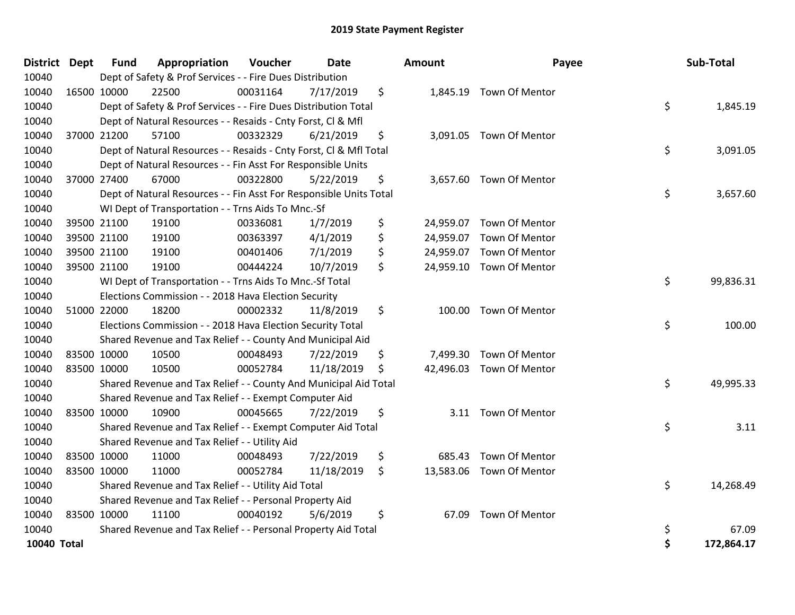| District Dept | <b>Fund</b> | Appropriation                                                      | Voucher  | Date       | <b>Amount</b> | Payee                    | <b>Sub-Total</b> |
|---------------|-------------|--------------------------------------------------------------------|----------|------------|---------------|--------------------------|------------------|
| 10040         |             | Dept of Safety & Prof Services - - Fire Dues Distribution          |          |            |               |                          |                  |
| 10040         | 16500 10000 | 22500                                                              | 00031164 | 7/17/2019  | \$            | 1,845.19 Town Of Mentor  |                  |
| 10040         |             | Dept of Safety & Prof Services - - Fire Dues Distribution Total    |          |            |               |                          | \$<br>1,845.19   |
| 10040         |             | Dept of Natural Resources - - Resaids - Cnty Forst, CI & Mfl       |          |            |               |                          |                  |
| 10040         | 37000 21200 | 57100                                                              | 00332329 | 6/21/2019  | \$            | 3,091.05 Town Of Mentor  |                  |
| 10040         |             | Dept of Natural Resources - - Resaids - Cnty Forst, CI & Mfl Total |          |            |               |                          | \$<br>3,091.05   |
| 10040         |             | Dept of Natural Resources - - Fin Asst For Responsible Units       |          |            |               |                          |                  |
| 10040         | 37000 27400 | 67000                                                              | 00322800 | 5/22/2019  | \$            | 3,657.60 Town Of Mentor  |                  |
| 10040         |             | Dept of Natural Resources - - Fin Asst For Responsible Units Total |          |            |               |                          | \$<br>3,657.60   |
| 10040         |             | WI Dept of Transportation - - Trns Aids To Mnc.-Sf                 |          |            |               |                          |                  |
| 10040         | 39500 21100 | 19100                                                              | 00336081 | 1/7/2019   | \$            | 24,959.07 Town Of Mentor |                  |
| 10040         | 39500 21100 | 19100                                                              | 00363397 | 4/1/2019   | \$            | 24,959.07 Town Of Mentor |                  |
| 10040         | 39500 21100 | 19100                                                              | 00401406 | 7/1/2019   | \$            | 24,959.07 Town Of Mentor |                  |
| 10040         | 39500 21100 | 19100                                                              | 00444224 | 10/7/2019  | \$            | 24,959.10 Town Of Mentor |                  |
| 10040         |             | WI Dept of Transportation - - Trns Aids To Mnc.-Sf Total           |          |            |               |                          | \$<br>99,836.31  |
| 10040         |             | Elections Commission - - 2018 Hava Election Security               |          |            |               |                          |                  |
| 10040         | 51000 22000 | 18200                                                              | 00002332 | 11/8/2019  | \$<br>100.00  | Town Of Mentor           |                  |
| 10040         |             | Elections Commission - - 2018 Hava Election Security Total         |          |            |               |                          | \$<br>100.00     |
| 10040         |             | Shared Revenue and Tax Relief - - County And Municipal Aid         |          |            |               |                          |                  |
| 10040         | 83500 10000 | 10500                                                              | 00048493 | 7/22/2019  | \$            | 7,499.30 Town Of Mentor  |                  |
| 10040         | 83500 10000 | 10500                                                              | 00052784 | 11/18/2019 | \$            | 42,496.03 Town Of Mentor |                  |
| 10040         |             | Shared Revenue and Tax Relief - - County And Municipal Aid Total   |          |            |               |                          | \$<br>49,995.33  |
| 10040         |             | Shared Revenue and Tax Relief - - Exempt Computer Aid              |          |            |               |                          |                  |
| 10040         | 83500 10000 | 10900                                                              | 00045665 | 7/22/2019  | \$<br>3.11    | Town Of Mentor           |                  |
| 10040         |             | Shared Revenue and Tax Relief - - Exempt Computer Aid Total        |          |            |               |                          | \$<br>3.11       |
| 10040         |             | Shared Revenue and Tax Relief - - Utility Aid                      |          |            |               |                          |                  |
| 10040         | 83500 10000 | 11000                                                              | 00048493 | 7/22/2019  | \$<br>685.43  | Town Of Mentor           |                  |
| 10040         | 83500 10000 | 11000                                                              | 00052784 | 11/18/2019 | \$            | 13,583.06 Town Of Mentor |                  |
| 10040         |             | Shared Revenue and Tax Relief - - Utility Aid Total                |          |            |               |                          | \$<br>14,268.49  |
| 10040         |             | Shared Revenue and Tax Relief - - Personal Property Aid            |          |            |               |                          |                  |
| 10040         | 83500 10000 | 11100                                                              | 00040192 | 5/6/2019   | \$<br>67.09   | Town Of Mentor           |                  |
| 10040         |             | Shared Revenue and Tax Relief - - Personal Property Aid Total      |          |            |               |                          | \$<br>67.09      |
| 10040 Total   |             |                                                                    |          |            |               |                          | \$<br>172,864.17 |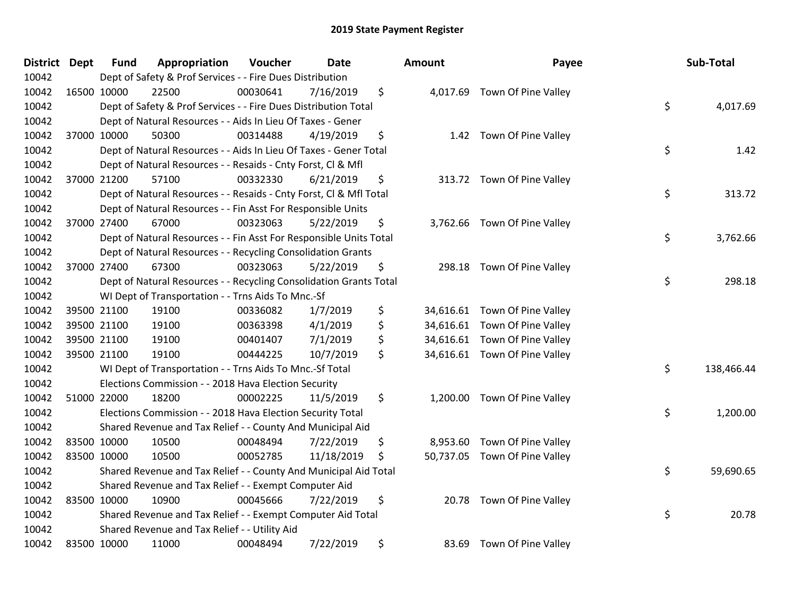| District Dept | <b>Fund</b> | Appropriation                                                      | Voucher  | Date       | <b>Amount</b>   | Payee                         | Sub-Total        |
|---------------|-------------|--------------------------------------------------------------------|----------|------------|-----------------|-------------------------------|------------------|
| 10042         |             | Dept of Safety & Prof Services - - Fire Dues Distribution          |          |            |                 |                               |                  |
| 10042         | 16500 10000 | 22500                                                              | 00030641 | 7/16/2019  | \$              | 4,017.69 Town Of Pine Valley  |                  |
| 10042         |             | Dept of Safety & Prof Services - - Fire Dues Distribution Total    |          |            |                 |                               | \$<br>4,017.69   |
| 10042         |             | Dept of Natural Resources - - Aids In Lieu Of Taxes - Gener        |          |            |                 |                               |                  |
| 10042         | 37000 10000 | 50300                                                              | 00314488 | 4/19/2019  | \$<br>1.42      | Town Of Pine Valley           |                  |
| 10042         |             | Dept of Natural Resources - - Aids In Lieu Of Taxes - Gener Total  |          |            |                 |                               | \$<br>1.42       |
| 10042         |             | Dept of Natural Resources - - Resaids - Cnty Forst, Cl & Mfl       |          |            |                 |                               |                  |
| 10042         | 37000 21200 | 57100                                                              | 00332330 | 6/21/2019  | \$              | 313.72 Town Of Pine Valley    |                  |
| 10042         |             | Dept of Natural Resources - - Resaids - Cnty Forst, Cl & Mfl Total |          |            |                 |                               | \$<br>313.72     |
| 10042         |             | Dept of Natural Resources - - Fin Asst For Responsible Units       |          |            |                 |                               |                  |
| 10042         | 37000 27400 | 67000                                                              | 00323063 | 5/22/2019  | \$              | 3,762.66 Town Of Pine Valley  |                  |
| 10042         |             | Dept of Natural Resources - - Fin Asst For Responsible Units Total |          |            |                 |                               | \$<br>3,762.66   |
| 10042         |             | Dept of Natural Resources - - Recycling Consolidation Grants       |          |            |                 |                               |                  |
| 10042         | 37000 27400 | 67300                                                              | 00323063 | 5/22/2019  | \$              | 298.18 Town Of Pine Valley    |                  |
| 10042         |             | Dept of Natural Resources - - Recycling Consolidation Grants Total |          |            |                 |                               | \$<br>298.18     |
| 10042         |             | WI Dept of Transportation - - Trns Aids To Mnc.-Sf                 |          |            |                 |                               |                  |
| 10042         | 39500 21100 | 19100                                                              | 00336082 | 1/7/2019   | \$<br>34,616.61 | Town Of Pine Valley           |                  |
| 10042         | 39500 21100 | 19100                                                              | 00363398 | 4/1/2019   | \$              | 34,616.61 Town Of Pine Valley |                  |
| 10042         | 39500 21100 | 19100                                                              | 00401407 | 7/1/2019   | \$              | 34,616.61 Town Of Pine Valley |                  |
| 10042         | 39500 21100 | 19100                                                              | 00444225 | 10/7/2019  | \$              | 34,616.61 Town Of Pine Valley |                  |
| 10042         |             | WI Dept of Transportation - - Trns Aids To Mnc.-Sf Total           |          |            |                 |                               | \$<br>138,466.44 |
| 10042         |             | Elections Commission - - 2018 Hava Election Security               |          |            |                 |                               |                  |
| 10042         | 51000 22000 | 18200                                                              | 00002225 | 11/5/2019  | \$              | 1,200.00 Town Of Pine Valley  |                  |
| 10042         |             | Elections Commission - - 2018 Hava Election Security Total         |          |            |                 |                               | \$<br>1,200.00   |
| 10042         |             | Shared Revenue and Tax Relief - - County And Municipal Aid         |          |            |                 |                               |                  |
| 10042         | 83500 10000 | 10500                                                              | 00048494 | 7/22/2019  | \$<br>8,953.60  | Town Of Pine Valley           |                  |
| 10042         | 83500 10000 | 10500                                                              | 00052785 | 11/18/2019 | \$              | 50,737.05 Town Of Pine Valley |                  |
| 10042         |             | Shared Revenue and Tax Relief - - County And Municipal Aid Total   |          |            |                 |                               | \$<br>59,690.65  |
| 10042         |             | Shared Revenue and Tax Relief - - Exempt Computer Aid              |          |            |                 |                               |                  |
| 10042         | 83500 10000 | 10900                                                              | 00045666 | 7/22/2019  | \$              | 20.78 Town Of Pine Valley     |                  |
| 10042         |             | Shared Revenue and Tax Relief - - Exempt Computer Aid Total        |          |            |                 |                               | \$<br>20.78      |
| 10042         |             | Shared Revenue and Tax Relief - - Utility Aid                      |          |            |                 |                               |                  |
| 10042         | 83500 10000 | 11000                                                              | 00048494 | 7/22/2019  | \$<br>83.69     | Town Of Pine Valley           |                  |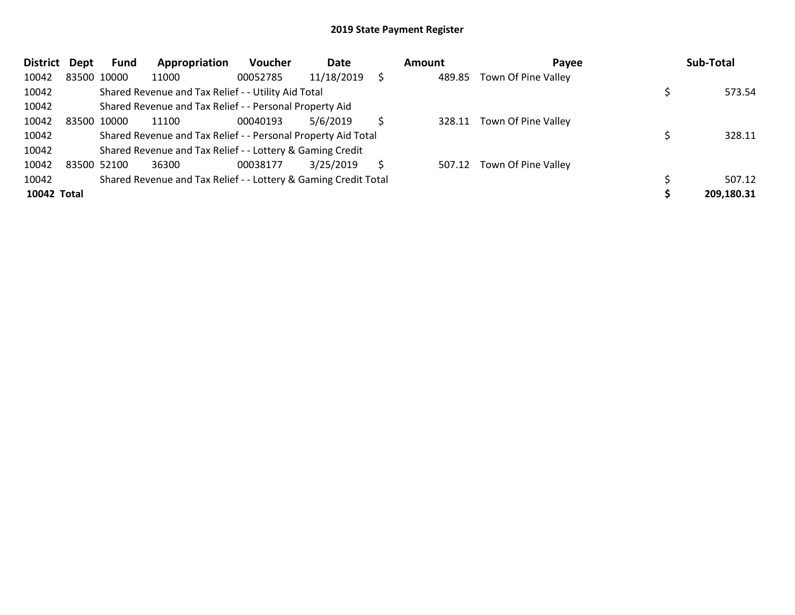| <b>District</b>    | Dept | Fund        | Appropriation                                                   | <b>Voucher</b> | Date       |    | Amount | Payee                      | Sub-Total  |
|--------------------|------|-------------|-----------------------------------------------------------------|----------------|------------|----|--------|----------------------------|------------|
| 10042              |      | 83500 10000 | 11000                                                           | 00052785       | 11/18/2019 |    | 489.85 | Town Of Pine Valley        |            |
| 10042              |      |             | Shared Revenue and Tax Relief - - Utility Aid Total             |                |            |    |        |                            | 573.54     |
| 10042              |      |             | Shared Revenue and Tax Relief - - Personal Property Aid         |                |            |    |        |                            |            |
| 10042              |      | 83500 10000 | 11100                                                           | 00040193       | 5/6/2019   |    |        | 328.11 Town Of Pine Valley |            |
| 10042              |      |             | Shared Revenue and Tax Relief - - Personal Property Aid Total   |                |            |    |        |                            | 328.11     |
| 10042              |      |             | Shared Revenue and Tax Relief - - Lottery & Gaming Credit       |                |            |    |        |                            |            |
| 10042              |      | 83500 52100 | 36300                                                           | 00038177       | 3/25/2019  | S. |        | 507.12 Town Of Pine Valley |            |
| 10042              |      |             | Shared Revenue and Tax Relief - - Lottery & Gaming Credit Total |                |            |    |        |                            | 507.12     |
| <b>10042 Total</b> |      |             |                                                                 |                |            |    |        |                            | 209,180.31 |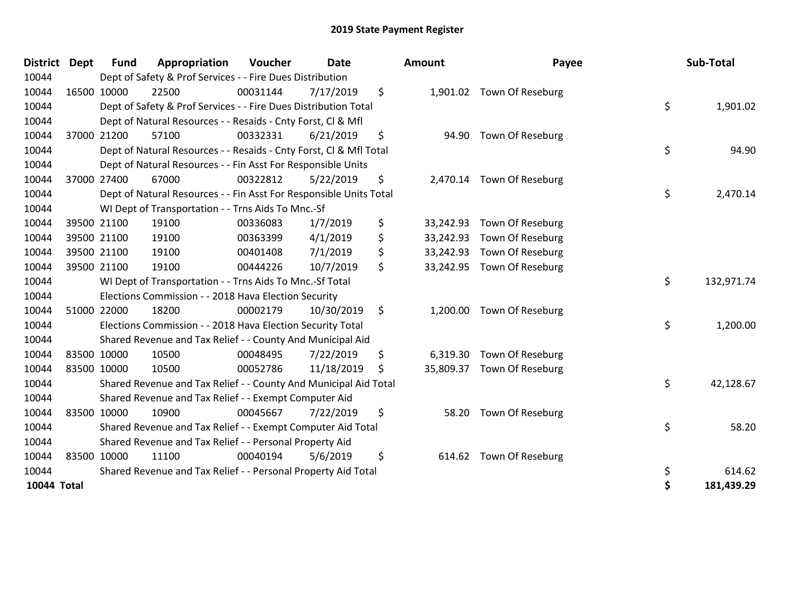| <b>District</b>    | <b>Dept</b> | <b>Fund</b> | Appropriation                                                      | Voucher  | <b>Date</b> | Amount          | Payee                      | Sub-Total        |
|--------------------|-------------|-------------|--------------------------------------------------------------------|----------|-------------|-----------------|----------------------------|------------------|
| 10044              |             |             | Dept of Safety & Prof Services - - Fire Dues Distribution          |          |             |                 |                            |                  |
| 10044              |             | 16500 10000 | 22500                                                              | 00031144 | 7/17/2019   | \$              | 1,901.02 Town Of Reseburg  |                  |
| 10044              |             |             | Dept of Safety & Prof Services - - Fire Dues Distribution Total    |          |             |                 |                            | \$<br>1,901.02   |
| 10044              |             |             | Dept of Natural Resources - - Resaids - Cnty Forst, CI & Mfl       |          |             |                 |                            |                  |
| 10044              |             | 37000 21200 | 57100                                                              | 00332331 | 6/21/2019   | \$              | 94.90 Town Of Reseburg     |                  |
| 10044              |             |             | Dept of Natural Resources - - Resaids - Cnty Forst, Cl & Mfl Total |          |             |                 |                            | \$<br>94.90      |
| 10044              |             |             | Dept of Natural Resources - - Fin Asst For Responsible Units       |          |             |                 |                            |                  |
| 10044              |             | 37000 27400 | 67000                                                              | 00322812 | 5/22/2019   | \$              | 2,470.14 Town Of Reseburg  |                  |
| 10044              |             |             | Dept of Natural Resources - - Fin Asst For Responsible Units Total |          |             |                 |                            | \$<br>2,470.14   |
| 10044              |             |             | WI Dept of Transportation - - Trns Aids To Mnc.-Sf                 |          |             |                 |                            |                  |
| 10044              |             | 39500 21100 | 19100                                                              | 00336083 | 1/7/2019    | \$<br>33,242.93 | Town Of Reseburg           |                  |
| 10044              |             | 39500 21100 | 19100                                                              | 00363399 | 4/1/2019    | \$<br>33,242.93 | Town Of Reseburg           |                  |
| 10044              |             | 39500 21100 | 19100                                                              | 00401408 | 7/1/2019    | \$<br>33,242.93 | Town Of Reseburg           |                  |
| 10044              |             | 39500 21100 | 19100                                                              | 00444226 | 10/7/2019   | \$<br>33,242.95 | Town Of Reseburg           |                  |
| 10044              |             |             | WI Dept of Transportation - - Trns Aids To Mnc.-Sf Total           |          |             |                 |                            | \$<br>132,971.74 |
| 10044              |             |             | Elections Commission - - 2018 Hava Election Security               |          |             |                 |                            |                  |
| 10044              |             | 51000 22000 | 18200                                                              | 00002179 | 10/30/2019  | \$              | 1,200.00 Town Of Reseburg  |                  |
| 10044              |             |             | Elections Commission - - 2018 Hava Election Security Total         |          |             |                 |                            | \$<br>1,200.00   |
| 10044              |             |             | Shared Revenue and Tax Relief - - County And Municipal Aid         |          |             |                 |                            |                  |
| 10044              |             | 83500 10000 | 10500                                                              | 00048495 | 7/22/2019   | \$<br>6,319.30  | Town Of Reseburg           |                  |
| 10044              |             | 83500 10000 | 10500                                                              | 00052786 | 11/18/2019  | \$              | 35,809.37 Town Of Reseburg |                  |
| 10044              |             |             | Shared Revenue and Tax Relief - - County And Municipal Aid Total   |          |             |                 |                            | \$<br>42,128.67  |
| 10044              |             |             | Shared Revenue and Tax Relief - - Exempt Computer Aid              |          |             |                 |                            |                  |
| 10044              |             | 83500 10000 | 10900                                                              | 00045667 | 7/22/2019   | \$<br>58.20     | Town Of Reseburg           |                  |
| 10044              |             |             | Shared Revenue and Tax Relief - - Exempt Computer Aid Total        |          |             |                 |                            | \$<br>58.20      |
| 10044              |             |             | Shared Revenue and Tax Relief - - Personal Property Aid            |          |             |                 |                            |                  |
| 10044              |             | 83500 10000 | 11100                                                              | 00040194 | 5/6/2019    | \$<br>614.62    | Town Of Reseburg           |                  |
| 10044              |             |             | Shared Revenue and Tax Relief - - Personal Property Aid Total      |          |             |                 |                            | \$<br>614.62     |
| <b>10044 Total</b> |             |             |                                                                    |          |             |                 |                            | \$<br>181,439.29 |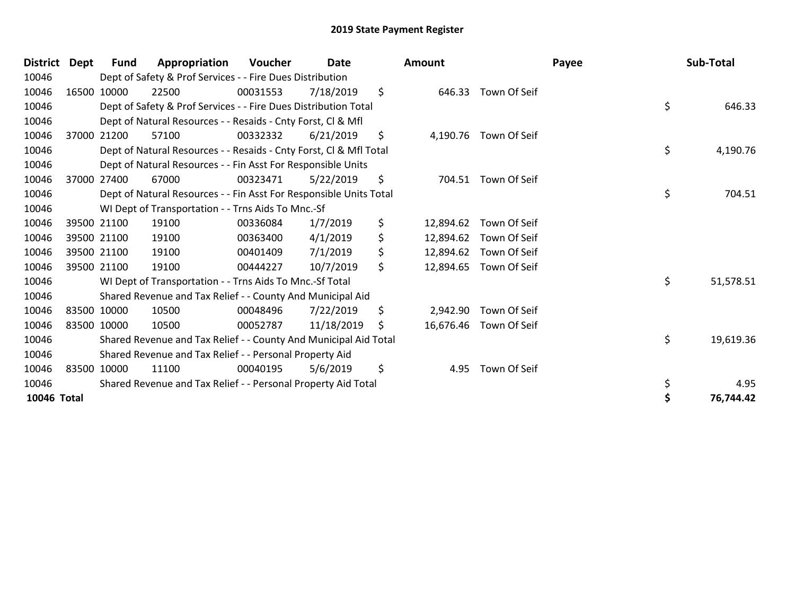| <b>District</b> | Dept | Fund        | Appropriation                                                      | Voucher  | Date       | <b>Amount</b>   |                        | Payee | Sub-Total |
|-----------------|------|-------------|--------------------------------------------------------------------|----------|------------|-----------------|------------------------|-------|-----------|
| 10046           |      |             | Dept of Safety & Prof Services - - Fire Dues Distribution          |          |            |                 |                        |       |           |
| 10046           |      | 16500 10000 | 22500                                                              | 00031553 | 7/18/2019  | \$              | 646.33 Town Of Seif    |       |           |
| 10046           |      |             | Dept of Safety & Prof Services - - Fire Dues Distribution Total    |          |            |                 |                        | \$    | 646.33    |
| 10046           |      |             | Dept of Natural Resources - - Resaids - Cnty Forst, Cl & Mfl       |          |            |                 |                        |       |           |
| 10046           |      | 37000 21200 | 57100                                                              | 00332332 | 6/21/2019  | \$              | 4,190.76 Town Of Seif  |       |           |
| 10046           |      |             | Dept of Natural Resources - - Resaids - Cnty Forst, Cl & Mfl Total |          |            |                 |                        | \$    | 4,190.76  |
| 10046           |      |             | Dept of Natural Resources - - Fin Asst For Responsible Units       |          |            |                 |                        |       |           |
| 10046           |      | 37000 27400 | 67000                                                              | 00323471 | 5/22/2019  | \$<br>704.51    | Town Of Seif           |       |           |
| 10046           |      |             | Dept of Natural Resources - - Fin Asst For Responsible Units Total |          |            |                 |                        | \$    | 704.51    |
| 10046           |      |             | WI Dept of Transportation - - Trns Aids To Mnc.-Sf                 |          |            |                 |                        |       |           |
| 10046           |      | 39500 21100 | 19100                                                              | 00336084 | 1/7/2019   | \$<br>12,894.62 | Town Of Seif           |       |           |
| 10046           |      | 39500 21100 | 19100                                                              | 00363400 | 4/1/2019   | \$<br>12,894.62 | Town Of Seif           |       |           |
| 10046           |      | 39500 21100 | 19100                                                              | 00401409 | 7/1/2019   | \$<br>12,894.62 | Town Of Seif           |       |           |
| 10046           |      | 39500 21100 | 19100                                                              | 00444227 | 10/7/2019  | \$<br>12,894.65 | Town Of Seif           |       |           |
| 10046           |      |             | WI Dept of Transportation - - Trns Aids To Mnc.-Sf Total           |          |            |                 |                        | \$    | 51,578.51 |
| 10046           |      |             | Shared Revenue and Tax Relief - - County And Municipal Aid         |          |            |                 |                        |       |           |
| 10046           |      | 83500 10000 | 10500                                                              | 00048496 | 7/22/2019  | \$<br>2,942.90  | Town Of Seif           |       |           |
| 10046           |      | 83500 10000 | 10500                                                              | 00052787 | 11/18/2019 | \$              | 16,676.46 Town Of Seif |       |           |
| 10046           |      |             | Shared Revenue and Tax Relief - - County And Municipal Aid Total   |          |            |                 |                        | \$    | 19,619.36 |
| 10046           |      |             | Shared Revenue and Tax Relief - - Personal Property Aid            |          |            |                 |                        |       |           |
| 10046           |      | 83500 10000 | 11100                                                              | 00040195 | 5/6/2019   | \$<br>4.95      | Town Of Seif           |       |           |
| 10046           |      |             | Shared Revenue and Tax Relief - - Personal Property Aid Total      |          |            |                 |                        | \$    | 4.95      |
| 10046 Total     |      |             |                                                                    |          |            |                 |                        |       | 76,744.42 |
|                 |      |             |                                                                    |          |            |                 |                        |       |           |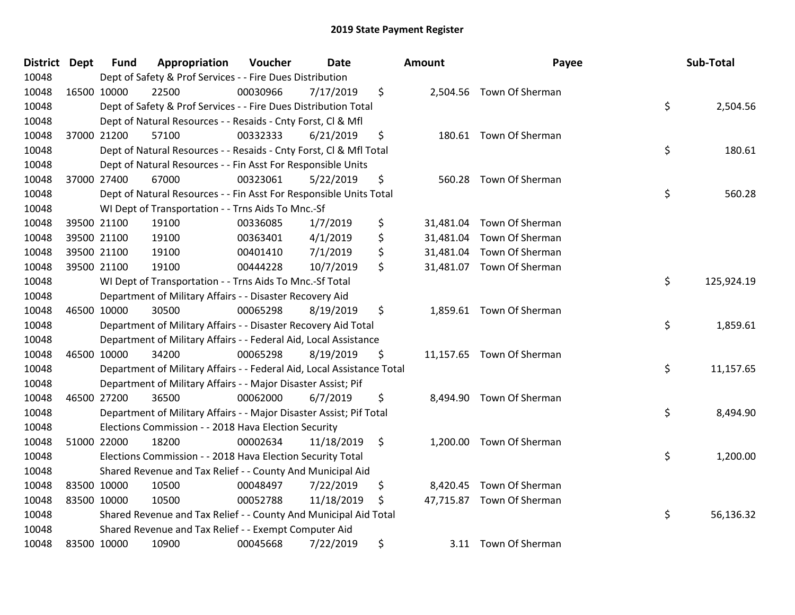| District Dept | <b>Fund</b> | Appropriation                                                          | Voucher  | <b>Date</b> | Amount | Payee                     | Sub-Total        |
|---------------|-------------|------------------------------------------------------------------------|----------|-------------|--------|---------------------------|------------------|
| 10048         |             | Dept of Safety & Prof Services - - Fire Dues Distribution              |          |             |        |                           |                  |
| 10048         | 16500 10000 | 22500                                                                  | 00030966 | 7/17/2019   | \$     | 2,504.56 Town Of Sherman  |                  |
| 10048         |             | Dept of Safety & Prof Services - - Fire Dues Distribution Total        |          |             |        |                           | \$<br>2,504.56   |
| 10048         |             | Dept of Natural Resources - - Resaids - Cnty Forst, Cl & Mfl           |          |             |        |                           |                  |
| 10048         | 37000 21200 | 57100                                                                  | 00332333 | 6/21/2019   | \$     | 180.61 Town Of Sherman    |                  |
| 10048         |             | Dept of Natural Resources - - Resaids - Cnty Forst, Cl & Mfl Total     |          |             |        |                           | \$<br>180.61     |
| 10048         |             | Dept of Natural Resources - - Fin Asst For Responsible Units           |          |             |        |                           |                  |
| 10048         | 37000 27400 | 67000                                                                  | 00323061 | 5/22/2019   | \$     | 560.28 Town Of Sherman    |                  |
| 10048         |             | Dept of Natural Resources - - Fin Asst For Responsible Units Total     |          |             |        |                           | \$<br>560.28     |
| 10048         |             | WI Dept of Transportation - - Trns Aids To Mnc.-Sf                     |          |             |        |                           |                  |
| 10048         | 39500 21100 | 19100                                                                  | 00336085 | 1/7/2019    | \$     | 31,481.04 Town Of Sherman |                  |
| 10048         | 39500 21100 | 19100                                                                  | 00363401 | 4/1/2019    | \$     | 31,481.04 Town Of Sherman |                  |
| 10048         | 39500 21100 | 19100                                                                  | 00401410 | 7/1/2019    | \$     | 31,481.04 Town Of Sherman |                  |
| 10048         | 39500 21100 | 19100                                                                  | 00444228 | 10/7/2019   | \$     | 31,481.07 Town Of Sherman |                  |
| 10048         |             | WI Dept of Transportation - - Trns Aids To Mnc.-Sf Total               |          |             |        |                           | \$<br>125,924.19 |
| 10048         |             | Department of Military Affairs - - Disaster Recovery Aid               |          |             |        |                           |                  |
| 10048         | 46500 10000 | 30500                                                                  | 00065298 | 8/19/2019   | \$     | 1,859.61 Town Of Sherman  |                  |
| 10048         |             | Department of Military Affairs - - Disaster Recovery Aid Total         |          |             |        |                           | \$<br>1,859.61   |
| 10048         |             | Department of Military Affairs - - Federal Aid, Local Assistance       |          |             |        |                           |                  |
| 10048         | 46500 10000 | 34200                                                                  | 00065298 | 8/19/2019   | \$     | 11,157.65 Town Of Sherman |                  |
| 10048         |             | Department of Military Affairs - - Federal Aid, Local Assistance Total |          |             |        |                           | \$<br>11,157.65  |
| 10048         |             | Department of Military Affairs - - Major Disaster Assist; Pif          |          |             |        |                           |                  |
| 10048         | 46500 27200 | 36500                                                                  | 00062000 | 6/7/2019    | \$     | 8,494.90 Town Of Sherman  |                  |
| 10048         |             | Department of Military Affairs - - Major Disaster Assist; Pif Total    |          |             |        |                           | \$<br>8,494.90   |
| 10048         |             | Elections Commission - - 2018 Hava Election Security                   |          |             |        |                           |                  |
| 10048         | 51000 22000 | 18200                                                                  | 00002634 | 11/18/2019  | \$     | 1,200.00 Town Of Sherman  |                  |
| 10048         |             | Elections Commission - - 2018 Hava Election Security Total             |          |             |        |                           | \$<br>1,200.00   |
| 10048         |             | Shared Revenue and Tax Relief - - County And Municipal Aid             |          |             |        |                           |                  |
| 10048         | 83500 10000 | 10500                                                                  | 00048497 | 7/22/2019   | \$     | 8,420.45 Town Of Sherman  |                  |
| 10048         | 83500 10000 | 10500                                                                  | 00052788 | 11/18/2019  | \$     | 47,715.87 Town Of Sherman |                  |
| 10048         |             | Shared Revenue and Tax Relief - - County And Municipal Aid Total       |          |             |        |                           | \$<br>56,136.32  |
| 10048         |             | Shared Revenue and Tax Relief - - Exempt Computer Aid                  |          |             |        |                           |                  |
| 10048         | 83500 10000 | 10900                                                                  | 00045668 | 7/22/2019   | \$     | 3.11 Town Of Sherman      |                  |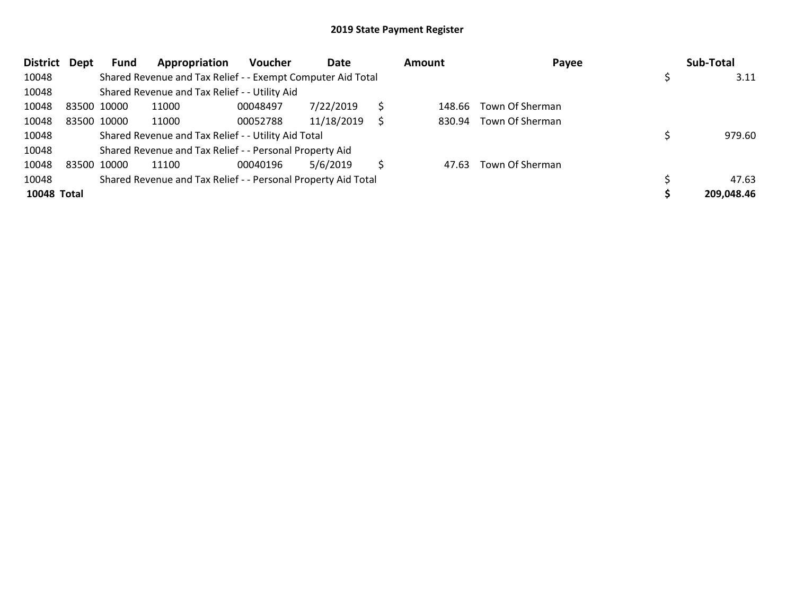| District Dept |             | <b>Fund</b> | Appropriation                                                 | <b>Voucher</b> | Date       |   | Amount | Payee           | Sub-Total  |
|---------------|-------------|-------------|---------------------------------------------------------------|----------------|------------|---|--------|-----------------|------------|
| 10048         |             |             | Shared Revenue and Tax Relief - - Exempt Computer Aid Total   |                |            |   |        |                 | 3.11       |
| 10048         |             |             | Shared Revenue and Tax Relief - - Utility Aid                 |                |            |   |        |                 |            |
| 10048         | 83500 10000 |             | 11000                                                         | 00048497       | 7/22/2019  |   | 148.66 | Town Of Sherman |            |
| 10048         |             | 83500 10000 | 11000                                                         | 00052788       | 11/18/2019 |   | 830.94 | Town Of Sherman |            |
| 10048         |             |             | Shared Revenue and Tax Relief - - Utility Aid Total           |                |            |   |        |                 | 979.60     |
| 10048         |             |             | Shared Revenue and Tax Relief - - Personal Property Aid       |                |            |   |        |                 |            |
| 10048         |             | 83500 10000 | 11100                                                         | 00040196       | 5/6/2019   | Ś | 47.63  | Town Of Sherman |            |
| 10048         |             |             | Shared Revenue and Tax Relief - - Personal Property Aid Total |                |            |   |        |                 | 47.63      |
| 10048 Total   |             |             |                                                               |                |            |   |        |                 | 209,048.46 |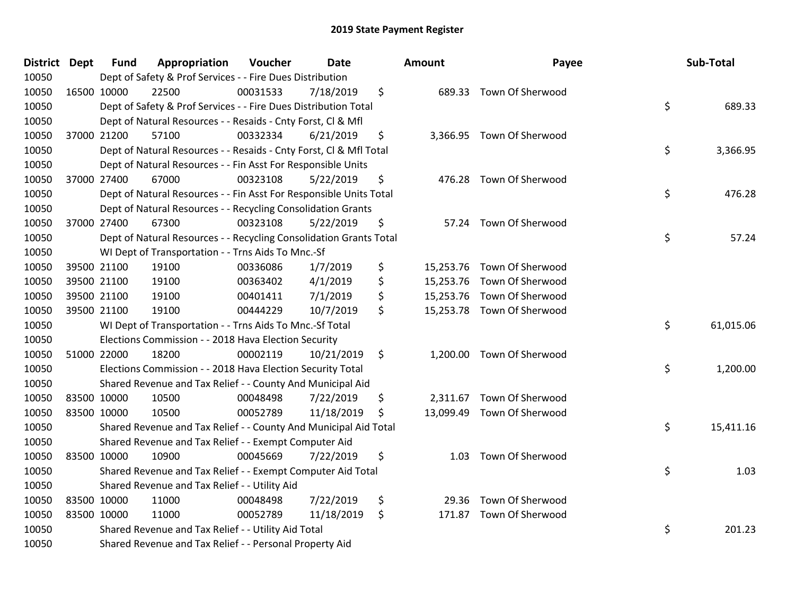| <b>District Dept</b> | <b>Fund</b> | Appropriation                                                      | Voucher  | Date       | <b>Amount</b> | Payee                      | Sub-Total       |
|----------------------|-------------|--------------------------------------------------------------------|----------|------------|---------------|----------------------------|-----------------|
| 10050                |             | Dept of Safety & Prof Services - - Fire Dues Distribution          |          |            |               |                            |                 |
| 10050                | 16500 10000 | 22500                                                              | 00031533 | 7/18/2019  | \$            | 689.33 Town Of Sherwood    |                 |
| 10050                |             | Dept of Safety & Prof Services - - Fire Dues Distribution Total    |          |            |               |                            | \$<br>689.33    |
| 10050                |             | Dept of Natural Resources - - Resaids - Cnty Forst, CI & Mfl       |          |            |               |                            |                 |
| 10050                | 37000 21200 | 57100                                                              | 00332334 | 6/21/2019  | \$            | 3,366.95 Town Of Sherwood  |                 |
| 10050                |             | Dept of Natural Resources - - Resaids - Cnty Forst, Cl & Mfl Total |          |            |               |                            | \$<br>3,366.95  |
| 10050                |             | Dept of Natural Resources - - Fin Asst For Responsible Units       |          |            |               |                            |                 |
| 10050                | 37000 27400 | 67000                                                              | 00323108 | 5/22/2019  | \$<br>476.28  | Town Of Sherwood           |                 |
| 10050                |             | Dept of Natural Resources - - Fin Asst For Responsible Units Total |          |            |               |                            | \$<br>476.28    |
| 10050                |             | Dept of Natural Resources - - Recycling Consolidation Grants       |          |            |               |                            |                 |
| 10050                | 37000 27400 | 67300                                                              | 00323108 | 5/22/2019  | \$            | 57.24 Town Of Sherwood     |                 |
| 10050                |             | Dept of Natural Resources - - Recycling Consolidation Grants Total |          |            |               |                            | \$<br>57.24     |
| 10050                |             | WI Dept of Transportation - - Trns Aids To Mnc.-Sf                 |          |            |               |                            |                 |
| 10050                | 39500 21100 | 19100                                                              | 00336086 | 1/7/2019   | \$            | 15,253.76 Town Of Sherwood |                 |
| 10050                | 39500 21100 | 19100                                                              | 00363402 | 4/1/2019   | \$            | 15,253.76 Town Of Sherwood |                 |
| 10050                | 39500 21100 | 19100                                                              | 00401411 | 7/1/2019   | \$            | 15,253.76 Town Of Sherwood |                 |
| 10050                | 39500 21100 | 19100                                                              | 00444229 | 10/7/2019  | \$            | 15,253.78 Town Of Sherwood |                 |
| 10050                |             | WI Dept of Transportation - - Trns Aids To Mnc.-Sf Total           |          |            |               |                            | \$<br>61,015.06 |
| 10050                |             | Elections Commission - - 2018 Hava Election Security               |          |            |               |                            |                 |
| 10050                | 51000 22000 | 18200                                                              | 00002119 | 10/21/2019 | \$            | 1,200.00 Town Of Sherwood  |                 |
| 10050                |             | Elections Commission - - 2018 Hava Election Security Total         |          |            |               |                            | \$<br>1,200.00  |
| 10050                |             | Shared Revenue and Tax Relief - - County And Municipal Aid         |          |            |               |                            |                 |
| 10050                | 83500 10000 | 10500                                                              | 00048498 | 7/22/2019  | \$            | 2,311.67 Town Of Sherwood  |                 |
| 10050                | 83500 10000 | 10500                                                              | 00052789 | 11/18/2019 | \$            | 13,099.49 Town Of Sherwood |                 |
| 10050                |             | Shared Revenue and Tax Relief - - County And Municipal Aid Total   |          |            |               |                            | \$<br>15,411.16 |
| 10050                |             | Shared Revenue and Tax Relief - - Exempt Computer Aid              |          |            |               |                            |                 |
| 10050                | 83500 10000 | 10900                                                              | 00045669 | 7/22/2019  | \$<br>1.03    | Town Of Sherwood           |                 |
| 10050                |             | Shared Revenue and Tax Relief - - Exempt Computer Aid Total        |          |            |               |                            | \$<br>1.03      |
| 10050                |             | Shared Revenue and Tax Relief - - Utility Aid                      |          |            |               |                            |                 |
| 10050                | 83500 10000 | 11000                                                              | 00048498 | 7/22/2019  | \$            | 29.36 Town Of Sherwood     |                 |
| 10050                | 83500 10000 | 11000                                                              | 00052789 | 11/18/2019 | \$            | 171.87 Town Of Sherwood    |                 |
| 10050                |             | Shared Revenue and Tax Relief - - Utility Aid Total                |          |            |               |                            | \$<br>201.23    |
| 10050                |             | Shared Revenue and Tax Relief - - Personal Property Aid            |          |            |               |                            |                 |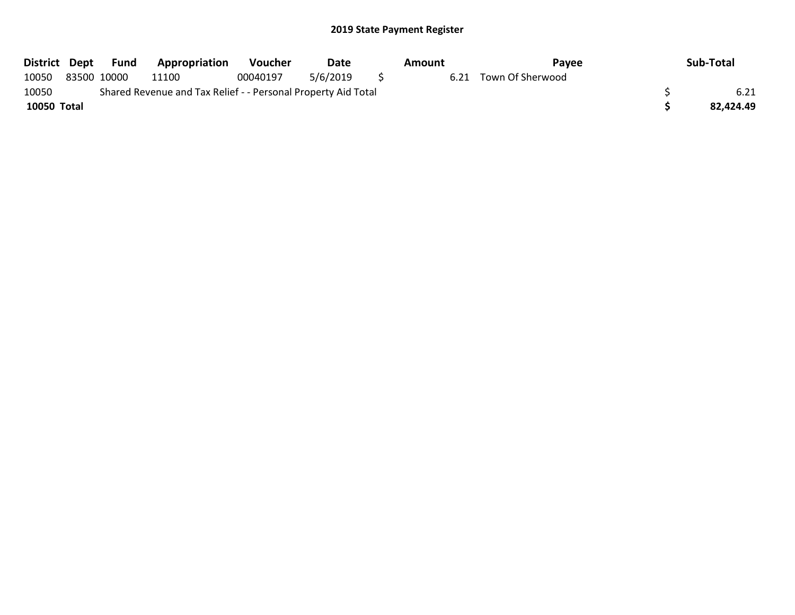| District Dept | Fund        | Appropriation                                                 | <b>Voucher</b> | Date     | Amount | Pavee            | Sub-Total |
|---------------|-------------|---------------------------------------------------------------|----------------|----------|--------|------------------|-----------|
| 10050         | 83500 10000 | 11100                                                         | 00040197       | 5/6/2019 | 6.21   | Town Of Sherwood |           |
| 10050         |             | Shared Revenue and Tax Relief - - Personal Property Aid Total |                |          |        |                  | 6.21      |
| 10050 Total   |             |                                                               |                |          |        |                  | 82.424.49 |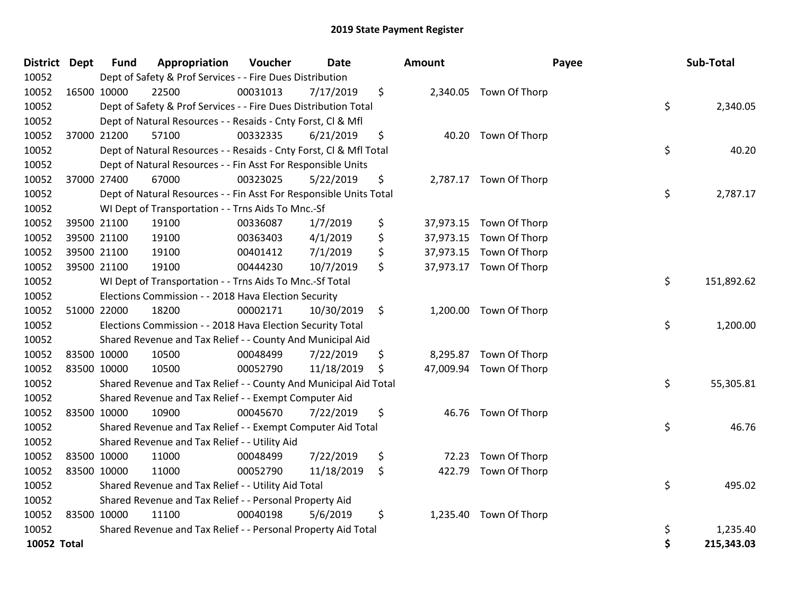| <b>District Dept</b> |             | <b>Fund</b> | Appropriation                                                      | Voucher  | <b>Date</b> | Amount          |                         | Payee | Sub-Total  |
|----------------------|-------------|-------------|--------------------------------------------------------------------|----------|-------------|-----------------|-------------------------|-------|------------|
| 10052                |             |             | Dept of Safety & Prof Services - - Fire Dues Distribution          |          |             |                 |                         |       |            |
| 10052                | 16500 10000 |             | 22500                                                              | 00031013 | 7/17/2019   | \$              | 2,340.05 Town Of Thorp  |       |            |
| 10052                |             |             | Dept of Safety & Prof Services - - Fire Dues Distribution Total    |          |             |                 |                         | \$    | 2,340.05   |
| 10052                |             |             | Dept of Natural Resources - - Resaids - Cnty Forst, Cl & Mfl       |          |             |                 |                         |       |            |
| 10052                |             | 37000 21200 | 57100                                                              | 00332335 | 6/21/2019   | \$              | 40.20 Town Of Thorp     |       |            |
| 10052                |             |             | Dept of Natural Resources - - Resaids - Cnty Forst, Cl & Mfl Total |          |             |                 |                         | \$    | 40.20      |
| 10052                |             |             | Dept of Natural Resources - - Fin Asst For Responsible Units       |          |             |                 |                         |       |            |
| 10052                |             | 37000 27400 | 67000                                                              | 00323025 | 5/22/2019   | \$              | 2,787.17 Town Of Thorp  |       |            |
| 10052                |             |             | Dept of Natural Resources - - Fin Asst For Responsible Units Total |          |             |                 |                         | \$    | 2,787.17   |
| 10052                |             |             | WI Dept of Transportation - - Trns Aids To Mnc.-Sf                 |          |             |                 |                         |       |            |
| 10052                |             | 39500 21100 | 19100                                                              | 00336087 | 1/7/2019    | \$              | 37,973.15 Town Of Thorp |       |            |
| 10052                |             | 39500 21100 | 19100                                                              | 00363403 | 4/1/2019    | \$<br>37,973.15 | Town Of Thorp           |       |            |
| 10052                |             | 39500 21100 | 19100                                                              | 00401412 | 7/1/2019    | \$              | 37,973.15 Town Of Thorp |       |            |
| 10052                |             | 39500 21100 | 19100                                                              | 00444230 | 10/7/2019   | \$              | 37,973.17 Town Of Thorp |       |            |
| 10052                |             |             | WI Dept of Transportation - - Trns Aids To Mnc.-Sf Total           |          |             |                 |                         | \$    | 151,892.62 |
| 10052                |             |             | Elections Commission - - 2018 Hava Election Security               |          |             |                 |                         |       |            |
| 10052                |             | 51000 22000 | 18200                                                              | 00002171 | 10/30/2019  | \$              | 1,200.00 Town Of Thorp  |       |            |
| 10052                |             |             | Elections Commission - - 2018 Hava Election Security Total         |          |             |                 |                         | \$    | 1,200.00   |
| 10052                |             |             | Shared Revenue and Tax Relief - - County And Municipal Aid         |          |             |                 |                         |       |            |
| 10052                |             | 83500 10000 | 10500                                                              | 00048499 | 7/22/2019   | \$              | 8,295.87 Town Of Thorp  |       |            |
| 10052                | 83500 10000 |             | 10500                                                              | 00052790 | 11/18/2019  | \$              | 47,009.94 Town Of Thorp |       |            |
| 10052                |             |             | Shared Revenue and Tax Relief - - County And Municipal Aid Total   |          |             |                 |                         | \$    | 55,305.81  |
| 10052                |             |             | Shared Revenue and Tax Relief - - Exempt Computer Aid              |          |             |                 |                         |       |            |
| 10052                |             | 83500 10000 | 10900                                                              | 00045670 | 7/22/2019   | \$              | 46.76 Town Of Thorp     |       |            |
| 10052                |             |             | Shared Revenue and Tax Relief - - Exempt Computer Aid Total        |          |             |                 |                         | \$    | 46.76      |
| 10052                |             |             | Shared Revenue and Tax Relief - - Utility Aid                      |          |             |                 |                         |       |            |
| 10052                |             | 83500 10000 | 11000                                                              | 00048499 | 7/22/2019   | \$<br>72.23     | Town Of Thorp           |       |            |
| 10052                | 83500 10000 |             | 11000                                                              | 00052790 | 11/18/2019  | \$<br>422.79    | Town Of Thorp           |       |            |
| 10052                |             |             | Shared Revenue and Tax Relief - - Utility Aid Total                |          |             |                 |                         | \$    | 495.02     |
| 10052                |             |             | Shared Revenue and Tax Relief - - Personal Property Aid            |          |             |                 |                         |       |            |
| 10052                | 83500 10000 |             | 11100                                                              | 00040198 | 5/6/2019    | \$              | 1,235.40 Town Of Thorp  |       |            |
| 10052                |             |             | Shared Revenue and Tax Relief - - Personal Property Aid Total      |          |             |                 |                         | \$    | 1,235.40   |
| 10052 Total          |             |             |                                                                    |          |             |                 |                         | \$    | 215,343.03 |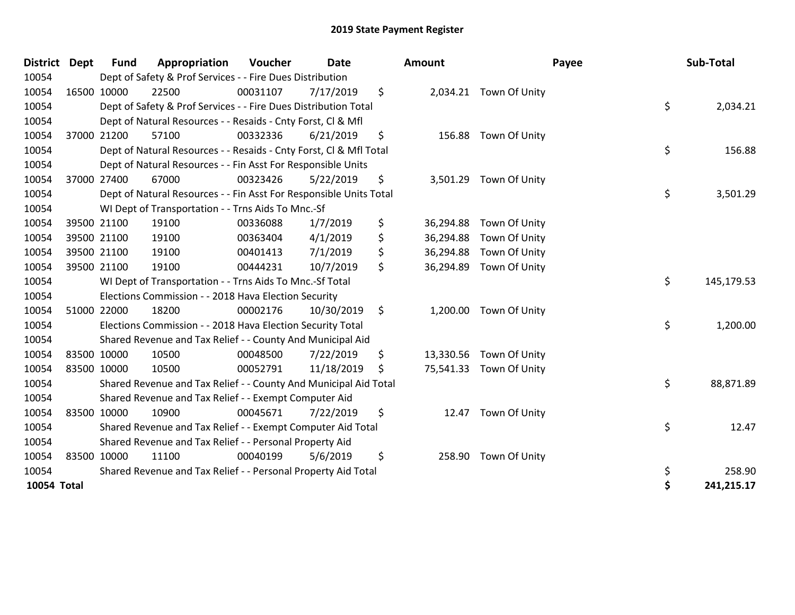| <b>District</b> | <b>Dept</b> | <b>Fund</b> | Appropriation                                                      | Voucher  | <b>Date</b> | Amount          |                         | Payee | Sub-Total  |
|-----------------|-------------|-------------|--------------------------------------------------------------------|----------|-------------|-----------------|-------------------------|-------|------------|
| 10054           |             |             | Dept of Safety & Prof Services - - Fire Dues Distribution          |          |             |                 |                         |       |            |
| 10054           |             | 16500 10000 | 22500                                                              | 00031107 | 7/17/2019   | \$              | 2,034.21 Town Of Unity  |       |            |
| 10054           |             |             | Dept of Safety & Prof Services - - Fire Dues Distribution Total    |          |             |                 |                         | \$    | 2,034.21   |
| 10054           |             |             | Dept of Natural Resources - - Resaids - Cnty Forst, CI & Mfl       |          |             |                 |                         |       |            |
| 10054           |             | 37000 21200 | 57100                                                              | 00332336 | 6/21/2019   | \$              | 156.88 Town Of Unity    |       |            |
| 10054           |             |             | Dept of Natural Resources - - Resaids - Cnty Forst, Cl & Mfl Total |          |             |                 |                         | \$    | 156.88     |
| 10054           |             |             | Dept of Natural Resources - - Fin Asst For Responsible Units       |          |             |                 |                         |       |            |
| 10054           |             | 37000 27400 | 67000                                                              | 00323426 | 5/22/2019   | \$              | 3,501.29 Town Of Unity  |       |            |
| 10054           |             |             | Dept of Natural Resources - - Fin Asst For Responsible Units Total |          |             |                 |                         | \$    | 3,501.29   |
| 10054           |             |             | WI Dept of Transportation - - Trns Aids To Mnc.-Sf                 |          |             |                 |                         |       |            |
| 10054           |             | 39500 21100 | 19100                                                              | 00336088 | 1/7/2019    | \$<br>36,294.88 | Town Of Unity           |       |            |
| 10054           |             | 39500 21100 | 19100                                                              | 00363404 | 4/1/2019    | \$<br>36,294.88 | Town Of Unity           |       |            |
| 10054           |             | 39500 21100 | 19100                                                              | 00401413 | 7/1/2019    | \$<br>36,294.88 | Town Of Unity           |       |            |
| 10054           |             | 39500 21100 | 19100                                                              | 00444231 | 10/7/2019   | \$<br>36,294.89 | Town Of Unity           |       |            |
| 10054           |             |             | WI Dept of Transportation - - Trns Aids To Mnc.-Sf Total           |          |             |                 |                         | \$    | 145,179.53 |
| 10054           |             |             | Elections Commission - - 2018 Hava Election Security               |          |             |                 |                         |       |            |
| 10054           |             | 51000 22000 | 18200                                                              | 00002176 | 10/30/2019  | \$              | 1,200.00 Town Of Unity  |       |            |
| 10054           |             |             | Elections Commission - - 2018 Hava Election Security Total         |          |             |                 |                         | \$    | 1,200.00   |
| 10054           |             |             | Shared Revenue and Tax Relief - - County And Municipal Aid         |          |             |                 |                         |       |            |
| 10054           |             | 83500 10000 | 10500                                                              | 00048500 | 7/22/2019   | \$<br>13,330.56 | Town Of Unity           |       |            |
| 10054           |             | 83500 10000 | 10500                                                              | 00052791 | 11/18/2019  | \$              | 75,541.33 Town Of Unity |       |            |
| 10054           |             |             | Shared Revenue and Tax Relief - - County And Municipal Aid Total   |          |             |                 |                         | \$    | 88,871.89  |
| 10054           |             |             | Shared Revenue and Tax Relief - - Exempt Computer Aid              |          |             |                 |                         |       |            |
| 10054           |             | 83500 10000 | 10900                                                              | 00045671 | 7/22/2019   | \$<br>12.47     | Town Of Unity           |       |            |
| 10054           |             |             | Shared Revenue and Tax Relief - - Exempt Computer Aid Total        |          |             |                 |                         | \$    | 12.47      |
| 10054           |             |             | Shared Revenue and Tax Relief - - Personal Property Aid            |          |             |                 |                         |       |            |
| 10054           |             | 83500 10000 | 11100                                                              | 00040199 | 5/6/2019    | \$<br>258.90    | Town Of Unity           |       |            |
| 10054           |             |             | Shared Revenue and Tax Relief - - Personal Property Aid Total      |          |             |                 |                         | \$    | 258.90     |
| 10054 Total     |             |             |                                                                    |          |             |                 |                         | \$    | 241,215.17 |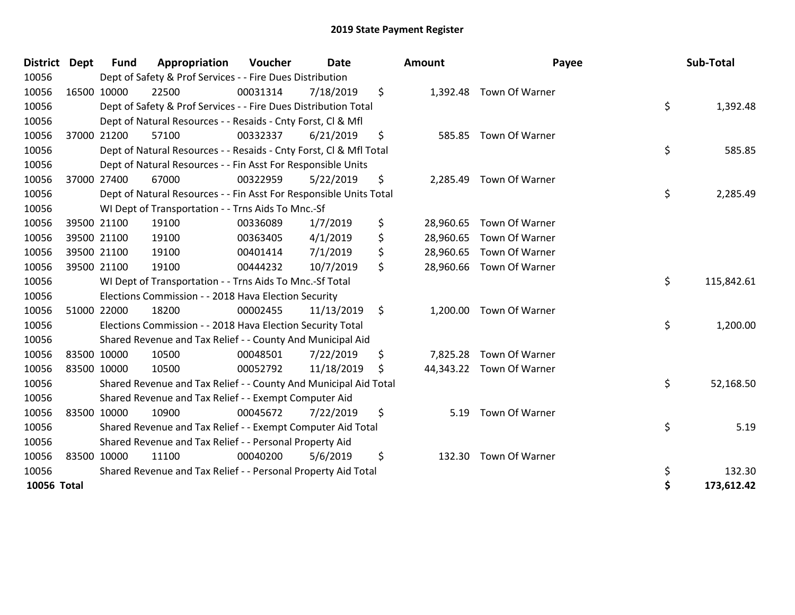| <b>District</b> | Dept | <b>Fund</b> | Appropriation                                                      | Voucher  | <b>Date</b> |     | Amount    | Payee                    | Sub-Total        |
|-----------------|------|-------------|--------------------------------------------------------------------|----------|-------------|-----|-----------|--------------------------|------------------|
| 10056           |      |             | Dept of Safety & Prof Services - - Fire Dues Distribution          |          |             |     |           |                          |                  |
| 10056           |      | 16500 10000 | 22500                                                              | 00031314 | 7/18/2019   | \$  | 1,392.48  | Town Of Warner           |                  |
| 10056           |      |             | Dept of Safety & Prof Services - - Fire Dues Distribution Total    |          |             |     |           |                          | \$<br>1,392.48   |
| 10056           |      |             | Dept of Natural Resources - - Resaids - Cnty Forst, Cl & Mfl       |          |             |     |           |                          |                  |
| 10056           |      | 37000 21200 | 57100                                                              | 00332337 | 6/21/2019   | \$  | 585.85    | Town Of Warner           |                  |
| 10056           |      |             | Dept of Natural Resources - - Resaids - Cnty Forst, Cl & Mfl Total |          |             |     |           |                          | \$<br>585.85     |
| 10056           |      |             | Dept of Natural Resources - - Fin Asst For Responsible Units       |          |             |     |           |                          |                  |
| 10056           |      | 37000 27400 | 67000                                                              | 00322959 | 5/22/2019   | \$  | 2,285.49  | Town Of Warner           |                  |
| 10056           |      |             | Dept of Natural Resources - - Fin Asst For Responsible Units Total |          |             |     |           |                          | \$<br>2,285.49   |
| 10056           |      |             | WI Dept of Transportation - - Trns Aids To Mnc.-Sf                 |          |             |     |           |                          |                  |
| 10056           |      | 39500 21100 | 19100                                                              | 00336089 | 1/7/2019    | \$  | 28,960.65 | Town Of Warner           |                  |
| 10056           |      | 39500 21100 | 19100                                                              | 00363405 | 4/1/2019    | \$  | 28,960.65 | Town Of Warner           |                  |
| 10056           |      | 39500 21100 | 19100                                                              | 00401414 | 7/1/2019    | \$  | 28,960.65 | Town Of Warner           |                  |
| 10056           |      | 39500 21100 | 19100                                                              | 00444232 | 10/7/2019   | \$  | 28,960.66 | Town Of Warner           |                  |
| 10056           |      |             | WI Dept of Transportation - - Trns Aids To Mnc.-Sf Total           |          |             |     |           |                          | \$<br>115,842.61 |
| 10056           |      |             | Elections Commission - - 2018 Hava Election Security               |          |             |     |           |                          |                  |
| 10056           |      | 51000 22000 | 18200                                                              | 00002455 | 11/13/2019  | \$  | 1,200.00  | Town Of Warner           |                  |
| 10056           |      |             | Elections Commission - - 2018 Hava Election Security Total         |          |             |     |           |                          | \$<br>1,200.00   |
| 10056           |      |             | Shared Revenue and Tax Relief - - County And Municipal Aid         |          |             |     |           |                          |                  |
| 10056           |      | 83500 10000 | 10500                                                              | 00048501 | 7/22/2019   | \$  | 7,825.28  | Town Of Warner           |                  |
| 10056           |      | 83500 10000 | 10500                                                              | 00052792 | 11/18/2019  | \$. |           | 44,343.22 Town Of Warner |                  |
| 10056           |      |             | Shared Revenue and Tax Relief - - County And Municipal Aid Total   |          |             |     |           |                          | \$<br>52,168.50  |
| 10056           |      |             | Shared Revenue and Tax Relief - - Exempt Computer Aid              |          |             |     |           |                          |                  |
| 10056           |      | 83500 10000 | 10900                                                              | 00045672 | 7/22/2019   | \$  | 5.19      | Town Of Warner           |                  |
| 10056           |      |             | Shared Revenue and Tax Relief - - Exempt Computer Aid Total        |          |             |     |           |                          | \$<br>5.19       |
| 10056           |      |             | Shared Revenue and Tax Relief - - Personal Property Aid            |          |             |     |           |                          |                  |
| 10056           |      | 83500 10000 | 11100                                                              | 00040200 | 5/6/2019    | \$  | 132.30    | Town Of Warner           |                  |
| 10056           |      |             | Shared Revenue and Tax Relief - - Personal Property Aid Total      |          |             |     |           |                          | \$<br>132.30     |
| 10056 Total     |      |             |                                                                    |          |             |     |           |                          | \$<br>173,612.42 |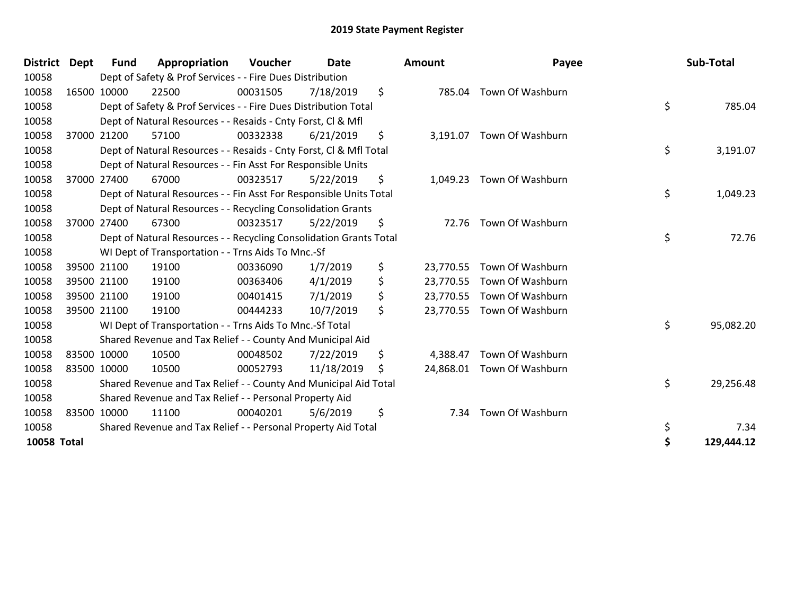| District Dept      | <b>Fund</b> | Appropriation                                                      | Voucher  | Date       |     | <b>Amount</b> | Payee                      | Sub-Total        |
|--------------------|-------------|--------------------------------------------------------------------|----------|------------|-----|---------------|----------------------------|------------------|
| 10058              |             | Dept of Safety & Prof Services - - Fire Dues Distribution          |          |            |     |               |                            |                  |
| 10058              | 16500 10000 | 22500                                                              | 00031505 | 7/18/2019  | \$  |               | 785.04 Town Of Washburn    |                  |
| 10058              |             | Dept of Safety & Prof Services - - Fire Dues Distribution Total    |          |            |     |               |                            | \$<br>785.04     |
| 10058              |             | Dept of Natural Resources - - Resaids - Cnty Forst, CI & Mfl       |          |            |     |               |                            |                  |
| 10058              | 37000 21200 | 57100                                                              | 00332338 | 6/21/2019  | \$  |               | 3,191.07 Town Of Washburn  |                  |
| 10058              |             | Dept of Natural Resources - - Resaids - Cnty Forst, CI & Mfl Total |          |            |     |               |                            | \$<br>3,191.07   |
| 10058              |             | Dept of Natural Resources - - Fin Asst For Responsible Units       |          |            |     |               |                            |                  |
| 10058              | 37000 27400 | 67000                                                              | 00323517 | 5/22/2019  | \$  | 1,049.23      | Town Of Washburn           |                  |
| 10058              |             | Dept of Natural Resources - - Fin Asst For Responsible Units Total |          |            |     |               |                            | \$<br>1,049.23   |
| 10058              |             | Dept of Natural Resources - - Recycling Consolidation Grants       |          |            |     |               |                            |                  |
| 10058              | 37000 27400 | 67300                                                              | 00323517 | 5/22/2019  | \$  |               | 72.76 Town Of Washburn     |                  |
| 10058              |             | Dept of Natural Resources - - Recycling Consolidation Grants Total |          |            |     |               |                            | \$<br>72.76      |
| 10058              |             | WI Dept of Transportation - - Trns Aids To Mnc.-Sf                 |          |            |     |               |                            |                  |
| 10058              | 39500 21100 | 19100                                                              | 00336090 | 1/7/2019   | \$  | 23,770.55     | Town Of Washburn           |                  |
| 10058              | 39500 21100 | 19100                                                              | 00363406 | 4/1/2019   | \$  |               | 23,770.55 Town Of Washburn |                  |
| 10058              | 39500 21100 | 19100                                                              | 00401415 | 7/1/2019   | \$  |               | 23,770.55 Town Of Washburn |                  |
| 10058              | 39500 21100 | 19100                                                              | 00444233 | 10/7/2019  | \$  |               | 23,770.55 Town Of Washburn |                  |
| 10058              |             | WI Dept of Transportation - - Trns Aids To Mnc.-Sf Total           |          |            |     |               |                            | \$<br>95,082.20  |
| 10058              |             | Shared Revenue and Tax Relief - - County And Municipal Aid         |          |            |     |               |                            |                  |
| 10058              | 83500 10000 | 10500                                                              | 00048502 | 7/22/2019  | \$  | 4,388.47      | Town Of Washburn           |                  |
| 10058              | 83500 10000 | 10500                                                              | 00052793 | 11/18/2019 | \$. |               | 24,868.01 Town Of Washburn |                  |
| 10058              |             | Shared Revenue and Tax Relief - - County And Municipal Aid Total   |          |            |     |               |                            | \$<br>29,256.48  |
| 10058              |             | Shared Revenue and Tax Relief - - Personal Property Aid            |          |            |     |               |                            |                  |
| 10058              | 83500 10000 | 11100                                                              | 00040201 | 5/6/2019   | \$  | 7.34          | Town Of Washburn           |                  |
| 10058              |             | Shared Revenue and Tax Relief - - Personal Property Aid Total      |          |            |     |               |                            | \$<br>7.34       |
| <b>10058 Total</b> |             |                                                                    |          |            |     |               |                            | \$<br>129,444.12 |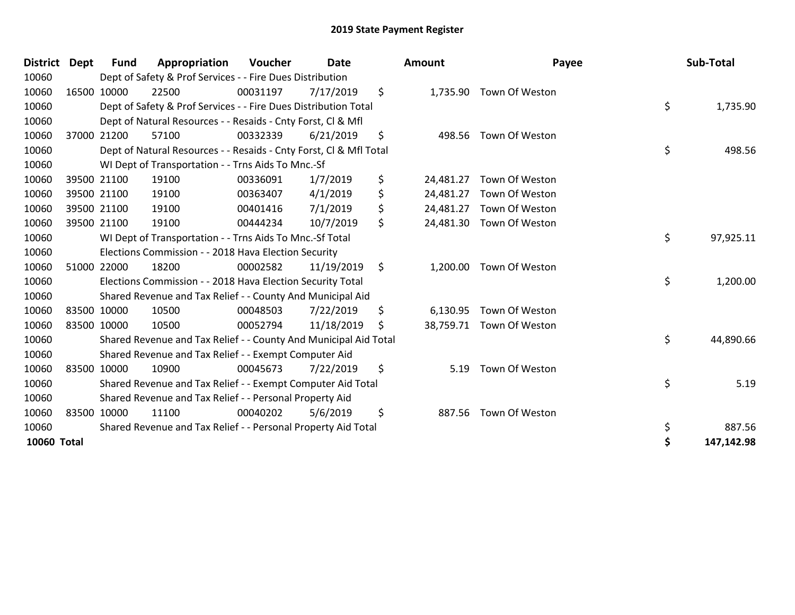| <b>District</b> | <b>Dept</b> | <b>Fund</b> | Appropriation                                                      | <b>Voucher</b> | <b>Date</b> | <b>Amount</b>   | Payee                    | Sub-Total        |
|-----------------|-------------|-------------|--------------------------------------------------------------------|----------------|-------------|-----------------|--------------------------|------------------|
| 10060           |             |             | Dept of Safety & Prof Services - - Fire Dues Distribution          |                |             |                 |                          |                  |
| 10060           |             | 16500 10000 | 22500                                                              | 00031197       | 7/17/2019   | \$              | 1,735.90 Town Of Weston  |                  |
| 10060           |             |             | Dept of Safety & Prof Services - - Fire Dues Distribution Total    |                |             |                 |                          | \$<br>1,735.90   |
| 10060           |             |             | Dept of Natural Resources - - Resaids - Cnty Forst, CI & Mfl       |                |             |                 |                          |                  |
| 10060           |             | 37000 21200 | 57100                                                              | 00332339       | 6/21/2019   | \$<br>498.56    | Town Of Weston           |                  |
| 10060           |             |             | Dept of Natural Resources - - Resaids - Cnty Forst, Cl & Mfl Total |                |             |                 |                          | \$<br>498.56     |
| 10060           |             |             | WI Dept of Transportation - - Trns Aids To Mnc.-Sf                 |                |             |                 |                          |                  |
| 10060           |             | 39500 21100 | 19100                                                              | 00336091       | 1/7/2019    | \$<br>24,481.27 | Town Of Weston           |                  |
| 10060           |             | 39500 21100 | 19100                                                              | 00363407       | 4/1/2019    | \$<br>24,481.27 | Town Of Weston           |                  |
| 10060           |             | 39500 21100 | 19100                                                              | 00401416       | 7/1/2019    | \$<br>24,481.27 | Town Of Weston           |                  |
| 10060           |             | 39500 21100 | 19100                                                              | 00444234       | 10/7/2019   | \$              | 24,481.30 Town Of Weston |                  |
| 10060           |             |             | WI Dept of Transportation - - Trns Aids To Mnc.-Sf Total           |                |             |                 |                          | \$<br>97,925.11  |
| 10060           |             |             | Elections Commission - - 2018 Hava Election Security               |                |             |                 |                          |                  |
| 10060           |             | 51000 22000 | 18200                                                              | 00002582       | 11/19/2019  | \$<br>1,200.00  | Town Of Weston           |                  |
| 10060           |             |             | Elections Commission - - 2018 Hava Election Security Total         |                |             |                 |                          | \$<br>1,200.00   |
| 10060           |             |             | Shared Revenue and Tax Relief - - County And Municipal Aid         |                |             |                 |                          |                  |
| 10060           |             | 83500 10000 | 10500                                                              | 00048503       | 7/22/2019   | \$<br>6,130.95  | Town Of Weston           |                  |
| 10060           | 83500 10000 |             | 10500                                                              | 00052794       | 11/18/2019  | \$              | 38,759.71 Town Of Weston |                  |
| 10060           |             |             | Shared Revenue and Tax Relief - - County And Municipal Aid Total   |                |             |                 |                          | \$<br>44,890.66  |
| 10060           |             |             | Shared Revenue and Tax Relief - - Exempt Computer Aid              |                |             |                 |                          |                  |
| 10060           |             | 83500 10000 | 10900                                                              | 00045673       | 7/22/2019   | \$<br>5.19      | Town Of Weston           |                  |
| 10060           |             |             | Shared Revenue and Tax Relief - - Exempt Computer Aid Total        |                |             |                 |                          | \$<br>5.19       |
| 10060           |             |             | Shared Revenue and Tax Relief - - Personal Property Aid            |                |             |                 |                          |                  |
| 10060           |             | 83500 10000 | 11100                                                              | 00040202       | 5/6/2019    | \$<br>887.56    | Town Of Weston           |                  |
| 10060           |             |             | Shared Revenue and Tax Relief - - Personal Property Aid Total      |                |             |                 |                          | \$<br>887.56     |
| 10060 Total     |             |             |                                                                    |                |             |                 |                          | \$<br>147,142.98 |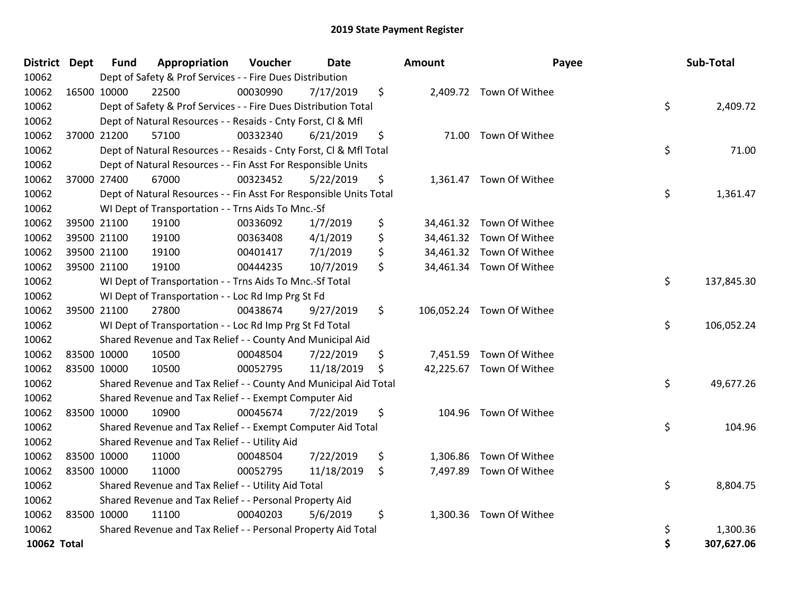| <b>District Dept</b> | <b>Fund</b> | Appropriation                                                      | Voucher  | Date       | <b>Amount</b>  | Payee                     | Sub-Total        |
|----------------------|-------------|--------------------------------------------------------------------|----------|------------|----------------|---------------------------|------------------|
| 10062                |             | Dept of Safety & Prof Services - - Fire Dues Distribution          |          |            |                |                           |                  |
| 10062                | 16500 10000 | 22500                                                              | 00030990 | 7/17/2019  | \$             | 2,409.72 Town Of Withee   |                  |
| 10062                |             | Dept of Safety & Prof Services - - Fire Dues Distribution Total    |          |            |                |                           | \$<br>2,409.72   |
| 10062                |             | Dept of Natural Resources - - Resaids - Cnty Forst, CI & Mfl       |          |            |                |                           |                  |
| 10062                | 37000 21200 | 57100                                                              | 00332340 | 6/21/2019  | \$             | 71.00 Town Of Withee      |                  |
| 10062                |             | Dept of Natural Resources - - Resaids - Cnty Forst, Cl & Mfl Total |          |            |                |                           | \$<br>71.00      |
| 10062                |             | Dept of Natural Resources - - Fin Asst For Responsible Units       |          |            |                |                           |                  |
| 10062                | 37000 27400 | 67000                                                              | 00323452 | 5/22/2019  | \$             | 1,361.47 Town Of Withee   |                  |
| 10062                |             | Dept of Natural Resources - - Fin Asst For Responsible Units Total |          |            |                |                           | \$<br>1,361.47   |
| 10062                |             | WI Dept of Transportation - - Trns Aids To Mnc.-Sf                 |          |            |                |                           |                  |
| 10062                | 39500 21100 | 19100                                                              | 00336092 | 1/7/2019   | \$             | 34,461.32 Town Of Withee  |                  |
| 10062                | 39500 21100 | 19100                                                              | 00363408 | 4/1/2019   | \$             | 34,461.32 Town Of Withee  |                  |
| 10062                | 39500 21100 | 19100                                                              | 00401417 | 7/1/2019   | \$             | 34,461.32 Town Of Withee  |                  |
| 10062                | 39500 21100 | 19100                                                              | 00444235 | 10/7/2019  | \$             | 34,461.34 Town Of Withee  |                  |
| 10062                |             | WI Dept of Transportation - - Trns Aids To Mnc.-Sf Total           |          |            |                |                           | \$<br>137,845.30 |
| 10062                |             | WI Dept of Transportation - - Loc Rd Imp Prg St Fd                 |          |            |                |                           |                  |
| 10062                | 39500 21100 | 27800                                                              | 00438674 | 9/27/2019  | \$             | 106,052.24 Town Of Withee |                  |
| 10062                |             | WI Dept of Transportation - - Loc Rd Imp Prg St Fd Total           |          |            |                |                           | \$<br>106,052.24 |
| 10062                |             | Shared Revenue and Tax Relief - - County And Municipal Aid         |          |            |                |                           |                  |
| 10062                | 83500 10000 | 10500                                                              | 00048504 | 7/22/2019  | \$             | 7,451.59 Town Of Withee   |                  |
| 10062                | 83500 10000 | 10500                                                              | 00052795 | 11/18/2019 | \$             | 42,225.67 Town Of Withee  |                  |
| 10062                |             | Shared Revenue and Tax Relief - - County And Municipal Aid Total   |          |            |                |                           | \$<br>49,677.26  |
| 10062                |             | Shared Revenue and Tax Relief - - Exempt Computer Aid              |          |            |                |                           |                  |
| 10062                | 83500 10000 | 10900                                                              | 00045674 | 7/22/2019  | \$<br>104.96   | Town Of Withee            |                  |
| 10062                |             | Shared Revenue and Tax Relief - - Exempt Computer Aid Total        |          |            |                |                           | \$<br>104.96     |
| 10062                |             | Shared Revenue and Tax Relief - - Utility Aid                      |          |            |                |                           |                  |
| 10062                | 83500 10000 | 11000                                                              | 00048504 | 7/22/2019  | \$<br>1,306.86 | Town Of Withee            |                  |
| 10062                | 83500 10000 | 11000                                                              | 00052795 | 11/18/2019 | \$             | 7,497.89 Town Of Withee   |                  |
| 10062                |             | Shared Revenue and Tax Relief - - Utility Aid Total                |          |            |                |                           | \$<br>8,804.75   |
| 10062                |             | Shared Revenue and Tax Relief - - Personal Property Aid            |          |            |                |                           |                  |
| 10062                | 83500 10000 | 11100                                                              | 00040203 | 5/6/2019   | \$             | 1,300.36 Town Of Withee   |                  |
| 10062                |             | Shared Revenue and Tax Relief - - Personal Property Aid Total      |          |            |                |                           | \$<br>1,300.36   |
| 10062 Total          |             |                                                                    |          |            |                |                           | \$<br>307,627.06 |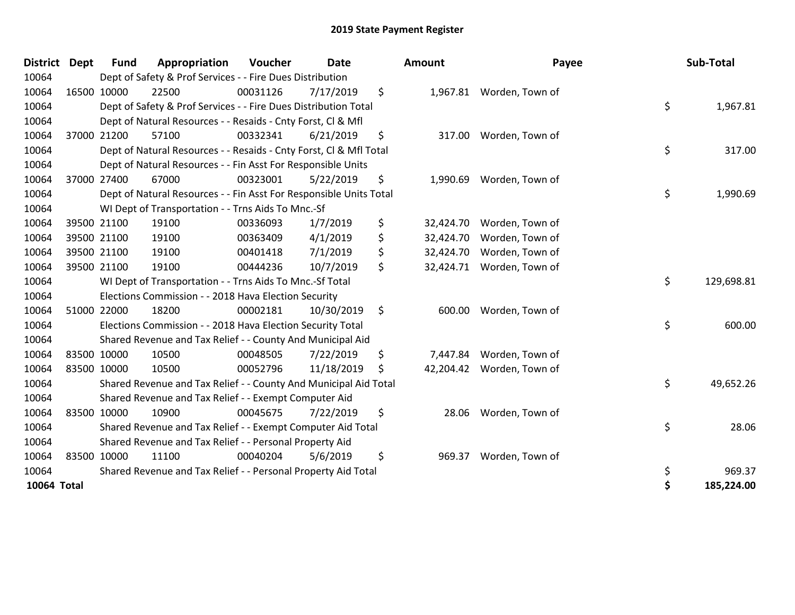| <b>District</b>    | <b>Dept</b> | <b>Fund</b> | Appropriation                                                      | Voucher  | <b>Date</b> | Amount          | Payee           | Sub-Total        |
|--------------------|-------------|-------------|--------------------------------------------------------------------|----------|-------------|-----------------|-----------------|------------------|
| 10064              |             |             | Dept of Safety & Prof Services - - Fire Dues Distribution          |          |             |                 |                 |                  |
| 10064              |             | 16500 10000 | 22500                                                              | 00031126 | 7/17/2019   | \$<br>1,967.81  | Worden, Town of |                  |
| 10064              |             |             | Dept of Safety & Prof Services - - Fire Dues Distribution Total    |          |             |                 |                 | \$<br>1,967.81   |
| 10064              |             |             | Dept of Natural Resources - - Resaids - Cnty Forst, CI & Mfl       |          |             |                 |                 |                  |
| 10064              |             | 37000 21200 | 57100                                                              | 00332341 | 6/21/2019   | \$<br>317.00    | Worden, Town of |                  |
| 10064              |             |             | Dept of Natural Resources - - Resaids - Cnty Forst, CI & Mfl Total |          |             |                 |                 | \$<br>317.00     |
| 10064              |             |             | Dept of Natural Resources - - Fin Asst For Responsible Units       |          |             |                 |                 |                  |
| 10064              |             | 37000 27400 | 67000                                                              | 00323001 | 5/22/2019   | \$<br>1,990.69  | Worden, Town of |                  |
| 10064              |             |             | Dept of Natural Resources - - Fin Asst For Responsible Units Total |          |             |                 |                 | \$<br>1,990.69   |
| 10064              |             |             | WI Dept of Transportation - - Trns Aids To Mnc.-Sf                 |          |             |                 |                 |                  |
| 10064              |             | 39500 21100 | 19100                                                              | 00336093 | 1/7/2019    | \$<br>32,424.70 | Worden, Town of |                  |
| 10064              |             | 39500 21100 | 19100                                                              | 00363409 | 4/1/2019    | \$<br>32,424.70 | Worden, Town of |                  |
| 10064              |             | 39500 21100 | 19100                                                              | 00401418 | 7/1/2019    | \$<br>32,424.70 | Worden, Town of |                  |
| 10064              |             | 39500 21100 | 19100                                                              | 00444236 | 10/7/2019   | \$<br>32,424.71 | Worden, Town of |                  |
| 10064              |             |             | WI Dept of Transportation - - Trns Aids To Mnc.-Sf Total           |          |             |                 |                 | \$<br>129,698.81 |
| 10064              |             |             | Elections Commission - - 2018 Hava Election Security               |          |             |                 |                 |                  |
| 10064              |             | 51000 22000 | 18200                                                              | 00002181 | 10/30/2019  | \$<br>600.00    | Worden, Town of |                  |
| 10064              |             |             | Elections Commission - - 2018 Hava Election Security Total         |          |             |                 |                 | \$<br>600.00     |
| 10064              |             |             | Shared Revenue and Tax Relief - - County And Municipal Aid         |          |             |                 |                 |                  |
| 10064              |             | 83500 10000 | 10500                                                              | 00048505 | 7/22/2019   | \$<br>7,447.84  | Worden, Town of |                  |
| 10064              |             | 83500 10000 | 10500                                                              | 00052796 | 11/18/2019  | \$<br>42,204.42 | Worden, Town of |                  |
| 10064              |             |             | Shared Revenue and Tax Relief - - County And Municipal Aid Total   |          |             |                 |                 | \$<br>49,652.26  |
| 10064              |             |             | Shared Revenue and Tax Relief - - Exempt Computer Aid              |          |             |                 |                 |                  |
| 10064              |             | 83500 10000 | 10900                                                              | 00045675 | 7/22/2019   | \$<br>28.06     | Worden, Town of |                  |
| 10064              |             |             | Shared Revenue and Tax Relief - - Exempt Computer Aid Total        |          |             |                 |                 | \$<br>28.06      |
| 10064              |             |             | Shared Revenue and Tax Relief - - Personal Property Aid            |          |             |                 |                 |                  |
| 10064              |             | 83500 10000 | 11100                                                              | 00040204 | 5/6/2019    | \$<br>969.37    | Worden, Town of |                  |
| 10064              |             |             | Shared Revenue and Tax Relief - - Personal Property Aid Total      |          |             |                 |                 | \$<br>969.37     |
| <b>10064 Total</b> |             |             |                                                                    |          |             |                 |                 | 185,224.00       |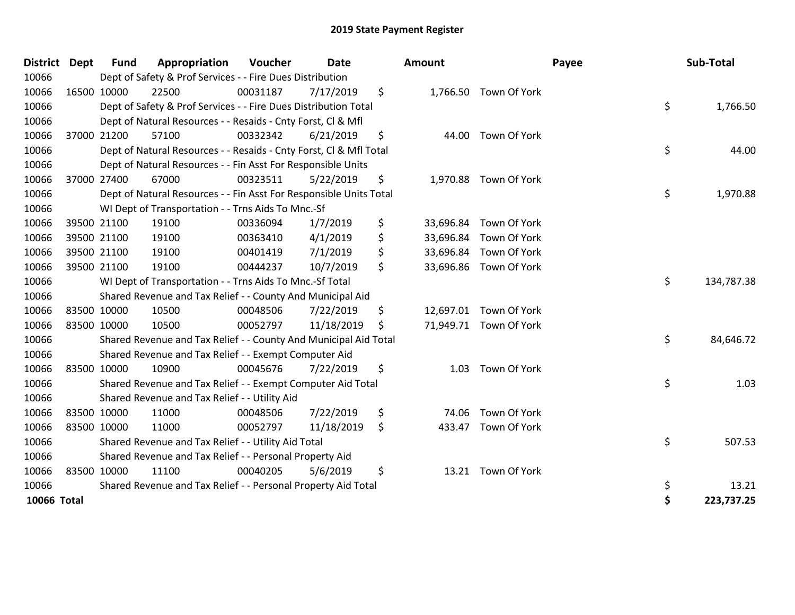| <b>District</b> | Dept | <b>Fund</b> | Appropriation                                                      | Voucher  | Date       | <b>Amount</b>   |                        | Payee | Sub-Total  |
|-----------------|------|-------------|--------------------------------------------------------------------|----------|------------|-----------------|------------------------|-------|------------|
| 10066           |      |             | Dept of Safety & Prof Services - - Fire Dues Distribution          |          |            |                 |                        |       |            |
| 10066           |      | 16500 10000 | 22500                                                              | 00031187 | 7/17/2019  | \$              | 1,766.50 Town Of York  |       |            |
| 10066           |      |             | Dept of Safety & Prof Services - - Fire Dues Distribution Total    |          |            |                 |                        | \$    | 1,766.50   |
| 10066           |      |             | Dept of Natural Resources - - Resaids - Cnty Forst, Cl & Mfl       |          |            |                 |                        |       |            |
| 10066           |      | 37000 21200 | 57100                                                              | 00332342 | 6/21/2019  | \$<br>44.00     | Town Of York           |       |            |
| 10066           |      |             | Dept of Natural Resources - - Resaids - Cnty Forst, Cl & Mfl Total |          |            |                 |                        | \$    | 44.00      |
| 10066           |      |             | Dept of Natural Resources - - Fin Asst For Responsible Units       |          |            |                 |                        |       |            |
| 10066           |      | 37000 27400 | 67000                                                              | 00323511 | 5/22/2019  | \$<br>1,970.88  | Town Of York           |       |            |
| 10066           |      |             | Dept of Natural Resources - - Fin Asst For Responsible Units Total |          |            |                 |                        | \$    | 1,970.88   |
| 10066           |      |             | WI Dept of Transportation - - Trns Aids To Mnc.-Sf                 |          |            |                 |                        |       |            |
| 10066           |      | 39500 21100 | 19100                                                              | 00336094 | 1/7/2019   | \$<br>33,696.84 | Town Of York           |       |            |
| 10066           |      | 39500 21100 | 19100                                                              | 00363410 | 4/1/2019   | \$<br>33,696.84 | Town Of York           |       |            |
| 10066           |      | 39500 21100 | 19100                                                              | 00401419 | 7/1/2019   | \$<br>33,696.84 | Town Of York           |       |            |
| 10066           |      | 39500 21100 | 19100                                                              | 00444237 | 10/7/2019  | \$              | 33,696.86 Town Of York |       |            |
| 10066           |      |             | WI Dept of Transportation - - Trns Aids To Mnc.-Sf Total           |          |            |                 |                        | \$    | 134,787.38 |
| 10066           |      |             | Shared Revenue and Tax Relief - - County And Municipal Aid         |          |            |                 |                        |       |            |
| 10066           |      | 83500 10000 | 10500                                                              | 00048506 | 7/22/2019  | \$              | 12,697.01 Town Of York |       |            |
| 10066           |      | 83500 10000 | 10500                                                              | 00052797 | 11/18/2019 | \$              | 71,949.71 Town Of York |       |            |
| 10066           |      |             | Shared Revenue and Tax Relief - - County And Municipal Aid Total   |          |            |                 |                        | \$    | 84,646.72  |
| 10066           |      |             | Shared Revenue and Tax Relief - - Exempt Computer Aid              |          |            |                 |                        |       |            |
| 10066           |      | 83500 10000 | 10900                                                              | 00045676 | 7/22/2019  | \$<br>1.03      | Town Of York           |       |            |
| 10066           |      |             | Shared Revenue and Tax Relief - - Exempt Computer Aid Total        |          |            |                 |                        | \$    | 1.03       |
| 10066           |      |             | Shared Revenue and Tax Relief - - Utility Aid                      |          |            |                 |                        |       |            |
| 10066           |      | 83500 10000 | 11000                                                              | 00048506 | 7/22/2019  | \$<br>74.06     | Town Of York           |       |            |
| 10066           |      | 83500 10000 | 11000                                                              | 00052797 | 11/18/2019 | \$<br>433.47    | Town Of York           |       |            |
| 10066           |      |             | Shared Revenue and Tax Relief - - Utility Aid Total                |          |            |                 |                        | \$    | 507.53     |
| 10066           |      |             | Shared Revenue and Tax Relief - - Personal Property Aid            |          |            |                 |                        |       |            |
| 10066           |      | 83500 10000 | 11100                                                              | 00040205 | 5/6/2019   | \$              | 13.21 Town Of York     |       |            |
| 10066           |      |             | Shared Revenue and Tax Relief - - Personal Property Aid Total      |          |            |                 |                        | \$    | 13.21      |
| 10066 Total     |      |             |                                                                    |          |            |                 |                        | \$    | 223,737.25 |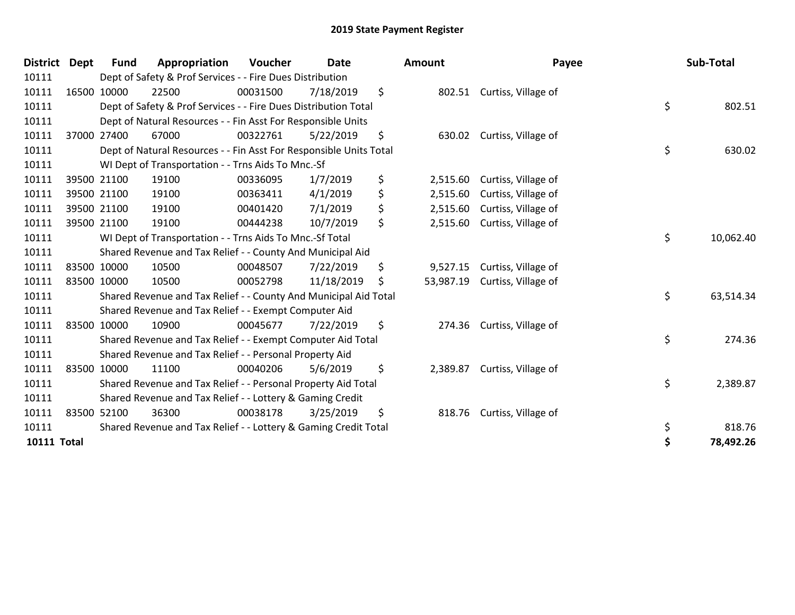| <b>District</b> | <b>Dept</b> | <b>Fund</b> | Appropriation                                                      | <b>Voucher</b> | <b>Date</b> | Amount          | Payee               | Sub-Total       |
|-----------------|-------------|-------------|--------------------------------------------------------------------|----------------|-------------|-----------------|---------------------|-----------------|
| 10111           |             |             | Dept of Safety & Prof Services - - Fire Dues Distribution          |                |             |                 |                     |                 |
| 10111           |             | 16500 10000 | 22500                                                              | 00031500       | 7/18/2019   | \$<br>802.51    | Curtiss, Village of |                 |
| 10111           |             |             | Dept of Safety & Prof Services - - Fire Dues Distribution Total    |                |             |                 |                     | \$<br>802.51    |
| 10111           |             |             | Dept of Natural Resources - - Fin Asst For Responsible Units       |                |             |                 |                     |                 |
| 10111           |             | 37000 27400 | 67000                                                              | 00322761       | 5/22/2019   | \$<br>630.02    | Curtiss, Village of |                 |
| 10111           |             |             | Dept of Natural Resources - - Fin Asst For Responsible Units Total |                |             |                 |                     | \$<br>630.02    |
| 10111           |             |             | WI Dept of Transportation - - Trns Aids To Mnc.-Sf                 |                |             |                 |                     |                 |
| 10111           |             | 39500 21100 | 19100                                                              | 00336095       | 1/7/2019    | \$<br>2,515.60  | Curtiss, Village of |                 |
| 10111           |             | 39500 21100 | 19100                                                              | 00363411       | 4/1/2019    | \$<br>2,515.60  | Curtiss, Village of |                 |
| 10111           |             | 39500 21100 | 19100                                                              | 00401420       | 7/1/2019    | \$<br>2,515.60  | Curtiss, Village of |                 |
| 10111           |             | 39500 21100 | 19100                                                              | 00444238       | 10/7/2019   | \$<br>2,515.60  | Curtiss, Village of |                 |
| 10111           |             |             | WI Dept of Transportation - - Trns Aids To Mnc.-Sf Total           |                |             |                 |                     | \$<br>10,062.40 |
| 10111           |             |             | Shared Revenue and Tax Relief - - County And Municipal Aid         |                |             |                 |                     |                 |
| 10111           |             | 83500 10000 | 10500                                                              | 00048507       | 7/22/2019   | \$<br>9,527.15  | Curtiss, Village of |                 |
| 10111           |             | 83500 10000 | 10500                                                              | 00052798       | 11/18/2019  | \$<br>53,987.19 | Curtiss, Village of |                 |
| 10111           |             |             | Shared Revenue and Tax Relief - - County And Municipal Aid Total   |                |             |                 |                     | \$<br>63,514.34 |
| 10111           |             |             | Shared Revenue and Tax Relief - - Exempt Computer Aid              |                |             |                 |                     |                 |
| 10111           |             | 83500 10000 | 10900                                                              | 00045677       | 7/22/2019   | \$<br>274.36    | Curtiss, Village of |                 |
| 10111           |             |             | Shared Revenue and Tax Relief - - Exempt Computer Aid Total        |                |             |                 |                     | \$<br>274.36    |
| 10111           |             |             | Shared Revenue and Tax Relief - - Personal Property Aid            |                |             |                 |                     |                 |
| 10111           |             | 83500 10000 | 11100                                                              | 00040206       | 5/6/2019    | \$<br>2,389.87  | Curtiss, Village of |                 |
| 10111           |             |             | Shared Revenue and Tax Relief - - Personal Property Aid Total      |                |             |                 |                     | \$<br>2,389.87  |
| 10111           |             |             | Shared Revenue and Tax Relief - - Lottery & Gaming Credit          |                |             |                 |                     |                 |
| 10111           |             | 83500 52100 | 36300                                                              | 00038178       | 3/25/2019   | \$<br>818.76    | Curtiss, Village of |                 |
| 10111           |             |             | Shared Revenue and Tax Relief - - Lottery & Gaming Credit Total    |                |             |                 |                     | \$<br>818.76    |
| 10111 Total     |             |             |                                                                    |                |             |                 |                     | \$<br>78,492.26 |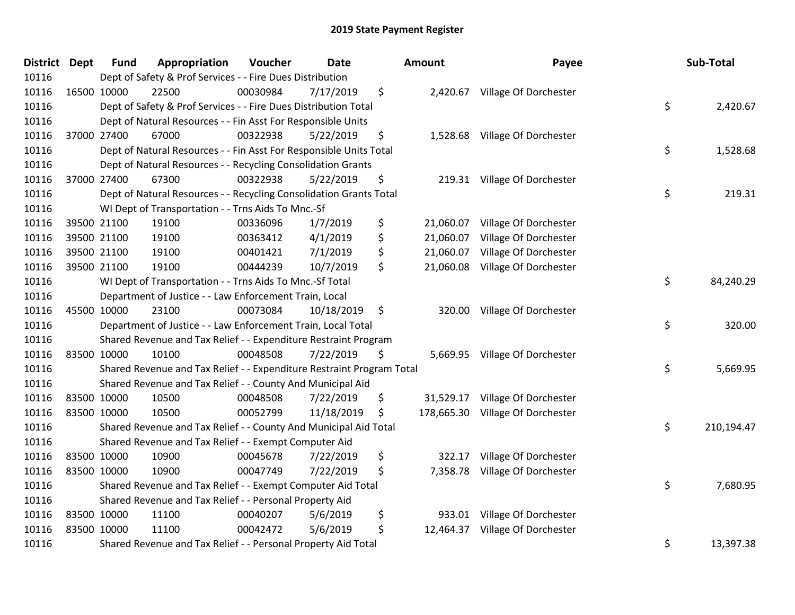| <b>District Dept</b> |             | <b>Fund</b> | Appropriation                                                         | Voucher  | <b>Date</b> |     | Amount    | Payee                            | Sub-Total        |
|----------------------|-------------|-------------|-----------------------------------------------------------------------|----------|-------------|-----|-----------|----------------------------------|------------------|
| 10116                |             |             | Dept of Safety & Prof Services - - Fire Dues Distribution             |          |             |     |           |                                  |                  |
| 10116                | 16500 10000 |             | 22500                                                                 | 00030984 | 7/17/2019   | \$  |           | 2,420.67 Village Of Dorchester   |                  |
| 10116                |             |             | Dept of Safety & Prof Services - - Fire Dues Distribution Total       |          |             |     |           |                                  | \$<br>2,420.67   |
| 10116                |             |             | Dept of Natural Resources - - Fin Asst For Responsible Units          |          |             |     |           |                                  |                  |
| 10116                |             | 37000 27400 | 67000                                                                 | 00322938 | 5/22/2019   | \$  |           | 1,528.68 Village Of Dorchester   |                  |
| 10116                |             |             | Dept of Natural Resources - - Fin Asst For Responsible Units Total    |          |             |     |           |                                  | \$<br>1,528.68   |
| 10116                |             |             | Dept of Natural Resources - - Recycling Consolidation Grants          |          |             |     |           |                                  |                  |
| 10116                |             | 37000 27400 | 67300                                                                 | 00322938 | 5/22/2019   | \$  |           | 219.31 Village Of Dorchester     |                  |
| 10116                |             |             | Dept of Natural Resources - - Recycling Consolidation Grants Total    |          |             |     |           |                                  | \$<br>219.31     |
| 10116                |             |             | WI Dept of Transportation - - Trns Aids To Mnc.-Sf                    |          |             |     |           |                                  |                  |
| 10116                |             | 39500 21100 | 19100                                                                 | 00336096 | 1/7/2019    | \$  | 21,060.07 | Village Of Dorchester            |                  |
| 10116                |             | 39500 21100 | 19100                                                                 | 00363412 | 4/1/2019    | \$  | 21,060.07 | Village Of Dorchester            |                  |
| 10116                |             | 39500 21100 | 19100                                                                 | 00401421 | 7/1/2019    | \$  | 21,060.07 | Village Of Dorchester            |                  |
| 10116                |             | 39500 21100 | 19100                                                                 | 00444239 | 10/7/2019   | \$  | 21,060.08 | Village Of Dorchester            |                  |
| 10116                |             |             | WI Dept of Transportation - - Trns Aids To Mnc.-Sf Total              |          |             |     |           |                                  | \$<br>84,240.29  |
| 10116                |             |             | Department of Justice - - Law Enforcement Train, Local                |          |             |     |           |                                  |                  |
| 10116                |             | 45500 10000 | 23100                                                                 | 00073084 | 10/18/2019  | \$  | 320.00    | Village Of Dorchester            |                  |
| 10116                |             |             | Department of Justice - - Law Enforcement Train, Local Total          |          |             |     |           |                                  | \$<br>320.00     |
| 10116                |             |             | Shared Revenue and Tax Relief - - Expenditure Restraint Program       |          |             |     |           |                                  |                  |
| 10116                | 83500 10000 |             | 10100                                                                 | 00048508 | 7/22/2019   | \$. |           | 5,669.95 Village Of Dorchester   |                  |
| 10116                |             |             | Shared Revenue and Tax Relief - - Expenditure Restraint Program Total |          |             |     |           |                                  | \$<br>5,669.95   |
| 10116                |             |             | Shared Revenue and Tax Relief - - County And Municipal Aid            |          |             |     |           |                                  |                  |
| 10116                |             | 83500 10000 | 10500                                                                 | 00048508 | 7/22/2019   | \$  |           | 31,529.17 Village Of Dorchester  |                  |
| 10116                |             | 83500 10000 | 10500                                                                 | 00052799 | 11/18/2019  | \$  |           | 178,665.30 Village Of Dorchester |                  |
| 10116                |             |             | Shared Revenue and Tax Relief - - County And Municipal Aid Total      |          |             |     |           |                                  | \$<br>210,194.47 |
| 10116                |             |             | Shared Revenue and Tax Relief - - Exempt Computer Aid                 |          |             |     |           |                                  |                  |
| 10116                |             | 83500 10000 | 10900                                                                 | 00045678 | 7/22/2019   | \$  | 322.17    | Village Of Dorchester            |                  |
| 10116                | 83500 10000 |             | 10900                                                                 | 00047749 | 7/22/2019   | \$  | 7,358.78  | Village Of Dorchester            |                  |
| 10116                |             |             | Shared Revenue and Tax Relief - - Exempt Computer Aid Total           |          |             |     |           |                                  | \$<br>7,680.95   |
| 10116                |             |             | Shared Revenue and Tax Relief - - Personal Property Aid               |          |             |     |           |                                  |                  |
| 10116                | 83500 10000 |             | 11100                                                                 | 00040207 | 5/6/2019    | \$  |           | 933.01 Village Of Dorchester     |                  |
| 10116                | 83500 10000 |             | 11100                                                                 | 00042472 | 5/6/2019    | \$  |           | 12,464.37 Village Of Dorchester  |                  |
| 10116                |             |             | Shared Revenue and Tax Relief - - Personal Property Aid Total         |          |             |     |           |                                  | \$<br>13,397.38  |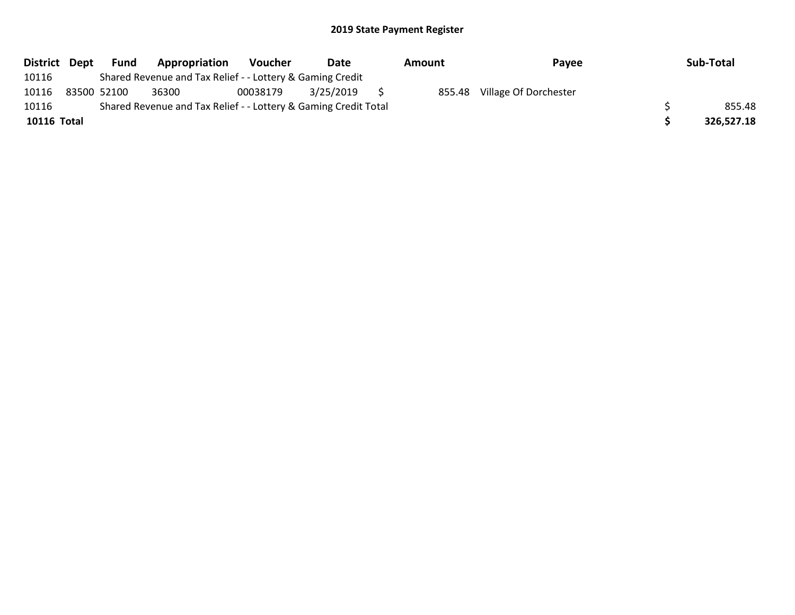| District Dept | Fund        | Appropriation                                                   | <b>Voucher</b> | Date      | Amount | Payee                 | Sub-Total  |
|---------------|-------------|-----------------------------------------------------------------|----------------|-----------|--------|-----------------------|------------|
| 10116         |             | Shared Revenue and Tax Relief - - Lottery & Gaming Credit       |                |           |        |                       |            |
| 10116         | 83500 52100 | 36300                                                           | 00038179       | 3/25/2019 | 855.48 | Village Of Dorchester |            |
| 10116         |             | Shared Revenue and Tax Relief - - Lottery & Gaming Credit Total |                |           |        |                       | 855.48     |
| 10116 Total   |             |                                                                 |                |           |        |                       | 326,527.18 |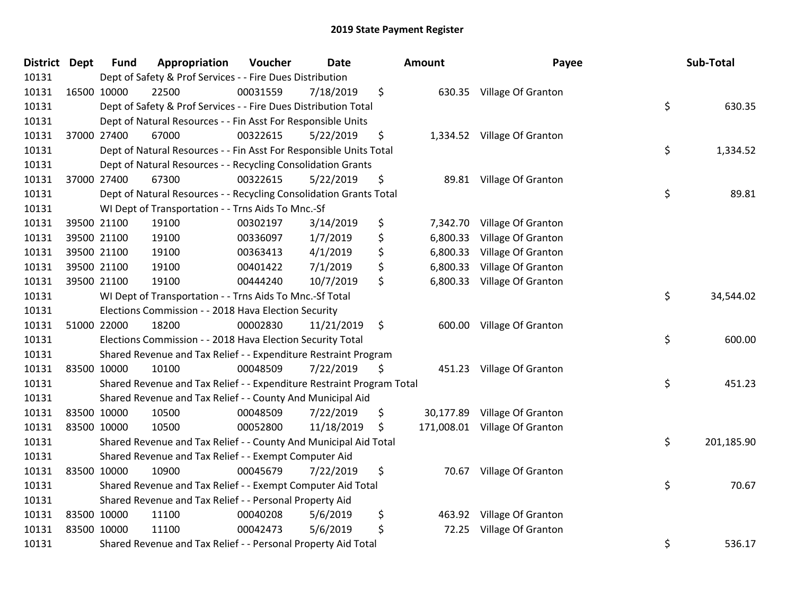| <b>District Dept</b> | <b>Fund</b> | Appropriation                                                         | Voucher  | <b>Date</b> | <b>Amount</b>  | Payee                         | Sub-Total        |
|----------------------|-------------|-----------------------------------------------------------------------|----------|-------------|----------------|-------------------------------|------------------|
| 10131                |             | Dept of Safety & Prof Services - - Fire Dues Distribution             |          |             |                |                               |                  |
| 10131                | 16500 10000 | 22500                                                                 | 00031559 | 7/18/2019   | \$             | 630.35 Village Of Granton     |                  |
| 10131                |             | Dept of Safety & Prof Services - - Fire Dues Distribution Total       |          |             |                |                               | \$<br>630.35     |
| 10131                |             | Dept of Natural Resources - - Fin Asst For Responsible Units          |          |             |                |                               |                  |
| 10131                | 37000 27400 | 67000                                                                 | 00322615 | 5/22/2019   | \$             | 1,334.52 Village Of Granton   |                  |
| 10131                |             | Dept of Natural Resources - - Fin Asst For Responsible Units Total    |          |             |                |                               | \$<br>1,334.52   |
| 10131                |             | Dept of Natural Resources - - Recycling Consolidation Grants          |          |             |                |                               |                  |
| 10131                | 37000 27400 | 67300                                                                 | 00322615 | 5/22/2019   | \$             | 89.81 Village Of Granton      |                  |
| 10131                |             | Dept of Natural Resources - - Recycling Consolidation Grants Total    |          |             |                |                               | \$<br>89.81      |
| 10131                |             | WI Dept of Transportation - - Trns Aids To Mnc.-Sf                    |          |             |                |                               |                  |
| 10131                | 39500 21100 | 19100                                                                 | 00302197 | 3/14/2019   | \$             | 7,342.70 Village Of Granton   |                  |
| 10131                | 39500 21100 | 19100                                                                 | 00336097 | 1/7/2019    | \$<br>6,800.33 | Village Of Granton            |                  |
| 10131                | 39500 21100 | 19100                                                                 | 00363413 | 4/1/2019    | \$<br>6,800.33 | Village Of Granton            |                  |
| 10131                | 39500 21100 | 19100                                                                 | 00401422 | 7/1/2019    | \$<br>6,800.33 | Village Of Granton            |                  |
| 10131                | 39500 21100 | 19100                                                                 | 00444240 | 10/7/2019   | \$             | 6,800.33 Village Of Granton   |                  |
| 10131                |             | WI Dept of Transportation - - Trns Aids To Mnc.-Sf Total              |          |             |                |                               | \$<br>34,544.02  |
| 10131                |             | Elections Commission - - 2018 Hava Election Security                  |          |             |                |                               |                  |
| 10131                | 51000 22000 | 18200                                                                 | 00002830 | 11/21/2019  | \$             | 600.00 Village Of Granton     |                  |
| 10131                |             | Elections Commission - - 2018 Hava Election Security Total            |          |             |                |                               | \$<br>600.00     |
| 10131                |             | Shared Revenue and Tax Relief - - Expenditure Restraint Program       |          |             |                |                               |                  |
| 10131                | 83500 10000 | 10100                                                                 | 00048509 | 7/22/2019   | \$             | 451.23 Village Of Granton     |                  |
| 10131                |             | Shared Revenue and Tax Relief - - Expenditure Restraint Program Total |          |             |                |                               | \$<br>451.23     |
| 10131                |             | Shared Revenue and Tax Relief - - County And Municipal Aid            |          |             |                |                               |                  |
| 10131                | 83500 10000 | 10500                                                                 | 00048509 | 7/22/2019   | \$             | 30,177.89 Village Of Granton  |                  |
| 10131                | 83500 10000 | 10500                                                                 | 00052800 | 11/18/2019  | \$             | 171,008.01 Village Of Granton |                  |
| 10131                |             | Shared Revenue and Tax Relief - - County And Municipal Aid Total      |          |             |                |                               | \$<br>201,185.90 |
| 10131                |             | Shared Revenue and Tax Relief - - Exempt Computer Aid                 |          |             |                |                               |                  |
| 10131                | 83500 10000 | 10900                                                                 | 00045679 | 7/22/2019   | \$             | 70.67 Village Of Granton      |                  |
| 10131                |             | Shared Revenue and Tax Relief - - Exempt Computer Aid Total           |          |             |                |                               | \$<br>70.67      |
| 10131                |             | Shared Revenue and Tax Relief - - Personal Property Aid               |          |             |                |                               |                  |
| 10131                | 83500 10000 | 11100                                                                 | 00040208 | 5/6/2019    | \$             | 463.92 Village Of Granton     |                  |
| 10131                | 83500 10000 | 11100                                                                 | 00042473 | 5/6/2019    | \$<br>72.25    | Village Of Granton            |                  |
| 10131                |             | Shared Revenue and Tax Relief - - Personal Property Aid Total         |          |             |                |                               | \$<br>536.17     |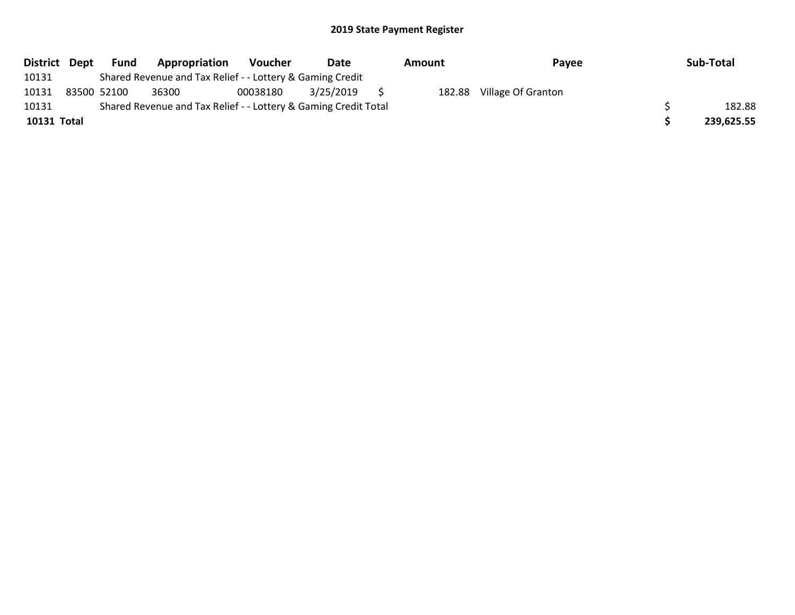| District Dept | Fund        | Appropriation                                                   | <b>Voucher</b> | Date      | Amount | Payee                     | Sub-Total  |
|---------------|-------------|-----------------------------------------------------------------|----------------|-----------|--------|---------------------------|------------|
| 10131         |             | Shared Revenue and Tax Relief - - Lottery & Gaming Credit       |                |           |        |                           |            |
| 10131         | 83500 52100 | 36300                                                           | 00038180       | 3/25/2019 |        | 182.88 Village Of Granton |            |
| 10131         |             | Shared Revenue and Tax Relief - - Lottery & Gaming Credit Total |                |           |        |                           | 182.88     |
| 10131 Total   |             |                                                                 |                |           |        |                           | 239,625.55 |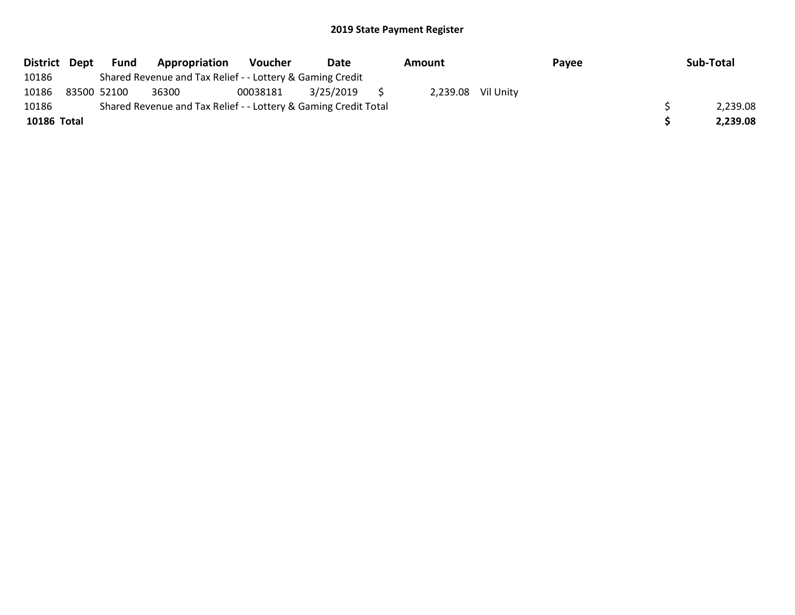| District Dept | Fund        | Appropriation                                                   | Voucher  | Date      | Amount             | Payee | Sub-Total |
|---------------|-------------|-----------------------------------------------------------------|----------|-----------|--------------------|-------|-----------|
| 10186         |             | Shared Revenue and Tax Relief - - Lottery & Gaming Credit       |          |           |                    |       |           |
| 10186         | 83500 52100 | 36300                                                           | 00038181 | 3/25/2019 | 2,239.08 Vil Unity |       |           |
| 10186         |             | Shared Revenue and Tax Relief - - Lottery & Gaming Credit Total |          |           |                    |       | 2,239.08  |
| 10186 Total   |             |                                                                 |          |           |                    |       | 2.239.08  |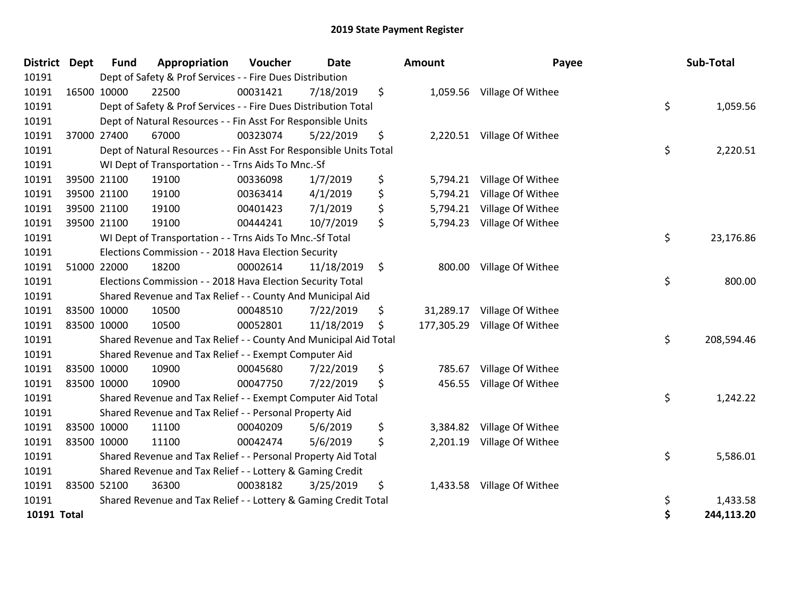| District Dept | <b>Fund</b> | Appropriation                                                      | Voucher  | <b>Date</b> | Amount       | Payee                        |    | Sub-Total  |
|---------------|-------------|--------------------------------------------------------------------|----------|-------------|--------------|------------------------------|----|------------|
| 10191         |             | Dept of Safety & Prof Services - - Fire Dues Distribution          |          |             |              |                              |    |            |
| 10191         | 16500 10000 | 22500                                                              | 00031421 | 7/18/2019   | \$           | 1,059.56 Village Of Withee   |    |            |
| 10191         |             | Dept of Safety & Prof Services - - Fire Dues Distribution Total    |          |             |              |                              | \$ | 1,059.56   |
| 10191         |             | Dept of Natural Resources - - Fin Asst For Responsible Units       |          |             |              |                              |    |            |
| 10191         | 37000 27400 | 67000                                                              | 00323074 | 5/22/2019   | \$           | 2,220.51 Village Of Withee   |    |            |
| 10191         |             | Dept of Natural Resources - - Fin Asst For Responsible Units Total |          |             |              |                              | \$ | 2,220.51   |
| 10191         |             | WI Dept of Transportation - - Trns Aids To Mnc.-Sf                 |          |             |              |                              |    |            |
| 10191         | 39500 21100 | 19100                                                              | 00336098 | 1/7/2019    | \$           | 5,794.21 Village Of Withee   |    |            |
| 10191         | 39500 21100 | 19100                                                              | 00363414 | 4/1/2019    | \$           | 5,794.21 Village Of Withee   |    |            |
| 10191         | 39500 21100 | 19100                                                              | 00401423 | 7/1/2019    | \$           | 5,794.21 Village Of Withee   |    |            |
| 10191         | 39500 21100 | 19100                                                              | 00444241 | 10/7/2019   | \$           | 5,794.23 Village Of Withee   |    |            |
| 10191         |             | WI Dept of Transportation - - Trns Aids To Mnc.-Sf Total           |          |             |              |                              | \$ | 23,176.86  |
| 10191         |             | Elections Commission - - 2018 Hava Election Security               |          |             |              |                              |    |            |
| 10191         | 51000 22000 | 18200                                                              | 00002614 | 11/18/2019  | \$           | 800.00 Village Of Withee     |    |            |
| 10191         |             | Elections Commission - - 2018 Hava Election Security Total         |          |             |              |                              | \$ | 800.00     |
| 10191         |             | Shared Revenue and Tax Relief - - County And Municipal Aid         |          |             |              |                              |    |            |
| 10191         | 83500 10000 | 10500                                                              | 00048510 | 7/22/2019   | \$           | 31,289.17 Village Of Withee  |    |            |
| 10191         | 83500 10000 | 10500                                                              | 00052801 | 11/18/2019  | \$           | 177,305.29 Village Of Withee |    |            |
| 10191         |             | Shared Revenue and Tax Relief - - County And Municipal Aid Total   |          |             |              |                              | \$ | 208,594.46 |
| 10191         |             | Shared Revenue and Tax Relief - - Exempt Computer Aid              |          |             |              |                              |    |            |
| 10191         | 83500 10000 | 10900                                                              | 00045680 | 7/22/2019   | \$<br>785.67 | Village Of Withee            |    |            |
| 10191         | 83500 10000 | 10900                                                              | 00047750 | 7/22/2019   | \$<br>456.55 | Village Of Withee            |    |            |
| 10191         |             | Shared Revenue and Tax Relief - - Exempt Computer Aid Total        |          |             |              |                              | \$ | 1,242.22   |
| 10191         |             | Shared Revenue and Tax Relief - - Personal Property Aid            |          |             |              |                              |    |            |
| 10191         | 83500 10000 | 11100                                                              | 00040209 | 5/6/2019    | \$           | 3,384.82 Village Of Withee   |    |            |
| 10191         | 83500 10000 | 11100                                                              | 00042474 | 5/6/2019    | \$           | 2,201.19 Village Of Withee   |    |            |
| 10191         |             | Shared Revenue and Tax Relief - - Personal Property Aid Total      |          |             |              |                              | \$ | 5,586.01   |
| 10191         |             | Shared Revenue and Tax Relief - - Lottery & Gaming Credit          |          |             |              |                              |    |            |
| 10191         | 83500 52100 | 36300                                                              | 00038182 | 3/25/2019   | \$           | 1,433.58 Village Of Withee   |    |            |
| 10191         |             | Shared Revenue and Tax Relief - - Lottery & Gaming Credit Total    |          |             |              |                              | \$ | 1,433.58   |
| 10191 Total   |             |                                                                    |          |             |              |                              | Ś  | 244,113.20 |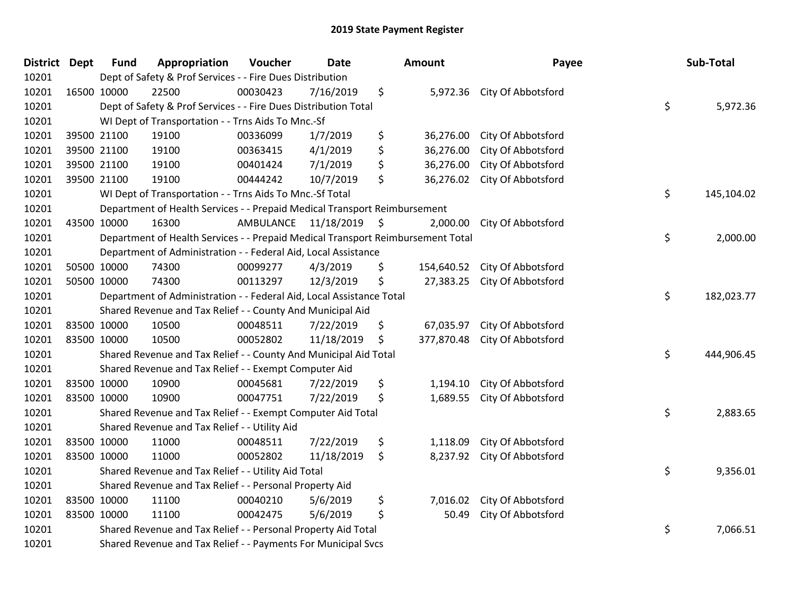| <b>District Dept</b> | <b>Fund</b> | Appropriation                                                                   | Voucher   | <b>Date</b>   | Amount           | Payee                       | Sub-Total        |
|----------------------|-------------|---------------------------------------------------------------------------------|-----------|---------------|------------------|-----------------------------|------------------|
| 10201                |             | Dept of Safety & Prof Services - - Fire Dues Distribution                       |           |               |                  |                             |                  |
| 10201                | 16500 10000 | 22500                                                                           | 00030423  | 7/16/2019     | \$               | 5,972.36 City Of Abbotsford |                  |
| 10201                |             | Dept of Safety & Prof Services - - Fire Dues Distribution Total                 |           |               |                  |                             | \$<br>5,972.36   |
| 10201                |             | WI Dept of Transportation - - Trns Aids To Mnc.-Sf                              |           |               |                  |                             |                  |
| 10201                | 39500 21100 | 19100                                                                           | 00336099  | 1/7/2019      | \$<br>36,276.00  | City Of Abbotsford          |                  |
| 10201                | 39500 21100 | 19100                                                                           | 00363415  | 4/1/2019      | \$<br>36,276.00  | City Of Abbotsford          |                  |
| 10201                | 39500 21100 | 19100                                                                           | 00401424  | 7/1/2019      | \$<br>36,276.00  | City Of Abbotsford          |                  |
| 10201                | 39500 21100 | 19100                                                                           | 00444242  | 10/7/2019     | \$<br>36,276.02  | City Of Abbotsford          |                  |
| 10201                |             | WI Dept of Transportation - - Trns Aids To Mnc.-Sf Total                        |           |               |                  |                             | \$<br>145,104.02 |
| 10201                |             | Department of Health Services - - Prepaid Medical Transport Reimbursement       |           |               |                  |                             |                  |
| 10201                | 43500 10000 | 16300                                                                           | AMBULANCE | 11/18/2019 \$ | 2,000.00         | City Of Abbotsford          |                  |
| 10201                |             | Department of Health Services - - Prepaid Medical Transport Reimbursement Total |           |               |                  |                             | \$<br>2,000.00   |
| 10201                |             | Department of Administration - - Federal Aid, Local Assistance                  |           |               |                  |                             |                  |
| 10201                | 50500 10000 | 74300                                                                           | 00099277  | 4/3/2019      | \$<br>154,640.52 | City Of Abbotsford          |                  |
| 10201                | 50500 10000 | 74300                                                                           | 00113297  | 12/3/2019     | \$<br>27,383.25  | City Of Abbotsford          |                  |
| 10201                |             | Department of Administration - - Federal Aid, Local Assistance Total            |           |               |                  |                             | \$<br>182,023.77 |
| 10201                |             | Shared Revenue and Tax Relief - - County And Municipal Aid                      |           |               |                  |                             |                  |
| 10201                | 83500 10000 | 10500                                                                           | 00048511  | 7/22/2019     | \$<br>67,035.97  | City Of Abbotsford          |                  |
| 10201                | 83500 10000 | 10500                                                                           | 00052802  | 11/18/2019    | \$<br>377,870.48 | City Of Abbotsford          |                  |
| 10201                |             | Shared Revenue and Tax Relief - - County And Municipal Aid Total                |           |               |                  |                             | \$<br>444,906.45 |
| 10201                |             | Shared Revenue and Tax Relief - - Exempt Computer Aid                           |           |               |                  |                             |                  |
| 10201                | 83500 10000 | 10900                                                                           | 00045681  | 7/22/2019     | \$<br>1,194.10   | City Of Abbotsford          |                  |
| 10201                | 83500 10000 | 10900                                                                           | 00047751  | 7/22/2019     | \$<br>1,689.55   | City Of Abbotsford          |                  |
| 10201                |             | Shared Revenue and Tax Relief - - Exempt Computer Aid Total                     |           |               |                  |                             | \$<br>2,883.65   |
| 10201                |             | Shared Revenue and Tax Relief - - Utility Aid                                   |           |               |                  |                             |                  |
| 10201                | 83500 10000 | 11000                                                                           | 00048511  | 7/22/2019     | \$<br>1,118.09   | City Of Abbotsford          |                  |
| 10201                | 83500 10000 | 11000                                                                           | 00052802  | 11/18/2019    | \$               | 8,237.92 City Of Abbotsford |                  |
| 10201                |             | Shared Revenue and Tax Relief - - Utility Aid Total                             |           |               |                  |                             | \$<br>9,356.01   |
| 10201                |             | Shared Revenue and Tax Relief - - Personal Property Aid                         |           |               |                  |                             |                  |
| 10201                | 83500 10000 | 11100                                                                           | 00040210  | 5/6/2019      | \$<br>7,016.02   | City Of Abbotsford          |                  |
| 10201                | 83500 10000 | 11100                                                                           | 00042475  | 5/6/2019      | \$<br>50.49      | City Of Abbotsford          |                  |
| 10201                |             | Shared Revenue and Tax Relief - - Personal Property Aid Total                   |           |               |                  |                             | \$<br>7,066.51   |
| 10201                |             | Shared Revenue and Tax Relief - - Payments For Municipal Svcs                   |           |               |                  |                             |                  |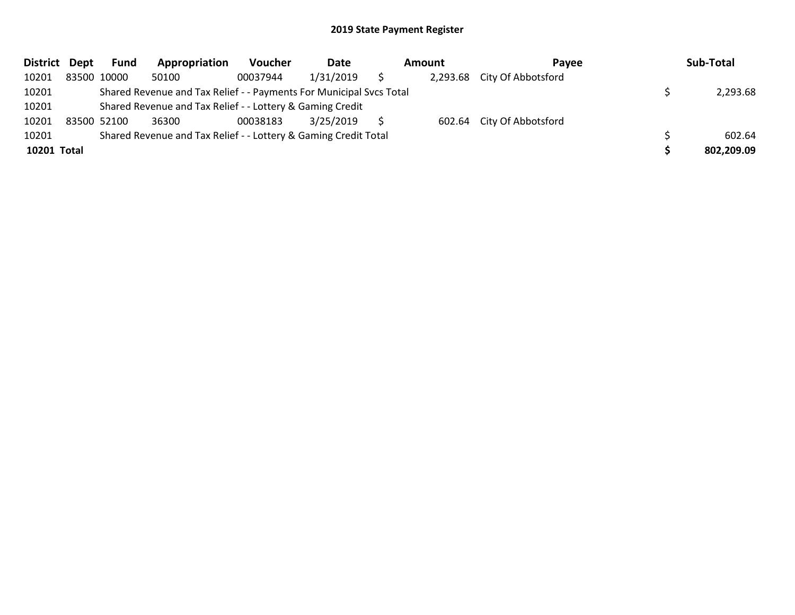| <b>District</b> | Dept | Fund        | Appropriation                                                       | <b>Voucher</b> | Date      | Amount | <b>Pavee</b>                | Sub-Total  |
|-----------------|------|-------------|---------------------------------------------------------------------|----------------|-----------|--------|-----------------------------|------------|
| 10201           |      | 83500 10000 | 50100                                                               | 00037944       | 1/31/2019 |        | 2,293.68 City Of Abbotsford |            |
| 10201           |      |             | Shared Revenue and Tax Relief - - Payments For Municipal Svcs Total |                |           |        |                             | 2,293.68   |
| 10201           |      |             | Shared Revenue and Tax Relief - - Lottery & Gaming Credit           |                |           |        |                             |            |
| 10201           |      | 83500 52100 | 36300                                                               | 00038183       | 3/25/2019 |        | 602.64 City Of Abbotsford   |            |
| 10201           |      |             | Shared Revenue and Tax Relief - - Lottery & Gaming Credit Total     |                |           |        |                             | 602.64     |
| 10201 Total     |      |             |                                                                     |                |           |        |                             | 802,209.09 |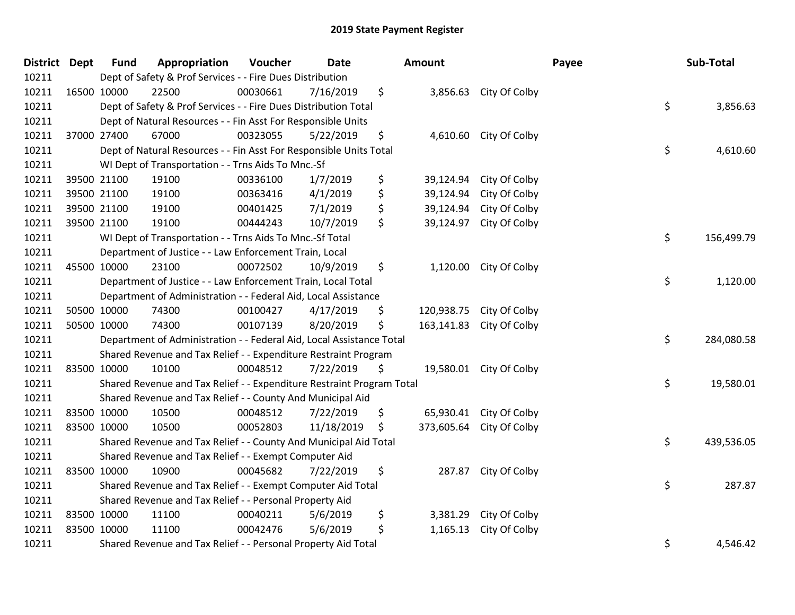| District Dept | <b>Fund</b> | Appropriation                                                         | Voucher  | <b>Date</b> | <b>Amount</b>    |                         | Payee | Sub-Total  |
|---------------|-------------|-----------------------------------------------------------------------|----------|-------------|------------------|-------------------------|-------|------------|
| 10211         |             | Dept of Safety & Prof Services - - Fire Dues Distribution             |          |             |                  |                         |       |            |
| 10211         | 16500 10000 | 22500                                                                 | 00030661 | 7/16/2019   | \$               | 3,856.63 City Of Colby  |       |            |
| 10211         |             | Dept of Safety & Prof Services - - Fire Dues Distribution Total       |          |             |                  |                         | \$    | 3,856.63   |
| 10211         |             | Dept of Natural Resources - - Fin Asst For Responsible Units          |          |             |                  |                         |       |            |
| 10211         | 37000 27400 | 67000                                                                 | 00323055 | 5/22/2019   | \$<br>4,610.60   | City Of Colby           |       |            |
| 10211         |             | Dept of Natural Resources - - Fin Asst For Responsible Units Total    |          |             |                  |                         | \$    | 4,610.60   |
| 10211         |             | WI Dept of Transportation - - Trns Aids To Mnc.-Sf                    |          |             |                  |                         |       |            |
| 10211         | 39500 21100 | 19100                                                                 | 00336100 | 1/7/2019    | \$<br>39,124.94  | City Of Colby           |       |            |
| 10211         | 39500 21100 | 19100                                                                 | 00363416 | 4/1/2019    | \$<br>39,124.94  | City Of Colby           |       |            |
| 10211         | 39500 21100 | 19100                                                                 | 00401425 | 7/1/2019    | \$<br>39,124.94  | City Of Colby           |       |            |
| 10211         | 39500 21100 | 19100                                                                 | 00444243 | 10/7/2019   | \$<br>39,124.97  | City Of Colby           |       |            |
| 10211         |             | WI Dept of Transportation - - Trns Aids To Mnc .- Sf Total            |          |             |                  |                         | \$    | 156,499.79 |
| 10211         |             | Department of Justice - - Law Enforcement Train, Local                |          |             |                  |                         |       |            |
| 10211         | 45500 10000 | 23100                                                                 | 00072502 | 10/9/2019   | \$<br>1,120.00   | City Of Colby           |       |            |
| 10211         |             | Department of Justice - - Law Enforcement Train, Local Total          |          |             |                  |                         | \$    | 1,120.00   |
| 10211         |             | Department of Administration - - Federal Aid, Local Assistance        |          |             |                  |                         |       |            |
| 10211         | 50500 10000 | 74300                                                                 | 00100427 | 4/17/2019   | \$<br>120,938.75 | City Of Colby           |       |            |
| 10211         | 50500 10000 | 74300                                                                 | 00107139 | 8/20/2019   | \$<br>163,141.83 | City Of Colby           |       |            |
| 10211         |             | Department of Administration - - Federal Aid, Local Assistance Total  |          |             |                  |                         | \$    | 284,080.58 |
| 10211         |             | Shared Revenue and Tax Relief - - Expenditure Restraint Program       |          |             |                  |                         |       |            |
| 10211         | 83500 10000 | 10100                                                                 | 00048512 | 7/22/2019   | \$               | 19,580.01 City Of Colby |       |            |
| 10211         |             | Shared Revenue and Tax Relief - - Expenditure Restraint Program Total |          |             |                  |                         | \$    | 19,580.01  |
| 10211         |             | Shared Revenue and Tax Relief - - County And Municipal Aid            |          |             |                  |                         |       |            |
| 10211         | 83500 10000 | 10500                                                                 | 00048512 | 7/22/2019   | \$<br>65,930.41  | City Of Colby           |       |            |
| 10211         | 83500 10000 | 10500                                                                 | 00052803 | 11/18/2019  | \$<br>373,605.64 | City Of Colby           |       |            |
| 10211         |             | Shared Revenue and Tax Relief - - County And Municipal Aid Total      |          |             |                  |                         | \$    | 439,536.05 |
| 10211         |             | Shared Revenue and Tax Relief - - Exempt Computer Aid                 |          |             |                  |                         |       |            |
| 10211         | 83500 10000 | 10900                                                                 | 00045682 | 7/22/2019   | \$<br>287.87     | City Of Colby           |       |            |
| 10211         |             | Shared Revenue and Tax Relief - - Exempt Computer Aid Total           |          |             |                  |                         | \$    | 287.87     |
| 10211         |             | Shared Revenue and Tax Relief - - Personal Property Aid               |          |             |                  |                         |       |            |
| 10211         | 83500 10000 | 11100                                                                 | 00040211 | 5/6/2019    | \$<br>3,381.29   | City Of Colby           |       |            |
| 10211         | 83500 10000 | 11100                                                                 | 00042476 | 5/6/2019    | \$<br>1,165.13   | City Of Colby           |       |            |
| 10211         |             | Shared Revenue and Tax Relief - - Personal Property Aid Total         |          |             |                  |                         | \$    | 4,546.42   |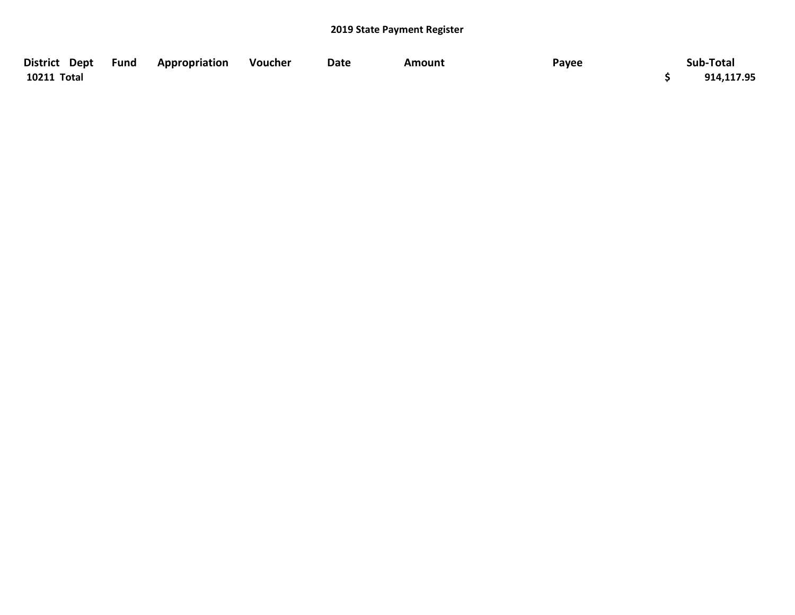| District Dept Fund | <b>Appropriation</b> | Voucher | Date | Amount | Payee | Sub-Total  |
|--------------------|----------------------|---------|------|--------|-------|------------|
| 10211 Total        |                      |         |      |        |       | 914,117.95 |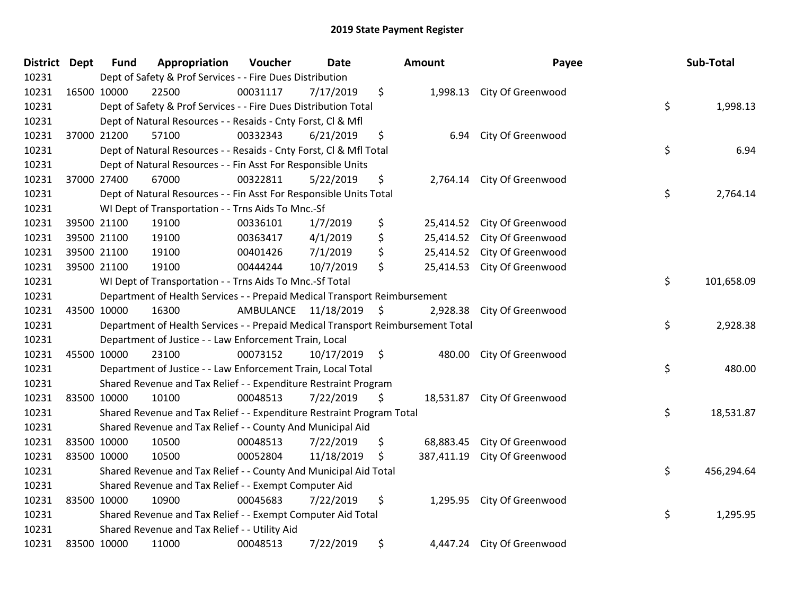| District Dept | <b>Fund</b> | Appropriation                                                                   | Voucher                 | <b>Date</b>     | Amount           | Payee                       | Sub-Total        |
|---------------|-------------|---------------------------------------------------------------------------------|-------------------------|-----------------|------------------|-----------------------------|------------------|
| 10231         |             | Dept of Safety & Prof Services - - Fire Dues Distribution                       |                         |                 |                  |                             |                  |
| 10231         | 16500 10000 | 22500                                                                           | 00031117                | 7/17/2019       | \$               | 1,998.13 City Of Greenwood  |                  |
| 10231         |             | Dept of Safety & Prof Services - - Fire Dues Distribution Total                 |                         |                 |                  |                             | \$<br>1,998.13   |
| 10231         |             | Dept of Natural Resources - - Resaids - Cnty Forst, CI & Mfl                    |                         |                 |                  |                             |                  |
| 10231         | 37000 21200 | 57100                                                                           | 00332343                | 6/21/2019       | \$<br>6.94       | City Of Greenwood           |                  |
| 10231         |             | Dept of Natural Resources - - Resaids - Cnty Forst, CI & Mfl Total              |                         |                 |                  |                             | \$<br>6.94       |
| 10231         |             | Dept of Natural Resources - - Fin Asst For Responsible Units                    |                         |                 |                  |                             |                  |
| 10231         | 37000 27400 | 67000                                                                           | 00322811                | 5/22/2019       | \$               | 2,764.14 City Of Greenwood  |                  |
| 10231         |             | Dept of Natural Resources - - Fin Asst For Responsible Units Total              |                         |                 |                  |                             | \$<br>2,764.14   |
| 10231         |             | WI Dept of Transportation - - Trns Aids To Mnc.-Sf                              |                         |                 |                  |                             |                  |
| 10231         | 39500 21100 | 19100                                                                           | 00336101                | 1/7/2019        | \$<br>25,414.52  | City Of Greenwood           |                  |
| 10231         | 39500 21100 | 19100                                                                           | 00363417                | 4/1/2019        | \$<br>25,414.52  | City Of Greenwood           |                  |
| 10231         | 39500 21100 | 19100                                                                           | 00401426                | 7/1/2019        | \$               | 25,414.52 City Of Greenwood |                  |
| 10231         | 39500 21100 | 19100                                                                           | 00444244                | 10/7/2019       | \$<br>25,414.53  | City Of Greenwood           |                  |
| 10231         |             | WI Dept of Transportation - - Trns Aids To Mnc.-Sf Total                        |                         |                 |                  |                             | \$<br>101,658.09 |
| 10231         |             | Department of Health Services - - Prepaid Medical Transport Reimbursement       |                         |                 |                  |                             |                  |
| 10231         | 43500 10000 | 16300                                                                           | AMBULANCE 11/18/2019 \$ |                 | 2,928.38         | City Of Greenwood           |                  |
| 10231         |             | Department of Health Services - - Prepaid Medical Transport Reimbursement Total |                         |                 |                  |                             | \$<br>2,928.38   |
| 10231         |             | Department of Justice - - Law Enforcement Train, Local                          |                         |                 |                  |                             |                  |
| 10231         | 45500 10000 | 23100                                                                           | 00073152                | $10/17/2019$ \$ | 480.00           | City Of Greenwood           |                  |
| 10231         |             | Department of Justice - - Law Enforcement Train, Local Total                    |                         |                 |                  |                             | \$<br>480.00     |
| 10231         |             | Shared Revenue and Tax Relief - - Expenditure Restraint Program                 |                         |                 |                  |                             |                  |
| 10231         | 83500 10000 | 10100                                                                           | 00048513                | 7/22/2019       | \$               | 18,531.87 City Of Greenwood |                  |
| 10231         |             | Shared Revenue and Tax Relief - - Expenditure Restraint Program Total           |                         |                 |                  |                             | \$<br>18,531.87  |
| 10231         |             | Shared Revenue and Tax Relief - - County And Municipal Aid                      |                         |                 |                  |                             |                  |
| 10231         | 83500 10000 | 10500                                                                           | 00048513                | 7/22/2019       | \$<br>68,883.45  | City Of Greenwood           |                  |
| 10231         | 83500 10000 | 10500                                                                           | 00052804                | 11/18/2019      | \$<br>387,411.19 | City Of Greenwood           |                  |
| 10231         |             | Shared Revenue and Tax Relief - - County And Municipal Aid Total                |                         |                 |                  |                             | \$<br>456,294.64 |
| 10231         |             | Shared Revenue and Tax Relief - - Exempt Computer Aid                           |                         |                 |                  |                             |                  |
| 10231         | 83500 10000 | 10900                                                                           | 00045683                | 7/22/2019       | \$               | 1,295.95 City Of Greenwood  |                  |
| 10231         |             | Shared Revenue and Tax Relief - - Exempt Computer Aid Total                     |                         |                 |                  |                             | \$<br>1,295.95   |
| 10231         |             | Shared Revenue and Tax Relief - - Utility Aid                                   |                         |                 |                  |                             |                  |
| 10231         | 83500 10000 | 11000                                                                           | 00048513                | 7/22/2019       | \$               | 4,447.24 City Of Greenwood  |                  |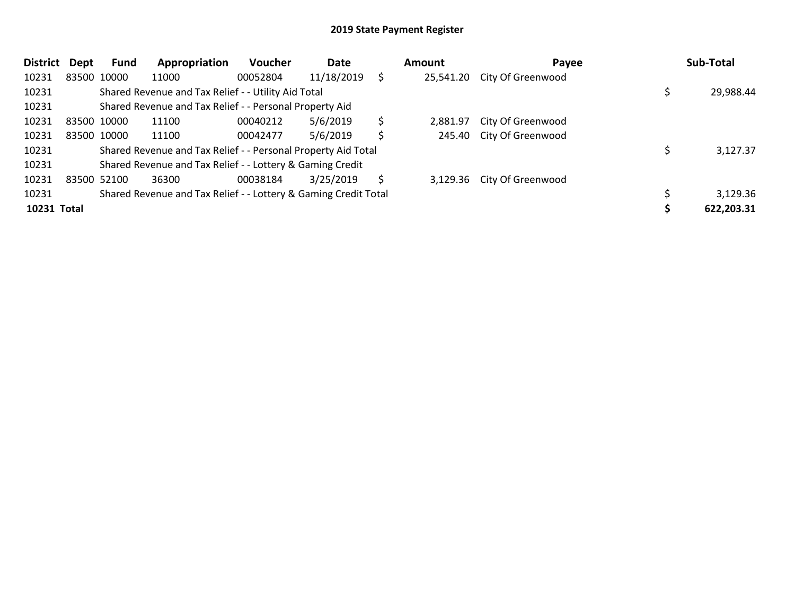| <b>District</b> | Dept        | Fund        | Appropriation                                                   | <b>Voucher</b> | Date       |    | Amount   | Payee                       | Sub-Total  |
|-----------------|-------------|-------------|-----------------------------------------------------------------|----------------|------------|----|----------|-----------------------------|------------|
| 10231           |             | 83500 10000 | 11000                                                           | 00052804       | 11/18/2019 | Ś. |          | 25,541.20 City Of Greenwood |            |
| 10231           |             |             | Shared Revenue and Tax Relief - - Utility Aid Total             |                |            |    |          |                             | 29,988.44  |
| 10231           |             |             | Shared Revenue and Tax Relief - - Personal Property Aid         |                |            |    |          |                             |            |
| 10231           |             | 83500 10000 | 11100                                                           | 00040212       | 5/6/2019   | \$ | 2.881.97 | City Of Greenwood           |            |
| 10231           |             | 83500 10000 | 11100                                                           | 00042477       | 5/6/2019   | \$ |          | 245.40 City Of Greenwood    |            |
| 10231           |             |             | Shared Revenue and Tax Relief - - Personal Property Aid Total   |                |            |    |          |                             | 3,127.37   |
| 10231           |             |             | Shared Revenue and Tax Relief - - Lottery & Gaming Credit       |                |            |    |          |                             |            |
| 10231           | 83500 52100 |             | 36300                                                           | 00038184       | 3/25/2019  | S  |          | 3,129.36 City Of Greenwood  |            |
| 10231           |             |             | Shared Revenue and Tax Relief - - Lottery & Gaming Credit Total |                |            |    |          |                             | 3,129.36   |
| 10231 Total     |             |             |                                                                 |                |            |    |          |                             | 622,203.31 |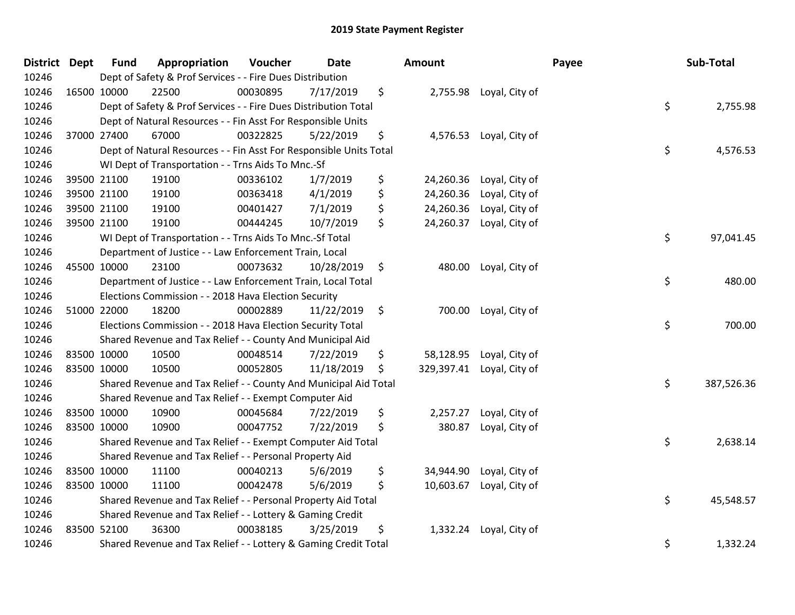| District Dept | <b>Fund</b> | Appropriation                                                      | Voucher  | <b>Date</b> | Amount          |                           | Payee | Sub-Total  |
|---------------|-------------|--------------------------------------------------------------------|----------|-------------|-----------------|---------------------------|-------|------------|
| 10246         |             | Dept of Safety & Prof Services - - Fire Dues Distribution          |          |             |                 |                           |       |            |
| 10246         | 16500 10000 | 22500                                                              | 00030895 | 7/17/2019   | \$              | 2,755.98 Loyal, City of   |       |            |
| 10246         |             | Dept of Safety & Prof Services - - Fire Dues Distribution Total    |          |             |                 |                           | \$    | 2,755.98   |
| 10246         |             | Dept of Natural Resources - - Fin Asst For Responsible Units       |          |             |                 |                           |       |            |
| 10246         | 37000 27400 | 67000                                                              | 00322825 | 5/22/2019   | \$<br>4,576.53  | Loyal, City of            |       |            |
| 10246         |             | Dept of Natural Resources - - Fin Asst For Responsible Units Total |          |             |                 |                           | \$    | 4,576.53   |
| 10246         |             | WI Dept of Transportation - - Trns Aids To Mnc.-Sf                 |          |             |                 |                           |       |            |
| 10246         | 39500 21100 | 19100                                                              | 00336102 | 1/7/2019    | \$<br>24,260.36 | Loyal, City of            |       |            |
| 10246         | 39500 21100 | 19100                                                              | 00363418 | 4/1/2019    | \$              | 24,260.36 Loyal, City of  |       |            |
| 10246         | 39500 21100 | 19100                                                              | 00401427 | 7/1/2019    | \$<br>24,260.36 | Loyal, City of            |       |            |
| 10246         | 39500 21100 | 19100                                                              | 00444245 | 10/7/2019   | \$              | 24,260.37 Loyal, City of  |       |            |
| 10246         |             | WI Dept of Transportation - - Trns Aids To Mnc.-Sf Total           |          |             |                 |                           | \$    | 97,041.45  |
| 10246         |             | Department of Justice - - Law Enforcement Train, Local             |          |             |                 |                           |       |            |
| 10246         | 45500 10000 | 23100                                                              | 00073632 | 10/28/2019  | \$              | 480.00 Loyal, City of     |       |            |
| 10246         |             | Department of Justice - - Law Enforcement Train, Local Total       |          |             |                 |                           | \$    | 480.00     |
| 10246         |             | Elections Commission - - 2018 Hava Election Security               |          |             |                 |                           |       |            |
| 10246         | 51000 22000 | 18200                                                              | 00002889 | 11/22/2019  | \$              | 700.00 Loyal, City of     |       |            |
| 10246         |             | Elections Commission - - 2018 Hava Election Security Total         |          |             |                 |                           | \$    | 700.00     |
| 10246         |             | Shared Revenue and Tax Relief - - County And Municipal Aid         |          |             |                 |                           |       |            |
| 10246         | 83500 10000 | 10500                                                              | 00048514 | 7/22/2019   | \$              | 58,128.95 Loyal, City of  |       |            |
| 10246         | 83500 10000 | 10500                                                              | 00052805 | 11/18/2019  | \$              | 329,397.41 Loyal, City of |       |            |
| 10246         |             | Shared Revenue and Tax Relief - - County And Municipal Aid Total   |          |             |                 |                           | \$    | 387,526.36 |
| 10246         |             | Shared Revenue and Tax Relief - - Exempt Computer Aid              |          |             |                 |                           |       |            |
| 10246         | 83500 10000 | 10900                                                              | 00045684 | 7/22/2019   | \$<br>2,257.27  | Loyal, City of            |       |            |
| 10246         | 83500 10000 | 10900                                                              | 00047752 | 7/22/2019   | \$<br>380.87    | Loyal, City of            |       |            |
| 10246         |             | Shared Revenue and Tax Relief - - Exempt Computer Aid Total        |          |             |                 |                           | \$    | 2,638.14   |
| 10246         |             | Shared Revenue and Tax Relief - - Personal Property Aid            |          |             |                 |                           |       |            |
| 10246         | 83500 10000 | 11100                                                              | 00040213 | 5/6/2019    | \$<br>34,944.90 | Loyal, City of            |       |            |
| 10246         | 83500 10000 | 11100                                                              | 00042478 | 5/6/2019    | \$              | 10,603.67 Loyal, City of  |       |            |
| 10246         |             | Shared Revenue and Tax Relief - - Personal Property Aid Total      |          |             |                 |                           | \$    | 45,548.57  |
| 10246         |             | Shared Revenue and Tax Relief - - Lottery & Gaming Credit          |          |             |                 |                           |       |            |
| 10246         | 83500 52100 | 36300                                                              | 00038185 | 3/25/2019   | \$              | 1,332.24 Loyal, City of   |       |            |
| 10246         |             | Shared Revenue and Tax Relief - - Lottery & Gaming Credit Total    |          |             |                 |                           | \$    | 1,332.24   |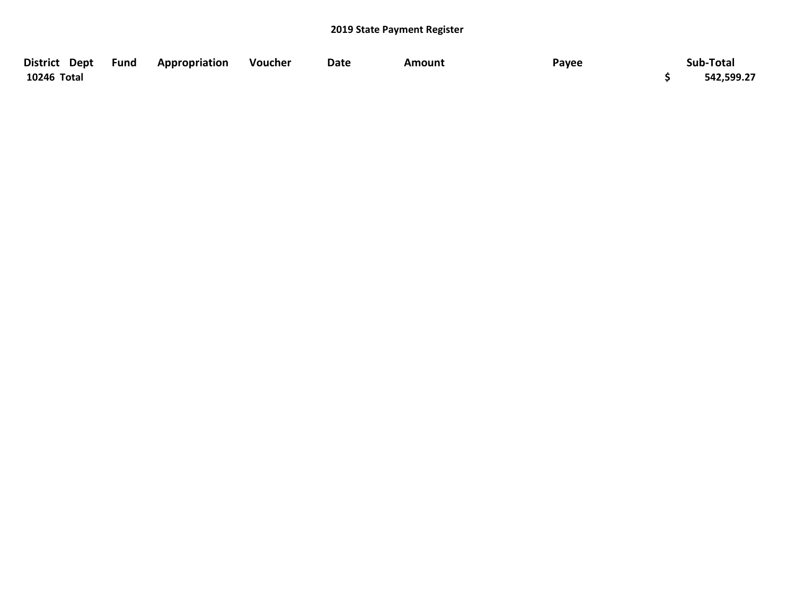| District Dept Fund | Appropriation | Voucher | Date | Amount | Payee | Sub-Total  |
|--------------------|---------------|---------|------|--------|-------|------------|
| 10246 Total        |               |         |      |        |       | 542,599.27 |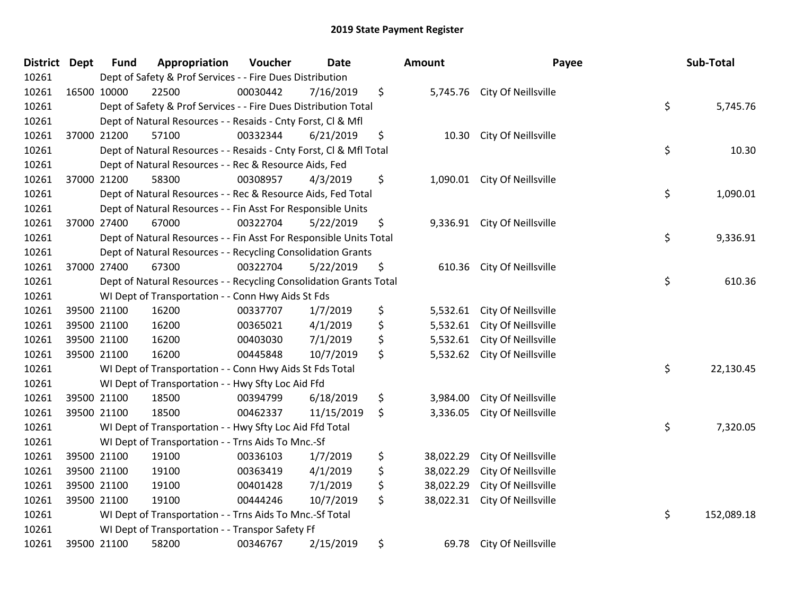| District Dept |             | <b>Fund</b> | Appropriation                                                      | Voucher  | <b>Date</b> | Amount          | Payee                        | Sub-Total        |
|---------------|-------------|-------------|--------------------------------------------------------------------|----------|-------------|-----------------|------------------------------|------------------|
| 10261         |             |             | Dept of Safety & Prof Services - - Fire Dues Distribution          |          |             |                 |                              |                  |
| 10261         | 16500 10000 |             | 22500                                                              | 00030442 | 7/16/2019   | \$              | 5,745.76 City Of Neillsville |                  |
| 10261         |             |             | Dept of Safety & Prof Services - - Fire Dues Distribution Total    |          |             |                 |                              | \$<br>5,745.76   |
| 10261         |             |             | Dept of Natural Resources - - Resaids - Cnty Forst, CI & Mfl       |          |             |                 |                              |                  |
| 10261         | 37000 21200 |             | 57100                                                              | 00332344 | 6/21/2019   | \$<br>10.30     | City Of Neillsville          |                  |
| 10261         |             |             | Dept of Natural Resources - - Resaids - Cnty Forst, CI & Mfl Total |          |             |                 |                              | \$<br>10.30      |
| 10261         |             |             | Dept of Natural Resources - - Rec & Resource Aids, Fed             |          |             |                 |                              |                  |
| 10261         | 37000 21200 |             | 58300                                                              | 00308957 | 4/3/2019    | \$              | 1,090.01 City Of Neillsville |                  |
| 10261         |             |             | Dept of Natural Resources - - Rec & Resource Aids, Fed Total       |          |             |                 |                              | \$<br>1,090.01   |
| 10261         |             |             | Dept of Natural Resources - - Fin Asst For Responsible Units       |          |             |                 |                              |                  |
| 10261         |             | 37000 27400 | 67000                                                              | 00322704 | 5/22/2019   | \$              | 9,336.91 City Of Neillsville |                  |
| 10261         |             |             | Dept of Natural Resources - - Fin Asst For Responsible Units Total |          |             |                 |                              | \$<br>9,336.91   |
| 10261         |             |             | Dept of Natural Resources - - Recycling Consolidation Grants       |          |             |                 |                              |                  |
| 10261         | 37000 27400 |             | 67300                                                              | 00322704 | 5/22/2019   | \$<br>610.36    | City Of Neillsville          |                  |
| 10261         |             |             | Dept of Natural Resources - - Recycling Consolidation Grants Total |          |             |                 |                              | \$<br>610.36     |
| 10261         |             |             | WI Dept of Transportation - - Conn Hwy Aids St Fds                 |          |             |                 |                              |                  |
| 10261         |             | 39500 21100 | 16200                                                              | 00337707 | 1/7/2019    | \$<br>5,532.61  | City Of Neillsville          |                  |
| 10261         |             | 39500 21100 | 16200                                                              | 00365021 | 4/1/2019    | \$<br>5,532.61  | City Of Neillsville          |                  |
| 10261         | 39500 21100 |             | 16200                                                              | 00403030 | 7/1/2019    | \$<br>5,532.61  | City Of Neillsville          |                  |
| 10261         | 39500 21100 |             | 16200                                                              | 00445848 | 10/7/2019   | \$              | 5,532.62 City Of Neillsville |                  |
| 10261         |             |             | WI Dept of Transportation - - Conn Hwy Aids St Fds Total           |          |             |                 |                              | \$<br>22,130.45  |
| 10261         |             |             | WI Dept of Transportation - - Hwy Sfty Loc Aid Ffd                 |          |             |                 |                              |                  |
| 10261         |             | 39500 21100 | 18500                                                              | 00394799 | 6/18/2019   | \$<br>3,984.00  | City Of Neillsville          |                  |
| 10261         | 39500 21100 |             | 18500                                                              | 00462337 | 11/15/2019  | \$<br>3,336.05  | City Of Neillsville          |                  |
| 10261         |             |             | WI Dept of Transportation - - Hwy Sfty Loc Aid Ffd Total           |          |             |                 |                              | \$<br>7,320.05   |
| 10261         |             |             | WI Dept of Transportation - - Trns Aids To Mnc.-Sf                 |          |             |                 |                              |                  |
| 10261         |             | 39500 21100 | 19100                                                              | 00336103 | 1/7/2019    | \$<br>38,022.29 | City Of Neillsville          |                  |
| 10261         |             | 39500 21100 | 19100                                                              | 00363419 | 4/1/2019    | \$<br>38,022.29 | City Of Neillsville          |                  |
| 10261         | 39500 21100 |             | 19100                                                              | 00401428 | 7/1/2019    | \$<br>38,022.29 | City Of Neillsville          |                  |
| 10261         |             | 39500 21100 | 19100                                                              | 00444246 | 10/7/2019   | \$<br>38,022.31 | City Of Neillsville          |                  |
| 10261         |             |             | WI Dept of Transportation - - Trns Aids To Mnc.-Sf Total           |          |             |                 |                              | \$<br>152,089.18 |
| 10261         |             |             | WI Dept of Transportation - - Transpor Safety Ff                   |          |             |                 |                              |                  |
| 10261         |             | 39500 21100 | 58200                                                              | 00346767 | 2/15/2019   | \$<br>69.78     | City Of Neillsville          |                  |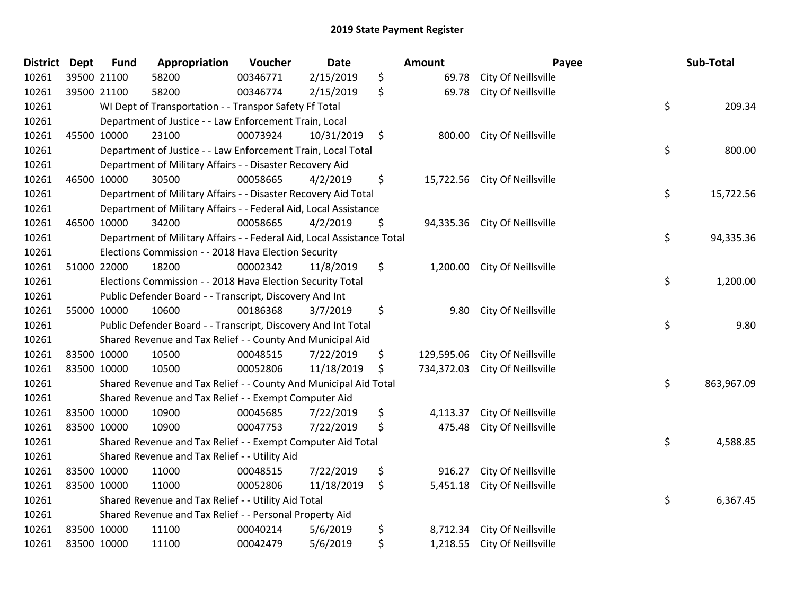| District Dept |             | <b>Fund</b> | Appropriation                                                          | Voucher  | Date       | Amount           | Payee                         | Sub-Total        |
|---------------|-------------|-------------|------------------------------------------------------------------------|----------|------------|------------------|-------------------------------|------------------|
| 10261         |             | 39500 21100 | 58200                                                                  | 00346771 | 2/15/2019  | \$<br>69.78      | City Of Neillsville           |                  |
| 10261         |             | 39500 21100 | 58200                                                                  | 00346774 | 2/15/2019  | \$<br>69.78      | City Of Neillsville           |                  |
| 10261         |             |             | WI Dept of Transportation - - Transpor Safety Ff Total                 |          |            |                  |                               | \$<br>209.34     |
| 10261         |             |             | Department of Justice - - Law Enforcement Train, Local                 |          |            |                  |                               |                  |
| 10261         |             | 45500 10000 | 23100                                                                  | 00073924 | 10/31/2019 | \$<br>800.00     | City Of Neillsville           |                  |
| 10261         |             |             | Department of Justice - - Law Enforcement Train, Local Total           |          |            |                  |                               | \$<br>800.00     |
| 10261         |             |             | Department of Military Affairs - - Disaster Recovery Aid               |          |            |                  |                               |                  |
| 10261         |             | 46500 10000 | 30500                                                                  | 00058665 | 4/2/2019   | \$               | 15,722.56 City Of Neillsville |                  |
| 10261         |             |             | Department of Military Affairs - - Disaster Recovery Aid Total         |          |            |                  |                               | \$<br>15,722.56  |
| 10261         |             |             | Department of Military Affairs - - Federal Aid, Local Assistance       |          |            |                  |                               |                  |
| 10261         |             | 46500 10000 | 34200                                                                  | 00058665 | 4/2/2019   | \$               | 94,335.36 City Of Neillsville |                  |
| 10261         |             |             | Department of Military Affairs - - Federal Aid, Local Assistance Total |          |            |                  |                               | \$<br>94,335.36  |
| 10261         |             |             | Elections Commission - - 2018 Hava Election Security                   |          |            |                  |                               |                  |
| 10261         |             | 51000 22000 | 18200                                                                  | 00002342 | 11/8/2019  | \$<br>1,200.00   | City Of Neillsville           |                  |
| 10261         |             |             | Elections Commission - - 2018 Hava Election Security Total             |          |            |                  |                               | \$<br>1,200.00   |
| 10261         |             |             | Public Defender Board - - Transcript, Discovery And Int                |          |            |                  |                               |                  |
| 10261         |             | 55000 10000 | 10600                                                                  | 00186368 | 3/7/2019   | \$<br>9.80       | City Of Neillsville           |                  |
| 10261         |             |             | Public Defender Board - - Transcript, Discovery And Int Total          |          |            |                  |                               | \$<br>9.80       |
| 10261         |             |             | Shared Revenue and Tax Relief - - County And Municipal Aid             |          |            |                  |                               |                  |
| 10261         |             | 83500 10000 | 10500                                                                  | 00048515 | 7/22/2019  | \$<br>129,595.06 | City Of Neillsville           |                  |
| 10261         | 83500 10000 |             | 10500                                                                  | 00052806 | 11/18/2019 | \$<br>734,372.03 | City Of Neillsville           |                  |
| 10261         |             |             | Shared Revenue and Tax Relief - - County And Municipal Aid Total       |          |            |                  |                               | \$<br>863,967.09 |
| 10261         |             |             | Shared Revenue and Tax Relief - - Exempt Computer Aid                  |          |            |                  |                               |                  |
| 10261         |             | 83500 10000 | 10900                                                                  | 00045685 | 7/22/2019  | \$<br>4,113.37   | City Of Neillsville           |                  |
| 10261         |             | 83500 10000 | 10900                                                                  | 00047753 | 7/22/2019  | \$<br>475.48     | City Of Neillsville           |                  |
| 10261         |             |             | Shared Revenue and Tax Relief - - Exempt Computer Aid Total            |          |            |                  |                               | \$<br>4,588.85   |
| 10261         |             |             | Shared Revenue and Tax Relief - - Utility Aid                          |          |            |                  |                               |                  |
| 10261         | 83500 10000 |             | 11000                                                                  | 00048515 | 7/22/2019  | \$<br>916.27     | City Of Neillsville           |                  |
| 10261         |             | 83500 10000 | 11000                                                                  | 00052806 | 11/18/2019 | \$<br>5,451.18   | City Of Neillsville           |                  |
| 10261         |             |             | Shared Revenue and Tax Relief - - Utility Aid Total                    |          |            |                  |                               | \$<br>6,367.45   |
| 10261         |             |             | Shared Revenue and Tax Relief - - Personal Property Aid                |          |            |                  |                               |                  |
| 10261         | 83500 10000 |             | 11100                                                                  | 00040214 | 5/6/2019   | \$<br>8,712.34   | City Of Neillsville           |                  |
| 10261         |             | 83500 10000 | 11100                                                                  | 00042479 | 5/6/2019   | \$<br>1,218.55   | City Of Neillsville           |                  |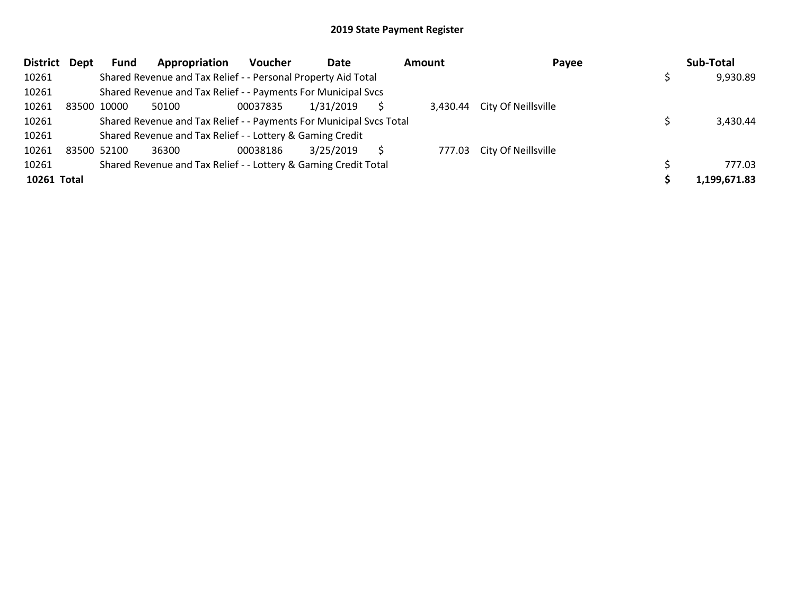|             | District Dept | Fund        | Appropriation                                                       | <b>Voucher</b> | Date      | Amount | Payee                        | Sub-Total    |
|-------------|---------------|-------------|---------------------------------------------------------------------|----------------|-----------|--------|------------------------------|--------------|
| 10261       |               |             | Shared Revenue and Tax Relief - - Personal Property Aid Total       |                |           |        |                              | 9,930.89     |
| 10261       |               |             | Shared Revenue and Tax Relief - - Payments For Municipal Svcs       |                |           |        |                              |              |
| 10261       |               | 83500 10000 | 50100                                                               | 00037835       | 1/31/2019 |        | 3,430.44 City Of Neillsville |              |
| 10261       |               |             | Shared Revenue and Tax Relief - - Payments For Municipal Svcs Total |                |           |        |                              | 3,430.44     |
| 10261       |               |             | Shared Revenue and Tax Relief - - Lottery & Gaming Credit           |                |           |        |                              |              |
| 10261       |               | 83500 52100 | 36300                                                               | 00038186       | 3/25/2019 |        | 777.03 City Of Neillsville   |              |
| 10261       |               |             | Shared Revenue and Tax Relief - - Lottery & Gaming Credit Total     |                |           |        |                              | 777.03       |
| 10261 Total |               |             |                                                                     |                |           |        |                              | 1,199,671.83 |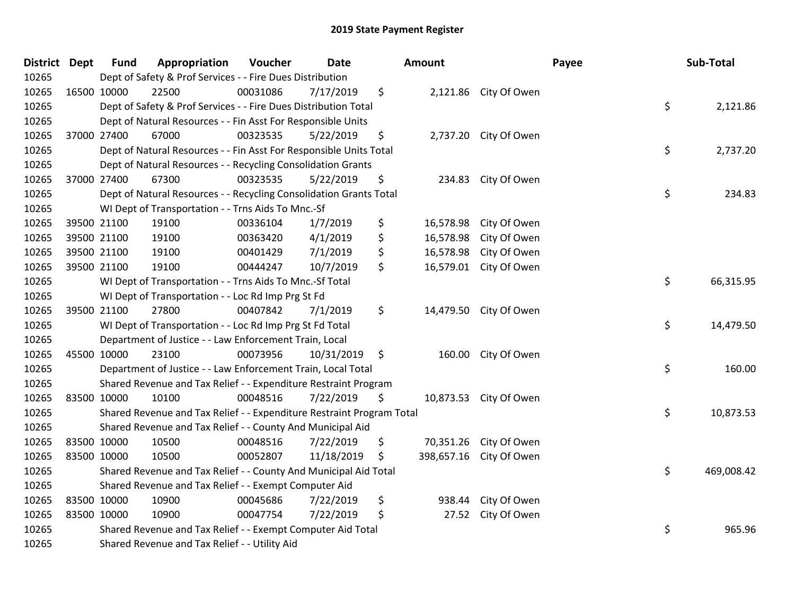| <b>District Dept</b> | <b>Fund</b> | Appropriation                                                         | Voucher  | <b>Date</b> | <b>Amount</b>   |                         | Payee | Sub-Total  |
|----------------------|-------------|-----------------------------------------------------------------------|----------|-------------|-----------------|-------------------------|-------|------------|
| 10265                |             | Dept of Safety & Prof Services - - Fire Dues Distribution             |          |             |                 |                         |       |            |
| 10265                | 16500 10000 | 22500                                                                 | 00031086 | 7/17/2019   | \$              | 2,121.86 City Of Owen   |       |            |
| 10265                |             | Dept of Safety & Prof Services - - Fire Dues Distribution Total       |          |             |                 |                         | \$    | 2,121.86   |
| 10265                |             | Dept of Natural Resources - - Fin Asst For Responsible Units          |          |             |                 |                         |       |            |
| 10265                | 37000 27400 | 67000                                                                 | 00323535 | 5/22/2019   | \$              | 2,737.20 City Of Owen   |       |            |
| 10265                |             | Dept of Natural Resources - - Fin Asst For Responsible Units Total    |          |             |                 |                         | \$    | 2,737.20   |
| 10265                |             | Dept of Natural Resources - - Recycling Consolidation Grants          |          |             |                 |                         |       |            |
| 10265                | 37000 27400 | 67300                                                                 | 00323535 | 5/22/2019   | \$<br>234.83    | City Of Owen            |       |            |
| 10265                |             | Dept of Natural Resources - - Recycling Consolidation Grants Total    |          |             |                 |                         | \$    | 234.83     |
| 10265                |             | WI Dept of Transportation - - Trns Aids To Mnc.-Sf                    |          |             |                 |                         |       |            |
| 10265                | 39500 21100 | 19100                                                                 | 00336104 | 1/7/2019    | \$<br>16,578.98 | City Of Owen            |       |            |
| 10265                | 39500 21100 | 19100                                                                 | 00363420 | 4/1/2019    | \$<br>16,578.98 | City Of Owen            |       |            |
| 10265                | 39500 21100 | 19100                                                                 | 00401429 | 7/1/2019    | \$<br>16,578.98 | City Of Owen            |       |            |
| 10265                | 39500 21100 | 19100                                                                 | 00444247 | 10/7/2019   | \$<br>16,579.01 | City Of Owen            |       |            |
| 10265                |             | WI Dept of Transportation - - Trns Aids To Mnc.-Sf Total              |          |             |                 |                         | \$    | 66,315.95  |
| 10265                |             | WI Dept of Transportation - - Loc Rd Imp Prg St Fd                    |          |             |                 |                         |       |            |
| 10265                | 39500 21100 | 27800                                                                 | 00407842 | 7/1/2019    | \$              | 14,479.50 City Of Owen  |       |            |
| 10265                |             | WI Dept of Transportation - - Loc Rd Imp Prg St Fd Total              |          |             |                 |                         | \$    | 14,479.50  |
| 10265                |             | Department of Justice - - Law Enforcement Train, Local                |          |             |                 |                         |       |            |
| 10265                | 45500 10000 | 23100                                                                 | 00073956 | 10/31/2019  | \$              | 160.00 City Of Owen     |       |            |
| 10265                |             | Department of Justice - - Law Enforcement Train, Local Total          |          |             |                 |                         | \$    | 160.00     |
| 10265                |             | Shared Revenue and Tax Relief - - Expenditure Restraint Program       |          |             |                 |                         |       |            |
| 10265                | 83500 10000 | 10100                                                                 | 00048516 | 7/22/2019   | \$              | 10,873.53 City Of Owen  |       |            |
| 10265                |             | Shared Revenue and Tax Relief - - Expenditure Restraint Program Total |          |             |                 |                         | \$    | 10,873.53  |
| 10265                |             | Shared Revenue and Tax Relief - - County And Municipal Aid            |          |             |                 |                         |       |            |
| 10265                | 83500 10000 | 10500                                                                 | 00048516 | 7/22/2019   | \$<br>70,351.26 | City Of Owen            |       |            |
| 10265                | 83500 10000 | 10500                                                                 | 00052807 | 11/18/2019  | \$              | 398,657.16 City Of Owen |       |            |
| 10265                |             | Shared Revenue and Tax Relief - - County And Municipal Aid Total      |          |             |                 |                         | \$    | 469,008.42 |
| 10265                |             | Shared Revenue and Tax Relief - - Exempt Computer Aid                 |          |             |                 |                         |       |            |
| 10265                | 83500 10000 | 10900                                                                 | 00045686 | 7/22/2019   | \$<br>938.44    | City Of Owen            |       |            |
| 10265                | 83500 10000 | 10900                                                                 | 00047754 | 7/22/2019   | \$<br>27.52     | City Of Owen            |       |            |
| 10265                |             | Shared Revenue and Tax Relief - - Exempt Computer Aid Total           |          |             |                 |                         | \$    | 965.96     |
| 10265                |             | Shared Revenue and Tax Relief - - Utility Aid                         |          |             |                 |                         |       |            |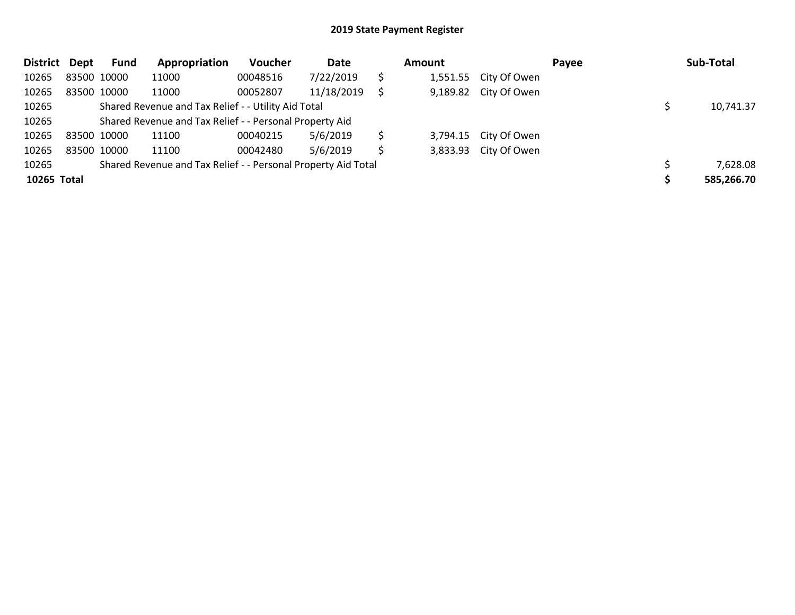| <b>District</b> | Dept | Fund        | Appropriation                                                 | Voucher  | Date       | <b>Amount</b> |                       | Payee | Sub-Total  |
|-----------------|------|-------------|---------------------------------------------------------------|----------|------------|---------------|-----------------------|-------|------------|
| 10265           |      | 83500 10000 | 11000                                                         | 00048516 | 7/22/2019  | \$            | 1,551.55 City Of Owen |       |            |
| 10265           |      | 83500 10000 | 11000                                                         | 00052807 | 11/18/2019 |               | 9,189.82 City Of Owen |       |            |
| 10265           |      |             | Shared Revenue and Tax Relief - - Utility Aid Total           |          |            |               |                       |       | 10,741.37  |
| 10265           |      |             | Shared Revenue and Tax Relief - - Personal Property Aid       |          |            |               |                       |       |            |
| 10265           |      | 83500 10000 | 11100                                                         | 00040215 | 5/6/2019   |               | 3,794.15 City Of Owen |       |            |
| 10265           |      | 83500 10000 | 11100                                                         | 00042480 | 5/6/2019   | \$            | 3,833.93 City Of Owen |       |            |
| 10265           |      |             | Shared Revenue and Tax Relief - - Personal Property Aid Total |          |            |               |                       |       | 7,628.08   |
| 10265 Total     |      |             |                                                               |          |            |               |                       |       | 585,266.70 |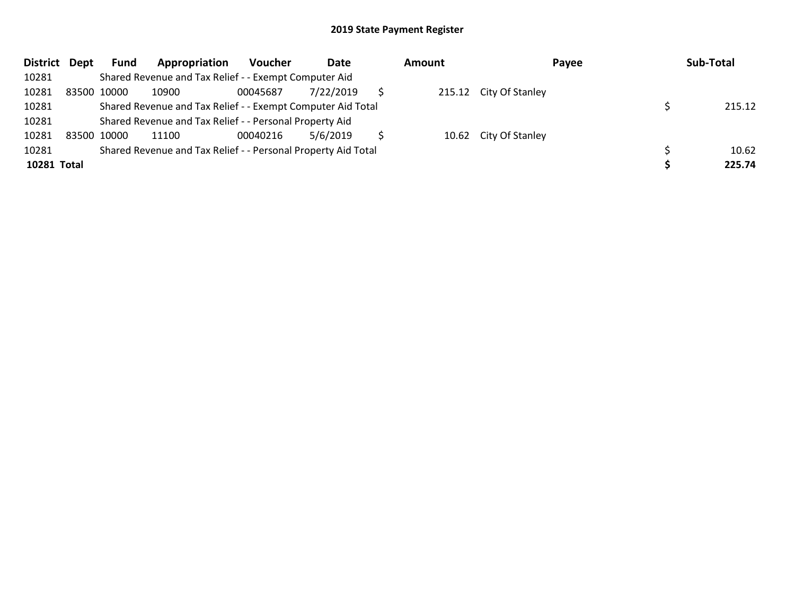| District Dept |             | Fund        | Appropriation                                                 | Voucher  | Date      | <b>Amount</b> | Payee                  | Sub-Total |
|---------------|-------------|-------------|---------------------------------------------------------------|----------|-----------|---------------|------------------------|-----------|
| 10281         |             |             | Shared Revenue and Tax Relief - - Exempt Computer Aid         |          |           |               |                        |           |
| 10281         |             | 83500 10000 | 10900                                                         | 00045687 | 7/22/2019 |               | 215.12 City Of Stanley |           |
| 10281         |             |             | Shared Revenue and Tax Relief - - Exempt Computer Aid Total   |          |           |               |                        | 215.12    |
| 10281         |             |             | Shared Revenue and Tax Relief - - Personal Property Aid       |          |           |               |                        |           |
| 10281         | 83500 10000 |             | 11100                                                         | 00040216 | 5/6/2019  |               | 10.62 City Of Stanley  |           |
| 10281         |             |             | Shared Revenue and Tax Relief - - Personal Property Aid Total |          |           |               |                        | 10.62     |
| 10281 Total   |             |             |                                                               |          |           |               |                        | 225.74    |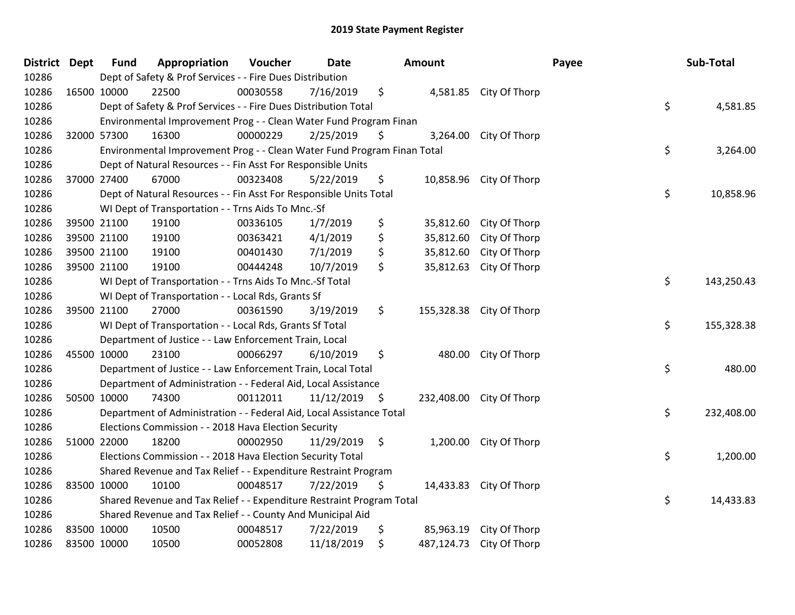| <b>District Dept</b> |             | <b>Fund</b> | Appropriation                                                           | Voucher  | Date            |     | Amount     |                         | Payee | Sub-Total        |
|----------------------|-------------|-------------|-------------------------------------------------------------------------|----------|-----------------|-----|------------|-------------------------|-------|------------------|
| 10286                |             |             | Dept of Safety & Prof Services - - Fire Dues Distribution               |          |                 |     |            |                         |       |                  |
| 10286                | 16500 10000 |             | 22500                                                                   | 00030558 | 7/16/2019       | \$  |            | 4,581.85 City Of Thorp  |       |                  |
| 10286                |             |             | Dept of Safety & Prof Services - - Fire Dues Distribution Total         |          |                 |     |            |                         |       | \$<br>4,581.85   |
| 10286                |             |             | Environmental Improvement Prog - - Clean Water Fund Program Finan       |          |                 |     |            |                         |       |                  |
| 10286                |             | 32000 57300 | 16300                                                                   | 00000229 | 2/25/2019       | \$. | 3,264.00   | City Of Thorp           |       |                  |
| 10286                |             |             | Environmental Improvement Prog - - Clean Water Fund Program Finan Total |          |                 |     |            |                         |       | \$<br>3,264.00   |
| 10286                |             |             | Dept of Natural Resources - - Fin Asst For Responsible Units            |          |                 |     |            |                         |       |                  |
| 10286                |             | 37000 27400 | 67000                                                                   | 00323408 | 5/22/2019       | \$  | 10,858.96  | City Of Thorp           |       |                  |
| 10286                |             |             | Dept of Natural Resources - - Fin Asst For Responsible Units Total      |          |                 |     |            |                         |       | \$<br>10,858.96  |
| 10286                |             |             | WI Dept of Transportation - - Trns Aids To Mnc.-Sf                      |          |                 |     |            |                         |       |                  |
| 10286                |             | 39500 21100 | 19100                                                                   | 00336105 | 1/7/2019        | \$  | 35,812.60  | City Of Thorp           |       |                  |
| 10286                |             | 39500 21100 | 19100                                                                   | 00363421 | 4/1/2019        | \$  | 35,812.60  | City Of Thorp           |       |                  |
| 10286                |             | 39500 21100 | 19100                                                                   | 00401430 | 7/1/2019        | \$  | 35,812.60  | City Of Thorp           |       |                  |
| 10286                | 39500 21100 |             | 19100                                                                   | 00444248 | 10/7/2019       | \$  | 35,812.63  | City Of Thorp           |       |                  |
| 10286                |             |             | WI Dept of Transportation - - Trns Aids To Mnc.-Sf Total                |          |                 |     |            |                         |       | \$<br>143,250.43 |
| 10286                |             |             | WI Dept of Transportation - - Local Rds, Grants Sf                      |          |                 |     |            |                         |       |                  |
| 10286                |             | 39500 21100 | 27000                                                                   | 00361590 | 3/19/2019       | \$  | 155,328.38 | City Of Thorp           |       |                  |
| 10286                |             |             | WI Dept of Transportation - - Local Rds, Grants Sf Total                |          |                 |     |            |                         |       | \$<br>155,328.38 |
| 10286                |             |             | Department of Justice - - Law Enforcement Train, Local                  |          |                 |     |            |                         |       |                  |
| 10286                |             | 45500 10000 | 23100                                                                   | 00066297 | 6/10/2019       | \$  | 480.00     | City Of Thorp           |       |                  |
| 10286                |             |             | Department of Justice - - Law Enforcement Train, Local Total            |          |                 |     |            |                         |       | \$<br>480.00     |
| 10286                |             |             | Department of Administration - - Federal Aid, Local Assistance          |          |                 |     |            |                         |       |                  |
| 10286                |             | 50500 10000 | 74300                                                                   | 00112011 | $11/12/2019$ \$ |     | 232,408.00 | City Of Thorp           |       |                  |
| 10286                |             |             | Department of Administration - - Federal Aid, Local Assistance Total    |          |                 |     |            |                         |       | \$<br>232,408.00 |
| 10286                |             |             | Elections Commission - - 2018 Hava Election Security                    |          |                 |     |            |                         |       |                  |
| 10286                |             | 51000 22000 | 18200                                                                   | 00002950 | 11/29/2019      | \$  | 1,200.00   | City Of Thorp           |       |                  |
| 10286                |             |             | Elections Commission - - 2018 Hava Election Security Total              |          |                 |     |            |                         |       | \$<br>1,200.00   |
| 10286                |             |             | Shared Revenue and Tax Relief - - Expenditure Restraint Program         |          |                 |     |            |                         |       |                  |
| 10286                |             | 83500 10000 | 10100                                                                   | 00048517 | 7/22/2019       | \$  |            | 14,433.83 City Of Thorp |       |                  |
| 10286                |             |             | Shared Revenue and Tax Relief - - Expenditure Restraint Program Total   |          |                 |     |            |                         |       | \$<br>14,433.83  |
| 10286                |             |             | Shared Revenue and Tax Relief - - County And Municipal Aid              |          |                 |     |            |                         |       |                  |
| 10286                |             | 83500 10000 | 10500                                                                   | 00048517 | 7/22/2019       | \$  | 85,963.19  | City Of Thorp           |       |                  |
| 10286                |             | 83500 10000 | 10500                                                                   | 00052808 | 11/18/2019      | \$  | 487,124.73 | City Of Thorp           |       |                  |